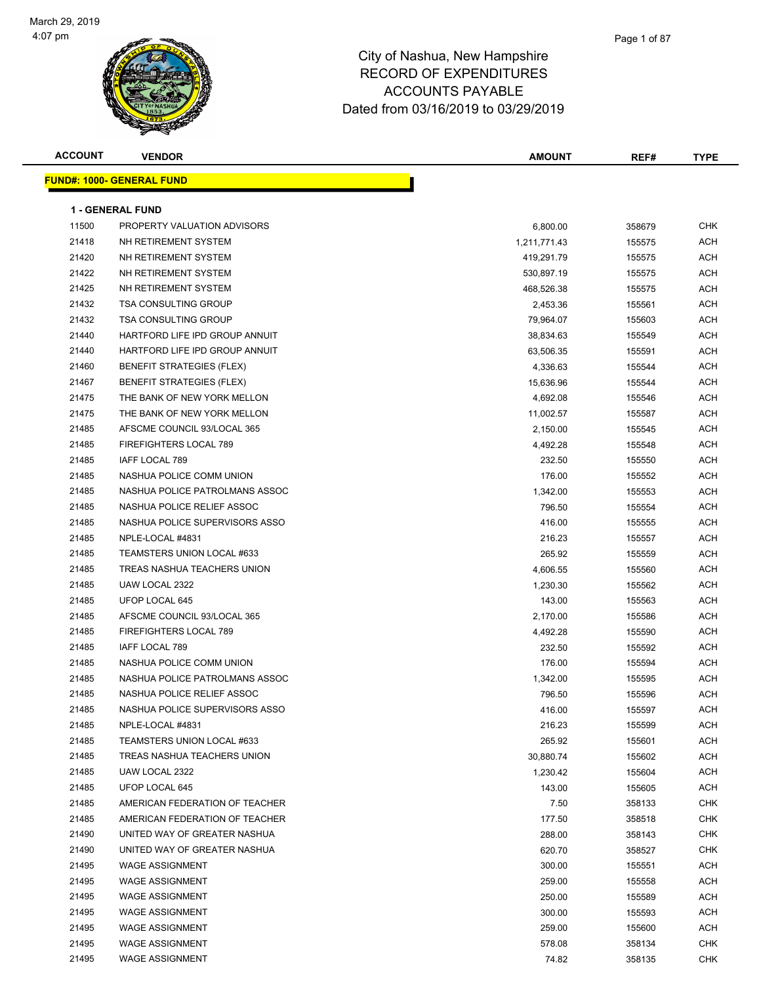

| <b>ACCOUNT</b> | <b>VENDOR</b>                     | <b>AMOUNT</b> | REF#   | <b>TYPE</b> |
|----------------|-----------------------------------|---------------|--------|-------------|
|                | <u> FUND#: 1000- GENERAL FUND</u> |               |        |             |
|                |                                   |               |        |             |
|                | <b>1 - GENERAL FUND</b>           |               |        |             |
| 11500          | PROPERTY VALUATION ADVISORS       | 6,800.00      | 358679 | <b>CHK</b>  |
| 21418          | NH RETIREMENT SYSTEM              | 1,211,771.43  | 155575 | <b>ACH</b>  |
| 21420          | NH RETIREMENT SYSTEM              | 419,291.79    | 155575 | <b>ACH</b>  |
| 21422          | NH RETIREMENT SYSTEM              | 530,897.19    | 155575 | <b>ACH</b>  |
| 21425          | NH RETIREMENT SYSTEM              | 468,526.38    | 155575 | ACH         |
| 21432          | <b>TSA CONSULTING GROUP</b>       | 2,453.36      | 155561 | ACH         |
| 21432          | <b>TSA CONSULTING GROUP</b>       | 79,964.07     | 155603 | <b>ACH</b>  |
| 21440          | HARTFORD LIFE IPD GROUP ANNUIT    | 38,834.63     | 155549 | <b>ACH</b>  |
| 21440          | HARTFORD LIFE IPD GROUP ANNUIT    | 63,506.35     | 155591 | <b>ACH</b>  |
| 21460          | <b>BENEFIT STRATEGIES (FLEX)</b>  | 4,336.63      | 155544 | <b>ACH</b>  |
| 21467          | <b>BENEFIT STRATEGIES (FLEX)</b>  | 15,636.96     | 155544 | <b>ACH</b>  |
| 21475          | THE BANK OF NEW YORK MELLON       | 4,692.08      | 155546 | <b>ACH</b>  |
| 21475          | THE BANK OF NEW YORK MELLON       | 11,002.57     | 155587 | <b>ACH</b>  |
| 21485          | AFSCME COUNCIL 93/LOCAL 365       | 2,150.00      | 155545 | ACH         |
| 21485          | FIREFIGHTERS LOCAL 789            | 4,492.28      | 155548 | <b>ACH</b>  |
| 21485          | IAFF LOCAL 789                    | 232.50        | 155550 | ACH         |
| 21485          | NASHUA POLICE COMM UNION          | 176.00        | 155552 | ACH         |
| 21485          | NASHUA POLICE PATROLMANS ASSOC    | 1,342.00      | 155553 | <b>ACH</b>  |
| 21485          | NASHUA POLICE RELIEF ASSOC        | 796.50        | 155554 | ACH         |
| 21485          | NASHUA POLICE SUPERVISORS ASSO    | 416.00        | 155555 | ACH         |
| 21485          | NPLE-LOCAL #4831                  | 216.23        | 155557 | <b>ACH</b>  |
| 21485          | TEAMSTERS UNION LOCAL #633        | 265.92        | 155559 | <b>ACH</b>  |
| 21485          | TREAS NASHUA TEACHERS UNION       | 4,606.55      | 155560 | <b>ACH</b>  |
| 21485          | UAW LOCAL 2322                    | 1,230.30      | 155562 | <b>ACH</b>  |
| 21485          | UFOP LOCAL 645                    | 143.00        | 155563 | ACH         |
| 21485          | AFSCME COUNCIL 93/LOCAL 365       | 2,170.00      | 155586 | ACH         |
| 21485          | FIREFIGHTERS LOCAL 789            | 4,492.28      | 155590 | ACH         |
| 21485          | IAFF LOCAL 789                    | 232.50        | 155592 | <b>ACH</b>  |
| 21485          | NASHUA POLICE COMM UNION          | 176.00        | 155594 | ACH         |
| 21485          | NASHUA POLICE PATROLMANS ASSOC    | 1,342.00      | 155595 | ACH         |
| 21485          | NASHUA POLICE RELIEF ASSOC        | 796.50        | 155596 | <b>ACH</b>  |
| 21485          | NASHUA POLICE SUPERVISORS ASSO    | 416.00        | 155597 | <b>ACH</b>  |
| 21485          | NPLE-LOCAL #4831                  | 216.23        | 155599 | ACH         |
| 21485          | TEAMSTERS UNION LOCAL #633        | 265.92        | 155601 | ACH         |
| 21485          | TREAS NASHUA TEACHERS UNION       | 30,880.74     | 155602 | <b>ACH</b>  |
| 21485          | UAW LOCAL 2322                    | 1,230.42      | 155604 | <b>ACH</b>  |
| 21485          | UFOP LOCAL 645                    | 143.00        | 155605 | <b>ACH</b>  |
| 21485          | AMERICAN FEDERATION OF TEACHER    | 7.50          | 358133 | CHK         |
| 21485          | AMERICAN FEDERATION OF TEACHER    | 177.50        | 358518 | CHK         |
| 21490          | UNITED WAY OF GREATER NASHUA      | 288.00        | 358143 | <b>CHK</b>  |
| 21490          | UNITED WAY OF GREATER NASHUA      | 620.70        | 358527 | CHK         |
| 21495          | <b>WAGE ASSIGNMENT</b>            | 300.00        | 155551 | ACH         |
| 21495          | <b>WAGE ASSIGNMENT</b>            | 259.00        | 155558 | <b>ACH</b>  |
| 21495          | <b>WAGE ASSIGNMENT</b>            | 250.00        | 155589 | <b>ACH</b>  |
| 21495          | <b>WAGE ASSIGNMENT</b>            | 300.00        | 155593 | ACH         |
| 21495          | <b>WAGE ASSIGNMENT</b>            | 259.00        | 155600 | <b>ACH</b>  |
| 21495          | <b>WAGE ASSIGNMENT</b>            | 578.08        | 358134 | CHK         |
| 21495          | <b>WAGE ASSIGNMENT</b>            | 74.82         | 358135 | <b>CHK</b>  |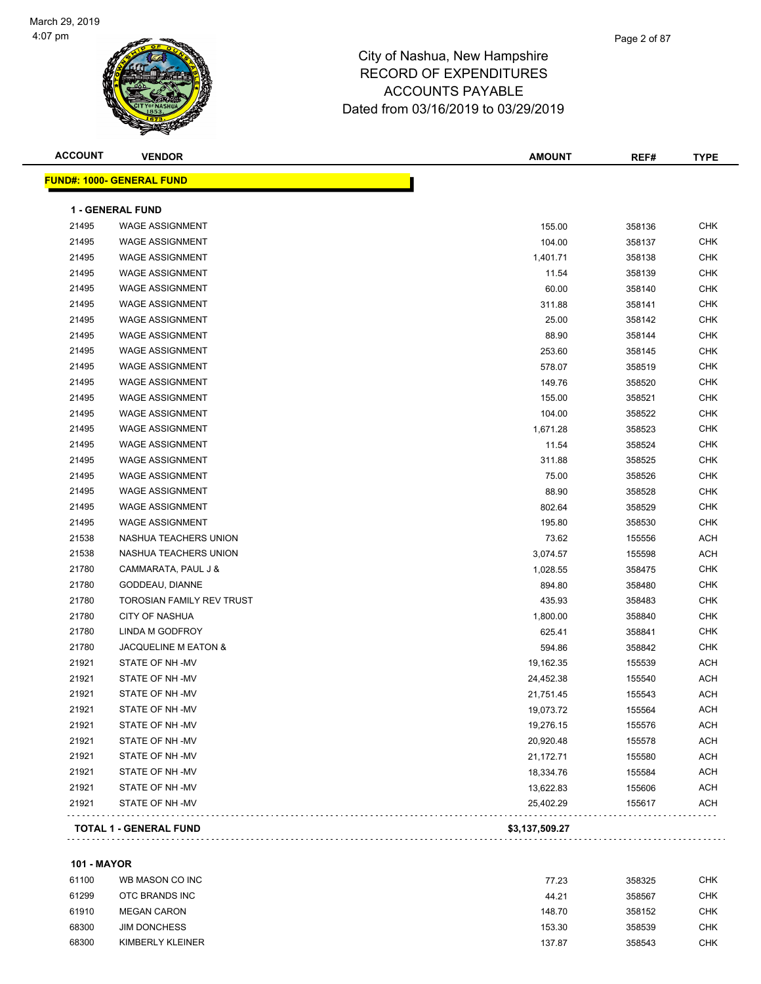#### Page 2 of 87

### City of Nashua, New Hampshire RECORD OF EXPENDITURES ACCOUNTS PAYABLE Dated from 03/16/2019 to 03/29/2019

| <b>ACCOUNT</b> | <b>VENDOR</b>                    | <b>AMOUNT</b>  | REF#   | <b>TYPE</b> |
|----------------|----------------------------------|----------------|--------|-------------|
|                | <b>FUND#: 1000- GENERAL FUND</b> |                |        |             |
|                | <b>1 - GENERAL FUND</b>          |                |        |             |
| 21495          | <b>WAGE ASSIGNMENT</b>           | 155.00         | 358136 | <b>CHK</b>  |
| 21495          | <b>WAGE ASSIGNMENT</b>           | 104.00         | 358137 | <b>CHK</b>  |
| 21495          | <b>WAGE ASSIGNMENT</b>           | 1,401.71       | 358138 | <b>CHK</b>  |
| 21495          | <b>WAGE ASSIGNMENT</b>           | 11.54          | 358139 | <b>CHK</b>  |
| 21495          | <b>WAGE ASSIGNMENT</b>           | 60.00          | 358140 | <b>CHK</b>  |
| 21495          | <b>WAGE ASSIGNMENT</b>           | 311.88         | 358141 | <b>CHK</b>  |
| 21495          | <b>WAGE ASSIGNMENT</b>           | 25.00          | 358142 | <b>CHK</b>  |
| 21495          | <b>WAGE ASSIGNMENT</b>           | 88.90          | 358144 | <b>CHK</b>  |
| 21495          | <b>WAGE ASSIGNMENT</b>           | 253.60         | 358145 | CHK         |
| 21495          | <b>WAGE ASSIGNMENT</b>           | 578.07         | 358519 | CHK         |
| 21495          | <b>WAGE ASSIGNMENT</b>           | 149.76         | 358520 | <b>CHK</b>  |
| 21495          | <b>WAGE ASSIGNMENT</b>           | 155.00         | 358521 | <b>CHK</b>  |
| 21495          | <b>WAGE ASSIGNMENT</b>           | 104.00         | 358522 | <b>CHK</b>  |
| 21495          | <b>WAGE ASSIGNMENT</b>           | 1,671.28       | 358523 | <b>CHK</b>  |
| 21495          | <b>WAGE ASSIGNMENT</b>           | 11.54          | 358524 | <b>CHK</b>  |
| 21495          | <b>WAGE ASSIGNMENT</b>           | 311.88         | 358525 | <b>CHK</b>  |
| 21495          | <b>WAGE ASSIGNMENT</b>           | 75.00          | 358526 | <b>CHK</b>  |
| 21495          | <b>WAGE ASSIGNMENT</b>           | 88.90          | 358528 | <b>CHK</b>  |
| 21495          | <b>WAGE ASSIGNMENT</b>           | 802.64         | 358529 | <b>CHK</b>  |
| 21495          | <b>WAGE ASSIGNMENT</b>           | 195.80         | 358530 | <b>CHK</b>  |
| 21538          | NASHUA TEACHERS UNION            | 73.62          | 155556 | <b>ACH</b>  |
| 21538          | NASHUA TEACHERS UNION            | 3,074.57       | 155598 | ACH         |
| 21780          | CAMMARATA, PAUL J &              | 1,028.55       | 358475 | <b>CHK</b>  |
| 21780          | GODDEAU, DIANNE                  | 894.80         | 358480 | <b>CHK</b>  |
| 21780          | TOROSIAN FAMILY REV TRUST        | 435.93         | 358483 | <b>CHK</b>  |
| 21780          | <b>CITY OF NASHUA</b>            | 1,800.00       | 358840 | <b>CHK</b>  |
| 21780          | LINDA M GODFROY                  | 625.41         | 358841 | <b>CHK</b>  |
| 21780          | JACQUELINE M EATON &             | 594.86         | 358842 | <b>CHK</b>  |
| 21921          | STATE OF NH-MV                   | 19,162.35      | 155539 | ACH         |
| 21921          | STATE OF NH-MV                   | 24,452.38      | 155540 | <b>ACH</b>  |
| 21921          | STATE OF NH-MV                   | 21,751.45      | 155543 | <b>ACH</b>  |
| 21921          | STATE OF NH-MV                   | 19,073.72      | 155564 | ACH         |
| 21921          | STATE OF NH -MV                  | 19,276.15      | 155576 | <b>ACH</b>  |
| 21921          | STATE OF NH-MV                   | 20,920.48      | 155578 | <b>ACH</b>  |
| 21921          | STATE OF NH -MV                  | 21,172.71      | 155580 | <b>ACH</b>  |
| 21921          | STATE OF NH-MV                   | 18,334.76      | 155584 | <b>ACH</b>  |
| 21921          | STATE OF NH -MV                  | 13,622.83      | 155606 | <b>ACH</b>  |
| 21921          | STATE OF NH -MV                  | 25,402.29      | 155617 | ACH         |
|                | <b>TOTAL 1 - GENERAL FUND</b>    | \$3,137,509.27 |        |             |
|                |                                  |                |        |             |

#### **101 - MAYOR**

| 61100 | WB MASON CO INC     | 77.23  | 358325 | снк        |
|-------|---------------------|--------|--------|------------|
| 61299 | OTC BRANDS INC      | 44.21  | 358567 | <b>CHK</b> |
| 61910 | <b>MEGAN CARON</b>  | 148.70 | 358152 | <b>CHK</b> |
| 68300 | <b>JIM DONCHESS</b> | 153.30 | 358539 | СНК        |
| 68300 | KIMBERLY KLEINER    | 137.87 | 358543 | СНК        |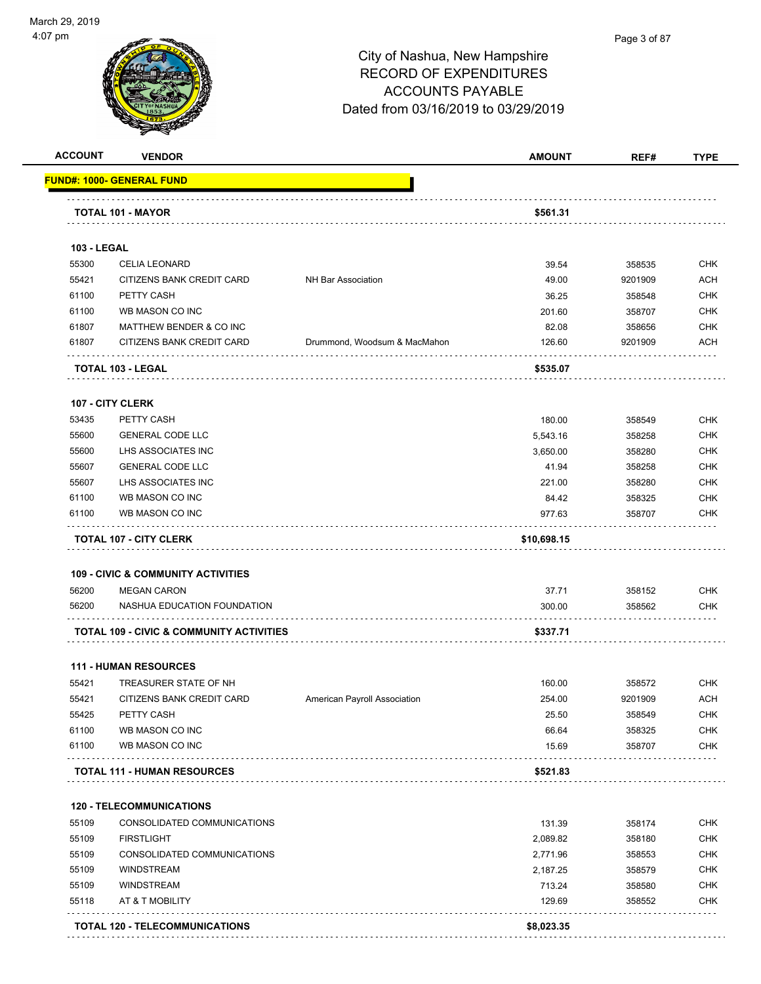

|                                                             | <b>VENDOR</b>                                       |                              | <b>AMOUNT</b>    | REF#             | <b>TYPE</b>                                                                                                                              |
|-------------------------------------------------------------|-----------------------------------------------------|------------------------------|------------------|------------------|------------------------------------------------------------------------------------------------------------------------------------------|
|                                                             | <u> FUND#: 1000- GENERAL FUND</u>                   |                              |                  |                  |                                                                                                                                          |
|                                                             | <b>TOTAL 101 - MAYOR</b>                            |                              | \$561.31         |                  |                                                                                                                                          |
|                                                             |                                                     |                              |                  |                  |                                                                                                                                          |
| <b>103 - LEGAL</b>                                          |                                                     |                              |                  |                  |                                                                                                                                          |
| 55300                                                       | <b>CELIA LEONARD</b>                                |                              | 39.54            | 358535           | <b>CHK</b>                                                                                                                               |
| 55421                                                       | CITIZENS BANK CREDIT CARD                           | NH Bar Association           | 49.00            | 9201909          | <b>ACH</b>                                                                                                                               |
| 61100                                                       | PETTY CASH                                          |                              | 36.25            | 358548           | <b>CHK</b>                                                                                                                               |
| 61100                                                       | WB MASON CO INC                                     |                              | 201.60           | 358707           | <b>CHK</b>                                                                                                                               |
| 61807                                                       | MATTHEW BENDER & CO INC                             |                              | 82.08            | 358656           | CHK                                                                                                                                      |
| 61807                                                       | CITIZENS BANK CREDIT CARD                           | Drummond, Woodsum & MacMahon | 126.60           | 9201909          | ACH                                                                                                                                      |
|                                                             | TOTAL 103 - LEGAL                                   |                              | \$535.07         |                  |                                                                                                                                          |
|                                                             | <b>107 - CITY CLERK</b>                             |                              |                  |                  |                                                                                                                                          |
| 53435                                                       | PETTY CASH                                          |                              | 180.00           | 358549           | <b>CHK</b>                                                                                                                               |
| 55600                                                       | <b>GENERAL CODE LLC</b>                             |                              | 5,543.16         | 358258           | <b>CHK</b>                                                                                                                               |
| 55600                                                       | LHS ASSOCIATES INC                                  |                              | 3,650.00         | 358280           | <b>CHK</b>                                                                                                                               |
| 55607                                                       | <b>GENERAL CODE LLC</b>                             |                              | 41.94            | 358258           | <b>CHK</b>                                                                                                                               |
| 55607                                                       | LHS ASSOCIATES INC                                  |                              | 221.00           | 358280           | <b>CHK</b>                                                                                                                               |
| 61100                                                       | WB MASON CO INC                                     |                              | 84.42            | 358325           | <b>CHK</b>                                                                                                                               |
| 61100                                                       | WB MASON CO INC                                     |                              | 977.63           | 358707           | <b>CHK</b>                                                                                                                               |
|                                                             | <b>TOTAL 107 - CITY CLERK</b>                       |                              | \$10,698.15      |                  |                                                                                                                                          |
|                                                             | 109 - CIVIC & COMMUNITY ACTIVITIES                  |                              |                  |                  |                                                                                                                                          |
| 56200                                                       | <b>MEGAN CARON</b>                                  |                              | 37.71            | 358152           | <b>CHK</b>                                                                                                                               |
| 56200                                                       | NASHUA EDUCATION FOUNDATION                         |                              | 300.00           | 358562           | <b>CHK</b>                                                                                                                               |
|                                                             |                                                     |                              |                  |                  |                                                                                                                                          |
|                                                             | <b>TOTAL 109 - CIVIC &amp; COMMUNITY ACTIVITIES</b> |                              | \$337.71         |                  |                                                                                                                                          |
|                                                             |                                                     |                              |                  |                  |                                                                                                                                          |
|                                                             | <b>111 - HUMAN RESOURCES</b>                        |                              |                  |                  |                                                                                                                                          |
|                                                             | TREASURER STATE OF NH                               |                              | 160.00           | 358572           |                                                                                                                                          |
|                                                             | CITIZENS BANK CREDIT CARD                           | American Payroll Association | 254.00           | 9201909          |                                                                                                                                          |
|                                                             | PETTY CASH                                          |                              | 25.50            | 358549           |                                                                                                                                          |
|                                                             | WB MASON CO INC                                     |                              | 66.64            | 358325           |                                                                                                                                          |
|                                                             | WB MASON CO INC                                     |                              | 15.69            | 358707           |                                                                                                                                          |
|                                                             | <b>TOTAL 111 - HUMAN RESOURCES</b>                  |                              | \$521.83         |                  |                                                                                                                                          |
|                                                             | <b>120 - TELECOMMUNICATIONS</b>                     |                              |                  |                  |                                                                                                                                          |
|                                                             | CONSOLIDATED COMMUNICATIONS                         |                              | 131.39           | 358174           |                                                                                                                                          |
| 55421<br>55421<br>55425<br>61100<br>61100<br>55109<br>55109 | <b>FIRSTLIGHT</b>                                   |                              |                  | 358180           |                                                                                                                                          |
| 55109                                                       |                                                     |                              | 2,089.82         |                  |                                                                                                                                          |
|                                                             | CONSOLIDATED COMMUNICATIONS<br><b>WINDSTREAM</b>    |                              | 2,771.96         | 358553           |                                                                                                                                          |
|                                                             | <b>WINDSTREAM</b>                                   |                              | 2,187.25         | 358579           |                                                                                                                                          |
| 55109<br>55109<br>55118                                     | AT & T MOBILITY                                     |                              | 713.24<br>129.69 | 358580<br>358552 | <b>CHK</b><br><b>ACH</b><br><b>CHK</b><br><b>CHK</b><br><b>CHK</b><br><b>CHK</b><br><b>CHK</b><br>CHK<br><b>CHK</b><br><b>CHK</b><br>CHK |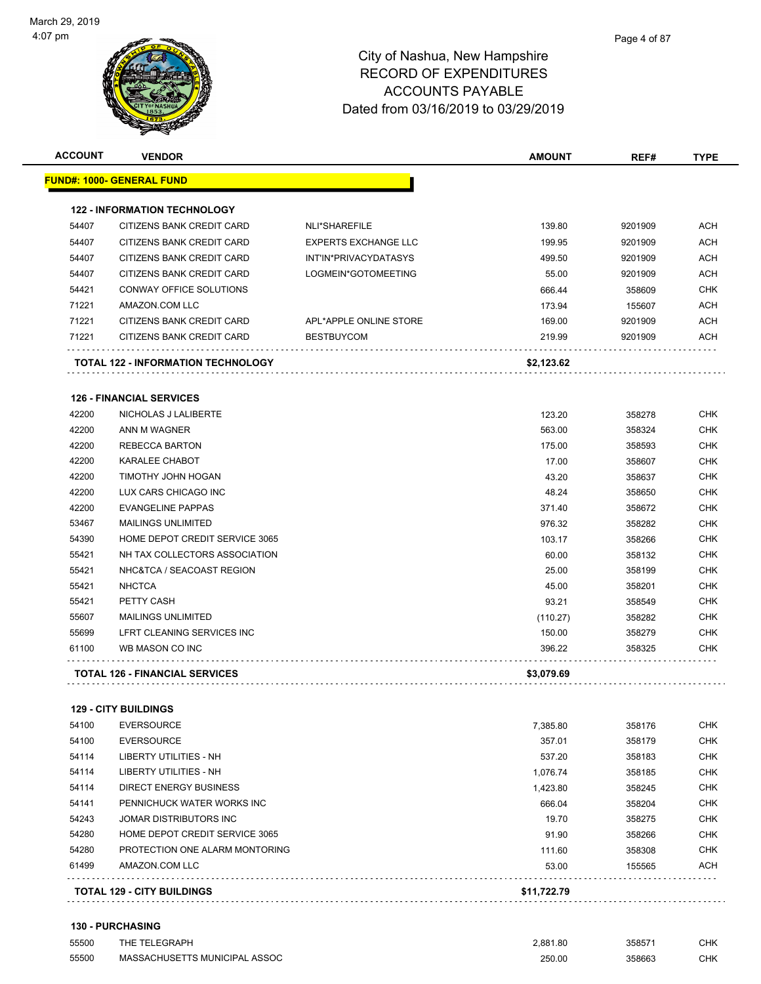| <b>ACCOUNT</b> | <b>VENDOR</b>                         |                             | <b>AMOUNT</b> | REF#    | <b>TYPE</b> |
|----------------|---------------------------------------|-----------------------------|---------------|---------|-------------|
|                | <u> FUND#: 1000- GENERAL FUND</u>     |                             |               |         |             |
|                | <b>122 - INFORMATION TECHNOLOGY</b>   |                             |               |         |             |
| 54407          | CITIZENS BANK CREDIT CARD             | NLI*SHAREFILE               | 139.80        | 9201909 | <b>ACH</b>  |
| 54407          | CITIZENS BANK CREDIT CARD             | <b>EXPERTS EXCHANGE LLC</b> | 199.95        | 9201909 | ACH         |
| 54407          | CITIZENS BANK CREDIT CARD             | INT'IN*PRIVACYDATASYS       | 499.50        | 9201909 | ACH         |
| 54407          | CITIZENS BANK CREDIT CARD             | LOGMEIN*GOTOMEETING         | 55.00         | 9201909 | ACH         |
| 54421          | CONWAY OFFICE SOLUTIONS               |                             | 666.44        | 358609  | <b>CHK</b>  |
| 71221          | AMAZON.COM LLC                        |                             | 173.94        | 155607  | ACH         |
| 71221          | CITIZENS BANK CREDIT CARD             | APL*APPLE ONLINE STORE      | 169.00        | 9201909 | ACH         |
| 71221          | CITIZENS BANK CREDIT CARD             | <b>BESTBUYCOM</b>           | 219.99        | 9201909 | <b>ACH</b>  |
|                | TOTAL 122 - INFORMATION TECHNOLOGY    |                             | \$2,123.62    |         |             |
|                | <b>126 - FINANCIAL SERVICES</b>       |                             |               |         |             |
| 42200          | NICHOLAS J LALIBERTE                  |                             | 123.20        | 358278  | <b>CHK</b>  |
| 42200          | ANN M WAGNER                          |                             | 563.00        | 358324  | <b>CHK</b>  |
| 42200          | <b>REBECCA BARTON</b>                 |                             | 175.00        | 358593  | <b>CHK</b>  |
| 42200          | <b>KARALEE CHABOT</b>                 |                             | 17.00         | 358607  | <b>CHK</b>  |
| 42200          | TIMOTHY JOHN HOGAN                    |                             | 43.20         | 358637  | <b>CHK</b>  |
| 42200          | LUX CARS CHICAGO INC                  |                             | 48.24         | 358650  | CHK         |
| 42200          | <b>EVANGELINE PAPPAS</b>              |                             | 371.40        | 358672  | CHK         |
| 53467          | <b>MAILINGS UNLIMITED</b>             |                             | 976.32        | 358282  | CHK         |
| 54390          | HOME DEPOT CREDIT SERVICE 3065        |                             | 103.17        | 358266  | CHK         |
| 55421          | NH TAX COLLECTORS ASSOCIATION         |                             | 60.00         | 358132  | <b>CHK</b>  |
| 55421          | NHC&TCA / SEACOAST REGION             |                             | 25.00         | 358199  | <b>CHK</b>  |
| 55421          | <b>NHCTCA</b>                         |                             | 45.00         | 358201  | <b>CHK</b>  |
| 55421          | PETTY CASH                            |                             | 93.21         | 358549  | <b>CHK</b>  |
| 55607          | <b>MAILINGS UNLIMITED</b>             |                             | (110.27)      | 358282  | CHK         |
| 55699          | LFRT CLEANING SERVICES INC            |                             | 150.00        | 358279  | <b>CHK</b>  |
| 61100          | WB MASON CO INC                       |                             | 396.22        | 358325  | CHK         |
|                | <b>TOTAL 126 - FINANCIAL SERVICES</b> |                             | \$3,079.69    |         |             |
|                | <b>129 - CITY BUILDINGS</b>           |                             |               |         |             |
| 54100          | <b>EVERSOURCE</b>                     |                             | 7,385.80      | 358176  | CHK         |
| 54100          | <b>EVERSOURCE</b>                     |                             | 357.01        | 358179  | CHK         |
| 54114          | <b>LIBERTY UTILITIES - NH</b>         |                             | 537.20        | 358183  | <b>CHK</b>  |
| 54114          | <b>LIBERTY UTILITIES - NH</b>         |                             | 1,076.74      | 358185  | CHK         |
| 54114          | DIRECT ENERGY BUSINESS                |                             | 1,423.80      | 358245  | <b>CHK</b>  |
| 54141          | PENNICHUCK WATER WORKS INC            |                             | 666.04        | 358204  | CHK         |
| 54243          | JOMAR DISTRIBUTORS INC                |                             | 19.70         | 358275  | <b>CHK</b>  |
| 54280          | HOME DEPOT CREDIT SERVICE 3065        |                             | 91.90         | 358266  | <b>CHK</b>  |
| 54280          | PROTECTION ONE ALARM MONTORING        |                             | 111.60        | 358308  | CHK         |
| 61499          | AMAZON.COM LLC                        |                             | 53.00         | 155565  | ACH         |
|                | <b>TOTAL 129 - CITY BUILDINGS</b>     |                             | \$11,722.79   |         |             |

| <b>130 - PURCHASING</b> |  |  |  |  |  |
|-------------------------|--|--|--|--|--|
|-------------------------|--|--|--|--|--|

| 55500 | THE TELEGRAPH                 | 2.881.80 | 35857  | СНК |
|-------|-------------------------------|----------|--------|-----|
| 55500 | MASSACHUSETTS MUNICIPAL ASSOC | 250.00   | 358663 | СНК |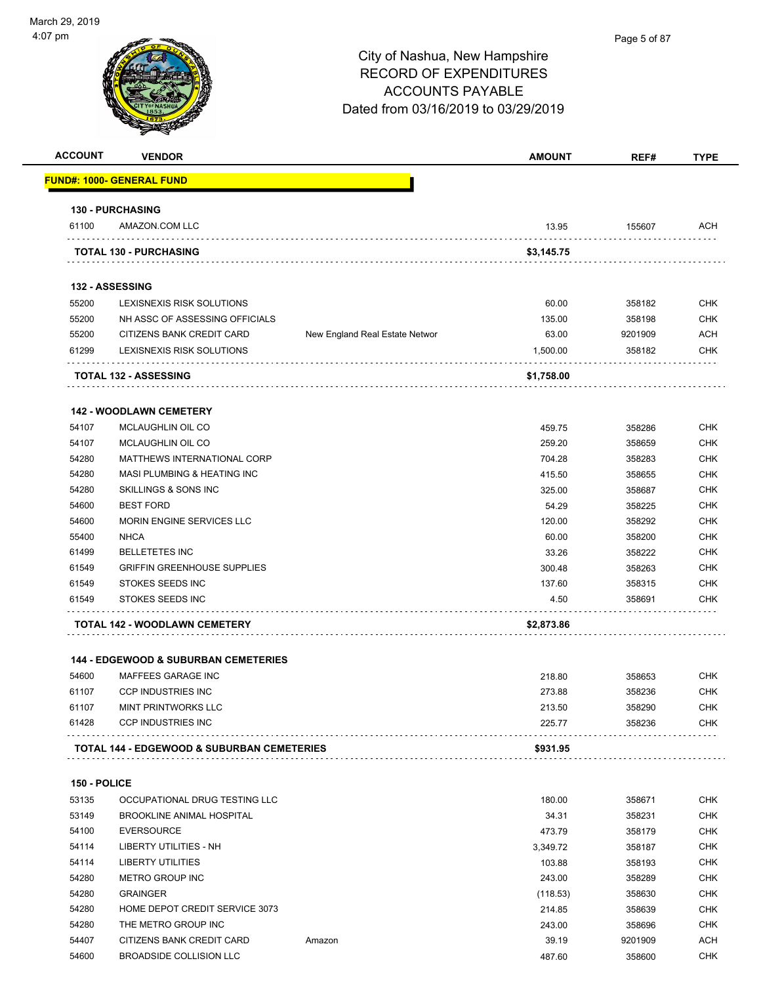

| <b>ACCOUNT</b> | <b>VENDOR</b>                                         |                                | <b>AMOUNT</b>   | REF#              | <b>TYPE</b> |
|----------------|-------------------------------------------------------|--------------------------------|-----------------|-------------------|-------------|
|                | <u> FUND#: 1000- GENERAL FUND</u>                     |                                |                 |                   |             |
|                | <b>130 - PURCHASING</b>                               |                                |                 |                   |             |
| 61100          | AMAZON.COM LLC                                        |                                | 13.95           | 155607            | ACH         |
|                | <b>TOTAL 130 - PURCHASING</b>                         |                                | \$3,145.75      |                   |             |
|                | 132 - ASSESSING                                       |                                |                 |                   |             |
| 55200          | LEXISNEXIS RISK SOLUTIONS                             |                                | 60.00           | 358182            | <b>CHK</b>  |
| 55200          | NH ASSC OF ASSESSING OFFICIALS                        |                                | 135.00          | 358198            | <b>CHK</b>  |
| 55200          | CITIZENS BANK CREDIT CARD                             | New England Real Estate Networ | 63.00           | 9201909           | ACH         |
| 61299          | LEXISNEXIS RISK SOLUTIONS                             |                                | 1,500.00        | 358182            | <b>CHK</b>  |
|                | <b>TOTAL 132 - ASSESSING</b>                          |                                | \$1,758.00      |                   |             |
|                | <b>142 - WOODLAWN CEMETERY</b>                        |                                |                 |                   |             |
| 54107          | MCLAUGHLIN OIL CO                                     |                                | 459.75          | 358286            | <b>CHK</b>  |
| 54107          | MCLAUGHLIN OIL CO                                     |                                | 259.20          | 358659            | <b>CHK</b>  |
| 54280          | MATTHEWS INTERNATIONAL CORP                           |                                | 704.28          | 358283            | <b>CHK</b>  |
| 54280          | MASI PLUMBING & HEATING INC                           |                                | 415.50          | 358655            | <b>CHK</b>  |
| 54280          | <b>SKILLINGS &amp; SONS INC</b>                       |                                | 325.00          | 358687            | <b>CHK</b>  |
| 54600          | <b>BEST FORD</b>                                      |                                | 54.29           | 358225            | <b>CHK</b>  |
| 54600          | MORIN ENGINE SERVICES LLC                             |                                | 120.00          | 358292            | CHK         |
| 55400          | <b>NHCA</b>                                           |                                | 60.00           | 358200            | <b>CHK</b>  |
| 61499          | <b>BELLETETES INC</b>                                 |                                | 33.26           | 358222            | <b>CHK</b>  |
| 61549          | <b>GRIFFIN GREENHOUSE SUPPLIES</b>                    |                                | 300.48          | 358263            | <b>CHK</b>  |
| 61549          | STOKES SEEDS INC                                      |                                | 137.60          | 358315            | <b>CHK</b>  |
| 61549          | STOKES SEEDS INC                                      |                                | 4.50            | 358691            | CHK         |
|                | .<br>TOTAL 142 - WOODLAWN CEMETERY                    |                                | \$2,873.86      |                   |             |
|                | <b>144 - EDGEWOOD &amp; SUBURBAN CEMETERIES</b>       |                                |                 |                   |             |
| 54600          | MAFFEES GARAGE INC                                    |                                | 218.80          | 358653            | <b>CHK</b>  |
| 61107          | <b>CCP INDUSTRIES INC</b>                             |                                | 273.88          | 358236            | <b>CHK</b>  |
| 61107          | <b>MINT PRINTWORKS LLC</b>                            |                                | 213.50          | 358290            | <b>CHK</b>  |
| 61428          | <b>CCP INDUSTRIES INC</b>                             |                                | 225.77          | 358236            | <b>CHK</b>  |
|                | TOTAL 144 - EDGEWOOD & SUBURBAN CEMETERIES            |                                | \$931.95        |                   |             |
|                |                                                       |                                |                 |                   |             |
| 150 - POLICE   |                                                       |                                |                 |                   |             |
| 53135          | OCCUPATIONAL DRUG TESTING LLC                         |                                | 180.00          | 358671            | <b>CHK</b>  |
| 53149          | BROOKLINE ANIMAL HOSPITAL                             |                                | 34.31           | 358231            | <b>CHK</b>  |
| 54100          | <b>EVERSOURCE</b>                                     |                                | 473.79          | 358179            | CHK         |
| 54114          | <b>LIBERTY UTILITIES - NH</b>                         |                                | 3,349.72        | 358187            | <b>CHK</b>  |
| 54114          | <b>LIBERTY UTILITIES</b>                              |                                | 103.88          | 358193            | CHK         |
| 54280          | <b>METRO GROUP INC</b>                                |                                | 243.00          | 358289            | CHK         |
| 54280          | <b>GRAINGER</b>                                       |                                | (118.53)        | 358630            | CHK         |
| 54280          | HOME DEPOT CREDIT SERVICE 3073<br>THE METRO GROUP INC |                                | 214.85          | 358639            | CHK         |
| 54280<br>54407 | CITIZENS BANK CREDIT CARD                             | Amazon                         | 243.00<br>39.19 | 358696<br>9201909 | CHK<br>ACH  |
|                |                                                       |                                |                 |                   |             |
| 54600          | BROADSIDE COLLISION LLC                               |                                | 487.60          | 358600            | <b>CHK</b>  |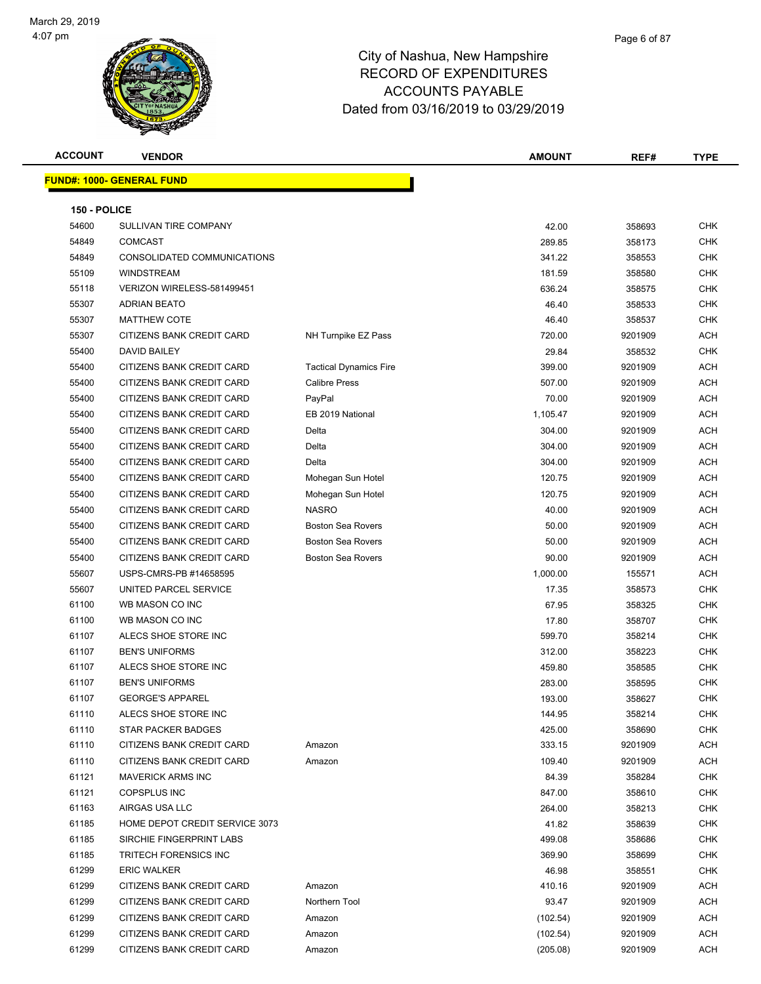**FUND#: 1000- GENE** 



#### City of Nashua, New Hampshire RECORD OF EXPENDITURES ACCOUNTS PAYABLE Dated from 03/16/2019 to 03/29/2019

| <b>ACCOUNT</b> | <b>VENDOR</b>                    |                               | <b>AMOUNT</b> | REF#    | <b>TYPE</b> |
|----------------|----------------------------------|-------------------------------|---------------|---------|-------------|
|                | <u> JND#: 1000- GENERAL FUND</u> |                               |               |         |             |
| 150 - POLICE   |                                  |                               |               |         |             |
| 54600          | SULLIVAN TIRE COMPANY            |                               | 42.00         | 358693  | <b>CHK</b>  |
| 54849          | <b>COMCAST</b>                   |                               | 289.85        | 358173  | <b>CHK</b>  |
| 54849          | CONSOLIDATED COMMUNICATIONS      |                               | 341.22        | 358553  | <b>CHK</b>  |
| 55109          | <b>WINDSTREAM</b>                |                               | 181.59        | 358580  | <b>CHK</b>  |
| 55118          | VERIZON WIRELESS-581499451       |                               | 636.24        | 358575  | <b>CHK</b>  |
| 55307          | <b>ADRIAN BEATO</b>              |                               | 46.40         | 358533  | <b>CHK</b>  |
| 55307          | <b>MATTHEW COTE</b>              |                               | 46.40         | 358537  | <b>CHK</b>  |
| 55307          | CITIZENS BANK CREDIT CARD        | NH Turnpike EZ Pass           | 720.00        | 9201909 | <b>ACH</b>  |
| 55400          | <b>DAVID BAILEY</b>              |                               | 29.84         | 358532  | <b>CHK</b>  |
| 55400          | CITIZENS BANK CREDIT CARD        | <b>Tactical Dynamics Fire</b> | 399.00        | 9201909 | <b>ACH</b>  |
| 55400          | CITIZENS BANK CREDIT CARD        | <b>Calibre Press</b>          | 507.00        | 9201909 | <b>ACH</b>  |
| 55400          | CITIZENS BANK CREDIT CARD        | PayPal                        | 70.00         | 9201909 | <b>ACH</b>  |
| 55400          | CITIZENS BANK CREDIT CARD        | EB 2019 National              | 1,105.47      | 9201909 | <b>ACH</b>  |
| 55400          | CITIZENS BANK CREDIT CARD        | Delta                         | 304.00        | 9201909 | <b>ACH</b>  |
| 55400          | CITIZENS BANK CREDIT CARD        | Delta                         | 304.00        | 9201909 | <b>ACH</b>  |
| 55400          | CITIZENS BANK CREDIT CARD        | Delta                         | 304.00        | 9201909 | <b>ACH</b>  |
| 55400          | CITIZENS BANK CREDIT CARD        | Mohegan Sun Hotel             | 120.75        | 9201909 | <b>ACH</b>  |
| 55400          | CITIZENS BANK CREDIT CARD        | Mohegan Sun Hotel             | 120.75        | 9201909 | <b>ACH</b>  |
| 55400          | CITIZENS BANK CREDIT CARD        | <b>NASRO</b>                  | 40.00         | 9201909 | <b>ACH</b>  |
| 55400          | CITIZENS BANK CREDIT CARD        | <b>Boston Sea Rovers</b>      | 50.00         | 9201909 | <b>ACH</b>  |
| 55400          | CITIZENS BANK CREDIT CARD        | <b>Boston Sea Rovers</b>      | 50.00         | 9201909 | <b>ACH</b>  |
| 55400          | CITIZENS BANK CREDIT CARD        | <b>Boston Sea Rovers</b>      | 90.00         | 9201909 | <b>ACH</b>  |
| 55607          | USPS-CMRS-PB #14658595           |                               | 1,000.00      | 155571  | <b>ACH</b>  |
| 55607          | UNITED PARCEL SERVICE            |                               | 17.35         | 358573  | <b>CHK</b>  |
| 61100          | WB MASON CO INC                  |                               | 67.95         | 358325  | <b>CHK</b>  |
| 61100          | WB MASON CO INC                  |                               | 17.80         | 358707  | <b>CHK</b>  |
| 61107          | ALECS SHOE STORE INC             |                               | 599.70        | 358214  | <b>CHK</b>  |
| 61107          | <b>BEN'S UNIFORMS</b>            |                               | 312.00        | 358223  | CHK         |
| 61107          | ALECS SHOE STORE INC             |                               | 459.80        | 358585  | <b>CHK</b>  |
| 61107          | <b>BEN'S UNIFORMS</b>            |                               | 283.00        | 358595  | <b>CHK</b>  |
| 61107          | <b>GEORGE'S APPAREL</b>          |                               | 193.00        | 358627  | <b>CHK</b>  |
| 61110          | ALECS SHOE STORE INC             |                               | 144.95        | 358214  | <b>CHK</b>  |
| 61110          | <b>STAR PACKER BADGES</b>        |                               | 425.00        | 358690  | <b>CHK</b>  |
| 61110          | CITIZENS BANK CREDIT CARD        | Amazon                        | 333.15        | 9201909 | <b>ACH</b>  |
| 61110          | CITIZENS BANK CREDIT CARD        | Amazon                        | 109.40        | 9201909 | <b>ACH</b>  |

 61121 MAVERICK ARMS INC 84.39 358284 CHK 61121 COPSPLUS INC 847.00 358610 CHK

61299 CITIZENS BANK CREDIT CARD Amazon (205.08) 9201909 ACH

| 61163 | AIRGAS USA LLC                 |               | 264.00   | 358213  | <b>CHK</b> |
|-------|--------------------------------|---------------|----------|---------|------------|
| 61185 | HOME DEPOT CREDIT SERVICE 3073 |               | 41.82    | 358639  | <b>CHK</b> |
| 61185 | SIRCHIE FINGERPRINT LABS       |               | 499.08   | 358686  | <b>CHK</b> |
| 61185 | TRITECH FORENSICS INC          |               | 369.90   | 358699  | <b>CHK</b> |
| 61299 | <b>ERIC WALKER</b>             |               | 46.98    | 358551  | <b>CHK</b> |
| 61299 | CITIZENS BANK CREDIT CARD      | Amazon        | 410.16   | 9201909 | <b>ACH</b> |
| 61299 | CITIZENS BANK CREDIT CARD      | Northern Tool | 93.47    | 9201909 | <b>ACH</b> |
| 61299 | CITIZENS BANK CREDIT CARD      | Amazon        | (102.54) | 9201909 | <b>ACH</b> |
| 61299 | CITIZENS BANK CREDIT CARD      | Amazon        | (102.54) | 9201909 | <b>ACH</b> |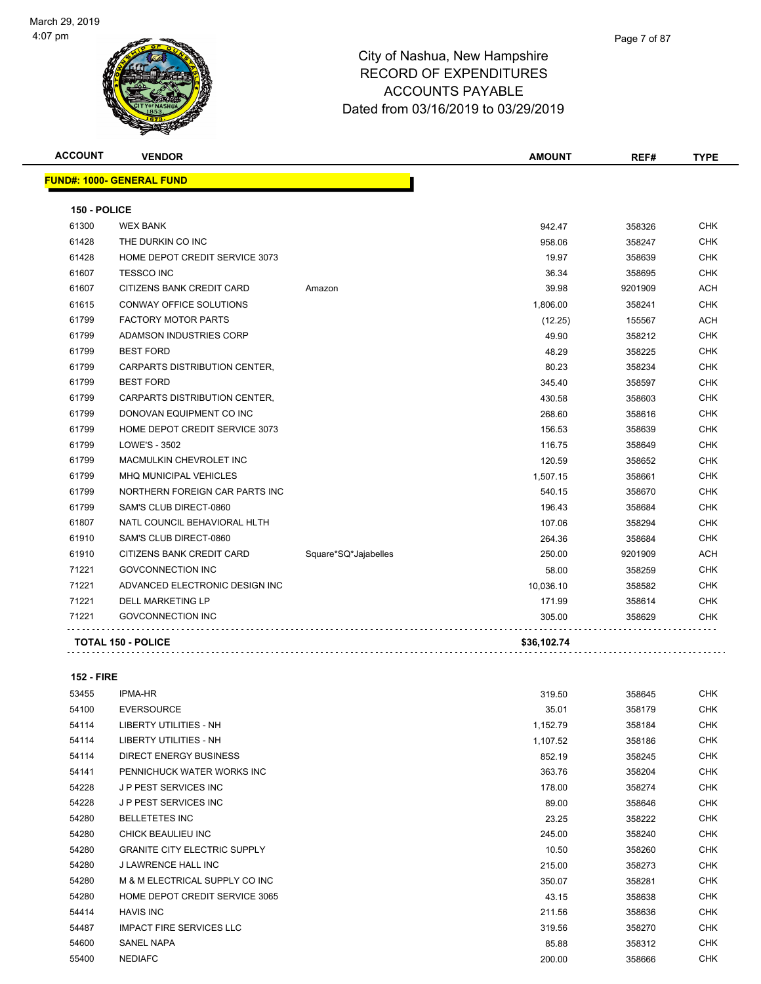

| <b>ACCOUNT</b> | <b>VENDOR</b>                    |                      | <b>AMOUNT</b> | REF#    | <b>TYPE</b> |
|----------------|----------------------------------|----------------------|---------------|---------|-------------|
|                | <b>FUND#: 1000- GENERAL FUND</b> |                      |               |         |             |
| 150 - POLICE   |                                  |                      |               |         |             |
| 61300          | <b>WEX BANK</b>                  |                      | 942.47        | 358326  | <b>CHK</b>  |
| 61428          | THE DURKIN CO INC                |                      | 958.06        | 358247  | <b>CHK</b>  |
| 61428          | HOME DEPOT CREDIT SERVICE 3073   |                      | 19.97         | 358639  | <b>CHK</b>  |
| 61607          | <b>TESSCO INC</b>                |                      | 36.34         | 358695  | <b>CHK</b>  |
| 61607          | CITIZENS BANK CREDIT CARD        | Amazon               | 39.98         | 9201909 | <b>ACH</b>  |
| 61615          | <b>CONWAY OFFICE SOLUTIONS</b>   |                      | 1,806.00      | 358241  | <b>CHK</b>  |
| 61799          | <b>FACTORY MOTOR PARTS</b>       |                      | (12.25)       | 155567  | <b>ACH</b>  |
| 61799          | ADAMSON INDUSTRIES CORP          |                      | 49.90         | 358212  | <b>CHK</b>  |
| 61799          | <b>BEST FORD</b>                 |                      | 48.29         | 358225  | <b>CHK</b>  |
| 61799          | CARPARTS DISTRIBUTION CENTER,    |                      | 80.23         | 358234  | <b>CHK</b>  |
| 61799          | <b>BEST FORD</b>                 |                      | 345.40        | 358597  | <b>CHK</b>  |
| 61799          | CARPARTS DISTRIBUTION CENTER,    |                      | 430.58        | 358603  | <b>CHK</b>  |
| 61799          | DONOVAN EQUIPMENT CO INC         |                      | 268.60        | 358616  | <b>CHK</b>  |
| 61799          | HOME DEPOT CREDIT SERVICE 3073   |                      | 156.53        | 358639  | <b>CHK</b>  |
| 61799          | LOWE'S - 3502                    |                      | 116.75        | 358649  | <b>CHK</b>  |
| 61799          | <b>MACMULKIN CHEVROLET INC</b>   |                      | 120.59        | 358652  | <b>CHK</b>  |
| 61799          | <b>MHQ MUNICIPAL VEHICLES</b>    |                      | 1,507.15      | 358661  | <b>CHK</b>  |
| 61799          | NORTHERN FOREIGN CAR PARTS INC   |                      | 540.15        | 358670  | <b>CHK</b>  |
| 61799          | SAM'S CLUB DIRECT-0860           |                      | 196.43        | 358684  | <b>CHK</b>  |
| 61807          | NATL COUNCIL BEHAVIORAL HLTH     |                      | 107.06        | 358294  | <b>CHK</b>  |
| 61910          | SAM'S CLUB DIRECT-0860           |                      | 264.36        | 358684  | <b>CHK</b>  |
| 61910          | CITIZENS BANK CREDIT CARD        | Square*SQ*Jajabelles | 250.00        | 9201909 | ACH         |
| 71221          | <b>GOVCONNECTION INC</b>         |                      | 58.00         | 358259  | <b>CHK</b>  |
| 71221          | ADVANCED ELECTRONIC DESIGN INC   |                      | 10,036.10     | 358582  | CHK.        |
| 71221          | <b>DELL MARKETING LP</b>         |                      | 171.99        | 358614  | <b>CHK</b>  |
| 71221          | <b>GOVCONNECTION INC</b>         |                      | 305.00        | 358629  | <b>CHK</b>  |

**TOTAL 150 - POLICE \$36,102.74**

**152 - FIRE**

#### IPMA-HR 319.50 358645 CHK EVERSOURCE 35.01 358179 CHK LIBERTY UTILITIES - NH 1,152.79 358184 CHK LIBERTY UTILITIES - NH 1,107.52 358186 CHK DIRECT ENERGY BUSINESS 852.19 358245 CHK PENNICHUCK WATER WORKS INC 363.76 358204 CHK J P PEST SERVICES INC 178.00 358274 CHK J P PEST SERVICES INC 89.00 358646 CHK BELLETETES INC 23.25 358222 CHK CHICK BEAULIEU INC 245.00 358240 CHK GRANITE CITY ELECTRIC SUPPLY 10.50 358260 CHK J LAWRENCE HALL INC 215.00 358273 CHK M & M ELECTRICAL SUPPLY CO INC 350.07 358281 CHK HOME DEPOT CREDIT SERVICE 3065 43.15 358638 CHK HAVIS INC 211.56 358636 CHK IMPACT FIRE SERVICES LLC 319.56 358270 CHK SANEL NAPA 85.88 358312 CHK NEDIAFC 200.00 358666 CHK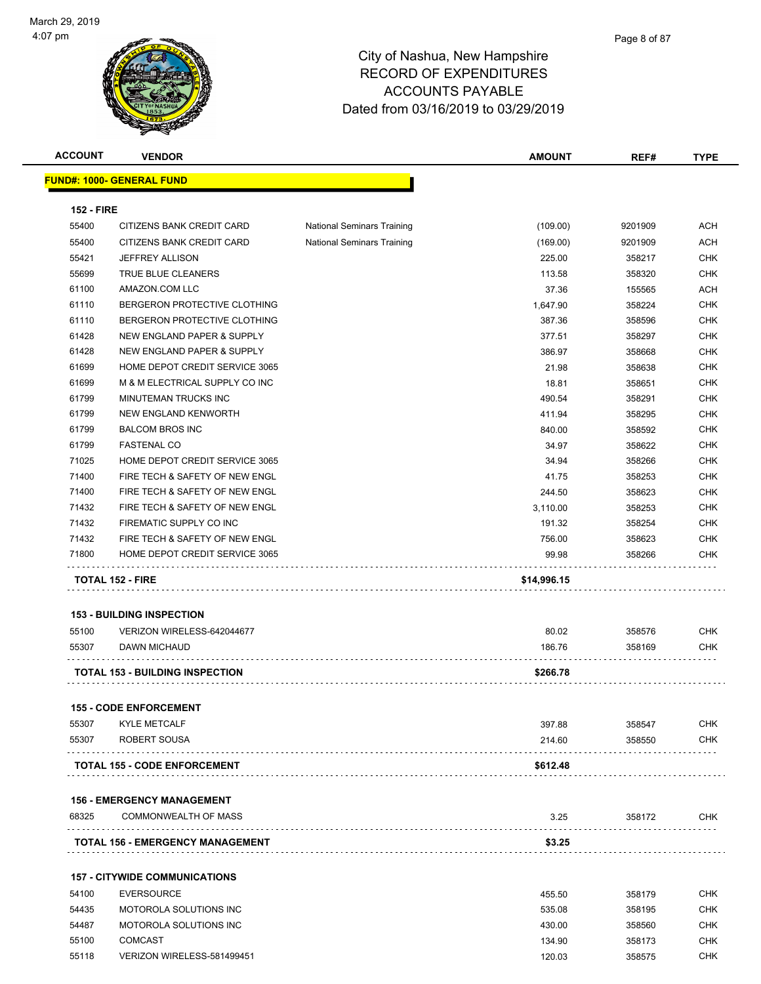

| <b>ACCOUNT</b>    | <b>VENDOR</b>                           |                                   | <b>AMOUNT</b> | REF#    | <b>TYPE</b> |
|-------------------|-----------------------------------------|-----------------------------------|---------------|---------|-------------|
|                   | FUND#: 1000- GENERAL FUND               |                                   |               |         |             |
| <b>152 - FIRE</b> |                                         |                                   |               |         |             |
| 55400             | CITIZENS BANK CREDIT CARD               | <b>National Seminars Training</b> | (109.00)      | 9201909 | <b>ACH</b>  |
| 55400             | CITIZENS BANK CREDIT CARD               | <b>National Seminars Training</b> | (169.00)      | 9201909 | ACH         |
| 55421             | <b>JEFFREY ALLISON</b>                  |                                   | 225.00        | 358217  | <b>CHK</b>  |
| 55699             | TRUE BLUE CLEANERS                      |                                   | 113.58        | 358320  | <b>CHK</b>  |
| 61100             | AMAZON.COM LLC                          |                                   | 37.36         | 155565  | <b>ACH</b>  |
| 61110             | BERGERON PROTECTIVE CLOTHING            |                                   | 1,647.90      | 358224  | <b>CHK</b>  |
| 61110             | BERGERON PROTECTIVE CLOTHING            |                                   | 387.36        | 358596  | <b>CHK</b>  |
| 61428             | NEW ENGLAND PAPER & SUPPLY              |                                   | 377.51        | 358297  | <b>CHK</b>  |
| 61428             | NEW ENGLAND PAPER & SUPPLY              |                                   | 386.97        | 358668  | <b>CHK</b>  |
| 61699             | HOME DEPOT CREDIT SERVICE 3065          |                                   | 21.98         | 358638  | <b>CHK</b>  |
| 61699             | M & M ELECTRICAL SUPPLY CO INC          |                                   | 18.81         | 358651  | <b>CHK</b>  |
| 61799             | MINUTEMAN TRUCKS INC                    |                                   |               |         | <b>CHK</b>  |
|                   |                                         |                                   | 490.54        | 358291  |             |
| 61799             | NEW ENGLAND KENWORTH                    |                                   | 411.94        | 358295  | <b>CHK</b>  |
| 61799             | <b>BALCOM BROS INC</b>                  |                                   | 840.00        | 358592  | <b>CHK</b>  |
| 61799             | <b>FASTENAL CO</b>                      |                                   | 34.97         | 358622  | <b>CHK</b>  |
| 71025             | HOME DEPOT CREDIT SERVICE 3065          |                                   | 34.94         | 358266  | <b>CHK</b>  |
| 71400             | FIRE TECH & SAFETY OF NEW ENGL          |                                   | 41.75         | 358253  | <b>CHK</b>  |
| 71400             | FIRE TECH & SAFETY OF NEW ENGL          |                                   | 244.50        | 358623  | <b>CHK</b>  |
| 71432             | FIRE TECH & SAFETY OF NEW ENGL          |                                   | 3,110.00      | 358253  | <b>CHK</b>  |
| 71432             | FIREMATIC SUPPLY CO INC                 |                                   | 191.32        | 358254  | <b>CHK</b>  |
| 71432             | FIRE TECH & SAFETY OF NEW ENGL          |                                   | 756.00        | 358623  | <b>CHK</b>  |
| 71800             | HOME DEPOT CREDIT SERVICE 3065          |                                   | 99.98         | 358266  | <b>CHK</b>  |
|                   | <b>TOTAL 152 - FIRE</b>                 |                                   | \$14,996.15   |         |             |
|                   | <b>153 - BUILDING INSPECTION</b>        |                                   |               |         |             |
| 55100             | VERIZON WIRELESS-642044677              |                                   | 80.02         | 358576  | <b>CHK</b>  |
| 55307             | <b>DAWN MICHAUD</b>                     |                                   | 186.76        | 358169  | <b>CHK</b>  |
|                   | <b>TOTAL 153 - BUILDING INSPECTION</b>  |                                   | \$266.78      |         |             |
|                   |                                         |                                   |               |         |             |
|                   | <b>155 - CODE ENFORCEMENT</b>           |                                   |               |         |             |
| 55307             | <b>KYLE METCALF</b>                     |                                   | 397.88        | 358547  | <b>CHK</b>  |
| 55307             | ROBERT SOUSA                            |                                   | 214.60        | 358550  | <b>CHK</b>  |
|                   | <b>TOTAL 155 - CODE ENFORCEMENT</b>     |                                   | \$612.48      |         |             |
|                   | <b>156 - EMERGENCY MANAGEMENT</b>       |                                   |               |         |             |
| 68325             | <b>COMMONWEALTH OF MASS</b>             |                                   | 3.25          | 358172  | <b>CHK</b>  |
|                   | <b>TOTAL 156 - EMERGENCY MANAGEMENT</b> |                                   | \$3.25        |         |             |
|                   |                                         |                                   |               |         |             |
|                   | <b>157 - CITYWIDE COMMUNICATIONS</b>    |                                   |               |         |             |
| 54100             | <b>EVERSOURCE</b>                       |                                   | 455.50        | 358179  | <b>CHK</b>  |
| 54435             | MOTOROLA SOLUTIONS INC                  |                                   | 535.08        | 358195  | <b>CHK</b>  |
| 54487             | MOTOROLA SOLUTIONS INC                  |                                   | 430.00        | 358560  | <b>CHK</b>  |
|                   |                                         |                                   |               |         |             |
| 55100             | <b>COMCAST</b>                          |                                   | 134.90        | 358173  | CHK         |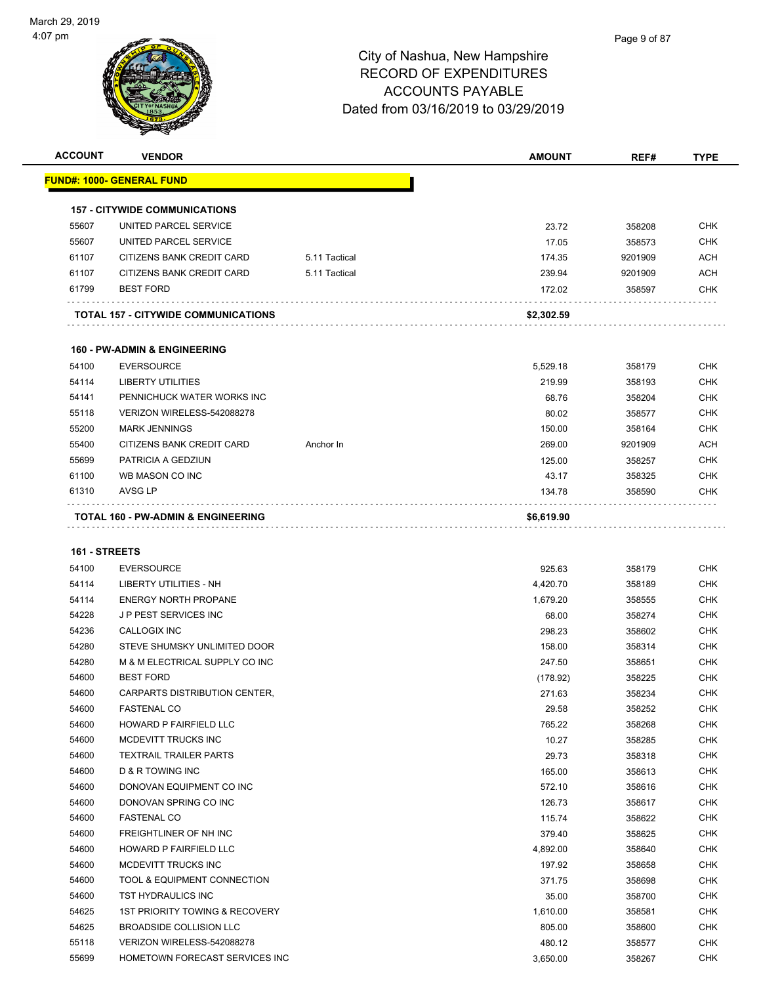| <b>ACCOUNT</b> | <b>VENDOR</b>                           |               | <b>AMOUNT</b> | REF#    | <b>TYPE</b> |
|----------------|-----------------------------------------|---------------|---------------|---------|-------------|
|                | <b>FUND#: 1000- GENERAL FUND</b>        |               |               |         |             |
|                | <b>157 - CITYWIDE COMMUNICATIONS</b>    |               |               |         |             |
| 55607          | UNITED PARCEL SERVICE                   |               | 23.72         | 358208  | <b>CHK</b>  |
| 55607          | UNITED PARCEL SERVICE                   |               | 17.05         | 358573  | <b>CHK</b>  |
| 61107          | CITIZENS BANK CREDIT CARD               | 5.11 Tactical | 174.35        | 9201909 | <b>ACH</b>  |
| 61107          | CITIZENS BANK CREDIT CARD               | 5.11 Tactical | 239.94        | 9201909 | <b>ACH</b>  |
| 61799          | <b>BEST FORD</b>                        |               | 172.02        | 358597  | CHK         |
|                | TOTAL 157 - CITYWIDE COMMUNICATIONS     |               | \$2,302.59    |         |             |
|                |                                         |               |               |         |             |
|                | <b>160 - PW-ADMIN &amp; ENGINEERING</b> |               |               |         |             |
| 54100          | <b>EVERSOURCE</b>                       |               | 5,529.18      | 358179  | CHK         |
| 54114          | <b>LIBERTY UTILITIES</b>                |               | 219.99        | 358193  | <b>CHK</b>  |
| 54141          | PENNICHUCK WATER WORKS INC              |               | 68.76         | 358204  | <b>CHK</b>  |
| 55118          | VERIZON WIRELESS-542088278              |               | 80.02         | 358577  | <b>CHK</b>  |
| 55200          | <b>MARK JENNINGS</b>                    |               | 150.00        | 358164  | <b>CHK</b>  |
| 55400          | CITIZENS BANK CREDIT CARD               | Anchor In     | 269.00        | 9201909 | <b>ACH</b>  |
| 55699          | PATRICIA A GEDZIUN                      |               | 125.00        | 358257  | <b>CHK</b>  |
| 61100          | WB MASON CO INC                         |               | 43.17         | 358325  | <b>CHK</b>  |
| 61310          | <b>AVSG LP</b>                          |               | 134.78        | 358590  | CHK         |
|                | TOTAL 160 - PW-ADMIN & ENGINEERING      |               | \$6,619.90    |         |             |
|                |                                         |               |               |         |             |
| 161 - STREETS  |                                         |               |               |         |             |
| 54100          | <b>EVERSOURCE</b>                       |               | 925.63        | 358179  | <b>CHK</b>  |
| 54114          | LIBERTY UTILITIES - NH                  |               | 4,420.70      | 358189  | <b>CHK</b>  |
| 54114          | <b>ENERGY NORTH PROPANE</b>             |               | 1,679.20      | 358555  | <b>CHK</b>  |
| 54228          | <b>JP PEST SERVICES INC</b>             |               | 68.00         | 358274  | <b>CHK</b>  |
| 54236          | CALLOGIX INC                            |               | 298.23        | 358602  | <b>CHK</b>  |
| 54280          | STEVE SHUMSKY UNLIMITED DOOR            |               | 158.00        | 358314  | <b>CHK</b>  |
| 54280          | M & M ELECTRICAL SUPPLY CO INC          |               | 247.50        | 358651  | <b>CHK</b>  |
| 54600          | <b>BEST FORD</b>                        |               | (178.92)      | 358225  | <b>CHK</b>  |
| 54600          | CARPARTS DISTRIBUTION CENTER,           |               | 271.63        | 358234  | <b>CHK</b>  |
| 54600          | <b>FASTENAL CO</b>                      |               | 29.58         | 358252  | <b>CHK</b>  |
| 54600          | HOWARD P FAIRFIELD LLC                  |               | 765.22        | 358268  | <b>CHK</b>  |
| 54600          | MCDEVITT TRUCKS INC                     |               | 10.27         | 358285  | <b>CHK</b>  |
| 54600          | <b>TEXTRAIL TRAILER PARTS</b>           |               | 29.73         | 358318  | <b>CHK</b>  |
| 54600          | D & R TOWING INC                        |               | 165.00        | 358613  | <b>CHK</b>  |
| 54600          | DONOVAN EQUIPMENT CO INC                |               | 572.10        | 358616  | <b>CHK</b>  |
| 54600          | DONOVAN SPRING CO INC                   |               | 126.73        | 358617  | <b>CHK</b>  |
| 54600          | <b>FASTENAL CO</b>                      |               | 115.74        | 358622  | <b>CHK</b>  |
| 54600          | FREIGHTLINER OF NH INC                  |               | 379.40        | 358625  | <b>CHK</b>  |
| 54600          | HOWARD P FAIRFIELD LLC                  |               | 4,892.00      | 358640  | <b>CHK</b>  |
| 54600          | MCDEVITT TRUCKS INC                     |               | 197.92        | 358658  | <b>CHK</b>  |
| 54600          | TOOL & EQUIPMENT CONNECTION             |               | 371.75        | 358698  | <b>CHK</b>  |
| 54600          | TST HYDRAULICS INC                      |               | 35.00         | 358700  | <b>CHK</b>  |
| 54625          | 1ST PRIORITY TOWING & RECOVERY          |               | 1,610.00      | 358581  | <b>CHK</b>  |
| 54625          | BROADSIDE COLLISION LLC                 |               | 805.00        | 358600  | CHK         |
| 55118          | VERIZON WIRELESS-542088278              |               | 480.12        | 358577  | <b>CHK</b>  |
| 55699          | HOMETOWN FORECAST SERVICES INC          |               | 3,650.00      | 358267  | <b>CHK</b>  |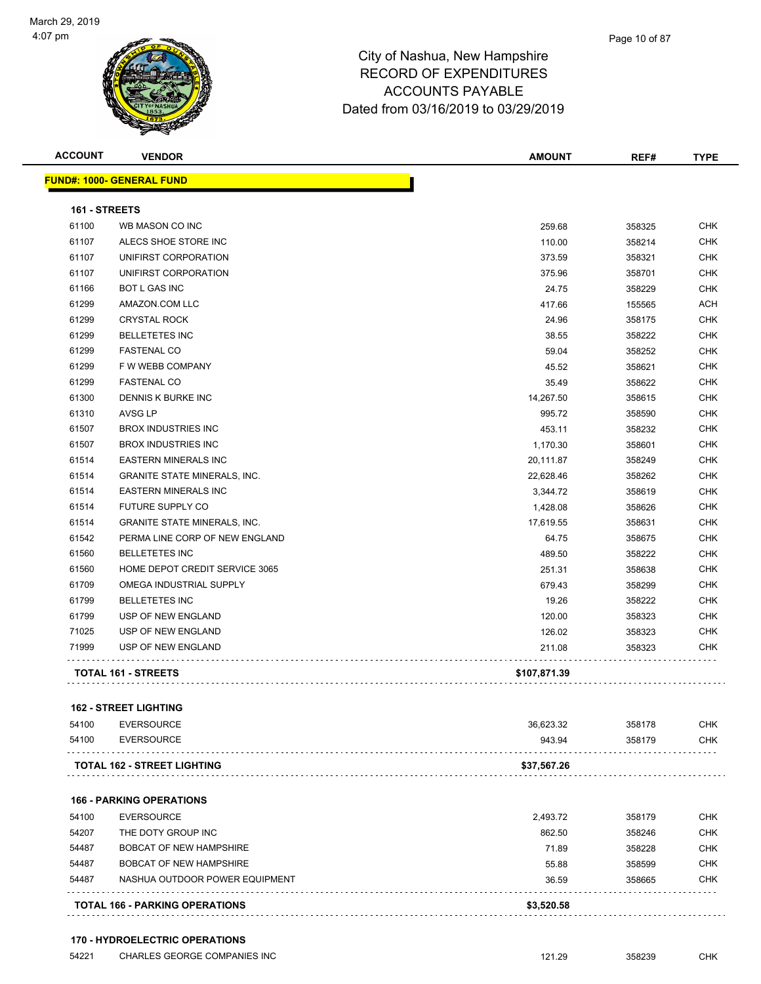

#### Page 10 of 87

### City of Nashua, New Hampshire RECORD OF EXPENDITURES ACCOUNTS PAYABLE Dated from 03/16/2019 to 03/29/2019

| <b>ACCOUNT</b> | <b>VENDOR</b>                       | <b>AMOUNT</b> | REF#   | <b>TYPE</b> |
|----------------|-------------------------------------|---------------|--------|-------------|
|                | <b>FUND#: 1000- GENERAL FUND</b>    |               |        |             |
| 161 - STREETS  |                                     |               |        |             |
| 61100          | WB MASON CO INC                     | 259.68        | 358325 | <b>CHK</b>  |
| 61107          | ALECS SHOE STORE INC                | 110.00        | 358214 | <b>CHK</b>  |
| 61107          | UNIFIRST CORPORATION                | 373.59        | 358321 | <b>CHK</b>  |
| 61107          | UNIFIRST CORPORATION                | 375.96        | 358701 | <b>CHK</b>  |
| 61166          | <b>BOT L GAS INC</b>                | 24.75         | 358229 | CHK         |
| 61299          | AMAZON.COM LLC                      | 417.66        | 155565 | ACH         |
| 61299          | <b>CRYSTAL ROCK</b>                 | 24.96         | 358175 | <b>CHK</b>  |
| 61299          | <b>BELLETETES INC</b>               | 38.55         | 358222 | <b>CHK</b>  |
| 61299          | <b>FASTENAL CO</b>                  | 59.04         | 358252 | <b>CHK</b>  |
| 61299          | F W WEBB COMPANY                    | 45.52         | 358621 | <b>CHK</b>  |
| 61299          | <b>FASTENAL CO</b>                  | 35.49         | 358622 | <b>CHK</b>  |
| 61300          | DENNIS K BURKE INC                  | 14,267.50     | 358615 | <b>CHK</b>  |
| 61310          | <b>AVSG LP</b>                      | 995.72        | 358590 | <b>CHK</b>  |
| 61507          | <b>BROX INDUSTRIES INC</b>          | 453.11        | 358232 | <b>CHK</b>  |
| 61507          | <b>BROX INDUSTRIES INC</b>          | 1,170.30      | 358601 | <b>CHK</b>  |
| 61514          | <b>EASTERN MINERALS INC</b>         | 20,111.87     | 358249 | CHK         |
| 61514          | <b>GRANITE STATE MINERALS, INC.</b> | 22,628.46     | 358262 | CHK         |
| 61514          | <b>EASTERN MINERALS INC</b>         | 3,344.72      | 358619 | <b>CHK</b>  |
| 61514          | FUTURE SUPPLY CO                    | 1,428.08      | 358626 | <b>CHK</b>  |
| 61514          | <b>GRANITE STATE MINERALS, INC.</b> | 17,619.55     | 358631 | <b>CHK</b>  |
| 61542          | PERMA LINE CORP OF NEW ENGLAND      | 64.75         | 358675 | <b>CHK</b>  |
| 61560          | <b>BELLETETES INC</b>               | 489.50        | 358222 | <b>CHK</b>  |
| 61560          | HOME DEPOT CREDIT SERVICE 3065      | 251.31        | 358638 | <b>CHK</b>  |
| 61709          | OMEGA INDUSTRIAL SUPPLY             | 679.43        | 358299 | <b>CHK</b>  |
| 61799          | <b>BELLETETES INC</b>               | 19.26         | 358222 | <b>CHK</b>  |
| 61799          | USP OF NEW ENGLAND                  | 120.00        | 358323 | <b>CHK</b>  |
| 71025          | USP OF NEW ENGLAND                  | 126.02        | 358323 | CHK         |
| 71999          | USP OF NEW ENGLAND                  | 211.08        | 358323 | CHK         |
|                | <b>TOTAL 161 - STREETS</b>          | \$107,871.39  |        |             |
|                | <b>162 - STREET LIGHTING</b>        |               |        |             |
| 54100          | <b>EVERSOURCE</b>                   | 36,623.32     | 358178 | <b>CHK</b>  |
| 54100          | <b>EVERSOURCE</b>                   | 943.94        | 358179 | <b>CHK</b>  |
|                | TOTAL 162 - STREET LIGHTING         | \$37,567.26   |        |             |
|                | <b>166 - PARKING OPERATIONS</b>     |               |        |             |
| 54100          | <b>EVERSOURCE</b>                   | 2,493.72      | 358179 | <b>CHK</b>  |
| 54207          | THE DOTY GROUP INC                  | 862.50        | 358246 | <b>CHK</b>  |
| 54487          | <b>BOBCAT OF NEW HAMPSHIRE</b>      | 71.89         | 358228 | <b>CHK</b>  |
| 54487          | <b>BOBCAT OF NEW HAMPSHIRE</b>      | 55.88         | 358599 | <b>CHK</b>  |

NASHUA OUTDOOR POWER EQUIPMENT 36.59 358665 CHK

|  | <b>TOTAL 166 - PARKING OPERATIONS</b> |  |
|--|---------------------------------------|--|
|  |                                       |  |

**TOTAL 166 - PARKING OPERATIONS \$3,520.58**

#### **170 - HYDROELECTRIC OPERATIONS**

. . . . . . . . . . . . . . . . . . .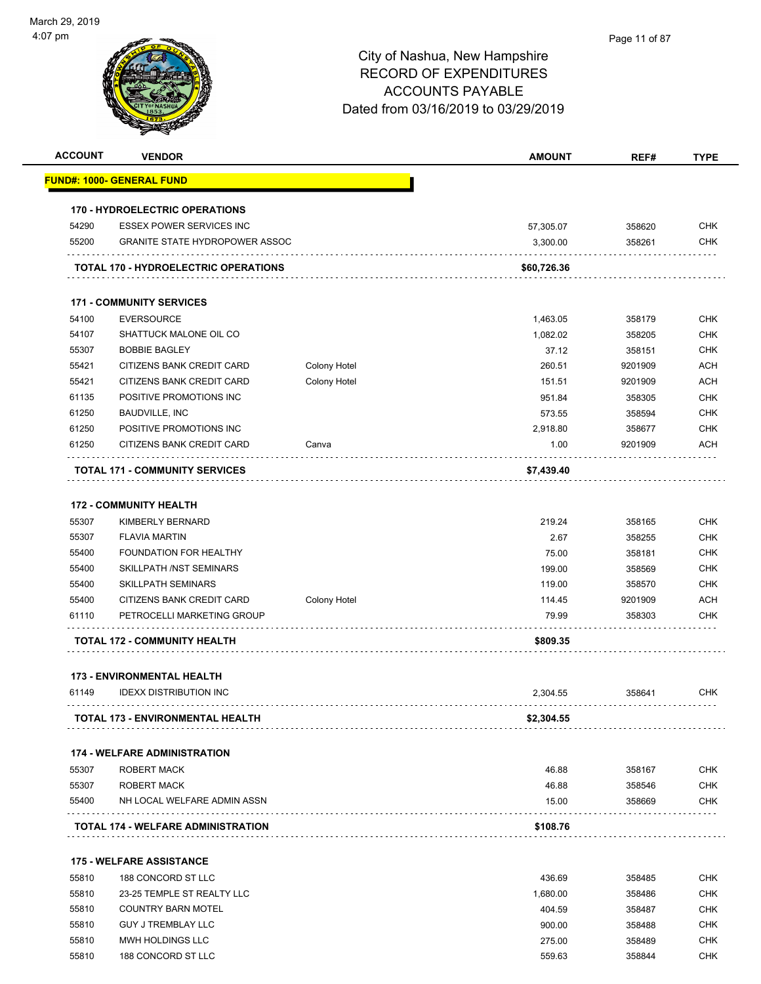| <b>ACCOUNT</b> | <b>VENDOR</b>                                                      |                     | <b>AMOUNT</b> | REF#    | <b>TYPE</b> |
|----------------|--------------------------------------------------------------------|---------------------|---------------|---------|-------------|
|                | <b>FUND#: 1000- GENERAL FUND</b>                                   |                     |               |         |             |
|                | <b>170 - HYDROELECTRIC OPERATIONS</b>                              |                     |               |         |             |
| 54290          | <b>ESSEX POWER SERVICES INC</b>                                    |                     | 57,305.07     | 358620  | <b>CHK</b>  |
| 55200          | <b>GRANITE STATE HYDROPOWER ASSOC</b>                              |                     | 3,300.00      | 358261  | <b>CHK</b>  |
|                | <b>TOTAL 170 - HYDROELECTRIC OPERATIONS</b>                        |                     | \$60,726.36   |         |             |
|                | <b>171 - COMMUNITY SERVICES</b>                                    |                     |               |         |             |
| 54100          | <b>EVERSOURCE</b>                                                  |                     | 1,463.05      | 358179  | <b>CHK</b>  |
| 54107          | SHATTUCK MALONE OIL CO                                             |                     | 1,082.02      | 358205  | <b>CHK</b>  |
| 55307          | <b>BOBBIE BAGLEY</b>                                               |                     | 37.12         | 358151  | CHK         |
| 55421          | CITIZENS BANK CREDIT CARD                                          | Colony Hotel        | 260.51        | 9201909 | <b>ACH</b>  |
| 55421          | CITIZENS BANK CREDIT CARD                                          | <b>Colony Hotel</b> | 151.51        | 9201909 | <b>ACH</b>  |
| 61135          | POSITIVE PROMOTIONS INC                                            |                     | 951.84        | 358305  | <b>CHK</b>  |
| 61250          | <b>BAUDVILLE, INC</b>                                              |                     | 573.55        | 358594  | <b>CHK</b>  |
| 61250          | POSITIVE PROMOTIONS INC                                            |                     | 2.918.80      | 358677  | <b>CHK</b>  |
| 61250          | CITIZENS BANK CREDIT CARD                                          | Canva               | 1.00          | 9201909 | ACH         |
|                | <b>TOTAL 171 - COMMUNITY SERVICES</b>                              |                     | \$7,439.40    |         |             |
|                | <b>172 - COMMUNITY HEALTH</b>                                      |                     |               |         |             |
| 55307          | <b>KIMBERLY BERNARD</b>                                            |                     | 219.24        | 358165  | <b>CHK</b>  |
| 55307          | <b>FLAVIA MARTIN</b>                                               |                     | 2.67          | 358255  | <b>CHK</b>  |
| 55400          | FOUNDATION FOR HEALTHY                                             |                     | 75.00         | 358181  | <b>CHK</b>  |
| 55400          | SKILLPATH /NST SEMINARS                                            |                     | 199.00        | 358569  | <b>CHK</b>  |
| 55400          | <b>SKILLPATH SEMINARS</b>                                          |                     | 119.00        | 358570  | <b>CHK</b>  |
| 55400          | CITIZENS BANK CREDIT CARD                                          | <b>Colony Hotel</b> | 114.45        | 9201909 | <b>ACH</b>  |
| 61110          | PETROCELLI MARKETING GROUP                                         |                     | 79.99         | 358303  | CHK         |
|                | TOTAL 172 - COMMUNITY HEALTH                                       |                     | \$809.35      |         |             |
|                |                                                                    |                     |               |         |             |
| 61149          | <b>173 - ENVIRONMENTAL HEALTH</b><br><b>IDEXX DISTRIBUTION INC</b> |                     | 2,304.55      | 358641  | CHK         |
|                | TOTAL 173 - ENVIRONMENTAL HEALTH                                   |                     | \$2,304.55    |         |             |
|                | <b>174 - WELFARE ADMINISTRATION</b>                                |                     |               |         |             |
| 55307          | <b>ROBERT MACK</b>                                                 |                     | 46.88         | 358167  | <b>CHK</b>  |
| 55307          | <b>ROBERT MACK</b>                                                 |                     | 46.88         | 358546  | <b>CHK</b>  |
| 55400          | NH LOCAL WELFARE ADMIN ASSN                                        |                     | 15.00         | 358669  | <b>CHK</b>  |
|                | TOTAL 174 - WELFARE ADMINISTRATION                                 |                     | \$108.76      |         |             |
|                |                                                                    |                     |               |         |             |
|                | <b>175 - WELFARE ASSISTANCE</b>                                    |                     |               |         |             |
| 55810          | 188 CONCORD ST LLC                                                 |                     | 436.69        | 358485  | <b>CHK</b>  |
| 55810          | 23-25 TEMPLE ST REALTY LLC                                         |                     | 1,680.00      | 358486  | <b>CHK</b>  |
| 55810          | <b>COUNTRY BARN MOTEL</b>                                          |                     | 404.59        | 358487  | CHK         |
| 55810          | <b>GUY J TREMBLAY LLC</b>                                          |                     | 900.00        | 358488  | CHK         |
| 55810          | MWH HOLDINGS LLC                                                   |                     | 275.00        | 358489  | CHK         |

55810 188 CONCORD ST LLC 659.63 559.63 559.63 559.63 559.63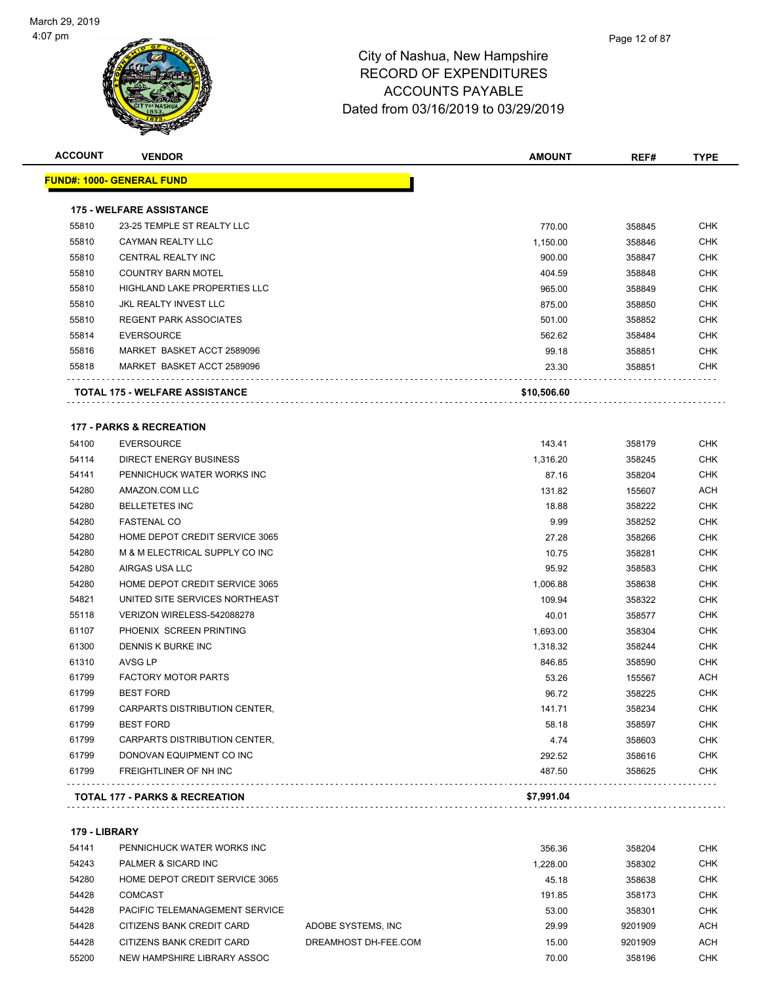

|       | <b>VENDOR</b>                       | <b>AMOUNT</b> | REF#   | <b>TYPE</b> |
|-------|-------------------------------------|---------------|--------|-------------|
|       | <u> FUND#: 1000- GENERAL FUND</u>   |               |        |             |
|       | <b>175 - WELFARE ASSISTANCE</b>     |               |        |             |
| 55810 | 23-25 TEMPLE ST REALTY LLC          | 770.00        | 358845 | CHK         |
| 55810 | <b>CAYMAN REALTY LLC</b>            | 1,150.00      | 358846 | <b>CHK</b>  |
| 55810 | CENTRAL REALTY INC                  | 900.00        | 358847 | <b>CHK</b>  |
| 55810 | <b>COUNTRY BARN MOTEL</b>           | 404.59        | 358848 | <b>CHK</b>  |
| 55810 | <b>HIGHLAND LAKE PROPERTIES LLC</b> | 965.00        | 358849 | CHK         |
| 55810 | JKL REALTY INVEST LLC               | 875.00        | 358850 | CHK         |
| 55810 | <b>REGENT PARK ASSOCIATES</b>       | 501.00        | 358852 | <b>CHK</b>  |
| 55814 | <b>EVERSOURCE</b>                   | 562.62        | 358484 | <b>CHK</b>  |
| 55816 | MARKET BASKET ACCT 2589096          | 99.18         | 358851 | <b>CHK</b>  |
| 55818 | MARKET BASKET ACCT 2589096          | 23.30         | 358851 | CHK         |
|       | TOTAL 175 - WELFARE ASSISTANCE      | \$10,506.60   |        |             |
|       | <b>177 - PARKS &amp; RECREATION</b> |               |        |             |
| 54100 | <b>EVERSOURCE</b>                   | 143.41        | 358179 | CHK         |
| 54114 | <b>DIRECT ENERGY BUSINESS</b>       | 1,316.20      | 358245 | CHK         |
| 54141 | PENNICHUCK WATER WORKS INC          | 87.16         | 358204 | <b>CHK</b>  |
| 54280 | AMAZON.COM LLC                      | 131.82        | 155607 | ACH         |
| 54280 | <b>BELLETETES INC</b>               | 18.88         | 358222 | <b>CHK</b>  |
| 54280 | <b>FASTENAL CO</b>                  | 9.99          | 358252 | <b>CHK</b>  |
| 54280 | HOME DEPOT CREDIT SERVICE 3065      | 27.28         | 358266 | CHK         |
| 54280 | M & M ELECTRICAL SUPPLY CO INC      | 10.75         | 358281 | <b>CHK</b>  |
| 54280 | AIRGAS USA LLC                      | 95.92         | 358583 | CHK         |
| 54280 | HOME DEPOT CREDIT SERVICE 3065      | 1,006.88      | 358638 | CHK         |
| 54821 | UNITED SITE SERVICES NORTHEAST      | 109.94        | 358322 | <b>CHK</b>  |
| 55118 | VERIZON WIRELESS-542088278          | 40.01         | 358577 | <b>CHK</b>  |
| 61107 | PHOENIX SCREEN PRINTING             | 1,693.00      | 358304 | CHK         |
| 61300 | DENNIS K BURKE INC                  | 1,318.32      | 358244 | CHK         |
| 61310 | AVSG LP                             | 846.85        | 358590 | CHK         |
| 61799 | <b>FACTORY MOTOR PARTS</b>          | 53.26         | 155567 | ACH         |
| 61799 | <b>BEST FORD</b>                    | 96.72         | 358225 | <b>CHK</b>  |
| 61799 | CARPARTS DISTRIBUTION CENTER,       | 141.71        | 358234 | <b>CHK</b>  |
| 61799 | <b>BEST FORD</b>                    | 58.18         | 358597 | CHK         |
| 61799 | CARPARTS DISTRIBUTION CENTER,       | 4.74          | 358603 | <b>CHK</b>  |
| 61799 | DONOVAN EQUIPMENT CO INC            | 292.52        | 358616 | CHK         |
| 61799 | FREIGHTLINER OF NH INC              | 487.50        | 358625 | <b>CHK</b>  |
|       |                                     |               |        |             |

**179 - LIBRARY**

| 54141 | PENNICHUCK WATER WORKS INC     |                      | 356.36   | 358204  | <b>CHK</b> |
|-------|--------------------------------|----------------------|----------|---------|------------|
| 54243 | PALMER & SICARD INC            |                      | 1.228.00 | 358302  | <b>CHK</b> |
| 54280 | HOME DEPOT CREDIT SERVICE 3065 |                      | 45.18    | 358638  | <b>CHK</b> |
| 54428 | COMCAST                        |                      | 191.85   | 358173  | <b>CHK</b> |
| 54428 | PACIFIC TELEMANAGEMENT SERVICE |                      | 53.00    | 358301  | <b>CHK</b> |
| 54428 | CITIZENS BANK CREDIT CARD      | ADOBE SYSTEMS. INC   | 29.99    | 9201909 | <b>ACH</b> |
| 54428 | CITIZENS BANK CREDIT CARD      | DREAMHOST DH-FEE.COM | 15.00    | 9201909 | <b>ACH</b> |
| 55200 | NEW HAMPSHIRE LIBRARY ASSOC    |                      | 70.00    | 358196  | <b>CHK</b> |
|       |                                |                      |          |         |            |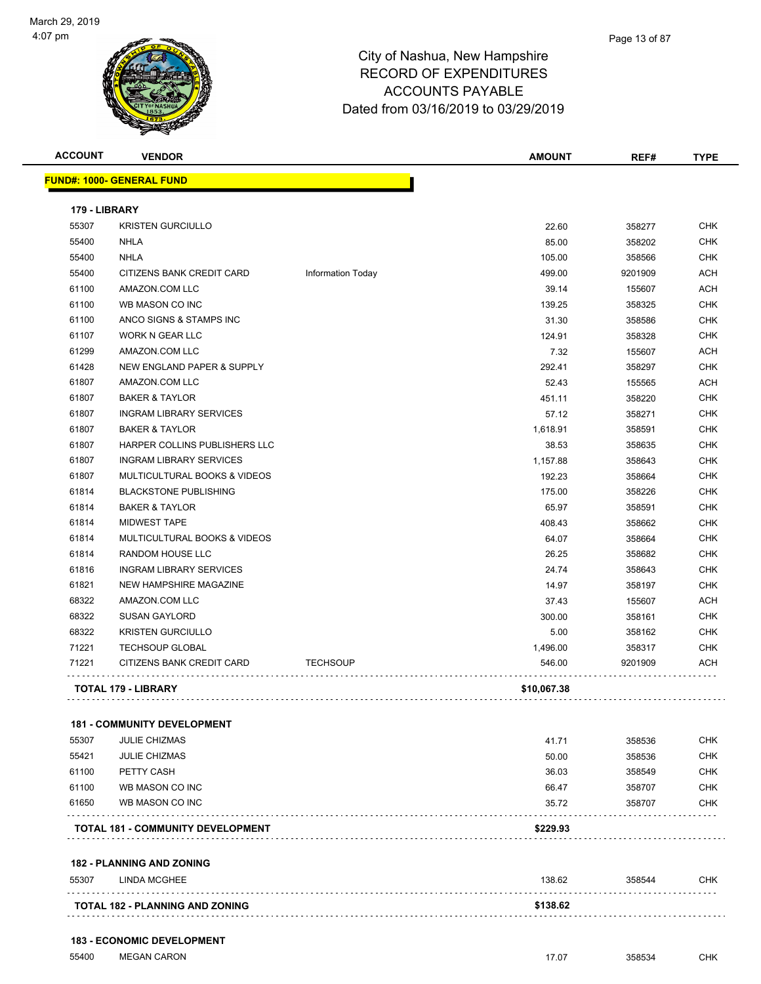

Page 13 of 87

| <b>ACCOUNT</b> | <b>VENDOR</b>                                       |                          | <b>AMOUNT</b>      | REF#              | <b>TYPE</b> |
|----------------|-----------------------------------------------------|--------------------------|--------------------|-------------------|-------------|
|                | <b>FUND#: 1000- GENERAL FUND</b>                    |                          |                    |                   |             |
| 179 - LIBRARY  |                                                     |                          |                    |                   |             |
| 55307          | <b>KRISTEN GURCIULLO</b>                            |                          | 22.60              | 358277            | <b>CHK</b>  |
| 55400          | <b>NHLA</b>                                         |                          | 85.00              | 358202            | <b>CHK</b>  |
| 55400          | <b>NHLA</b>                                         |                          | 105.00             | 358566            | <b>CHK</b>  |
| 55400          | CITIZENS BANK CREDIT CARD                           | <b>Information Today</b> | 499.00             | 9201909           | <b>ACH</b>  |
| 61100          | AMAZON.COM LLC                                      |                          | 39.14              | 155607            | ACH         |
| 61100          | WB MASON CO INC                                     |                          | 139.25             | 358325            | <b>CHK</b>  |
| 61100          | ANCO SIGNS & STAMPS INC                             |                          | 31.30              | 358586            | <b>CHK</b>  |
| 61107          | <b>WORK N GEAR LLC</b>                              |                          | 124.91             | 358328            | CHK         |
| 61299          | AMAZON.COM LLC                                      |                          | 7.32               | 155607            | <b>ACH</b>  |
| 61428          | NEW ENGLAND PAPER & SUPPLY                          |                          | 292.41             | 358297            | <b>CHK</b>  |
| 61807          | AMAZON.COM LLC                                      |                          | 52.43              | 155565            | ACH         |
| 61807          | <b>BAKER &amp; TAYLOR</b>                           |                          | 451.11             | 358220            | <b>CHK</b>  |
| 61807          | <b>INGRAM LIBRARY SERVICES</b>                      |                          | 57.12              | 358271            | CHK         |
| 61807          | <b>BAKER &amp; TAYLOR</b>                           |                          | 1,618.91           | 358591            | CHK         |
| 61807          | HARPER COLLINS PUBLISHERS LLC                       |                          | 38.53              | 358635            | <b>CHK</b>  |
| 61807          | <b>INGRAM LIBRARY SERVICES</b>                      |                          | 1,157.88           | 358643            | <b>CHK</b>  |
| 61807          | MULTICULTURAL BOOKS & VIDEOS                        |                          | 192.23             | 358664            | <b>CHK</b>  |
| 61814          | <b>BLACKSTONE PUBLISHING</b>                        |                          | 175.00             | 358226            | <b>CHK</b>  |
| 61814          | <b>BAKER &amp; TAYLOR</b>                           |                          | 65.97              | 358591            | <b>CHK</b>  |
| 61814          | <b>MIDWEST TAPE</b>                                 |                          | 408.43             | 358662            | <b>CHK</b>  |
| 61814          | MULTICULTURAL BOOKS & VIDEOS                        |                          | 64.07              | 358664            | <b>CHK</b>  |
| 61814          | RANDOM HOUSE LLC                                    |                          | 26.25              | 358682            | <b>CHK</b>  |
| 61816          | <b>INGRAM LIBRARY SERVICES</b>                      |                          | 24.74              | 358643            | <b>CHK</b>  |
| 61821          | NEW HAMPSHIRE MAGAZINE                              |                          |                    |                   | CHK         |
| 68322          | AMAZON.COM LLC                                      |                          | 14.97<br>37.43     | 358197            | <b>ACH</b>  |
| 68322          | <b>SUSAN GAYLORD</b>                                |                          |                    | 155607            | <b>CHK</b>  |
| 68322          | <b>KRISTEN GURCIULLO</b>                            |                          | 300.00             | 358161            |             |
|                |                                                     |                          | 5.00               | 358162            | CHK         |
| 71221<br>71221 | <b>TECHSOUP GLOBAL</b><br>CITIZENS BANK CREDIT CARD | <b>TECHSOUP</b>          | 1,496.00<br>546.00 | 358317<br>9201909 | CHK<br>ACH  |
|                |                                                     |                          |                    |                   |             |
|                | <b>TOTAL 179 - LIBRARY</b>                          |                          | \$10,067.38        |                   |             |
|                | <b>181 - COMMUNITY DEVELOPMENT</b>                  |                          |                    |                   |             |
| 55307          | <b>JULIE CHIZMAS</b>                                |                          | 41.71              | 358536            | CHK         |
| 55421          | <b>JULIE CHIZMAS</b>                                |                          | 50.00              | 358536            | <b>CHK</b>  |
| 61100          | PETTY CASH                                          |                          | 36.03              | 358549            | CHK         |
| 61100          | WB MASON CO INC                                     |                          | 66.47              | 358707            | CHK         |
| 61650          | WB MASON CO INC                                     |                          | 35.72              | 358707            | <b>CHK</b>  |
|                | <b>TOTAL 181 - COMMUNITY DEVELOPMENT</b>            |                          | \$229.93           |                   |             |
|                | <b>182 - PLANNING AND ZONING</b>                    |                          |                    |                   |             |
| 55307          | <b>LINDA MCGHEE</b>                                 |                          | 138.62             | 358544            | CHK         |
|                | TOTAL 182 - PLANNING AND ZONING                     |                          | \$138.62           | .                 |             |
|                |                                                     |                          |                    |                   |             |

#### **183 - ECONOMIC DEVELOPMENT**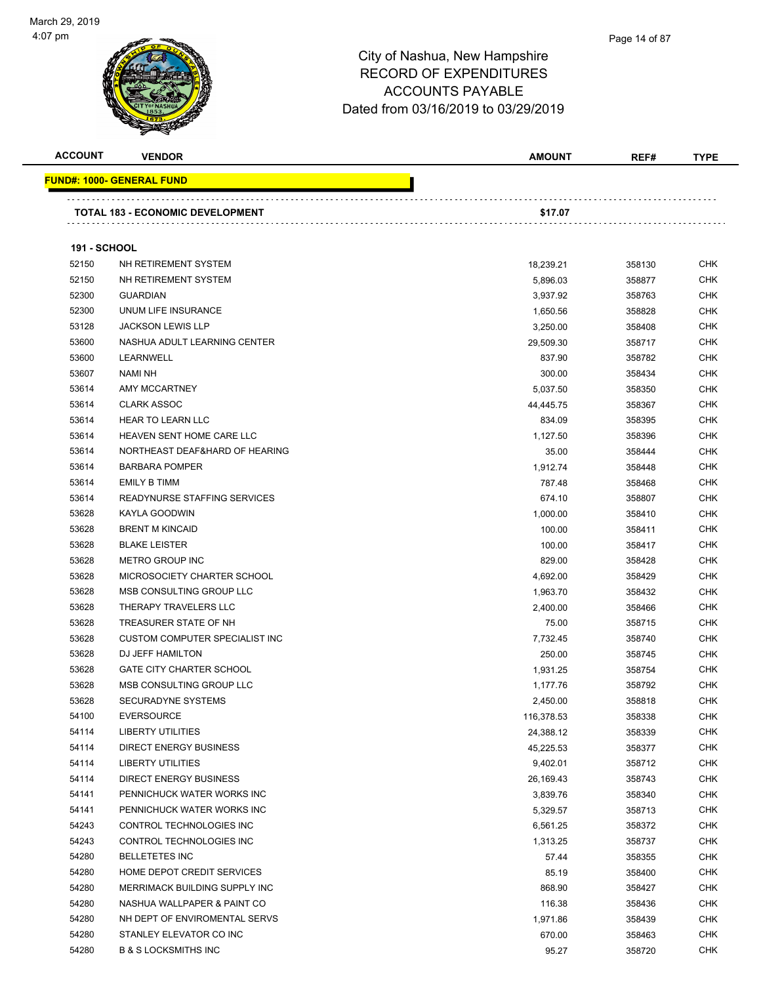

#### Page 14 of 87

| <b>ACCOUNT</b>      | <b>VENDOR</b>                           | <b>AMOUNT</b> | REF#   | <b>TYPE</b> |
|---------------------|-----------------------------------------|---------------|--------|-------------|
|                     | <u> FUND#: 1000- GENERAL FUND</u>       |               |        |             |
|                     | <b>TOTAL 183 - ECONOMIC DEVELOPMENT</b> | \$17.07       |        |             |
| <b>191 - SCHOOL</b> |                                         |               |        |             |
| 52150               | NH RETIREMENT SYSTEM                    | 18,239.21     | 358130 | <b>CHK</b>  |
| 52150               | NH RETIREMENT SYSTEM                    | 5,896.03      | 358877 | <b>CHK</b>  |
| 52300               | <b>GUARDIAN</b>                         | 3,937.92      | 358763 | <b>CHK</b>  |
| 52300               | UNUM LIFE INSURANCE                     | 1,650.56      | 358828 | <b>CHK</b>  |
| 53128               | <b>JACKSON LEWIS LLP</b>                | 3,250.00      | 358408 | <b>CHK</b>  |
| 53600               | NASHUA ADULT LEARNING CENTER            | 29,509.30     | 358717 | <b>CHK</b>  |
| 53600               | LEARNWELL                               | 837.90        | 358782 | CHK         |
| 53607               | NAMI NH                                 | 300.00        | 358434 | <b>CHK</b>  |
| 53614               | AMY MCCARTNEY                           | 5,037.50      | 358350 | <b>CHK</b>  |
| 53614               | <b>CLARK ASSOC</b>                      | 44,445.75     | 358367 | CHK         |
| 53614               | <b>HEAR TO LEARN LLC</b>                | 834.09        | 358395 | <b>CHK</b>  |
| 53614               | HEAVEN SENT HOME CARE LLC               | 1,127.50      | 358396 | <b>CHK</b>  |
| 53614               | NORTHEAST DEAF&HARD OF HEARING          | 35.00         | 358444 | <b>CHK</b>  |
| 53614               | <b>BARBARA POMPER</b>                   | 1,912.74      | 358448 | <b>CHK</b>  |
| 53614               | <b>EMILY B TIMM</b>                     | 787.48        | 358468 | <b>CHK</b>  |
| 53614               | READYNURSE STAFFING SERVICES            | 674.10        | 358807 | <b>CHK</b>  |
| 53628               | KAYLA GOODWIN                           | 1,000.00      | 358410 | <b>CHK</b>  |
| 53628               | <b>BRENT M KINCAID</b>                  | 100.00        | 358411 | <b>CHK</b>  |
| 53628               | <b>BLAKE LEISTER</b>                    | 100.00        | 358417 | <b>CHK</b>  |
| 53628               | METRO GROUP INC                         | 829.00        | 358428 | <b>CHK</b>  |
| 53628               | MICROSOCIETY CHARTER SCHOOL             | 4,692.00      | 358429 | <b>CHK</b>  |
| 53628               | MSB CONSULTING GROUP LLC                | 1,963.70      | 358432 | <b>CHK</b>  |
| 53628               | THERAPY TRAVELERS LLC                   | 2,400.00      | 358466 | <b>CHK</b>  |
| 53628               | TREASURER STATE OF NH                   | 75.00         | 358715 | <b>CHK</b>  |
| 53628               | <b>CUSTOM COMPUTER SPECIALIST INC</b>   | 7,732.45      | 358740 | <b>CHK</b>  |
| 53628               | DJ JEFF HAMILTON                        | 250.00        | 358745 | CHK         |
| 53628               | <b>GATE CITY CHARTER SCHOOL</b>         | 1,931.25      | 358754 | CHK         |
| 53628               | MSB CONSULTING GROUP LLC                | 1,177.76      | 358792 | <b>CHK</b>  |
| 53628               | <b>SECURADYNE SYSTEMS</b>               | 2,450.00      | 358818 | <b>CHK</b>  |
| 54100               | <b>EVERSOURCE</b>                       | 116,378.53    | 358338 | <b>CHK</b>  |
| 54114               | <b>LIBERTY UTILITIES</b>                | 24,388.12     | 358339 | <b>CHK</b>  |
| 54114               | <b>DIRECT ENERGY BUSINESS</b>           | 45,225.53     | 358377 | <b>CHK</b>  |
| 54114               | <b>LIBERTY UTILITIES</b>                | 9,402.01      | 358712 | <b>CHK</b>  |
| 54114               | <b>DIRECT ENERGY BUSINESS</b>           | 26,169.43     | 358743 | <b>CHK</b>  |
| 54141               | PENNICHUCK WATER WORKS INC              | 3,839.76      | 358340 | <b>CHK</b>  |
| 54141               | PENNICHUCK WATER WORKS INC              | 5,329.57      | 358713 | <b>CHK</b>  |
| 54243               | CONTROL TECHNOLOGIES INC                | 6,561.25      | 358372 | <b>CHK</b>  |
| 54243               | CONTROL TECHNOLOGIES INC                | 1,313.25      | 358737 | <b>CHK</b>  |
| 54280               | <b>BELLETETES INC</b>                   | 57.44         | 358355 | <b>CHK</b>  |
| 54280               | HOME DEPOT CREDIT SERVICES              | 85.19         | 358400 | <b>CHK</b>  |
| 54280               | MERRIMACK BUILDING SUPPLY INC           | 868.90        | 358427 | <b>CHK</b>  |
| 54280               | NASHUA WALLPAPER & PAINT CO             | 116.38        | 358436 | CHK         |
| 54280               | NH DEPT OF ENVIROMENTAL SERVS           | 1,971.86      | 358439 | <b>CHK</b>  |
| 54280               | STANLEY ELEVATOR CO INC                 | 670.00        | 358463 | <b>CHK</b>  |
| 54280               | <b>B &amp; S LOCKSMITHS INC</b>         | 95.27         | 358720 | <b>CHK</b>  |
|                     |                                         |               |        |             |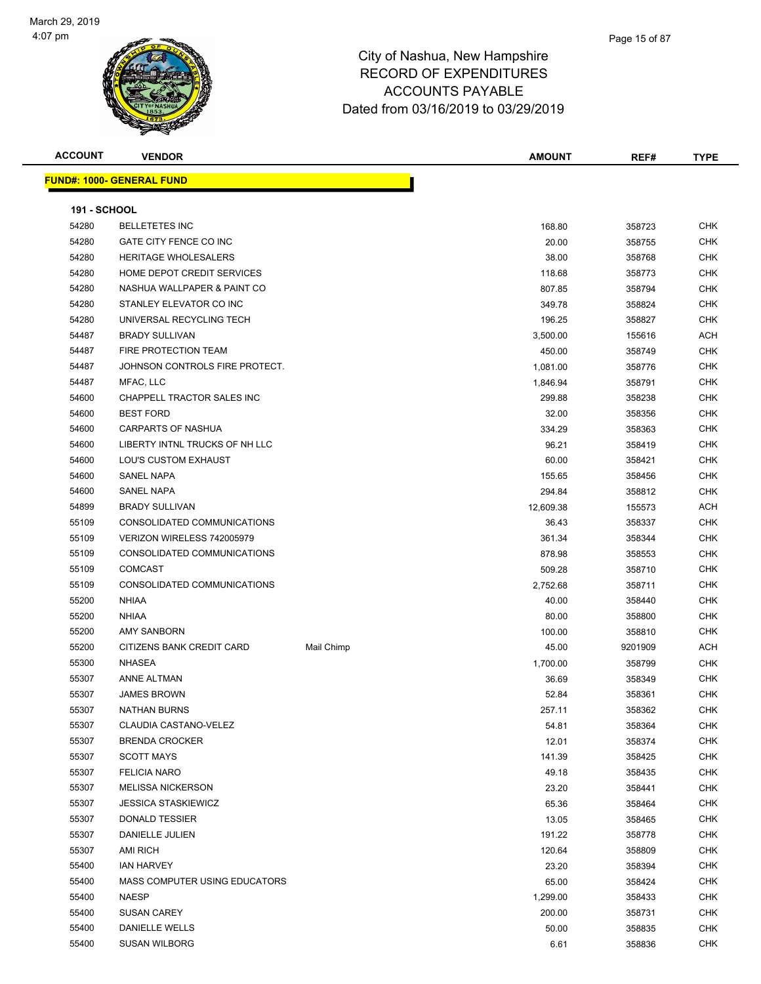

| <b>ACCOUNT</b>      | <b>VENDOR</b>                     |            | <b>AMOUNT</b> | REF#    | <b>TYPE</b> |
|---------------------|-----------------------------------|------------|---------------|---------|-------------|
|                     | <u> FUND#: 1000- GENERAL FUND</u> |            |               |         |             |
|                     |                                   |            |               |         |             |
| <b>191 - SCHOOL</b> |                                   |            |               |         |             |
| 54280               | <b>BELLETETES INC</b>             |            | 168.80        | 358723  | <b>CHK</b>  |
| 54280               | GATE CITY FENCE CO INC            |            | 20.00         | 358755  | <b>CHK</b>  |
| 54280               | HERITAGE WHOLESALERS              |            | 38.00         | 358768  | CHK         |
| 54280               | HOME DEPOT CREDIT SERVICES        |            | 118.68        | 358773  | <b>CHK</b>  |
| 54280               | NASHUA WALLPAPER & PAINT CO       |            | 807.85        | 358794  | <b>CHK</b>  |
| 54280               | STANLEY ELEVATOR CO INC           |            | 349.78        | 358824  | CHK         |
| 54280               | UNIVERSAL RECYCLING TECH          |            | 196.25        | 358827  | <b>CHK</b>  |
| 54487               | <b>BRADY SULLIVAN</b>             |            | 3,500.00      | 155616  | ACH         |
| 54487               | FIRE PROTECTION TEAM              |            | 450.00        | 358749  | CHK         |
| 54487               | JOHNSON CONTROLS FIRE PROTECT.    |            | 1,081.00      | 358776  | <b>CHK</b>  |
| 54487               | MFAC, LLC                         |            | 1,846.94      | 358791  | CHK         |
| 54600               | <b>CHAPPELL TRACTOR SALES INC</b> |            | 299.88        | 358238  | <b>CHK</b>  |
| 54600               | <b>BEST FORD</b>                  |            | 32.00         | 358356  | <b>CHK</b>  |
| 54600               | <b>CARPARTS OF NASHUA</b>         |            | 334.29        | 358363  | CHK         |
| 54600               | LIBERTY INTNL TRUCKS OF NH LLC    |            | 96.21         | 358419  | CHK         |
| 54600               | LOU'S CUSTOM EXHAUST              |            | 60.00         | 358421  | CHK         |
| 54600               | SANEL NAPA                        |            | 155.65        | 358456  | CHK         |
| 54600               | <b>SANEL NAPA</b>                 |            | 294.84        | 358812  | CHK         |
| 54899               | <b>BRADY SULLIVAN</b>             |            | 12,609.38     | 155573  | ACH         |
| 55109               | CONSOLIDATED COMMUNICATIONS       |            | 36.43         | 358337  | CHK         |
| 55109               | VERIZON WIRELESS 742005979        |            | 361.34        | 358344  | CHK         |
| 55109               | CONSOLIDATED COMMUNICATIONS       |            | 878.98        | 358553  | <b>CHK</b>  |
| 55109               | <b>COMCAST</b>                    |            | 509.28        | 358710  | CHK         |
| 55109               | CONSOLIDATED COMMUNICATIONS       |            | 2,752.68      | 358711  | <b>CHK</b>  |
| 55200               | <b>NHIAA</b>                      |            | 40.00         | 358440  | CHK         |
| 55200               | <b>NHIAA</b>                      |            | 80.00         | 358800  | CHK         |
| 55200               | <b>AMY SANBORN</b>                |            | 100.00        | 358810  | CHK         |
| 55200               | CITIZENS BANK CREDIT CARD         | Mail Chimp | 45.00         | 9201909 | ACH         |
| 55300               | <b>NHASEA</b>                     |            | 1,700.00      | 358799  | CHK         |
| 55307               | <b>ANNE ALTMAN</b>                |            | 36.69         | 358349  | CHK         |
| 55307               | <b>JAMES BROWN</b>                |            | 52.84         | 358361  | CHK         |
| 55307               | <b>NATHAN BURNS</b>               |            | 257.11        | 358362  | CHK         |
| 55307               | CLAUDIA CASTANO-VELEZ             |            | 54.81         | 358364  | CHK         |
| 55307               | <b>BRENDA CROCKER</b>             |            | 12.01         | 358374  | <b>CHK</b>  |
| 55307               | <b>SCOTT MAYS</b>                 |            | 141.39        | 358425  | CHK         |
| 55307               | <b>FELICIA NARO</b>               |            | 49.18         | 358435  | <b>CHK</b>  |
| 55307               | <b>MELISSA NICKERSON</b>          |            | 23.20         | 358441  | <b>CHK</b>  |
| 55307               | <b>JESSICA STASKIEWICZ</b>        |            | 65.36         | 358464  | <b>CHK</b>  |
| 55307               | DONALD TESSIER                    |            | 13.05         | 358465  | <b>CHK</b>  |
| 55307               | DANIELLE JULIEN                   |            | 191.22        | 358778  | <b>CHK</b>  |
| 55307               | AMI RICH                          |            | 120.64        | 358809  | CHK         |
| 55400               | <b>IAN HARVEY</b>                 |            | 23.20         | 358394  | CHK         |
| 55400               | MASS COMPUTER USING EDUCATORS     |            | 65.00         | 358424  | CHK         |
| 55400               | <b>NAESP</b>                      |            | 1,299.00      | 358433  | CHK         |
| 55400               | <b>SUSAN CAREY</b>                |            | 200.00        | 358731  | <b>CHK</b>  |
| 55400               | DANIELLE WELLS                    |            | 50.00         | 358835  | CHK         |
| 55400               | <b>SUSAN WILBORG</b>              |            | 6.61          | 358836  | <b>CHK</b>  |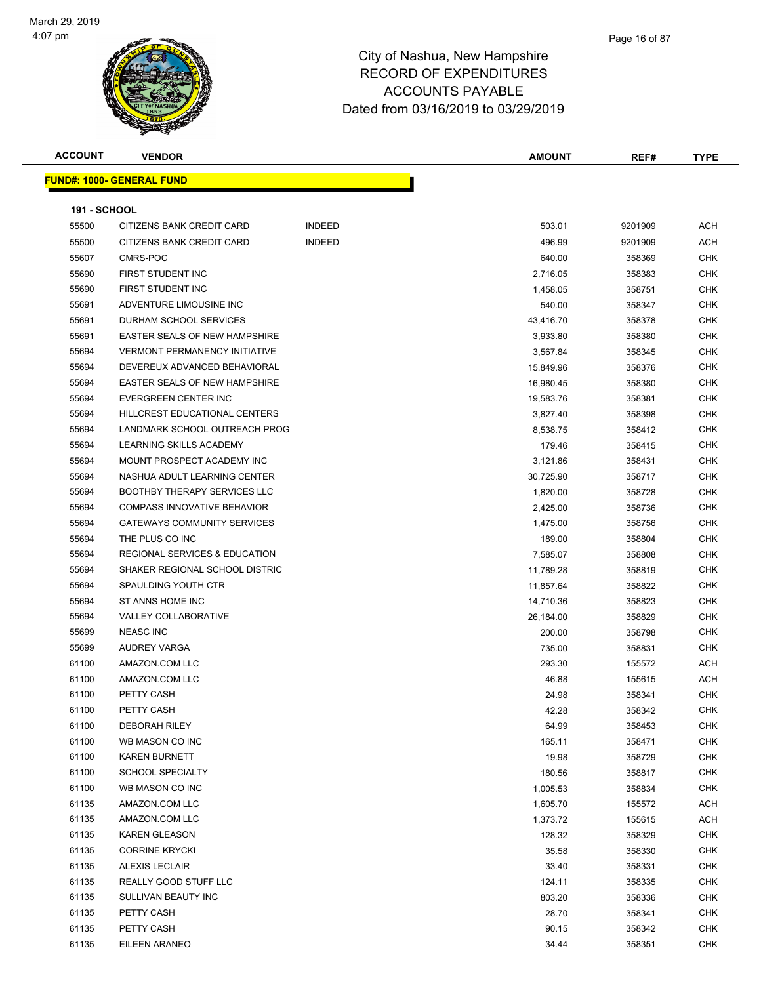

| <b>ACCOUNT</b>      | <b>VENDOR</b>                        |               | <b>AMOUNT</b> | REF#    | <b>TYPE</b> |
|---------------------|--------------------------------------|---------------|---------------|---------|-------------|
|                     | <b>FUND#: 1000- GENERAL FUND</b>     |               |               |         |             |
|                     |                                      |               |               |         |             |
| <b>191 - SCHOOL</b> |                                      |               |               |         |             |
| 55500               | CITIZENS BANK CREDIT CARD            | <b>INDEED</b> | 503.01        | 9201909 | ACH         |
| 55500               | CITIZENS BANK CREDIT CARD            | <b>INDEED</b> | 496.99        | 9201909 | ACH         |
| 55607               | CMRS-POC                             |               | 640.00        | 358369  | CHK         |
| 55690               | <b>FIRST STUDENT INC</b>             |               | 2,716.05      | 358383  | <b>CHK</b>  |
| 55690               | <b>FIRST STUDENT INC</b>             |               | 1,458.05      | 358751  | <b>CHK</b>  |
| 55691               | ADVENTURE LIMOUSINE INC              |               | 540.00        | 358347  | CHK         |
| 55691               | DURHAM SCHOOL SERVICES               |               | 43,416.70     | 358378  | <b>CHK</b>  |
| 55691               | EASTER SEALS OF NEW HAMPSHIRE        |               | 3,933.80      | 358380  | <b>CHK</b>  |
| 55694               | <b>VERMONT PERMANENCY INITIATIVE</b> |               | 3,567.84      | 358345  | CHK         |
| 55694               | DEVEREUX ADVANCED BEHAVIORAL         |               | 15,849.96     | 358376  | CHK         |
| 55694               | EASTER SEALS OF NEW HAMPSHIRE        |               | 16,980.45     | 358380  | <b>CHK</b>  |
| 55694               | <b>EVERGREEN CENTER INC</b>          |               | 19,583.76     | 358381  | <b>CHK</b>  |
| 55694               | HILLCREST EDUCATIONAL CENTERS        |               | 3,827.40      | 358398  | CHK         |
| 55694               | LANDMARK SCHOOL OUTREACH PROG        |               | 8,538.75      | 358412  | CHK         |
| 55694               | LEARNING SKILLS ACADEMY              |               | 179.46        | 358415  | <b>CHK</b>  |
| 55694               | MOUNT PROSPECT ACADEMY INC           |               | 3,121.86      | 358431  | CHK         |
| 55694               | NASHUA ADULT LEARNING CENTER         |               | 30,725.90     | 358717  | CHK         |
| 55694               | <b>BOOTHBY THERAPY SERVICES LLC</b>  |               | 1,820.00      | 358728  | CHK         |
| 55694               | COMPASS INNOVATIVE BEHAVIOR          |               | 2,425.00      | 358736  | <b>CHK</b>  |
| 55694               | <b>GATEWAYS COMMUNITY SERVICES</b>   |               | 1,475.00      | 358756  | <b>CHK</b>  |
| 55694               | THE PLUS CO INC                      |               | 189.00        | 358804  | CHK         |
| 55694               | REGIONAL SERVICES & EDUCATION        |               | 7,585.07      | 358808  | <b>CHK</b>  |
| 55694               | SHAKER REGIONAL SCHOOL DISTRIC       |               | 11,789.28     | 358819  | <b>CHK</b>  |
| 55694               | SPAULDING YOUTH CTR                  |               | 11,857.64     | 358822  | <b>CHK</b>  |
| 55694               | ST ANNS HOME INC                     |               | 14,710.36     | 358823  | CHK         |
| 55694               | VALLEY COLLABORATIVE                 |               | 26,184.00     | 358829  | <b>CHK</b>  |
| 55699               | <b>NEASC INC</b>                     |               | 200.00        | 358798  | <b>CHK</b>  |
| 55699               | AUDREY VARGA                         |               | 735.00        | 358831  | CHK         |
| 61100               | AMAZON.COM LLC                       |               | 293.30        | 155572  | ACH         |
| 61100               | AMAZON.COM LLC                       |               | 46.88         | 155615  | ACH         |
| 61100               | PETTY CASH                           |               | 24.98         | 358341  | CHK         |
| 61100               | PETTY CASH                           |               | 42.28         | 358342  | CHK         |
| 61100               | <b>DEBORAH RILEY</b>                 |               | 64.99         | 358453  | CHK         |
| 61100               | WB MASON CO INC                      |               | 165.11        | 358471  | <b>CHK</b>  |
| 61100               | <b>KAREN BURNETT</b>                 |               | 19.98         | 358729  | CHK         |
| 61100               | <b>SCHOOL SPECIALTY</b>              |               | 180.56        | 358817  | <b>CHK</b>  |
| 61100               | WB MASON CO INC                      |               | 1,005.53      | 358834  | <b>CHK</b>  |
| 61135               | AMAZON.COM LLC                       |               | 1,605.70      | 155572  | ACH         |
| 61135               | AMAZON.COM LLC                       |               | 1,373.72      | 155615  | ACH         |
| 61135               | <b>KAREN GLEASON</b>                 |               | 128.32        | 358329  | CHK         |
| 61135               | <b>CORRINE KRYCKI</b>                |               | 35.58         | 358330  | <b>CHK</b>  |
| 61135               | <b>ALEXIS LECLAIR</b>                |               | 33.40         | 358331  | CHK         |
| 61135               | REALLY GOOD STUFF LLC                |               | 124.11        | 358335  | <b>CHK</b>  |
| 61135               | SULLIVAN BEAUTY INC                  |               | 803.20        | 358336  | CHK         |
| 61135               | PETTY CASH                           |               | 28.70         | 358341  | <b>CHK</b>  |
| 61135               | PETTY CASH                           |               | 90.15         | 358342  | CHK         |
| 61135               | EILEEN ARANEO                        |               | 34.44         | 358351  | <b>CHK</b>  |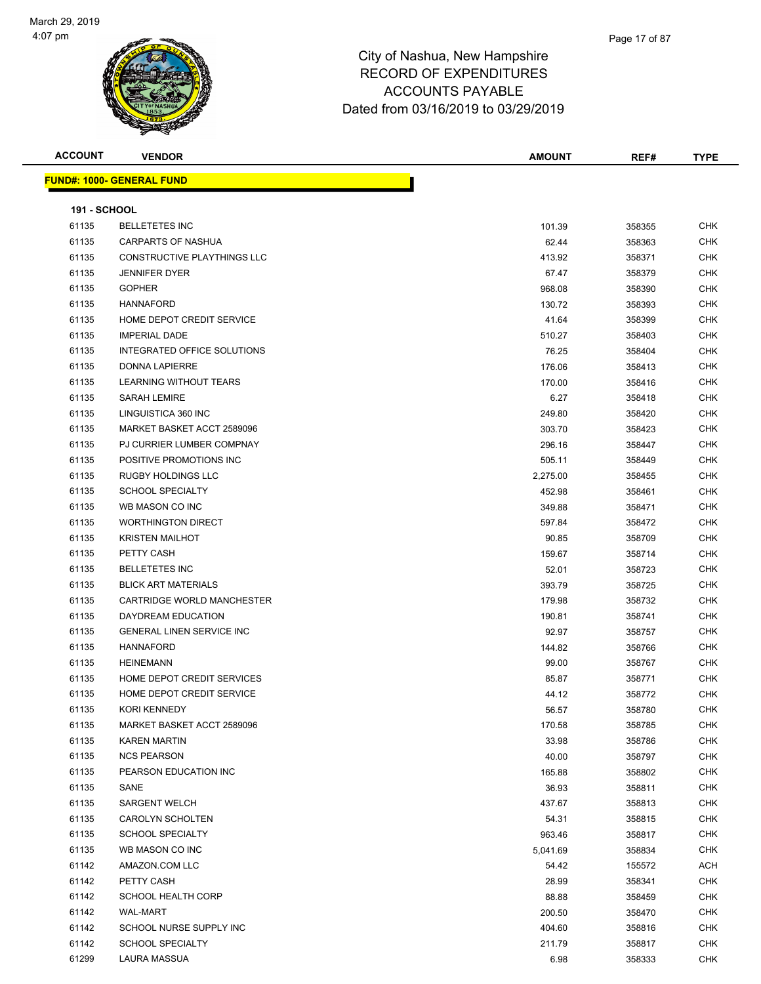Page 17 of 87

| <b>ACCOUNT</b>      | <b>VENDOR</b>                    | <b>AMOUNT</b> | REF#   | <b>TYPE</b> |
|---------------------|----------------------------------|---------------|--------|-------------|
|                     | <b>FUND#: 1000- GENERAL FUND</b> |               |        |             |
|                     |                                  |               |        |             |
| <b>191 - SCHOOL</b> |                                  |               |        |             |
| 61135               | <b>BELLETETES INC</b>            | 101.39        | 358355 | <b>CHK</b>  |
| 61135               | CARPARTS OF NASHUA               | 62.44         | 358363 | <b>CHK</b>  |
| 61135               | CONSTRUCTIVE PLAYTHINGS LLC      | 413.92        | 358371 | <b>CHK</b>  |
| 61135               | <b>JENNIFER DYER</b>             | 67.47         | 358379 | <b>CHK</b>  |
| 61135               | <b>GOPHER</b>                    | 968.08        | 358390 | <b>CHK</b>  |
| 61135               | <b>HANNAFORD</b>                 | 130.72        | 358393 | CHK         |
| 61135               | HOME DEPOT CREDIT SERVICE        | 41.64         | 358399 | <b>CHK</b>  |
| 61135               | <b>IMPERIAL DADE</b>             | 510.27        | 358403 | <b>CHK</b>  |
| 61135               | INTEGRATED OFFICE SOLUTIONS      | 76.25         | 358404 | <b>CHK</b>  |
| 61135               | <b>DONNA LAPIERRE</b>            | 176.06        | 358413 | <b>CHK</b>  |
| 61135               | LEARNING WITHOUT TEARS           | 170.00        | 358416 | <b>CHK</b>  |
| 61135               | <b>SARAH LEMIRE</b>              | 6.27          | 358418 | <b>CHK</b>  |
| 61135               | LINGUISTICA 360 INC              | 249.80        | 358420 | <b>CHK</b>  |
| 61135               | MARKET BASKET ACCT 2589096       | 303.70        | 358423 | <b>CHK</b>  |
| 61135               | PJ CURRIER LUMBER COMPNAY        | 296.16        | 358447 | <b>CHK</b>  |
| 61135               | POSITIVE PROMOTIONS INC          | 505.11        | 358449 | <b>CHK</b>  |
| 61135               | <b>RUGBY HOLDINGS LLC</b>        | 2,275.00      | 358455 | <b>CHK</b>  |
| 61135               | <b>SCHOOL SPECIALTY</b>          | 452.98        | 358461 | <b>CHK</b>  |
| 61135               | WB MASON CO INC                  | 349.88        | 358471 | <b>CHK</b>  |
| 61135               | <b>WORTHINGTON DIRECT</b>        | 597.84        | 358472 | <b>CHK</b>  |
| 61135               | <b>KRISTEN MAILHOT</b>           | 90.85         | 358709 | <b>CHK</b>  |
| 61135               | PETTY CASH                       | 159.67        | 358714 | <b>CHK</b>  |
| 61135               | <b>BELLETETES INC</b>            | 52.01         | 358723 | <b>CHK</b>  |
| 61135               | <b>BLICK ART MATERIALS</b>       | 393.79        | 358725 | <b>CHK</b>  |
| 61135               | CARTRIDGE WORLD MANCHESTER       | 179.98        | 358732 | <b>CHK</b>  |
| 61135               | DAYDREAM EDUCATION               | 190.81        | 358741 | <b>CHK</b>  |
| 61135               | <b>GENERAL LINEN SERVICE INC</b> | 92.97         | 358757 | <b>CHK</b>  |
| 61135               | <b>HANNAFORD</b>                 | 144.82        | 358766 | <b>CHK</b>  |
| 61135               | <b>HEINEMANN</b>                 | 99.00         | 358767 | <b>CHK</b>  |
| 61135               | HOME DEPOT CREDIT SERVICES       | 85.87         | 358771 | <b>CHK</b>  |
| 61135               | HOME DEPOT CREDIT SERVICE        | 44.12         | 358772 | <b>CHK</b>  |
| 61135               | KORI KENNEDY                     | 56.57         | 358780 | CHK         |
| 61135               | MARKET BASKET ACCT 2589096       | 170.58        | 358785 | <b>CHK</b>  |
| 61135               | <b>KAREN MARTIN</b>              | 33.98         | 358786 | <b>CHK</b>  |
| 61135               | <b>NCS PEARSON</b>               | 40.00         | 358797 | <b>CHK</b>  |
| 61135               | PEARSON EDUCATION INC            | 165.88        | 358802 | <b>CHK</b>  |
| 61135               | SANE                             | 36.93         | 358811 | <b>CHK</b>  |
| 61135               | <b>SARGENT WELCH</b>             | 437.67        | 358813 | <b>CHK</b>  |
| 61135               | CAROLYN SCHOLTEN                 | 54.31         | 358815 | <b>CHK</b>  |
| 61135               | <b>SCHOOL SPECIALTY</b>          | 963.46        | 358817 | <b>CHK</b>  |
| 61135               | WB MASON CO INC                  | 5,041.69      | 358834 | CHK         |
| 61142               | AMAZON.COM LLC                   | 54.42         | 155572 | ACH         |
| 61142               | PETTY CASH                       | 28.99         | 358341 | <b>CHK</b>  |
| 61142               | <b>SCHOOL HEALTH CORP</b>        | 88.88         | 358459 | <b>CHK</b>  |
| 61142               | <b>WAL-MART</b>                  | 200.50        | 358470 | <b>CHK</b>  |
| 61142               | SCHOOL NURSE SUPPLY INC          | 404.60        | 358816 | <b>CHK</b>  |
| 61142               | <b>SCHOOL SPECIALTY</b>          | 211.79        | 358817 | <b>CHK</b>  |
| 61299               | LAURA MASSUA                     | 6.98          | 358333 | <b>CHK</b>  |
|                     |                                  |               |        |             |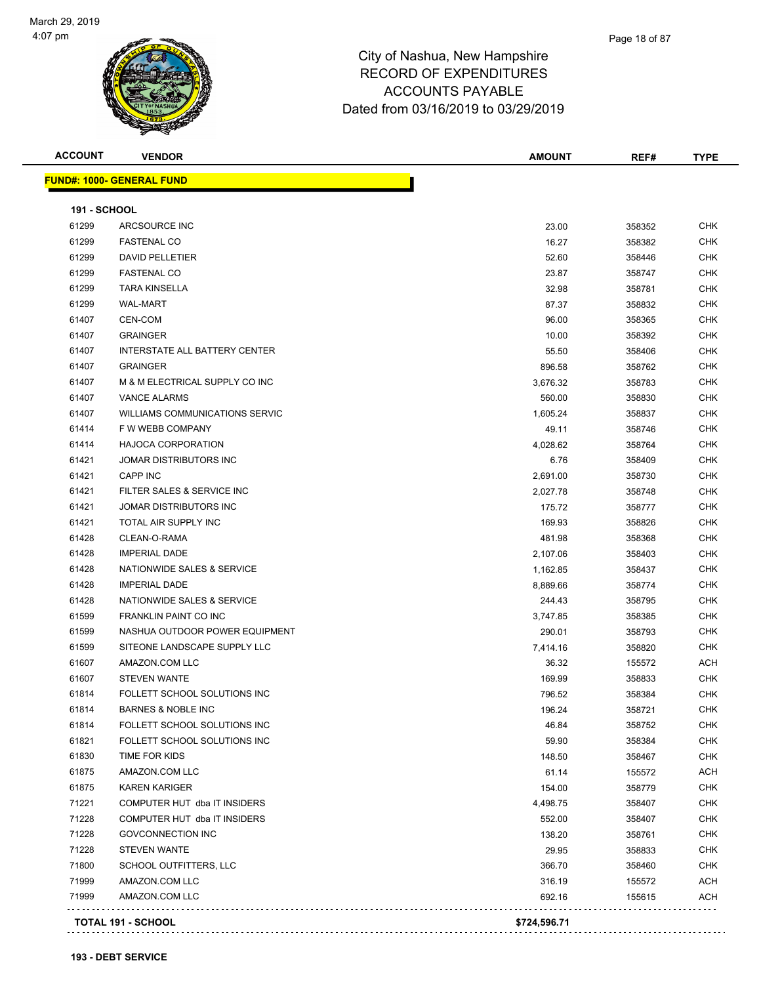

Page 18 of 87

| <b>ALLUUNI</b>                   | <b>VENDOR</b> |
|----------------------------------|---------------|
|                                  |               |
| <b>FUND#: 1000- GENERAL FUND</b> |               |

| <b>ACCOUNT</b><br>$\sim$ $\sim$ $\sim$ $\sim$ $\sim$ $\sim$ | ററ് |  | OUN <sup>-</sup><br>ח ב | REF# | TVDE |
|-------------------------------------------------------------|-----|--|-------------------------|------|------|
|                                                             |     |  |                         |      |      |
| <b>ND#:</b><br>-----                                        | unu |  |                         |      |      |

| <b>191 - SCHOOL</b> |                                       |          |        |            |
|---------------------|---------------------------------------|----------|--------|------------|
| 61299               | ARCSOURCE INC                         | 23.00    | 358352 | <b>CHK</b> |
| 61299               | <b>FASTENAL CO</b>                    | 16.27    | 358382 | <b>CHK</b> |
| 61299               | <b>DAVID PELLETIER</b>                | 52.60    | 358446 | <b>CHK</b> |
| 61299               | <b>FASTENAL CO</b>                    | 23.87    | 358747 | <b>CHK</b> |
| 61299               | <b>TARA KINSELLA</b>                  | 32.98    | 358781 | <b>CHK</b> |
| 61299               | <b>WAL-MART</b>                       | 87.37    | 358832 | <b>CHK</b> |
| 61407               | CEN-COM                               | 96.00    | 358365 | <b>CHK</b> |
| 61407               | <b>GRAINGER</b>                       | 10.00    | 358392 | <b>CHK</b> |
| 61407               | <b>INTERSTATE ALL BATTERY CENTER</b>  | 55.50    | 358406 | <b>CHK</b> |
| 61407               | <b>GRAINGER</b>                       | 896.58   | 358762 | <b>CHK</b> |
| 61407               | M & M ELECTRICAL SUPPLY CO INC        | 3,676.32 | 358783 | <b>CHK</b> |
| 61407               | <b>VANCE ALARMS</b>                   | 560.00   | 358830 | <b>CHK</b> |
| 61407               | <b>WILLIAMS COMMUNICATIONS SERVIC</b> | 1,605.24 | 358837 | <b>CHK</b> |
| 61414               | F W WEBB COMPANY                      | 49.11    | 358746 | <b>CHK</b> |
| 61414               | <b>HAJOCA CORPORATION</b>             | 4,028.62 | 358764 | <b>CHK</b> |
| 61421               | JOMAR DISTRIBUTORS INC                | 6.76     | 358409 | <b>CHK</b> |
| 61421               | CAPP INC                              | 2,691.00 | 358730 | <b>CHK</b> |
| 61421               | FILTER SALES & SERVICE INC            | 2,027.78 | 358748 | <b>CHK</b> |
| 61421               | JOMAR DISTRIBUTORS INC                | 175.72   | 358777 | <b>CHK</b> |
| 61421               | TOTAL AIR SUPPLY INC                  | 169.93   | 358826 | <b>CHK</b> |
| 61428               | CLEAN-O-RAMA                          | 481.98   | 358368 | <b>CHK</b> |
| 61428               | <b>IMPERIAL DADE</b>                  | 2,107.06 | 358403 | <b>CHK</b> |
| 61428               | NATIONWIDE SALES & SERVICE            | 1,162.85 | 358437 | <b>CHK</b> |
| 61428               | <b>IMPERIAL DADE</b>                  | 8,889.66 | 358774 | <b>CHK</b> |
| 61428               | NATIONWIDE SALES & SERVICE            | 244.43   | 358795 | <b>CHK</b> |
| 61599               | FRANKLIN PAINT CO INC                 | 3,747.85 | 358385 | <b>CHK</b> |
| 61599               | NASHUA OUTDOOR POWER EQUIPMENT        | 290.01   | 358793 | <b>CHK</b> |
| 61599               | SITEONE LANDSCAPE SUPPLY LLC          | 7,414.16 | 358820 | <b>CHK</b> |
| 61607               | AMAZON.COM LLC                        | 36.32    | 155572 | <b>ACH</b> |
| 61607               | <b>STEVEN WANTE</b>                   | 169.99   | 358833 | <b>CHK</b> |
| 61814               | FOLLETT SCHOOL SOLUTIONS INC          | 796.52   | 358384 | <b>CHK</b> |
| 61814               | <b>BARNES &amp; NOBLE INC</b>         | 196.24   | 358721 | <b>CHK</b> |
| 61814               | FOLLETT SCHOOL SOLUTIONS INC          | 46.84    | 358752 | <b>CHK</b> |
| 61821               | FOLLETT SCHOOL SOLUTIONS INC          | 59.90    | 358384 | <b>CHK</b> |
| 61830               | TIME FOR KIDS                         | 148.50   | 358467 | <b>CHK</b> |
| 61875               | AMAZON.COM LLC                        | 61.14    | 155572 | <b>ACH</b> |
| 61875               | <b>KAREN KARIGER</b>                  | 154.00   | 358779 | <b>CHK</b> |
| 71221               | COMPUTER HUT dba IT INSIDERS          | 4,498.75 | 358407 | <b>CHK</b> |
| 71228               | COMPUTER HUT dba IT INSIDERS          | 552.00   | 358407 | <b>CHK</b> |
| 71228               | <b>GOVCONNECTION INC</b>              | 138.20   | 358761 | <b>CHK</b> |
| 71228               | <b>STEVEN WANTE</b>                   | 29.95    | 358833 | <b>CHK</b> |
| 71800               | SCHOOL OUTFITTERS, LLC                | 366.70   | 358460 | <b>CHK</b> |
| 71999               | AMAZON.COM LLC                        | 316.19   | 155572 | <b>ACH</b> |
| 71999               | AMAZON.COM LLC                        | 692.16   | 155615 | <b>ACH</b> |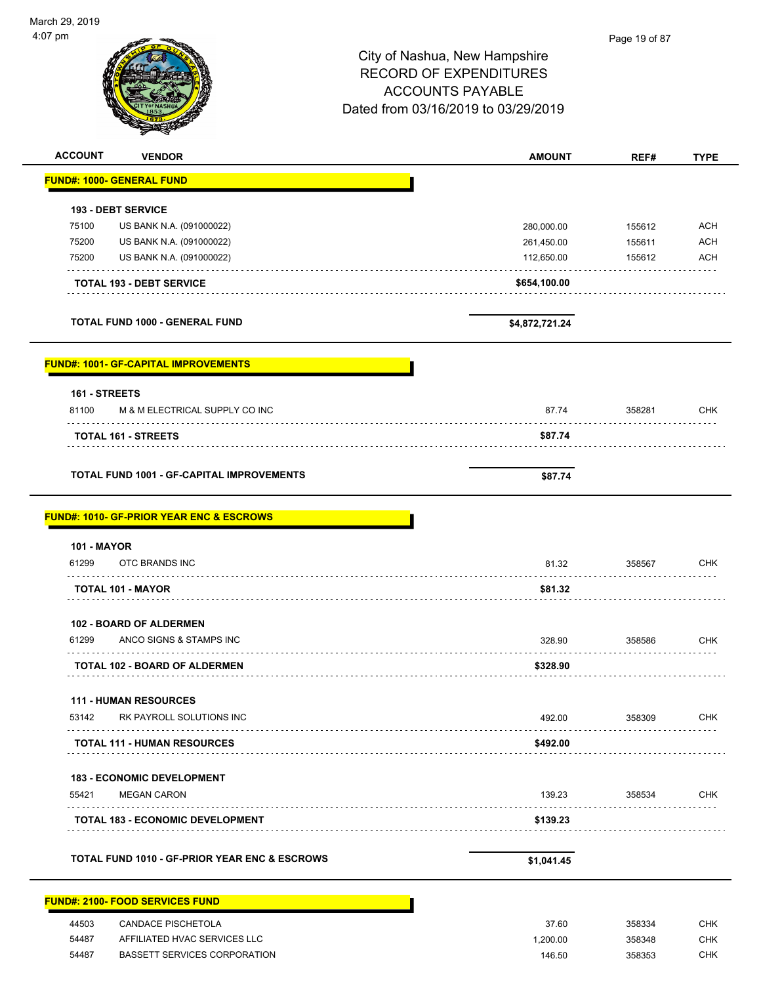|                                                     |                                     | Page 19 of 87 |                                        |
|-----------------------------------------------------|-------------------------------------|---------------|----------------------------------------|
|                                                     | City of Nashua, New Hampshire       |               |                                        |
|                                                     | <b>RECORD OF EXPENDITURES</b>       |               |                                        |
|                                                     | <b>ACCOUNTS PAYABLE</b>             |               |                                        |
|                                                     |                                     |               |                                        |
|                                                     | Dated from 03/16/2019 to 03/29/2019 |               |                                        |
|                                                     |                                     |               |                                        |
| <b>ACCOUNT</b><br><b>VENDOR</b>                     | <b>AMOUNT</b>                       | REF#          | <b>TYPE</b>                            |
| <b>FUND#: 1000- GENERAL FUND</b>                    |                                     |               |                                        |
| <b>193 - DEBT SERVICE</b>                           |                                     |               |                                        |
| 75100<br>US BANK N.A. (091000022)                   | 280,000.00                          | 155612        | <b>ACH</b>                             |
| 75200<br>US BANK N.A. (091000022)                   | 261,450.00                          | 155611        | <b>ACH</b>                             |
| 75200<br>US BANK N.A. (091000022)                   | 112,650.00                          | 155612        | <b>ACH</b>                             |
| <b>TOTAL 193 - DEBT SERVICE</b>                     | \$654,100.00                        |               |                                        |
| <b>TOTAL FUND 1000 - GENERAL FUND</b>               | \$4,872,721.24                      |               |                                        |
| <b>FUND#: 1001- GF-CAPITAL IMPROVEMENTS</b>         |                                     |               |                                        |
| 161 - STREETS                                       |                                     |               |                                        |
| 81100<br>M & M ELECTRICAL SUPPLY CO INC             | 87.74                               | 358281        | <b>CHK</b>                             |
|                                                     | \$87.74                             |               |                                        |
| <b>TOTAL 161 - STREETS</b>                          |                                     |               |                                        |
|                                                     |                                     |               |                                        |
| <b>TOTAL FUND 1001 - GF-CAPITAL IMPROVEMENTS</b>    | \$87.74                             |               |                                        |
| <b>FUND#: 1010- GF-PRIOR YEAR ENC &amp; ESCROWS</b> |                                     |               |                                        |
| <b>101 - MAYOR</b>                                  |                                     |               |                                        |
| 61299<br>OTC BRANDS INC                             | 81.32                               | 358567        |                                        |
| <b>TOTAL 101 - MAYOR</b>                            | \$81.32                             |               |                                        |
| <b>102 - BOARD OF ALDERMEN</b>                      |                                     |               |                                        |
| 61299<br>ANCO SIGNS & STAMPS INC                    | 328.90                              | 358586        |                                        |
| <b>TOTAL 102 - BOARD OF ALDERMEN</b>                | \$328.90                            |               |                                        |
| <b>111 - HUMAN RESOURCES</b>                        |                                     |               |                                        |
| 53142<br>RK PAYROLL SOLUTIONS INC                   | 492.00                              | 358309        |                                        |
| <b>TOTAL 111 - HUMAN RESOURCES</b>                  | \$492.00                            |               | <b>CHK</b><br><b>CHK</b><br><b>CHK</b> |
| <b>183 - ECONOMIC DEVELOPMENT</b>                   |                                     |               |                                        |
| 55421<br><b>MEGAN CARON</b>                         | 139.23                              | 358534        | CHK                                    |
| <b>TOTAL 183 - ECONOMIC DEVELOPMENT</b>             | \$139.23                            |               |                                        |

| 44503 | CANDACE PISCHETOLA           | 37.60   | 358334 | СНК |
|-------|------------------------------|---------|--------|-----|
| 54487 | AFFILIATED HVAC SERVICES LLC | .200.00 | 358348 | СНК |
| 54487 | BASSETT SERVICES CORPORATION | 146.50  | 358353 | СНК |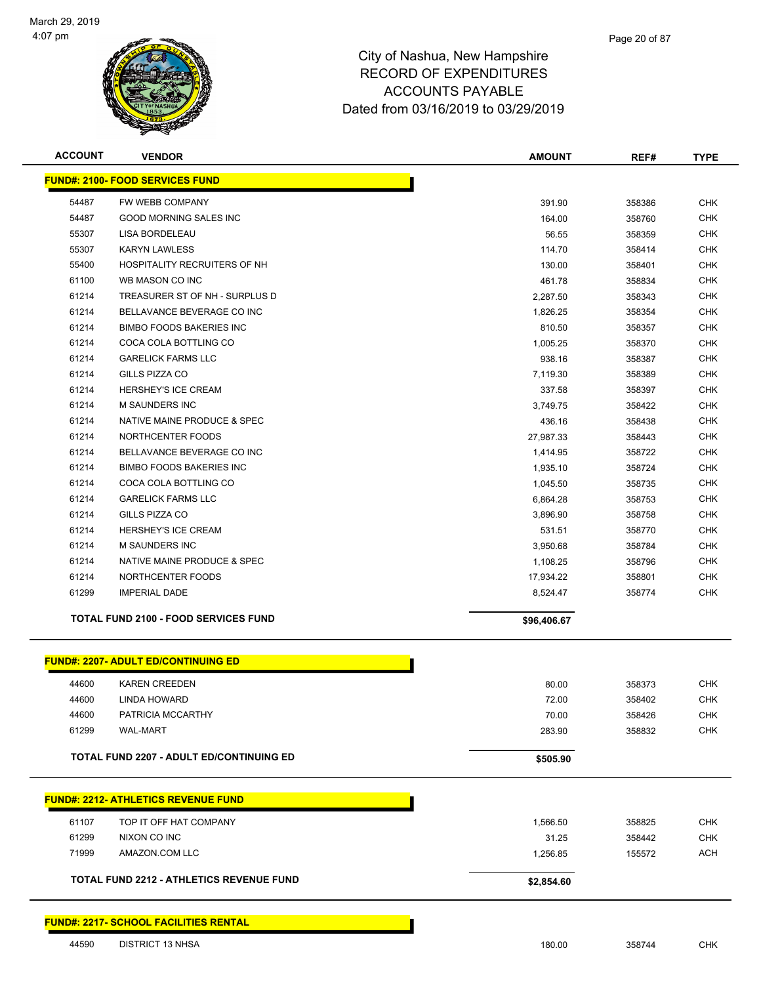

| <b>ACCOUNT</b> | <b>VENDOR</b>                                   | <b>AMOUNT</b>     | REF#             | <b>TYPE</b> |
|----------------|-------------------------------------------------|-------------------|------------------|-------------|
|                | <b>FUND#: 2100- FOOD SERVICES FUND</b>          |                   |                  |             |
| 54487          | FW WEBB COMPANY                                 | 391.90            | 358386           | <b>CHK</b>  |
| 54487          | <b>GOOD MORNING SALES INC</b>                   | 164.00            | 358760           | <b>CHK</b>  |
| 55307          | LISA BORDELEAU                                  | 56.55             | 358359           | <b>CHK</b>  |
| 55307          | <b>KARYN LAWLESS</b>                            | 114.70            | 358414           | <b>CHK</b>  |
| 55400          | HOSPITALITY RECRUITERS OF NH                    | 130.00            | 358401           | <b>CHK</b>  |
| 61100          | WB MASON CO INC                                 | 461.78            | 358834           | <b>CHK</b>  |
| 61214          | TREASURER ST OF NH - SURPLUS D                  | 2,287.50          | 358343           | <b>CHK</b>  |
| 61214          | BELLAVANCE BEVERAGE CO INC                      | 1,826.25          | 358354           | <b>CHK</b>  |
| 61214          | <b>BIMBO FOODS BAKERIES INC</b>                 | 810.50            | 358357           | <b>CHK</b>  |
| 61214          | COCA COLA BOTTLING CO                           | 1,005.25          | 358370           | <b>CHK</b>  |
| 61214          | <b>GARELICK FARMS LLC</b>                       | 938.16            | 358387           | <b>CHK</b>  |
| 61214          | GILLS PIZZA CO                                  | 7,119.30          | 358389           | <b>CHK</b>  |
| 61214          | <b>HERSHEY'S ICE CREAM</b>                      | 337.58            | 358397           | <b>CHK</b>  |
| 61214          | M SAUNDERS INC                                  | 3,749.75          | 358422           | <b>CHK</b>  |
| 61214          | NATIVE MAINE PRODUCE & SPEC                     | 436.16            | 358438           | <b>CHK</b>  |
| 61214          | NORTHCENTER FOODS                               | 27,987.33         | 358443           | <b>CHK</b>  |
| 61214          | BELLAVANCE BEVERAGE CO INC                      | 1,414.95          | 358722           | <b>CHK</b>  |
| 61214          | <b>BIMBO FOODS BAKERIES INC</b>                 | 1,935.10          | 358724           | <b>CHK</b>  |
| 61214          | COCA COLA BOTTLING CO                           | 1,045.50          | 358735           | <b>CHK</b>  |
| 61214          | <b>GARELICK FARMS LLC</b>                       | 6,864.28          | 358753           | <b>CHK</b>  |
| 61214          | <b>GILLS PIZZA CO</b>                           | 3,896.90          | 358758           | <b>CHK</b>  |
| 61214          | <b>HERSHEY'S ICE CREAM</b>                      | 531.51            | 358770           | <b>CHK</b>  |
| 61214          | <b>M SAUNDERS INC</b>                           | 3,950.68          | 358784           | <b>CHK</b>  |
| 61214          | NATIVE MAINE PRODUCE & SPEC                     | 1,108.25          | 358796           | <b>CHK</b>  |
| 61214          | NORTHCENTER FOODS                               | 17,934.22         | 358801           | <b>CHK</b>  |
| 61299          | <b>IMPERIAL DADE</b>                            | 8,524.47          | 358774           | <b>CHK</b>  |
|                | <b>TOTAL FUND 2100 - FOOD SERVICES FUND</b>     | \$96,406.67       |                  |             |
|                | <b>FUND#: 2207- ADULT ED/CONTINUING ED</b>      |                   |                  |             |
| 44600          | <b>KAREN CREEDEN</b>                            | 80.00             | 358373           | <b>CHK</b>  |
| 44600          | <b>LINDA HOWARD</b>                             | 72.00             | 358402           | <b>CHK</b>  |
| 44600          | PATRICIA MCCARTHY                               | 70.00             | 358426           | <b>CHK</b>  |
| 61299          | <b>WAL-MART</b>                                 | 283.90            | 358832           | <b>CHK</b>  |
|                | <b>TOTAL FUND 2207 - ADULT ED/CONTINUING ED</b> | \$505.90          |                  |             |
|                | <b>FUND#: 2212- ATHLETICS REVENUE FUND</b>      |                   |                  |             |
| 61107          | TOP IT OFF HAT COMPANY                          | 1,566.50          | 358825           | <b>CHK</b>  |
| 61299          | NIXON CO INC                                    |                   |                  | CHK         |
| 71999          | AMAZON.COM LLC                                  | 31.25<br>1,256.85 | 358442<br>155572 | ACH         |
|                | TOTAL FUND 2212 - ATHLETICS REVENUE FUND        | \$2,854.60        |                  |             |
|                | <b>FUND#: 2217- SCHOOL FACILITIES RENTAL</b>    |                   |                  |             |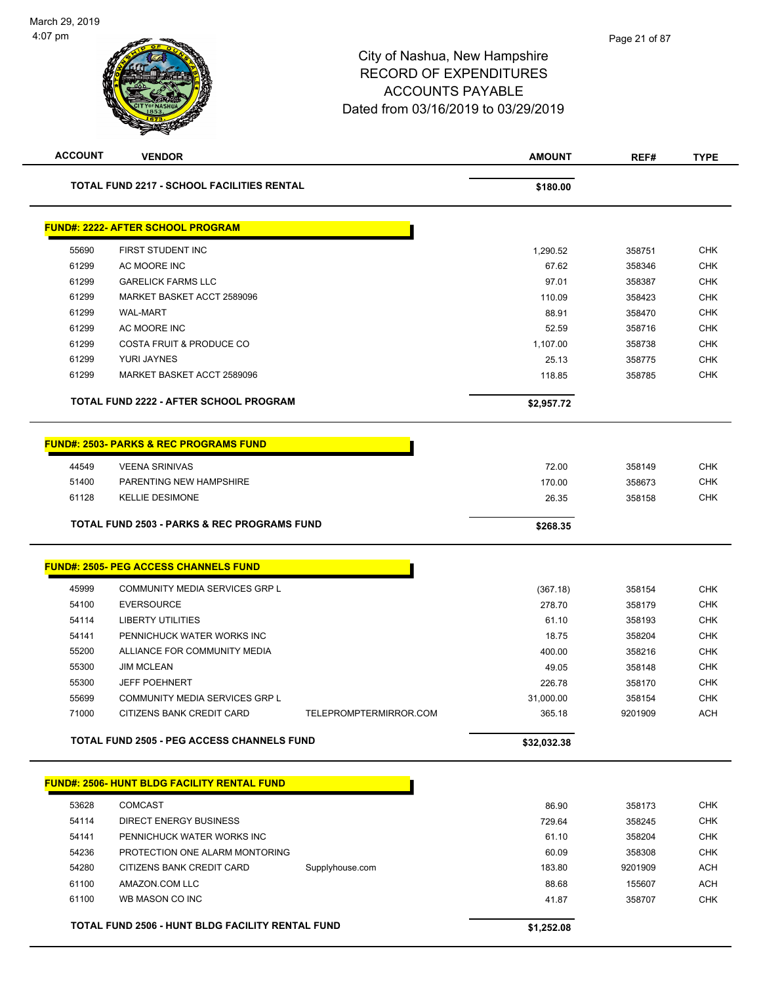| <b>ACCOUNT</b> | <b>VENDOR</b>                                          |                        | <b>AMOUNT</b>  | REF#             | <b>TYPE</b>              |
|----------------|--------------------------------------------------------|------------------------|----------------|------------------|--------------------------|
|                | <b>TOTAL FUND 2217 - SCHOOL FACILITIES RENTAL</b>      |                        | \$180.00       |                  |                          |
|                | <b>FUND#: 2222- AFTER SCHOOL PROGRAM</b>               |                        |                |                  |                          |
| 55690          | FIRST STUDENT INC                                      |                        | 1,290.52       | 358751           | <b>CHK</b>               |
| 61299          | AC MOORE INC                                           |                        | 67.62          | 358346           | <b>CHK</b>               |
| 61299          | <b>GARELICK FARMS LLC</b>                              |                        | 97.01          | 358387           | <b>CHK</b>               |
| 61299          | MARKET BASKET ACCT 2589096                             |                        | 110.09         | 358423           | <b>CHK</b>               |
| 61299          | <b>WAL-MART</b>                                        |                        | 88.91          | 358470           | <b>CHK</b>               |
| 61299          | AC MOORE INC                                           |                        | 52.59          | 358716           | <b>CHK</b>               |
| 61299          | <b>COSTA FRUIT &amp; PRODUCE CO</b>                    |                        | 1,107.00       | 358738           | <b>CHK</b>               |
| 61299          | YURI JAYNES                                            |                        | 25.13          | 358775           | <b>CHK</b>               |
| 61299          | MARKET BASKET ACCT 2589096                             |                        | 118.85         | 358785           | <b>CHK</b>               |
|                | <b>TOTAL FUND 2222 - AFTER SCHOOL PROGRAM</b>          |                        | \$2,957.72     |                  |                          |
|                | <b>FUND#: 2503- PARKS &amp; REC PROGRAMS FUND</b>      |                        |                |                  |                          |
| 44549          | <b>VEENA SRINIVAS</b>                                  |                        | 72.00          | 358149           | <b>CHK</b>               |
| 51400          | PARENTING NEW HAMPSHIRE                                |                        | 170.00         | 358673           | CHK                      |
| 61128          | <b>KELLIE DESIMONE</b>                                 |                        | 26.35          | 358158           | <b>CHK</b>               |
|                | <b>TOTAL FUND 2503 - PARKS &amp; REC PROGRAMS FUND</b> |                        | \$268.35       |                  |                          |
|                | <b>FUND#: 2505- PEG ACCESS CHANNELS FUND</b>           |                        |                |                  |                          |
|                |                                                        |                        |                |                  |                          |
| 45999          | COMMUNITY MEDIA SERVICES GRP L                         |                        | (367.18)       | 358154           | <b>CHK</b>               |
| 54100          | <b>EVERSOURCE</b>                                      |                        | 278.70         | 358179           | <b>CHK</b>               |
| 54114<br>54141 | <b>LIBERTY UTILITIES</b><br>PENNICHUCK WATER WORKS INC |                        | 61.10<br>18.75 | 358193<br>358204 | <b>CHK</b><br><b>CHK</b> |
| 55200          | ALLIANCE FOR COMMUNITY MEDIA                           |                        | 400.00         | 358216           | <b>CHK</b>               |
| 55300          | <b>JIM MCLEAN</b>                                      |                        | 49.05          | 358148           | <b>CHK</b>               |
| 55300          | <b>JEFF POEHNERT</b>                                   |                        | 226.78         | 358170           | <b>CHK</b>               |
| 55699          | COMMUNITY MEDIA SERVICES GRP L                         |                        | 31,000.00      | 358154           | <b>CHK</b>               |
| 71000          | CITIZENS BANK CREDIT CARD                              | TELEPROMPTERMIRROR.COM | 365.18         | 9201909          | <b>ACH</b>               |
|                | TOTAL FUND 2505 - PEG ACCESS CHANNELS FUND             |                        | \$32,032.38    |                  |                          |
|                | <b>FUND#: 2506- HUNT BLDG FACILITY RENTAL FUND</b>     |                        |                |                  |                          |
|                |                                                        |                        |                |                  |                          |
| 53628          | <b>COMCAST</b>                                         |                        | 86.90          | 358173           | <b>CHK</b>               |
| 54114          | DIRECT ENERGY BUSINESS                                 |                        | 729.64         | 358245           | CHK                      |
| 54141          | PENNICHUCK WATER WORKS INC                             |                        | 61.10          | 358204           | <b>CHK</b>               |
| 54236          | PROTECTION ONE ALARM MONTORING                         |                        | 60.09          | 358308           | <b>CHK</b>               |
| 54280          | CITIZENS BANK CREDIT CARD                              | Supplyhouse.com        | 183.80         | 9201909          | <b>ACH</b>               |
| 61100<br>61100 | AMAZON.COM LLC<br>WB MASON CO INC                      |                        | 88.68          | 155607<br>358707 | <b>ACH</b><br>CHK        |
|                |                                                        |                        | 41.87          |                  |                          |
|                | TOTAL FUND 2506 - HUNT BLDG FACILITY RENTAL FUND       |                        | \$1,252.08     |                  |                          |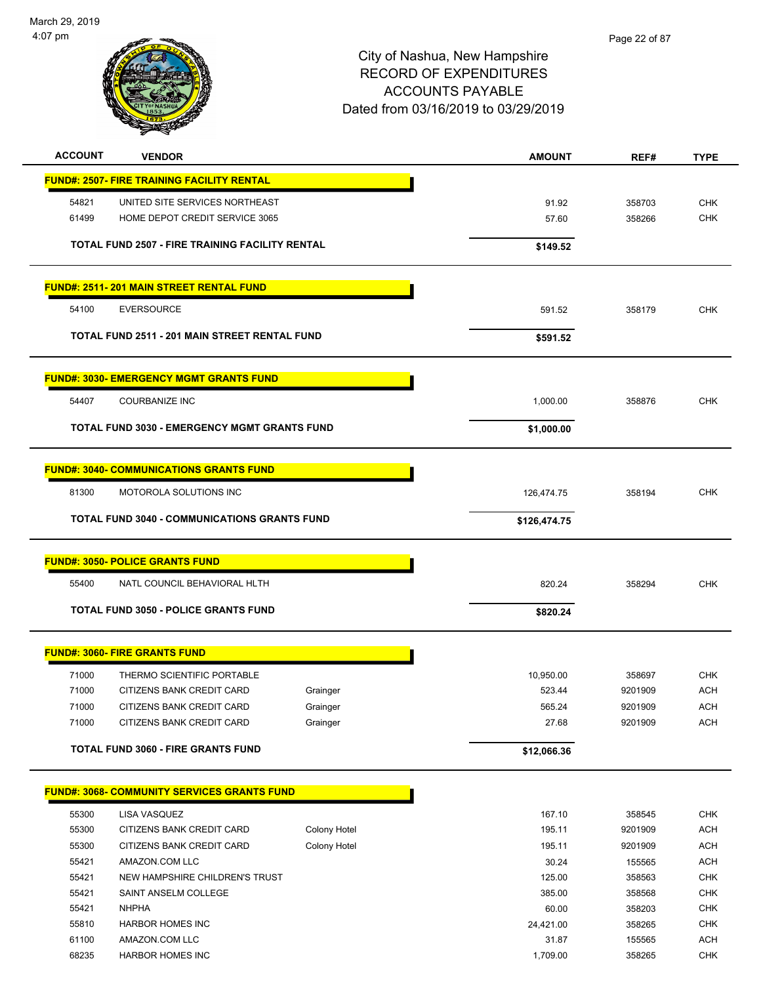

| <b>ACCOUNT</b> | <b>VENDOR</b>                                          |              | <b>AMOUNT</b> | REF#    | <b>TYPE</b> |
|----------------|--------------------------------------------------------|--------------|---------------|---------|-------------|
|                | <b>FUND#: 2507- FIRE TRAINING FACILITY RENTAL</b>      |              |               |         |             |
| 54821          | UNITED SITE SERVICES NORTHEAST                         |              | 91.92         | 358703  | <b>CHK</b>  |
| 61499          | HOME DEPOT CREDIT SERVICE 3065                         |              | 57.60         | 358266  | <b>CHK</b>  |
|                | <b>TOTAL FUND 2507 - FIRE TRAINING FACILITY RENTAL</b> |              | \$149.52      |         |             |
|                | <b>FUND#: 2511-201 MAIN STREET RENTAL FUND</b>         |              |               |         |             |
| 54100          | <b>EVERSOURCE</b>                                      |              | 591.52        | 358179  | <b>CHK</b>  |
|                | TOTAL FUND 2511 - 201 MAIN STREET RENTAL FUND          |              | \$591.52      |         |             |
|                | <b>FUND#: 3030- EMERGENCY MGMT GRANTS FUND</b>         |              |               |         |             |
| 54407          | <b>COURBANIZE INC</b>                                  |              | 1,000.00      | 358876  | <b>CHK</b>  |
|                | <b>TOTAL FUND 3030 - EMERGENCY MGMT GRANTS FUND</b>    |              | \$1,000.00    |         |             |
|                | <b>FUND#: 3040- COMMUNICATIONS GRANTS FUND</b>         |              |               |         |             |
| 81300          | MOTOROLA SOLUTIONS INC                                 |              | 126,474.75    | 358194  | <b>CHK</b>  |
|                | <b>TOTAL FUND 3040 - COMMUNICATIONS GRANTS FUND</b>    |              | \$126,474.75  |         |             |
|                | <b>FUND#: 3050- POLICE GRANTS FUND</b>                 |              |               |         |             |
| 55400          | NATL COUNCIL BEHAVIORAL HLTH                           |              | 820.24        | 358294  | <b>CHK</b>  |
|                | <b>TOTAL FUND 3050 - POLICE GRANTS FUND</b>            |              | \$820.24      |         |             |
|                | <b>FUND#: 3060- FIRE GRANTS FUND</b>                   |              |               |         |             |
| 71000          | THERMO SCIENTIFIC PORTABLE                             |              | 10,950.00     | 358697  | <b>CHK</b>  |
| 71000          | CITIZENS BANK CREDIT CARD                              | Grainger     | 523.44        | 9201909 | <b>ACH</b>  |
| 71000          | CITIZENS BANK CREDIT CARD                              | Grainger     | 565.24        | 9201909 | ACH         |
| 71000          | CITIZENS BANK CREDIT CARD                              | Grainger     | 27.68         | 9201909 | <b>ACH</b>  |
|                | TOTAL FUND 3060 - FIRE GRANTS FUND                     |              | \$12,066.36   |         |             |
|                | <b>FUND#: 3068- COMMUNITY SERVICES GRANTS FUND</b>     |              |               |         |             |
| 55300          | LISA VASQUEZ                                           |              | 167.10        | 358545  | CHK         |
| 55300          | CITIZENS BANK CREDIT CARD                              | Colony Hotel | 195.11        | 9201909 | <b>ACH</b>  |
| 55300          | CITIZENS BANK CREDIT CARD                              | Colony Hotel | 195.11        | 9201909 | <b>ACH</b>  |
| 55421          | AMAZON.COM LLC                                         |              | 30.24         | 155565  | ACH         |
| 55421          | NEW HAMPSHIRE CHILDREN'S TRUST                         |              | 125.00        | 358563  | <b>CHK</b>  |
| 55421          | SAINT ANSELM COLLEGE                                   |              | 385.00        | 358568  | <b>CHK</b>  |
| 55421          | <b>NHPHA</b>                                           |              | 60.00         | 358203  | <b>CHK</b>  |
| 55810          | <b>HARBOR HOMES INC</b>                                |              | 24,421.00     | 358265  | CHK         |
| 61100          | AMAZON.COM LLC                                         |              | 31.87         | 155565  | <b>ACH</b>  |
| 68235          | <b>HARBOR HOMES INC</b>                                |              | 1,709.00      | 358265  | <b>CHK</b>  |
|                |                                                        |              |               |         |             |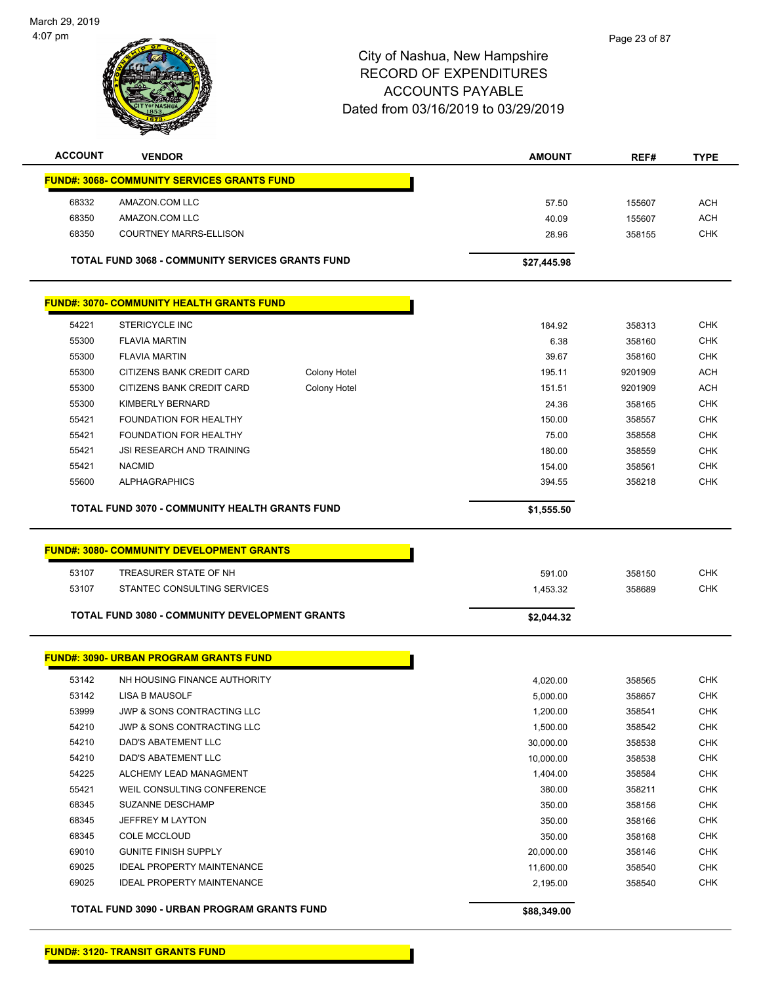

| <b>ACCOUNT</b> | <b>VENDOR</b>                                           | <b>AMOUNT</b> | REF#   | <b>TYPE</b> |
|----------------|---------------------------------------------------------|---------------|--------|-------------|
|                | <b>FUND#: 3068- COMMUNITY SERVICES GRANTS FUND</b>      |               |        |             |
| 68332          | AMAZON.COM LLC                                          | 57.50         | 155607 | <b>ACH</b>  |
| 68350          | AMAZON.COM LLC                                          | 40.09         | 155607 | <b>ACH</b>  |
| 68350          | COURTNEY MARRS-ELLISON                                  | 28.96         | 358155 | <b>CHK</b>  |
|                | <b>TOTAL FUND 3068 - COMMUNITY SERVICES GRANTS FUND</b> | \$27,445.98   |        |             |

|       | <b>FUND#: 3070- COMMUNITY HEALTH GRANTS FUND</b> |              |        |         |            |
|-------|--------------------------------------------------|--------------|--------|---------|------------|
| 54221 | <b>STERICYCLE INC</b>                            |              | 184.92 | 358313  | <b>CHK</b> |
| 55300 | <b>FLAVIA MARTIN</b>                             |              | 6.38   | 358160  | <b>CHK</b> |
| 55300 | <b>FLAVIA MARTIN</b>                             |              | 39.67  | 358160  | <b>CHK</b> |
| 55300 | CITIZENS BANK CREDIT CARD                        | Colony Hotel | 195.11 | 9201909 | <b>ACH</b> |
| 55300 | CITIZENS BANK CREDIT CARD                        | Colony Hotel | 151.51 | 9201909 | <b>ACH</b> |
| 55300 | KIMBERLY BERNARD                                 |              | 24.36  | 358165  | <b>CHK</b> |
| 55421 | <b>FOUNDATION FOR HEALTHY</b>                    |              | 150.00 | 358557  | <b>CHK</b> |
| 55421 | <b>FOUNDATION FOR HEALTHY</b>                    |              | 75.00  | 358558  | <b>CHK</b> |
| 55421 | <b>JSI RESEARCH AND TRAINING</b>                 |              | 180.00 | 358559  | <b>CHK</b> |
| 55421 | <b>NACMID</b>                                    |              | 154.00 | 358561  | <b>CHK</b> |
| 55600 | <b>ALPHAGRAPHICS</b>                             |              | 394.55 | 358218  | <b>CHK</b> |

|       | <b>FUND#: 3080- COMMUNITY DEVELOPMENT GRANTS</b>      |            |        |            |
|-------|-------------------------------------------------------|------------|--------|------------|
| 53107 | TREASURER STATE OF NH                                 | 591.00     | 358150 | <b>CHK</b> |
| 53107 | STANTEC CONSULTING SERVICES                           | 1.453.32   | 358689 | СНК        |
|       | <b>TOTAL FUND 3080 - COMMUNITY DEVELOPMENT GRANTS</b> | \$2,044.32 |        |            |

|       | <u>FUND#: 3090- URBAN PROGRAM GRANTS FUND</u> |             |        |            |
|-------|-----------------------------------------------|-------------|--------|------------|
| 53142 | NH HOUSING FINANCE AUTHORITY                  | 4,020.00    | 358565 | <b>CHK</b> |
| 53142 | LISA B MAUSOLF                                | 5,000.00    | 358657 | <b>CHK</b> |
| 53999 | JWP & SONS CONTRACTING LLC                    | 1,200.00    | 358541 | <b>CHK</b> |
| 54210 | <b>JWP &amp; SONS CONTRACTING LLC</b>         | 1,500.00    | 358542 | <b>CHK</b> |
| 54210 | <b>DAD'S ABATEMENT LLC</b>                    | 30,000.00   | 358538 | <b>CHK</b> |
| 54210 | <b>DAD'S ABATEMENT LLC</b>                    | 10,000.00   | 358538 | <b>CHK</b> |
| 54225 | ALCHEMY LEAD MANAGMENT                        | 1,404.00    | 358584 | <b>CHK</b> |
| 55421 | WEIL CONSULTING CONFERENCE                    | 380.00      | 358211 | <b>CHK</b> |
| 68345 | SUZANNE DESCHAMP                              | 350.00      | 358156 | <b>CHK</b> |
| 68345 | JEFFREY M LAYTON                              | 350.00      | 358166 | <b>CHK</b> |
| 68345 | <b>COLE MCCLOUD</b>                           | 350.00      | 358168 | <b>CHK</b> |
| 69010 | <b>GUNITE FINISH SUPPLY</b>                   | 20,000.00   | 358146 | <b>CHK</b> |
| 69025 | <b>IDEAL PROPERTY MAINTENANCE</b>             | 11,600.00   | 358540 | <b>CHK</b> |
| 69025 | <b>IDEAL PROPERTY MAINTENANCE</b>             | 2,195.00    | 358540 | <b>CHK</b> |
|       | TOTAL FUND 3090 - URBAN PROGRAM GRANTS FUND   | \$88,349.00 |        |            |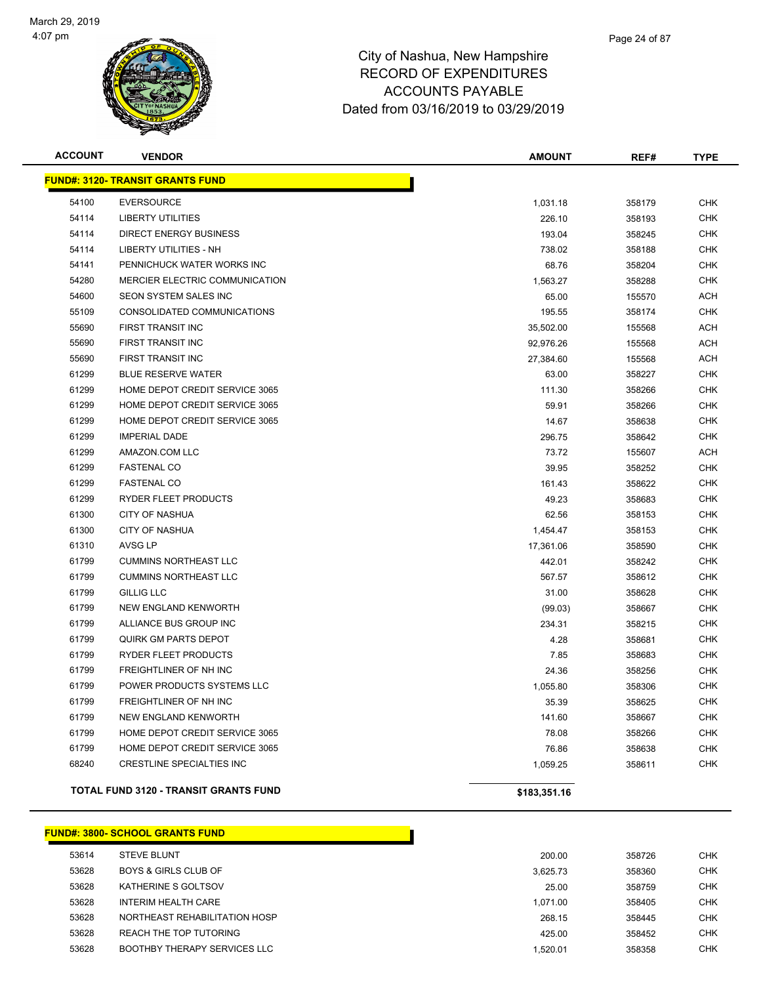

| <b>ACCOUNT</b> | <b>VENDOR</b>                                | <b>AMOUNT</b> | REF#   | <b>TYPE</b> |
|----------------|----------------------------------------------|---------------|--------|-------------|
|                | <u> FUND#: 3120- TRANSIT GRANTS FUND</u>     |               |        |             |
| 54100          | <b>EVERSOURCE</b>                            | 1,031.18      | 358179 | <b>CHK</b>  |
| 54114          | <b>LIBERTY UTILITIES</b>                     | 226.10        | 358193 | <b>CHK</b>  |
| 54114          | <b>DIRECT ENERGY BUSINESS</b>                | 193.04        | 358245 | <b>CHK</b>  |
| 54114          | <b>LIBERTY UTILITIES - NH</b>                | 738.02        | 358188 | <b>CHK</b>  |
| 54141          | PENNICHUCK WATER WORKS INC                   | 68.76         | 358204 | <b>CHK</b>  |
| 54280          | MERCIER ELECTRIC COMMUNICATION               | 1,563.27      | 358288 | <b>CHK</b>  |
| 54600          | SEON SYSTEM SALES INC                        | 65.00         | 155570 | ACH         |
| 55109          | CONSOLIDATED COMMUNICATIONS                  | 195.55        | 358174 | <b>CHK</b>  |
| 55690          | <b>FIRST TRANSIT INC</b>                     | 35,502.00     | 155568 | <b>ACH</b>  |
| 55690          | FIRST TRANSIT INC                            | 92,976.26     | 155568 | ACH         |
| 55690          | FIRST TRANSIT INC                            | 27,384.60     | 155568 | <b>ACH</b>  |
| 61299          | <b>BLUE RESERVE WATER</b>                    | 63.00         | 358227 | <b>CHK</b>  |
| 61299          | HOME DEPOT CREDIT SERVICE 3065               | 111.30        | 358266 | <b>CHK</b>  |
| 61299          | HOME DEPOT CREDIT SERVICE 3065               | 59.91         | 358266 | <b>CHK</b>  |
| 61299          | HOME DEPOT CREDIT SERVICE 3065               | 14.67         | 358638 | <b>CHK</b>  |
| 61299          | <b>IMPERIAL DADE</b>                         | 296.75        | 358642 | <b>CHK</b>  |
| 61299          | AMAZON.COM LLC                               | 73.72         | 155607 | ACH         |
| 61299          | <b>FASTENAL CO</b>                           | 39.95         | 358252 | <b>CHK</b>  |
| 61299          | <b>FASTENAL CO</b>                           | 161.43        | 358622 | <b>CHK</b>  |
| 61299          | RYDER FLEET PRODUCTS                         | 49.23         | 358683 | <b>CHK</b>  |
| 61300          | <b>CITY OF NASHUA</b>                        | 62.56         | 358153 | <b>CHK</b>  |
| 61300          | <b>CITY OF NASHUA</b>                        | 1,454.47      | 358153 | <b>CHK</b>  |
| 61310          | <b>AVSG LP</b>                               | 17,361.06     | 358590 | <b>CHK</b>  |
| 61799          | <b>CUMMINS NORTHEAST LLC</b>                 | 442.01        | 358242 | <b>CHK</b>  |
| 61799          | <b>CUMMINS NORTHEAST LLC</b>                 | 567.57        | 358612 | <b>CHK</b>  |
| 61799          | <b>GILLIG LLC</b>                            | 31.00         | 358628 | <b>CHK</b>  |
| 61799          | <b>NEW ENGLAND KENWORTH</b>                  | (99.03)       | 358667 | <b>CHK</b>  |
| 61799          | ALLIANCE BUS GROUP INC                       | 234.31        | 358215 | <b>CHK</b>  |
| 61799          | <b>QUIRK GM PARTS DEPOT</b>                  | 4.28          | 358681 | <b>CHK</b>  |
| 61799          | <b>RYDER FLEET PRODUCTS</b>                  | 7.85          | 358683 | <b>CHK</b>  |
| 61799          | FREIGHTLINER OF NH INC                       | 24.36         | 358256 | <b>CHK</b>  |
| 61799          | POWER PRODUCTS SYSTEMS LLC                   | 1,055.80      | 358306 | <b>CHK</b>  |
| 61799          | FREIGHTLINER OF NH INC                       | 35.39         | 358625 | <b>CHK</b>  |
| 61799          | NEW ENGLAND KENWORTH                         | 141.60        | 358667 | <b>CHK</b>  |
| 61799          | HOME DEPOT CREDIT SERVICE 3065               | 78.08         | 358266 | <b>CHK</b>  |
| 61799          | HOME DEPOT CREDIT SERVICE 3065               | 76.86         | 358638 | <b>CHK</b>  |
| 68240          | <b>CRESTLINE SPECIALTIES INC</b>             | 1,059.25      | 358611 | <b>CHK</b>  |
|                | <b>TOTAL FUND 3120 - TRANSIT GRANTS FUND</b> | \$183,351.16  |        |             |

|       | <b>FUND#: 3800- SCHOOL GRANTS FUND</b> |          |
|-------|----------------------------------------|----------|
| 53614 | <b>STEVE BLUNT</b>                     | 200.00   |
| 53628 | <b>BOYS &amp; GIRLS CLUB OF</b>        | 3.625.73 |
| 53628 | KATHERINE S GOLTSOV                    | 25.00    |
| 53628 | INTERIM HEALTH CARE                    | 1.071.00 |
| 53628 | NORTHEAST REHABILITATION HOSP          | 268.15   |
| 53628 | REACH THE TOP TUTORING                 | 425.00   |
| 53628 | <b>BOOTHBY THERAPY SERVICES LLC</b>    | 1.520.01 |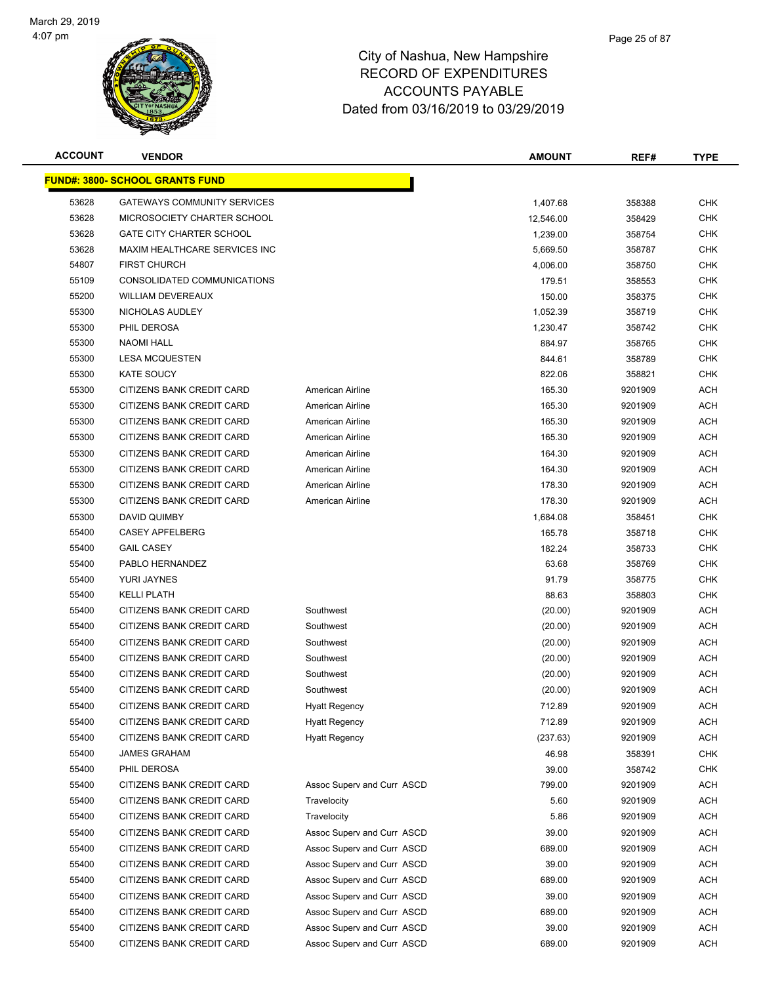

| <b>ACCOUNT</b> | <b>VENDOR</b>                          |                            | <b>AMOUNT</b> | REF#    | TYPE       |
|----------------|----------------------------------------|----------------------------|---------------|---------|------------|
|                | <b>FUND#: 3800- SCHOOL GRANTS FUND</b> |                            |               |         |            |
| 53628          | <b>GATEWAYS COMMUNITY SERVICES</b>     |                            | 1,407.68      | 358388  | <b>CHK</b> |
| 53628          | MICROSOCIETY CHARTER SCHOOL            |                            | 12,546.00     | 358429  | CHK        |
| 53628          | <b>GATE CITY CHARTER SCHOOL</b>        |                            | 1,239.00      | 358754  | CHK        |
| 53628          | MAXIM HEALTHCARE SERVICES INC          |                            | 5,669.50      | 358787  | CHK        |
| 54807          | <b>FIRST CHURCH</b>                    |                            | 4,006.00      | 358750  | <b>CHK</b> |
| 55109          | CONSOLIDATED COMMUNICATIONS            |                            | 179.51        | 358553  | <b>CHK</b> |
| 55200          | <b>WILLIAM DEVEREAUX</b>               |                            | 150.00        | 358375  | CHK        |
| 55300          | NICHOLAS AUDLEY                        |                            | 1,052.39      | 358719  | <b>CHK</b> |
| 55300          | PHIL DEROSA                            |                            | 1,230.47      | 358742  | CHK        |
| 55300          | <b>NAOMI HALL</b>                      |                            | 884.97        | 358765  | CHK        |
| 55300          | <b>LESA MCQUESTEN</b>                  |                            | 844.61        | 358789  | <b>CHK</b> |
| 55300          | <b>KATE SOUCY</b>                      |                            | 822.06        | 358821  | CHK        |
| 55300          | CITIZENS BANK CREDIT CARD              | American Airline           | 165.30        | 9201909 | ACH        |
| 55300          | CITIZENS BANK CREDIT CARD              | American Airline           | 165.30        | 9201909 | ACH        |
| 55300          | CITIZENS BANK CREDIT CARD              | American Airline           | 165.30        | 9201909 | ACH        |
| 55300          | CITIZENS BANK CREDIT CARD              | American Airline           | 165.30        | 9201909 | ACH        |
| 55300          | CITIZENS BANK CREDIT CARD              | American Airline           | 164.30        | 9201909 | ACH        |
| 55300          | CITIZENS BANK CREDIT CARD              | American Airline           | 164.30        | 9201909 | ACH        |
| 55300          | CITIZENS BANK CREDIT CARD              | American Airline           | 178.30        | 9201909 | ACH        |
| 55300          | CITIZENS BANK CREDIT CARD              | American Airline           | 178.30        | 9201909 | ACH        |
| 55300          | DAVID QUIMBY                           |                            | 1,684.08      | 358451  | <b>CHK</b> |
| 55400          | <b>CASEY APFELBERG</b>                 |                            | 165.78        | 358718  | <b>CHK</b> |
| 55400          | <b>GAIL CASEY</b>                      |                            | 182.24        | 358733  | <b>CHK</b> |
| 55400          | PABLO HERNANDEZ                        |                            | 63.68         | 358769  | <b>CHK</b> |
| 55400          | YURI JAYNES                            |                            | 91.79         | 358775  | CHK        |
| 55400          | <b>KELLI PLATH</b>                     |                            | 88.63         | 358803  | <b>CHK</b> |
| 55400          | CITIZENS BANK CREDIT CARD              | Southwest                  | (20.00)       | 9201909 | ACH        |
| 55400          | CITIZENS BANK CREDIT CARD              | Southwest                  | (20.00)       | 9201909 | ACH        |
| 55400          | CITIZENS BANK CREDIT CARD              | Southwest                  | (20.00)       | 9201909 | ACH        |
| 55400          | CITIZENS BANK CREDIT CARD              | Southwest                  | (20.00)       | 9201909 | ACH        |
| 55400          | CITIZENS BANK CREDIT CARD              | Southwest                  | (20.00)       | 9201909 | ACH        |
| 55400          | CITIZENS BANK CREDIT CARD              | Southwest                  | (20.00)       | 9201909 | ACH        |
| 55400          | CITIZENS BANK CREDIT CARD              | <b>Hyatt Regency</b>       | 712.89        | 9201909 | ACH        |
| 55400          | CITIZENS BANK CREDIT CARD              | <b>Hyatt Regency</b>       | 712.89        | 9201909 | <b>ACH</b> |
| 55400          | CITIZENS BANK CREDIT CARD              | <b>Hyatt Regency</b>       | (237.63)      | 9201909 | <b>ACH</b> |
| 55400          | <b>JAMES GRAHAM</b>                    |                            | 46.98         | 358391  | <b>CHK</b> |
| 55400          | PHIL DEROSA                            |                            | 39.00         | 358742  | <b>CHK</b> |
| 55400          | CITIZENS BANK CREDIT CARD              | Assoc Superv and Curr ASCD | 799.00        | 9201909 | ACH        |
| 55400          | CITIZENS BANK CREDIT CARD              | Travelocity                | 5.60          | 9201909 | <b>ACH</b> |
| 55400          | CITIZENS BANK CREDIT CARD              | Travelocity                | 5.86          | 9201909 | <b>ACH</b> |
| 55400          | CITIZENS BANK CREDIT CARD              | Assoc Superv and Curr ASCD | 39.00         | 9201909 | <b>ACH</b> |
| 55400          | CITIZENS BANK CREDIT CARD              | Assoc Superv and Curr ASCD | 689.00        | 9201909 | <b>ACH</b> |
| 55400          | CITIZENS BANK CREDIT CARD              | Assoc Superv and Curr ASCD | 39.00         | 9201909 | <b>ACH</b> |
| 55400          | CITIZENS BANK CREDIT CARD              | Assoc Superv and Curr ASCD | 689.00        | 9201909 | <b>ACH</b> |
| 55400          | CITIZENS BANK CREDIT CARD              | Assoc Superv and Curr ASCD | 39.00         | 9201909 | ACH        |
| 55400          | CITIZENS BANK CREDIT CARD              | Assoc Superv and Curr ASCD | 689.00        | 9201909 | <b>ACH</b> |
| 55400          | CITIZENS BANK CREDIT CARD              | Assoc Superv and Curr ASCD | 39.00         | 9201909 | <b>ACH</b> |
| 55400          | CITIZENS BANK CREDIT CARD              | Assoc Superv and Curr ASCD | 689.00        | 9201909 | <b>ACH</b> |
|                |                                        |                            |               |         |            |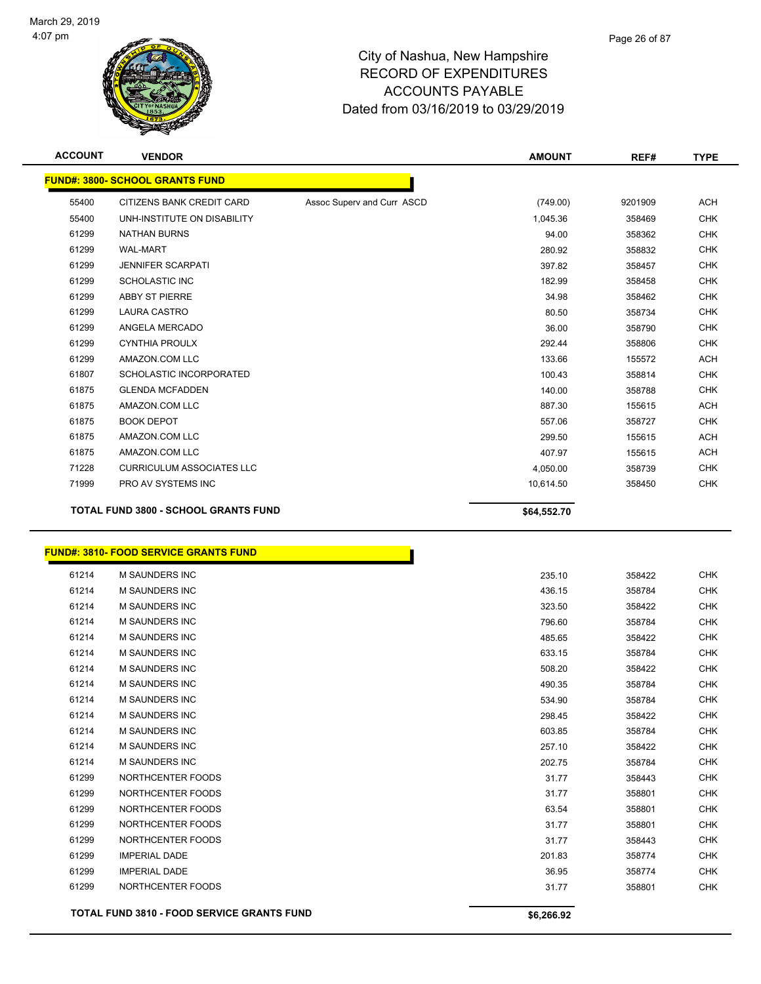

| <b>ACCOUNT</b> | <b>VENDOR</b>                               |                            | <b>AMOUNT</b> | REF#    | <b>TYPE</b> |
|----------------|---------------------------------------------|----------------------------|---------------|---------|-------------|
|                | <b>FUND#: 3800- SCHOOL GRANTS FUND</b>      |                            |               |         |             |
| 55400          | CITIZENS BANK CREDIT CARD                   | Assoc Superv and Curr ASCD | (749.00)      | 9201909 | <b>ACH</b>  |
| 55400          | UNH-INSTITUTE ON DISABILITY                 |                            | 1,045.36      | 358469  | <b>CHK</b>  |
| 61299          | <b>NATHAN BURNS</b>                         |                            | 94.00         | 358362  | <b>CHK</b>  |
| 61299          | <b>WAL-MART</b>                             |                            | 280.92        | 358832  | <b>CHK</b>  |
| 61299          | <b>JENNIFER SCARPATI</b>                    |                            | 397.82        | 358457  | <b>CHK</b>  |
| 61299          | <b>SCHOLASTIC INC</b>                       |                            | 182.99        | 358458  | <b>CHK</b>  |
| 61299          | <b>ABBY ST PIERRE</b>                       |                            | 34.98         | 358462  | <b>CHK</b>  |
| 61299          | <b>LAURA CASTRO</b>                         |                            | 80.50         | 358734  | <b>CHK</b>  |
| 61299          | ANGELA MERCADO                              |                            | 36.00         | 358790  | <b>CHK</b>  |
| 61299          | <b>CYNTHIA PROULX</b>                       |                            | 292.44        | 358806  | <b>CHK</b>  |
| 61299          | AMAZON.COM LLC                              |                            | 133.66        | 155572  | <b>ACH</b>  |
| 61807          | SCHOLASTIC INCORPORATED                     |                            | 100.43        | 358814  | <b>CHK</b>  |
| 61875          | <b>GLENDA MCFADDEN</b>                      |                            | 140.00        | 358788  | <b>CHK</b>  |
| 61875          | AMAZON.COM LLC                              |                            | 887.30        | 155615  | <b>ACH</b>  |
| 61875          | <b>BOOK DEPOT</b>                           |                            | 557.06        | 358727  | <b>CHK</b>  |
| 61875          | AMAZON.COM LLC                              |                            | 299.50        | 155615  | <b>ACH</b>  |
| 61875          | AMAZON.COM LLC                              |                            | 407.97        | 155615  | <b>ACH</b>  |
| 71228          | <b>CURRICULUM ASSOCIATES LLC</b>            |                            | 4,050.00      | 358739  | <b>CHK</b>  |
| 71999          | PRO AV SYSTEMS INC                          |                            | 10,614.50     | 358450  | <b>CHK</b>  |
|                | <b>TOTAL FUND 3800 - SCHOOL GRANTS FUND</b> |                            | \$64,552.70   |         |             |

#### **FUND#: 3810- FOOD SERVICE GRANTS FUND**

|       | TOTAL FUND 3810 - FOOD SERVICE GRANTS FUND | \$6,266.92 |        |            |
|-------|--------------------------------------------|------------|--------|------------|
| 61299 | NORTHCENTER FOODS                          | 31.77      | 358801 | <b>CHK</b> |
| 61299 | <b>IMPERIAL DADE</b>                       | 36.95      | 358774 | <b>CHK</b> |
| 61299 | <b>IMPERIAL DADE</b>                       | 201.83     | 358774 | <b>CHK</b> |
| 61299 | NORTHCENTER FOODS                          | 31.77      | 358443 | <b>CHK</b> |
| 61299 | NORTHCENTER FOODS                          | 31.77      | 358801 | <b>CHK</b> |
| 61299 | NORTHCENTER FOODS                          | 63.54      | 358801 | <b>CHK</b> |
| 61299 | NORTHCENTER FOODS                          | 31.77      | 358801 | <b>CHK</b> |
| 61299 | NORTHCENTER FOODS                          | 31.77      | 358443 | <b>CHK</b> |
| 61214 | <b>M SAUNDERS INC</b>                      | 202.75     | 358784 | <b>CHK</b> |
| 61214 | <b>M SAUNDERS INC</b>                      | 257.10     | 358422 | <b>CHK</b> |
| 61214 | <b>M SAUNDERS INC</b>                      | 603.85     | 358784 | <b>CHK</b> |
| 61214 | <b>M SAUNDERS INC</b>                      | 298.45     | 358422 | <b>CHK</b> |
| 61214 | <b>M SAUNDERS INC</b>                      | 534.90     | 358784 | <b>CHK</b> |
| 61214 | <b>M SAUNDERS INC</b>                      | 490.35     | 358784 | <b>CHK</b> |
| 61214 | <b>M SAUNDERS INC</b>                      | 508.20     | 358422 | <b>CHK</b> |
| 61214 | <b>M SAUNDERS INC</b>                      | 633.15     | 358784 | <b>CHK</b> |
| 61214 | <b>M SAUNDERS INC</b>                      | 485.65     | 358422 | <b>CHK</b> |
| 61214 | <b>M SAUNDERS INC</b>                      | 796.60     | 358784 | <b>CHK</b> |
| 61214 | <b>M SAUNDERS INC</b>                      | 323.50     | 358422 | <b>CHK</b> |
| 61214 | <b>M SAUNDERS INC</b>                      | 436.15     | 358784 | <b>CHK</b> |
| 61214 | M SAUNDERS INC                             | 235.10     | 358422 | <b>CHK</b> |

Т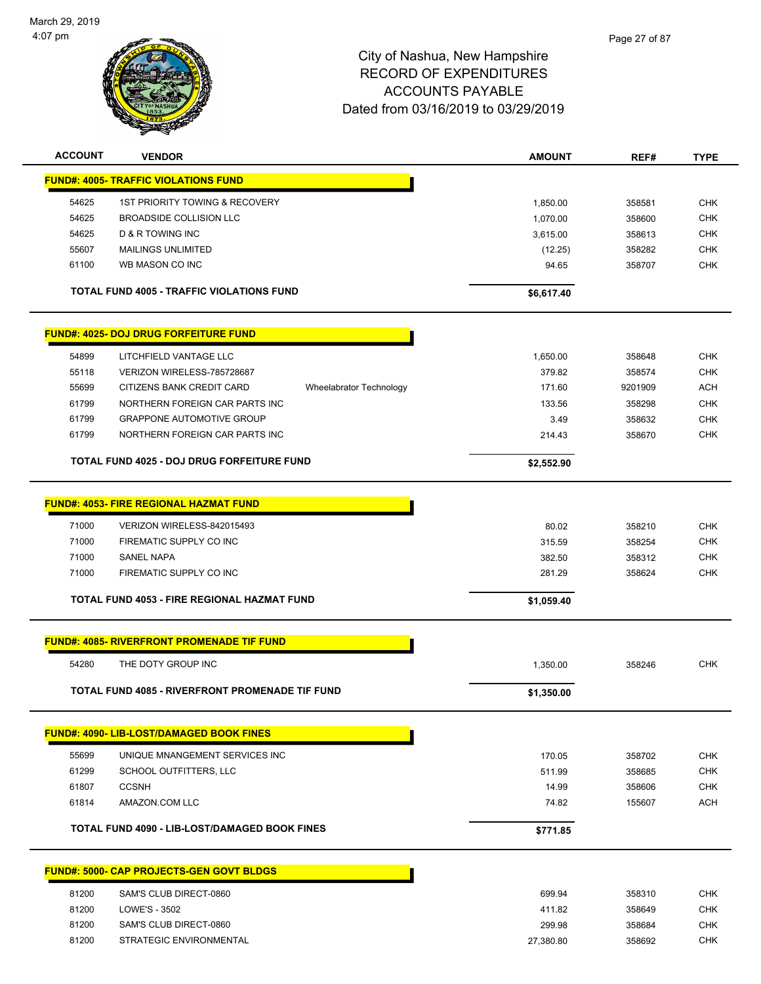

| <b>ACCOUNT</b> | <b>VENDOR</b>                                          |                         | <b>AMOUNT</b> | REF#    | <b>TYPE</b> |
|----------------|--------------------------------------------------------|-------------------------|---------------|---------|-------------|
|                | <b>FUND#: 4005- TRAFFIC VIOLATIONS FUND</b>            |                         |               |         |             |
| 54625          | <b>1ST PRIORITY TOWING &amp; RECOVERY</b>              |                         | 1,850.00      | 358581  | <b>CHK</b>  |
| 54625          | <b>BROADSIDE COLLISION LLC</b>                         |                         | 1,070.00      | 358600  | <b>CHK</b>  |
| 54625          | <b>D &amp; R TOWING INC</b>                            |                         | 3,615.00      | 358613  | <b>CHK</b>  |
| 55607          | <b>MAILINGS UNLIMITED</b>                              |                         | (12.25)       | 358282  | <b>CHK</b>  |
| 61100          | WB MASON CO INC                                        |                         | 94.65         | 358707  | <b>CHK</b>  |
|                |                                                        |                         |               |         |             |
|                | <b>TOTAL FUND 4005 - TRAFFIC VIOLATIONS FUND</b>       |                         | \$6,617.40    |         |             |
|                | <b>FUND#: 4025- DOJ DRUG FORFEITURE FUND</b>           |                         |               |         |             |
| 54899          | LITCHFIELD VANTAGE LLC                                 |                         | 1,650.00      | 358648  | <b>CHK</b>  |
| 55118          | VERIZON WIRELESS-785728687                             |                         | 379.82        | 358574  | <b>CHK</b>  |
| 55699          | CITIZENS BANK CREDIT CARD                              | Wheelabrator Technology | 171.60        | 9201909 | <b>ACH</b>  |
| 61799          | NORTHERN FOREIGN CAR PARTS INC                         |                         | 133.56        | 358298  | <b>CHK</b>  |
| 61799          | <b>GRAPPONE AUTOMOTIVE GROUP</b>                       |                         | 3.49          | 358632  | <b>CHK</b>  |
| 61799          | NORTHERN FOREIGN CAR PARTS INC                         |                         | 214.43        | 358670  | <b>CHK</b>  |
|                | TOTAL FUND 4025 - DOJ DRUG FORFEITURE FUND             |                         | \$2,552.90    |         |             |
|                |                                                        |                         |               |         |             |
|                | <b>FUND#: 4053- FIRE REGIONAL HAZMAT FUND</b>          |                         |               |         |             |
| 71000          | VERIZON WIRELESS-842015493                             |                         | 80.02         | 358210  | <b>CHK</b>  |
| 71000          | FIREMATIC SUPPLY CO INC                                |                         | 315.59        | 358254  | <b>CHK</b>  |
| 71000          | <b>SANEL NAPA</b>                                      |                         | 382.50        | 358312  | <b>CHK</b>  |
| 71000          | FIREMATIC SUPPLY CO INC                                |                         | 281.29        | 358624  | <b>CHK</b>  |
|                | TOTAL FUND 4053 - FIRE REGIONAL HAZMAT FUND            |                         | \$1,059.40    |         |             |
|                | <b>FUND#: 4085- RIVERFRONT PROMENADE TIF FUND</b>      |                         |               |         |             |
| 54280          | THE DOTY GROUP INC                                     |                         | 1,350.00      | 358246  | <b>CHK</b>  |
|                | <b>TOTAL FUND 4085 - RIVERFRONT PROMENADE TIF FUND</b> |                         |               |         |             |
|                |                                                        |                         | \$1,350.00    |         |             |
|                | <b>FUND#: 4090- LIB-LOST/DAMAGED BOOK FINES</b>        |                         |               |         |             |
| 55699          | UNIQUE MNANGEMENT SERVICES INC                         |                         | 170.05        | 358702  | <b>CHK</b>  |
| 61299          | SCHOOL OUTFITTERS, LLC                                 |                         | 511.99        | 358685  | <b>CHK</b>  |
| 61807          | <b>CCSNH</b>                                           |                         | 14.99         | 358606  | <b>CHK</b>  |
| 61814          | AMAZON.COM LLC                                         |                         | 74.82         | 155607  | <b>ACH</b>  |
|                | <b>TOTAL FUND 4090 - LIB-LOST/DAMAGED BOOK FINES</b>   |                         |               |         |             |
|                |                                                        |                         | \$771.85      |         |             |
|                | <b>FUND#: 5000- CAP PROJECTS-GEN GOVT BLDGS</b>        |                         |               |         |             |
| 81200          | SAM'S CLUB DIRECT-0860                                 |                         | 699.94        | 358310  | <b>CHK</b>  |
| 81200          | LOWE'S - 3502                                          |                         | 411.82        | 358649  | <b>CHK</b>  |
| 81200          | SAM'S CLUB DIRECT-0860                                 |                         | 299.98        | 358684  | <b>CHK</b>  |
| 81200          | STRATEGIC ENVIRONMENTAL                                |                         | 27,380.80     | 358692  | <b>CHK</b>  |
|                |                                                        |                         |               |         |             |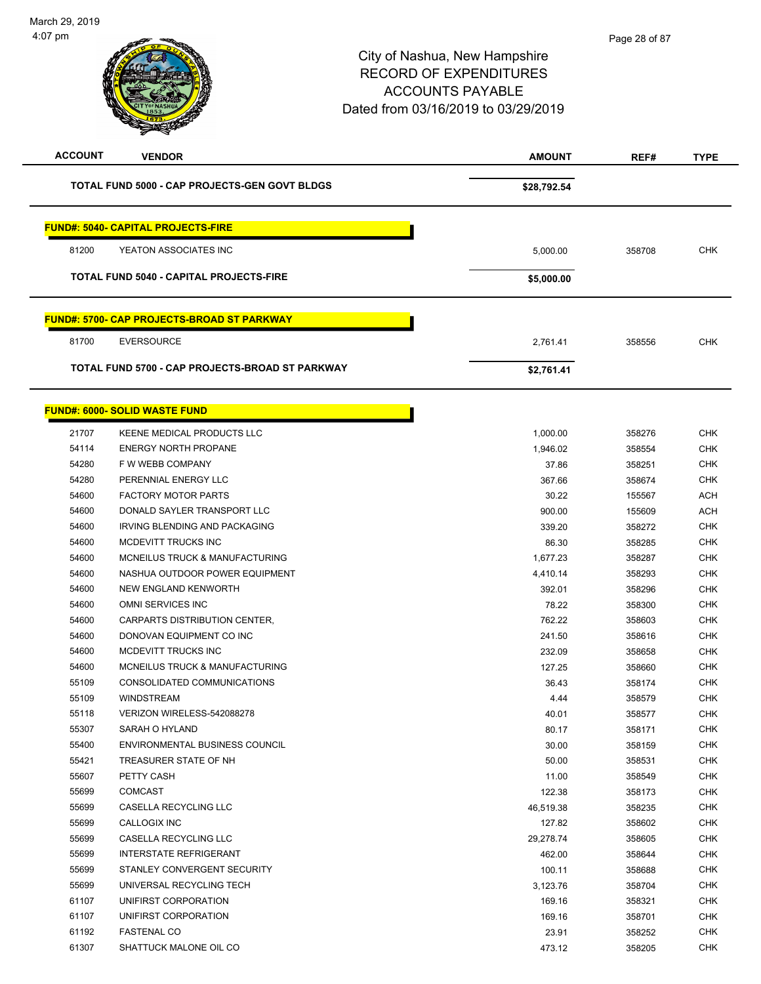| <b>ACCOUNT</b> | <b>VENDOR</b>                                                    | <b>AMOUNT</b>     | REF#             | <b>TYPE</b>              |
|----------------|------------------------------------------------------------------|-------------------|------------------|--------------------------|
|                | <b>TOTAL FUND 5000 - CAP PROJECTS-GEN GOVT BLDGS</b>             | \$28,792.54       |                  |                          |
|                | <b>FUND#: 5040- CAPITAL PROJECTS-FIRE</b>                        |                   |                  |                          |
| 81200          | YEATON ASSOCIATES INC                                            | 5,000.00          | 358708           | <b>CHK</b>               |
|                | <b>TOTAL FUND 5040 - CAPITAL PROJECTS-FIRE</b>                   | \$5,000.00        |                  |                          |
|                |                                                                  |                   |                  |                          |
|                | <b>FUND#: 5700- CAP PROJECTS-BROAD ST PARKWAY</b>                |                   |                  |                          |
| 81700          | <b>EVERSOURCE</b>                                                | 2,761.41          | 358556           | <b>CHK</b>               |
|                | TOTAL FUND 5700 - CAP PROJECTS-BROAD ST PARKWAY                  | \$2,761.41        |                  |                          |
|                | <b>FUND#: 6000- SOLID WASTE FUND</b>                             |                   |                  |                          |
|                |                                                                  |                   |                  |                          |
| 21707<br>54114 | <b>KEENE MEDICAL PRODUCTS LLC</b><br><b>ENERGY NORTH PROPANE</b> | 1,000.00          | 358276           | <b>CHK</b>               |
| 54280          | F W WEBB COMPANY                                                 | 1,946.02<br>37.86 | 358554<br>358251 | <b>CHK</b><br><b>CHK</b> |
| 54280          | PERENNIAL ENERGY LLC                                             | 367.66            | 358674           | <b>CHK</b>               |
| 54600          | <b>FACTORY MOTOR PARTS</b>                                       | 30.22             | 155567           | <b>ACH</b>               |
| 54600          | DONALD SAYLER TRANSPORT LLC                                      | 900.00            | 155609           | <b>ACH</b>               |
| 54600          | IRVING BLENDING AND PACKAGING                                    | 339.20            | 358272           | <b>CHK</b>               |
| 54600          | MCDEVITT TRUCKS INC                                              | 86.30             | 358285           | <b>CHK</b>               |
| 54600          | MCNEILUS TRUCK & MANUFACTURING                                   | 1,677.23          | 358287           | <b>CHK</b>               |
| 54600          | NASHUA OUTDOOR POWER EQUIPMENT                                   | 4,410.14          | 358293           | <b>CHK</b>               |
| 54600          | NEW ENGLAND KENWORTH                                             | 392.01            | 358296           | <b>CHK</b>               |
| 54600          | OMNI SERVICES INC                                                | 78.22             | 358300           | <b>CHK</b>               |
| 54600          | CARPARTS DISTRIBUTION CENTER,                                    | 762.22            | 358603           | <b>CHK</b>               |
| 54600          | DONOVAN EQUIPMENT CO INC                                         | 241.50            | 358616           | <b>CHK</b>               |
| 54600          | MCDEVITT TRUCKS INC                                              | 232.09            | 358658           | <b>CHK</b>               |
| 54600          | MCNEILUS TRUCK & MANUFACTURING                                   | 127.25            | 358660           | <b>CHK</b>               |
| 55109          | CONSOLIDATED COMMUNICATIONS                                      | 36.43             | 358174           | <b>CHK</b>               |
| 55109          | <b>WINDSTREAM</b>                                                | 4.44              | 358579           | <b>CHK</b>               |
| 55118          | VERIZON WIRELESS-542088278                                       | 40.01             | 358577           | <b>CHK</b>               |
| 55307          | SARAH O HYLAND                                                   | 80.17             | 358171           | <b>CHK</b>               |
| 55400          | ENVIRONMENTAL BUSINESS COUNCIL                                   | 30.00             | 358159           | <b>CHK</b>               |
| 55421          | TREASURER STATE OF NH                                            | 50.00             | 358531           | <b>CHK</b>               |
| 55607          | PETTY CASH                                                       | 11.00             | 358549           | <b>CHK</b>               |
| 55699          | <b>COMCAST</b>                                                   | 122.38            | 358173           | <b>CHK</b>               |
| 55699          | CASELLA RECYCLING LLC                                            | 46,519.38         | 358235           | <b>CHK</b>               |
| 55699          | CALLOGIX INC                                                     | 127.82            | 358602           | CHK                      |
| 55699          | CASELLA RECYCLING LLC                                            | 29,278.74         | 358605           | <b>CHK</b>               |
| 55699          | <b>INTERSTATE REFRIGERANT</b>                                    | 462.00            | 358644           | <b>CHK</b>               |
| 55699          | STANLEY CONVERGENT SECURITY                                      | 100.11            | 358688           | CHK                      |
| 55699          | UNIVERSAL RECYCLING TECH                                         | 3,123.76          | 358704           | <b>CHK</b>               |
| 61107          | UNIFIRST CORPORATION                                             | 169.16            | 358321           | CHK                      |
| 61107          | UNIFIRST CORPORATION                                             | 169.16            | 358701           | CHK                      |
| 61192          | <b>FASTENAL CO</b>                                               | 23.91             | 358252           | <b>CHK</b>               |
| 61307          | SHATTUCK MALONE OIL CO                                           | 473.12            | 358205           | <b>CHK</b>               |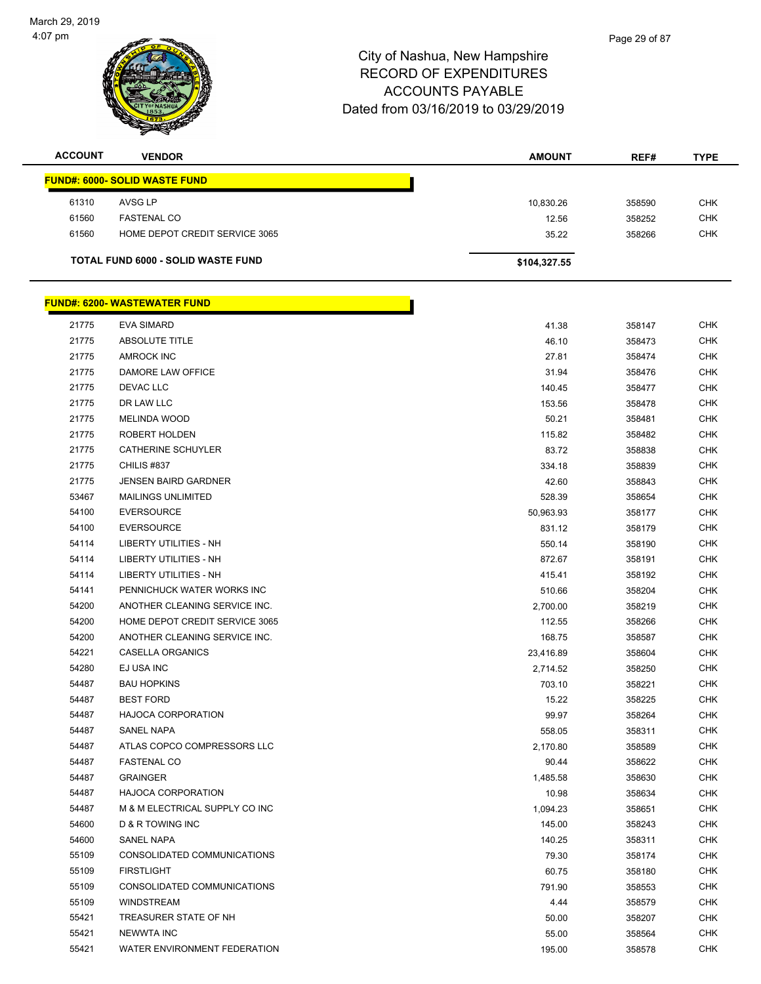

| <b>ACCOUNT</b> | <b>VENDOR</b>                             | <b>AMOUNT</b> | REF#   | <b>TYPE</b> |
|----------------|-------------------------------------------|---------------|--------|-------------|
|                | <b>FUND#: 6000- SOLID WASTE FUND</b>      |               |        |             |
| 61310          | AVSG LP                                   | 10,830.26     | 358590 | <b>CHK</b>  |
| 61560          | <b>FASTENAL CO</b>                        | 12.56         | 358252 | <b>CHK</b>  |
| 61560          | HOME DEPOT CREDIT SERVICE 3065            | 35.22         | 358266 | <b>CHK</b>  |
|                | <b>TOTAL FUND 6000 - SOLID WASTE FUND</b> | \$104,327.55  |        |             |

|       | <u> FUND#: 6200- WASTEWATER FUND</u> |           |        |            |
|-------|--------------------------------------|-----------|--------|------------|
| 21775 | <b>EVA SIMARD</b>                    | 41.38     | 358147 | <b>CHK</b> |
| 21775 | <b>ABSOLUTE TITLE</b>                | 46.10     | 358473 | <b>CHK</b> |
| 21775 | <b>AMROCK INC</b>                    | 27.81     | 358474 | <b>CHK</b> |
| 21775 | DAMORE LAW OFFICE                    | 31.94     | 358476 | <b>CHK</b> |
| 21775 | DEVAC LLC                            | 140.45    | 358477 | <b>CHK</b> |
| 21775 | DR LAW LLC                           | 153.56    | 358478 | <b>CHK</b> |
| 21775 | <b>MELINDA WOOD</b>                  | 50.21     | 358481 | <b>CHK</b> |
| 21775 | ROBERT HOLDEN                        | 115.82    | 358482 | <b>CHK</b> |
| 21775 | CATHERINE SCHUYLER                   | 83.72     | 358838 | <b>CHK</b> |
| 21775 | CHILIS #837                          | 334.18    | 358839 | <b>CHK</b> |
| 21775 | <b>JENSEN BAIRD GARDNER</b>          | 42.60     | 358843 | <b>CHK</b> |
| 53467 | <b>MAILINGS UNLIMITED</b>            | 528.39    | 358654 | <b>CHK</b> |
| 54100 | <b>EVERSOURCE</b>                    | 50,963.93 | 358177 | <b>CHK</b> |
| 54100 | <b>EVERSOURCE</b>                    | 831.12    | 358179 | <b>CHK</b> |
| 54114 | <b>LIBERTY UTILITIES - NH</b>        | 550.14    | 358190 | <b>CHK</b> |
| 54114 | <b>LIBERTY UTILITIES - NH</b>        | 872.67    | 358191 | <b>CHK</b> |
| 54114 | LIBERTY UTILITIES - NH               | 415.41    | 358192 | CHK        |
| 54141 | PENNICHUCK WATER WORKS INC           | 510.66    | 358204 | <b>CHK</b> |
| 54200 | ANOTHER CLEANING SERVICE INC.        | 2,700.00  | 358219 | <b>CHK</b> |
| 54200 | HOME DEPOT CREDIT SERVICE 3065       | 112.55    | 358266 | <b>CHK</b> |
| 54200 | ANOTHER CLEANING SERVICE INC.        | 168.75    | 358587 | <b>CHK</b> |
| 54221 | CASELLA ORGANICS                     | 23,416.89 | 358604 | <b>CHK</b> |
| 54280 | EJ USA INC                           | 2,714.52  | 358250 | <b>CHK</b> |
| 54487 | <b>BAU HOPKINS</b>                   | 703.10    | 358221 | <b>CHK</b> |
| 54487 | <b>BEST FORD</b>                     | 15.22     | 358225 | <b>CHK</b> |
| 54487 | <b>HAJOCA CORPORATION</b>            | 99.97     | 358264 | <b>CHK</b> |
| 54487 | SANEL NAPA                           | 558.05    | 358311 | <b>CHK</b> |
| 54487 | ATLAS COPCO COMPRESSORS LLC          | 2,170.80  | 358589 | <b>CHK</b> |
| 54487 | <b>FASTENAL CO</b>                   | 90.44     | 358622 | CHK        |
| 54487 | <b>GRAINGER</b>                      | 1,485.58  | 358630 | <b>CHK</b> |
| 54487 | <b>HAJOCA CORPORATION</b>            | 10.98     | 358634 | <b>CHK</b> |
| 54487 | M & M ELECTRICAL SUPPLY CO INC       | 1,094.23  | 358651 | <b>CHK</b> |
| 54600 | D & R TOWING INC                     | 145.00    | 358243 | <b>CHK</b> |
| 54600 | <b>SANEL NAPA</b>                    | 140.25    | 358311 | <b>CHK</b> |
| 55109 | CONSOLIDATED COMMUNICATIONS          | 79.30     | 358174 | <b>CHK</b> |
| 55109 | <b>FIRSTLIGHT</b>                    | 60.75     | 358180 | <b>CHK</b> |
| 55109 | CONSOLIDATED COMMUNICATIONS          | 791.90    | 358553 | <b>CHK</b> |
| 55109 | <b>WINDSTREAM</b>                    | 4.44      | 358579 | <b>CHK</b> |
| 55421 | TREASURER STATE OF NH                | 50.00     | 358207 | <b>CHK</b> |
| 55421 | <b>NEWWTA INC</b>                    | 55.00     | 358564 | <b>CHK</b> |
| 55421 | WATER ENVIRONMENT FEDERATION         | 195.00    | 358578 | <b>CHK</b> |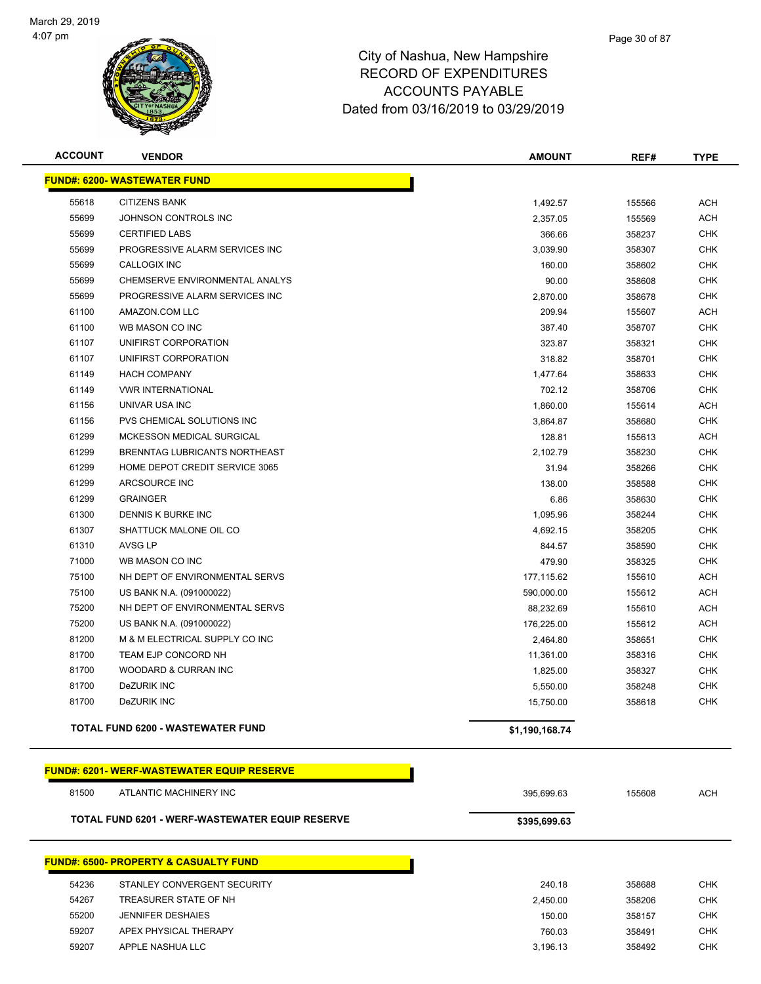

| <b>ACCOUNT</b>                      | <b>VENDOR</b>                                          | <b>AMOUNT</b>  | REF#   | <b>TYPE</b> |  |  |
|-------------------------------------|--------------------------------------------------------|----------------|--------|-------------|--|--|
| <b>FUND#: 6200- WASTEWATER FUND</b> |                                                        |                |        |             |  |  |
|                                     |                                                        |                |        |             |  |  |
| 55618                               | <b>CITIZENS BANK</b>                                   | 1,492.57       | 155566 | <b>ACH</b>  |  |  |
| 55699                               | JOHNSON CONTROLS INC                                   | 2,357.05       | 155569 | <b>ACH</b>  |  |  |
| 55699                               | <b>CERTIFIED LABS</b>                                  | 366.66         | 358237 | <b>CHK</b>  |  |  |
| 55699                               | PROGRESSIVE ALARM SERVICES INC                         | 3,039.90       | 358307 | <b>CHK</b>  |  |  |
| 55699                               | <b>CALLOGIX INC</b>                                    | 160.00         | 358602 | <b>CHK</b>  |  |  |
| 55699                               | CHEMSERVE ENVIRONMENTAL ANALYS                         | 90.00          | 358608 | <b>CHK</b>  |  |  |
| 55699                               | PROGRESSIVE ALARM SERVICES INC                         | 2,870.00       | 358678 | <b>CHK</b>  |  |  |
| 61100                               | AMAZON.COM LLC                                         | 209.94         | 155607 | ACH         |  |  |
| 61100                               | WB MASON CO INC                                        | 387.40         | 358707 | CHK         |  |  |
| 61107                               | UNIFIRST CORPORATION                                   | 323.87         | 358321 | <b>CHK</b>  |  |  |
| 61107                               | UNIFIRST CORPORATION                                   | 318.82         | 358701 | <b>CHK</b>  |  |  |
| 61149                               | <b>HACH COMPANY</b>                                    | 1,477.64       | 358633 | <b>CHK</b>  |  |  |
| 61149                               | <b>VWR INTERNATIONAL</b>                               | 702.12         | 358706 | <b>CHK</b>  |  |  |
| 61156                               | UNIVAR USA INC                                         | 1,860.00       | 155614 | ACH         |  |  |
| 61156                               | PVS CHEMICAL SOLUTIONS INC                             | 3,864.87       | 358680 | <b>CHK</b>  |  |  |
| 61299                               | <b>MCKESSON MEDICAL SURGICAL</b>                       | 128.81         | 155613 | <b>ACH</b>  |  |  |
| 61299                               | BRENNTAG LUBRICANTS NORTHEAST                          | 2,102.79       | 358230 | <b>CHK</b>  |  |  |
| 61299                               | HOME DEPOT CREDIT SERVICE 3065                         | 31.94          | 358266 | <b>CHK</b>  |  |  |
| 61299                               | ARCSOURCE INC                                          | 138.00         | 358588 | <b>CHK</b>  |  |  |
| 61299                               | <b>GRAINGER</b>                                        | 6.86           | 358630 | <b>CHK</b>  |  |  |
| 61300                               | DENNIS K BURKE INC                                     | 1,095.96       | 358244 | <b>CHK</b>  |  |  |
| 61307                               | SHATTUCK MALONE OIL CO                                 | 4,692.15       | 358205 | <b>CHK</b>  |  |  |
| 61310                               | AVSG LP                                                | 844.57         | 358590 | <b>CHK</b>  |  |  |
| 71000                               | WB MASON CO INC                                        | 479.90         | 358325 | <b>CHK</b>  |  |  |
| 75100                               | NH DEPT OF ENVIRONMENTAL SERVS                         | 177,115.62     | 155610 | <b>ACH</b>  |  |  |
| 75100                               | US BANK N.A. (091000022)                               | 590,000.00     | 155612 | <b>ACH</b>  |  |  |
| 75200                               | NH DEPT OF ENVIRONMENTAL SERVS                         | 88,232.69      | 155610 | <b>ACH</b>  |  |  |
| 75200                               | US BANK N.A. (091000022)                               | 176,225.00     | 155612 | <b>ACH</b>  |  |  |
| 81200                               | M & M ELECTRICAL SUPPLY CO INC                         | 2,464.80       | 358651 | <b>CHK</b>  |  |  |
| 81700                               | TEAM EJP CONCORD NH                                    | 11,361.00      | 358316 | CHK         |  |  |
| 81700                               | <b>WOODARD &amp; CURRAN INC</b>                        | 1,825.00       | 358327 | <b>CHK</b>  |  |  |
| 81700                               | DeZURIK INC                                            | 5,550.00       | 358248 | <b>CHK</b>  |  |  |
| 81700                               | <b>DeZURIK INC</b>                                     | 15,750.00      | 358618 | CHK         |  |  |
|                                     | TOTAL FUND 6200 - WASTEWATER FUND                      | \$1,190,168.74 |        |             |  |  |
|                                     | <b>FUND#: 6201-WERF-WASTEWATER EQUIP RESERVE</b>       |                |        |             |  |  |
| 81500                               | ATLANTIC MACHINERY INC                                 | 395,699.63     | 155608 | <b>ACH</b>  |  |  |
|                                     | <b>TOTAL FUND 6201 - WERF-WASTEWATER EQUIP RESERVE</b> | \$395,699.63   |        |             |  |  |
|                                     |                                                        |                |        |             |  |  |
|                                     | <b>FUND#: 6500- PROPERTY &amp; CASUALTY FUND</b>       |                |        |             |  |  |
| 54236                               | STANLEY CONVERGENT SECURITY                            | 240.18         | 358688 | <b>CHK</b>  |  |  |
| 54267                               | TREASURER STATE OF NH                                  | 2,450.00       | 358206 | <b>CHK</b>  |  |  |
| 55200                               | <b>JENNIFER DESHAIES</b>                               | 150.00         | 358157 | <b>CHK</b>  |  |  |
| 59207                               | APEX PHYSICAL THERAPY                                  | 760.03         | 358491 | <b>CHK</b>  |  |  |

APPLE NASHUA LLC 3,196.13 358492 CHK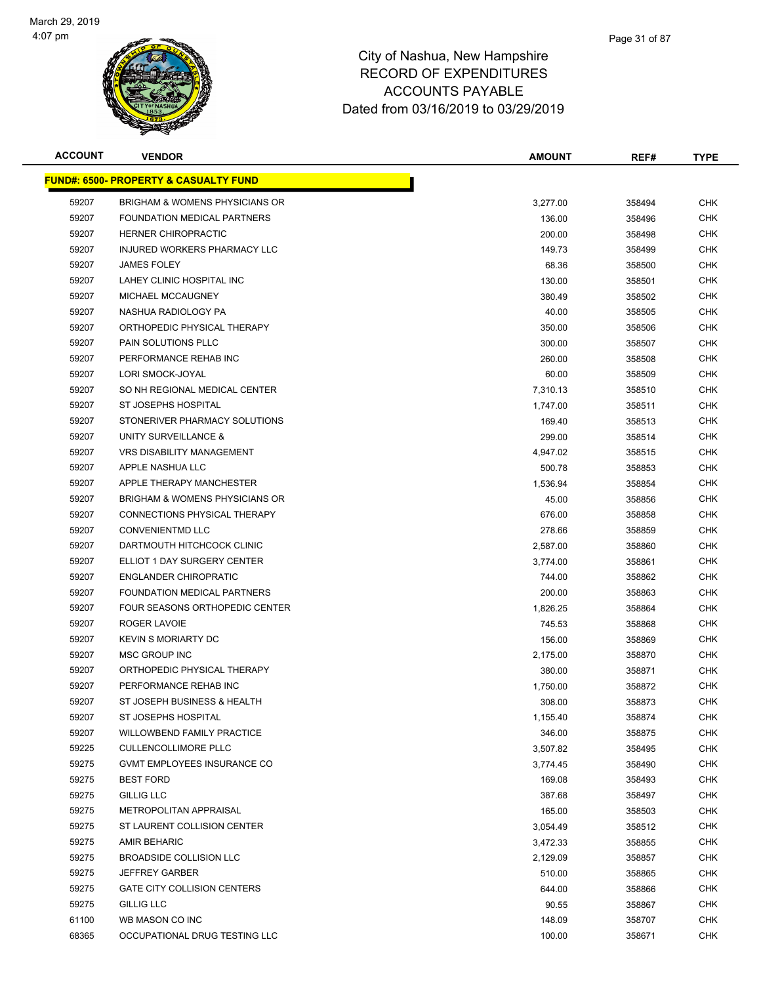

| <b>ACCOUNT</b> | <b>VENDOR</b>                                    | <b>AMOUNT</b>   | REF#   | <b>TYPE</b> |
|----------------|--------------------------------------------------|-----------------|--------|-------------|
|                | <u>FUND#: 6500- PROPERTY &amp; CASUALTY FUND</u> |                 |        |             |
| 59207          | <b>BRIGHAM &amp; WOMENS PHYSICIANS OR</b>        | 3,277.00        | 358494 | <b>CHK</b>  |
| 59207          | <b>FOUNDATION MEDICAL PARTNERS</b>               | 136.00          | 358496 | CHK         |
| 59207          | <b>HERNER CHIROPRACTIC</b>                       | 200.00          | 358498 | CHK         |
| 59207          | INJURED WORKERS PHARMACY LLC                     | 149.73          | 358499 | CHK         |
| 59207          | <b>JAMES FOLEY</b>                               | 68.36           | 358500 | CHK         |
| 59207          | LAHEY CLINIC HOSPITAL INC                        | 130.00          | 358501 | <b>CHK</b>  |
| 59207          | MICHAEL MCCAUGNEY                                | 380.49          | 358502 | CHK         |
| 59207          | NASHUA RADIOLOGY PA                              | 40.00           | 358505 | CHK         |
| 59207          | ORTHOPEDIC PHYSICAL THERAPY                      | 350.00          | 358506 | <b>CHK</b>  |
| 59207          | PAIN SOLUTIONS PLLC                              | 300.00          | 358507 | CHK         |
| 59207          | PERFORMANCE REHAB INC                            | 260.00          | 358508 | CHK         |
| 59207          | LORI SMOCK-JOYAL                                 | 60.00           | 358509 | CHK         |
| 59207          | SO NH REGIONAL MEDICAL CENTER                    | 7,310.13        | 358510 | CHK         |
| 59207          | <b>ST JOSEPHS HOSPITAL</b>                       | 1,747.00        | 358511 | CHK         |
| 59207          | STONERIVER PHARMACY SOLUTIONS                    | 169.40          | 358513 | CHK         |
| 59207          | UNITY SURVEILLANCE &                             | 299.00          | 358514 | CHK         |
| 59207          | <b>VRS DISABILITY MANAGEMENT</b>                 | 4,947.02        | 358515 | <b>CHK</b>  |
| 59207          | APPLE NASHUA LLC                                 | 500.78          | 358853 | CHK         |
| 59207          | APPLE THERAPY MANCHESTER                         | 1,536.94        | 358854 | <b>CHK</b>  |
| 59207          | <b>BRIGHAM &amp; WOMENS PHYSICIANS OR</b>        | 45.00           | 358856 | <b>CHK</b>  |
| 59207          | CONNECTIONS PHYSICAL THERAPY                     | 676.00          | 358858 | CHK         |
| 59207          | <b>CONVENIENTMD LLC</b>                          | 278.66          | 358859 | CHK         |
| 59207          | DARTMOUTH HITCHCOCK CLINIC                       | 2,587.00        | 358860 | CHK         |
| 59207          | ELLIOT 1 DAY SURGERY CENTER                      | 3,774.00        | 358861 | CHK         |
| 59207          | <b>ENGLANDER CHIROPRATIC</b>                     | 744.00          | 358862 | CHK         |
| 59207          | FOUNDATION MEDICAL PARTNERS                      | 200.00          | 358863 | CHK         |
| 59207          | FOUR SEASONS ORTHOPEDIC CENTER                   | 1,826.25        | 358864 | CHK         |
| 59207          | ROGER LAVOIE                                     | 745.53          | 358868 | <b>CHK</b>  |
| 59207          | <b>KEVIN S MORIARTY DC</b>                       | 156.00          | 358869 | CHK         |
| 59207          | MSC GROUP INC                                    | 2,175.00        | 358870 | CHK         |
| 59207          | ORTHOPEDIC PHYSICAL THERAPY                      | 380.00          | 358871 | CHK         |
| 59207          | PERFORMANCE REHAB INC                            | 1,750.00        | 358872 | CHK         |
| 59207          | ST JOSEPH BUSINESS & HEALTH                      | 308.00          | 358873 | <b>CHK</b>  |
| 59207          | ST JOSEPHS HOSPITAL                              | 1,155.40        | 358874 | <b>CHK</b>  |
| 59207          | <b>WILLOWBEND FAMILY PRACTICE</b>                | 346.00          | 358875 | CHK         |
| 59225          | <b>CULLENCOLLIMORE PLLC</b>                      | 3,507.82        | 358495 | <b>CHK</b>  |
| 59275          | GVMT EMPLOYEES INSURANCE CO                      | 3,774.45        | 358490 | <b>CHK</b>  |
| 59275          | <b>BEST FORD</b>                                 | 169.08          | 358493 | <b>CHK</b>  |
| 59275          | <b>GILLIG LLC</b>                                | 387.68          | 358497 | <b>CHK</b>  |
| 59275          | METROPOLITAN APPRAISAL                           | 165.00          | 358503 | <b>CHK</b>  |
| 59275          | ST LAURENT COLLISION CENTER                      | 3,054.49        | 358512 | <b>CHK</b>  |
| 59275          | <b>AMIR BEHARIC</b>                              | 3,472.33        | 358855 | <b>CHK</b>  |
| 59275          | BROADSIDE COLLISION LLC                          | 2,129.09        | 358857 | <b>CHK</b>  |
| 59275          | <b>JEFFREY GARBER</b>                            | 510.00          | 358865 | <b>CHK</b>  |
| 59275          | <b>GATE CITY COLLISION CENTERS</b>               | 644.00          |        | <b>CHK</b>  |
| 59275          | <b>GILLIG LLC</b>                                |                 | 358866 | <b>CHK</b>  |
| 61100          | WB MASON CO INC                                  | 90.55<br>148.09 | 358867 | <b>CHK</b>  |
|                |                                                  |                 | 358707 |             |
| 68365          | OCCUPATIONAL DRUG TESTING LLC                    | 100.00          | 358671 | <b>CHK</b>  |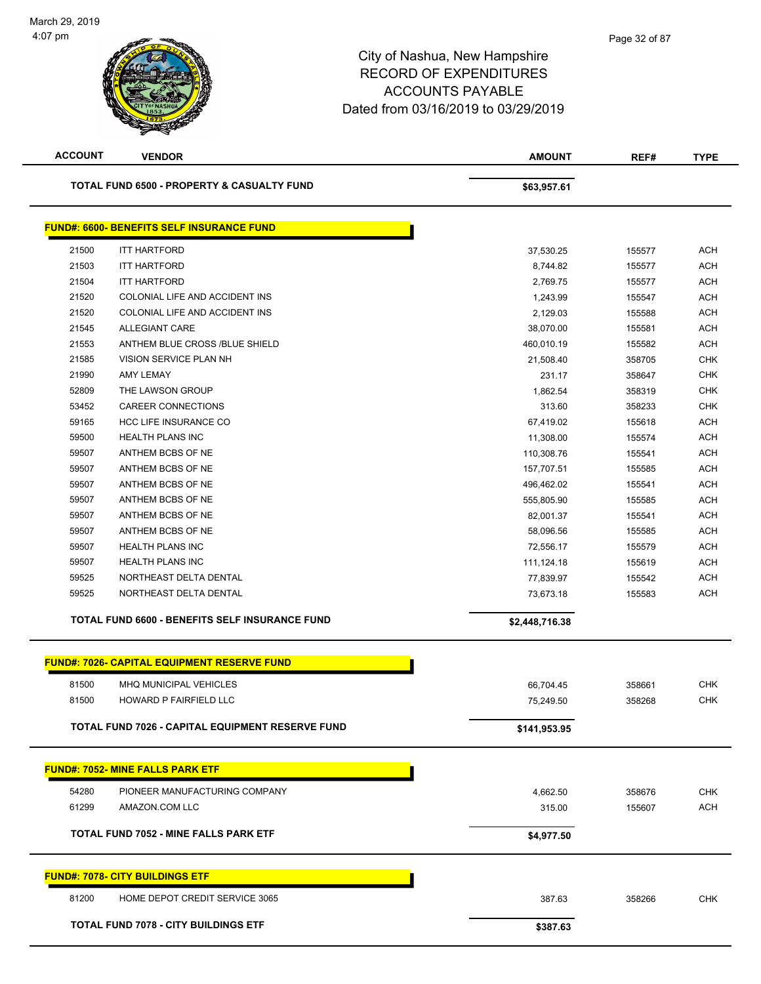| <b>ACCOUNT</b> | <b>VENDOR</b>                                           | <b>AMOUNT</b>  | REF#   | <b>TYPE</b> |
|----------------|---------------------------------------------------------|----------------|--------|-------------|
|                | <b>TOTAL FUND 6500 - PROPERTY &amp; CASUALTY FUND</b>   | \$63,957.61    |        |             |
|                | <b>FUND#: 6600- BENEFITS SELF INSURANCE FUND</b>        |                |        |             |
| 21500          | <b>ITT HARTFORD</b>                                     | 37,530.25      | 155577 | <b>ACH</b>  |
| 21503          | <b>ITT HARTFORD</b>                                     | 8,744.82       | 155577 | <b>ACH</b>  |
| 21504          | <b>ITT HARTFORD</b>                                     | 2,769.75       | 155577 | <b>ACH</b>  |
| 21520          | COLONIAL LIFE AND ACCIDENT INS                          | 1,243.99       | 155547 | <b>ACH</b>  |
| 21520          | COLONIAL LIFE AND ACCIDENT INS                          | 2,129.03       | 155588 | <b>ACH</b>  |
| 21545          | <b>ALLEGIANT CARE</b>                                   | 38,070.00      | 155581 | <b>ACH</b>  |
| 21553          | ANTHEM BLUE CROSS /BLUE SHIELD                          | 460,010.19     | 155582 | <b>ACH</b>  |
| 21585          | VISION SERVICE PLAN NH                                  | 21,508.40      | 358705 | <b>CHK</b>  |
| 21990          | AMY LEMAY                                               | 231.17         | 358647 | <b>CHK</b>  |
| 52809          | THE LAWSON GROUP                                        | 1,862.54       | 358319 | <b>CHK</b>  |
| 53452          | CAREER CONNECTIONS                                      | 313.60         | 358233 | <b>CHK</b>  |
| 59165          | HCC LIFE INSURANCE CO                                   | 67,419.02      | 155618 | <b>ACH</b>  |
| 59500          | <b>HEALTH PLANS INC</b>                                 | 11,308.00      | 155574 | <b>ACH</b>  |
| 59507          | ANTHEM BCBS OF NE                                       | 110,308.76     | 155541 | <b>ACH</b>  |
| 59507          | ANTHEM BCBS OF NE                                       | 157,707.51     | 155585 | <b>ACH</b>  |
| 59507          | ANTHEM BCBS OF NE                                       | 496,462.02     | 155541 | <b>ACH</b>  |
| 59507          | ANTHEM BCBS OF NE                                       | 555,805.90     | 155585 | <b>ACH</b>  |
| 59507          | ANTHEM BCBS OF NE                                       | 82,001.37      | 155541 | <b>ACH</b>  |
| 59507          | ANTHEM BCBS OF NE                                       | 58,096.56      | 155585 | <b>ACH</b>  |
| 59507          | <b>HEALTH PLANS INC</b>                                 | 72,556.17      | 155579 | <b>ACH</b>  |
| 59507          | <b>HEALTH PLANS INC</b>                                 | 111,124.18     | 155619 | <b>ACH</b>  |
| 59525          | NORTHEAST DELTA DENTAL                                  | 77,839.97      | 155542 | <b>ACH</b>  |
| 59525          | NORTHEAST DELTA DENTAL                                  | 73,673.18      | 155583 | <b>ACH</b>  |
|                | TOTAL FUND 6600 - BENEFITS SELF INSURANCE FUND          | \$2,448,716.38 |        |             |
|                | <b>FUND#: 7026- CAPITAL EQUIPMENT RESERVE FUND</b>      |                |        |             |
| 81500          | MHQ MUNICIPAL VEHICLES                                  | 66,704.45      | 358661 | <b>CHK</b>  |
| 81500          | HOWARD P FAIRFIELD LLC                                  | 75,249.50      | 358268 | <b>CHK</b>  |
|                |                                                         |                |        |             |
|                | <b>TOTAL FUND 7026 - CAPITAL EQUIPMENT RESERVE FUND</b> | \$141,953.95   |        |             |
|                | <b>FUND#: 7052- MINE FALLS PARK ETF</b>                 |                |        |             |
| 54280          | PIONEER MANUFACTURING COMPANY                           | 4,662.50       | 358676 | <b>CHK</b>  |
| 61299          | AMAZON.COM LLC                                          | 315.00         | 155607 | <b>ACH</b>  |
|                |                                                         |                |        |             |
|                | TOTAL FUND 7052 - MINE FALLS PARK ETF                   | \$4,977.50     |        |             |
|                | <b>FUND#: 7078- CITY BUILDINGS ETF</b>                  |                |        |             |
| 81200          | HOME DEPOT CREDIT SERVICE 3065                          | 387.63         | 358266 | <b>CHK</b>  |
|                | <b>TOTAL FUND 7078 - CITY BUILDINGS ETF</b>             | \$387.63       |        |             |
|                |                                                         |                |        |             |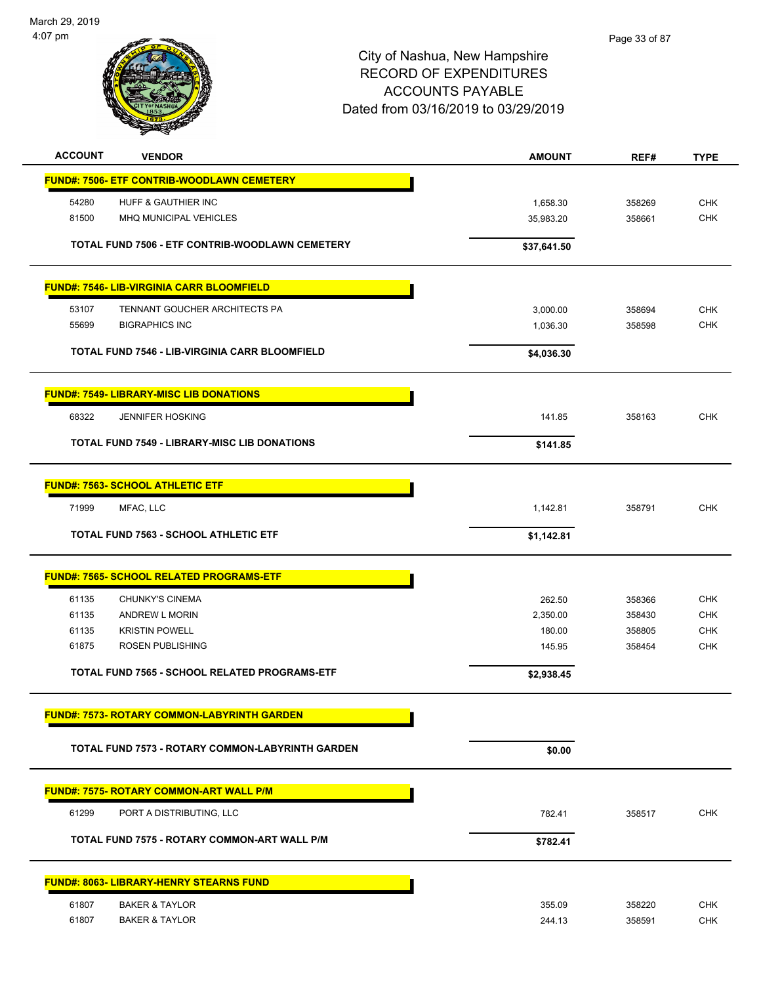

| <b>ACCOUNT</b> | <b>VENDOR</b>                                           | <b>AMOUNT</b> | REF#   | <b>TYPE</b> |
|----------------|---------------------------------------------------------|---------------|--------|-------------|
|                | <b>FUND#: 7506- ETF CONTRIB-WOODLAWN CEMETERY</b>       |               |        |             |
| 54280          | HUFF & GAUTHIER INC                                     | 1,658.30      | 358269 | <b>CHK</b>  |
| 81500          | <b>MHQ MUNICIPAL VEHICLES</b>                           | 35,983.20     | 358661 | <b>CHK</b>  |
|                |                                                         |               |        |             |
|                | TOTAL FUND 7506 - ETF CONTRIB-WOODLAWN CEMETERY         | \$37,641.50   |        |             |
|                | <b>FUND#: 7546- LIB-VIRGINIA CARR BLOOMFIELD</b>        |               |        |             |
| 53107          | TENNANT GOUCHER ARCHITECTS PA                           | 3,000.00      | 358694 | <b>CHK</b>  |
| 55699          | <b>BIGRAPHICS INC</b>                                   | 1,036.30      | 358598 | <b>CHK</b>  |
|                |                                                         |               |        |             |
|                | <b>TOTAL FUND 7546 - LIB-VIRGINIA CARR BLOOMFIELD</b>   | \$4,036.30    |        |             |
|                | <b>FUND#: 7549- LIBRARY-MISC LIB DONATIONS</b>          |               |        |             |
| 68322          | <b>JENNIFER HOSKING</b>                                 | 141.85        | 358163 | <b>CHK</b>  |
|                | <b>TOTAL FUND 7549 - LIBRARY-MISC LIB DONATIONS</b>     | \$141.85      |        |             |
|                |                                                         |               |        |             |
|                | <b>FUND#: 7563- SCHOOL ATHLETIC ETF</b>                 |               |        |             |
| 71999          | MFAC, LLC                                               | 1,142.81      | 358791 | <b>CHK</b>  |
|                | <b>TOTAL FUND 7563 - SCHOOL ATHLETIC ETF</b>            | \$1,142.81    |        |             |
|                | <b>FUND#: 7565- SCHOOL RELATED PROGRAMS-ETF</b>         |               |        |             |
| 61135          | CHUNKY'S CINEMA                                         | 262.50        | 358366 | <b>CHK</b>  |
| 61135          | <b>ANDREW L MORIN</b>                                   |               | 358430 | <b>CHK</b>  |
|                |                                                         | 2,350.00      |        |             |
| 61135          | <b>KRISTIN POWELL</b>                                   | 180.00        | 358805 | <b>CHK</b>  |
| 61875          | ROSEN PUBLISHING                                        | 145.95        | 358454 | <b>CHK</b>  |
|                | TOTAL FUND 7565 - SCHOOL RELATED PROGRAMS-ETF           | \$2,938.45    |        |             |
|                | <b>FUND#: 7573- ROTARY COMMON-LABYRINTH GARDEN</b>      |               |        |             |
|                |                                                         |               |        |             |
|                | <b>TOTAL FUND 7573 - ROTARY COMMON-LABYRINTH GARDEN</b> | \$0.00        |        |             |
|                | <b>FUND#: 7575- ROTARY COMMON-ART WALL P/M</b>          |               |        |             |
| 61299          | PORT A DISTRIBUTING, LLC                                | 782.41        | 358517 | <b>CHK</b>  |
|                | TOTAL FUND 7575 - ROTARY COMMON-ART WALL P/M            | \$782.41      |        |             |
|                |                                                         |               |        |             |
|                | <b>FUND#: 8063- LIBRARY-HENRY STEARNS FUND</b>          |               |        |             |
| 61807          | <b>BAKER &amp; TAYLOR</b>                               | 355.09        | 358220 | <b>CHK</b>  |
| 61807          | <b>BAKER &amp; TAYLOR</b>                               | 244.13        | 358591 | <b>CHK</b>  |
|                |                                                         |               |        |             |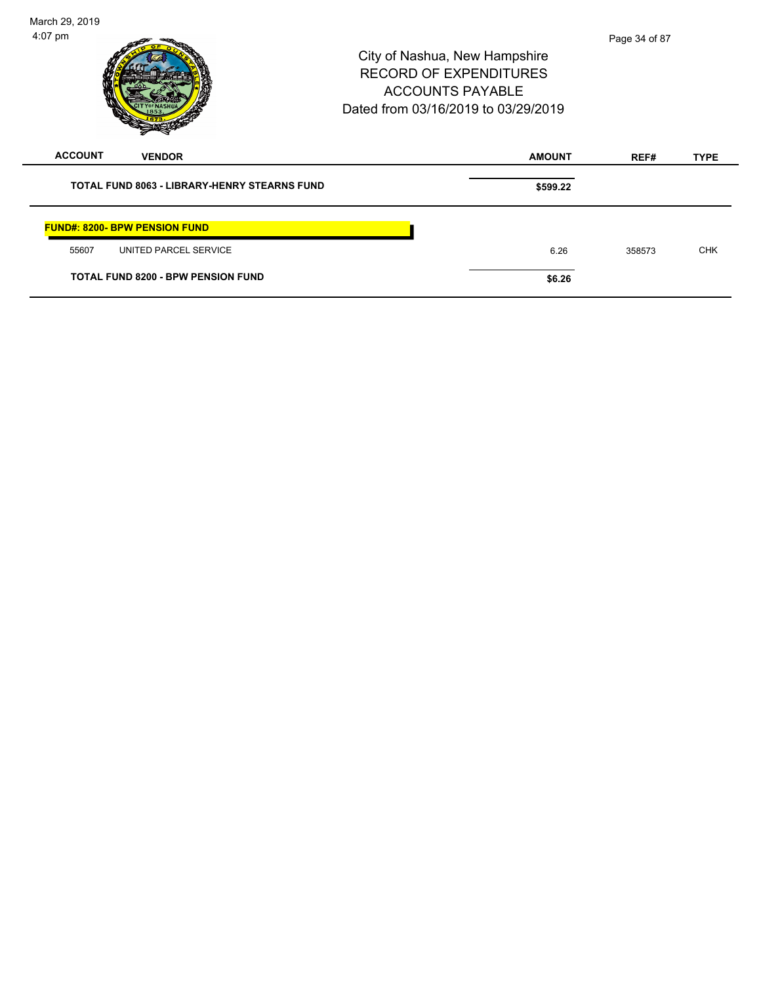| March 29, 2019<br>$4:07$ pm                                                            | City of Nashua, New Hampshire<br><b>RECORD OF EXPENDITURES</b><br><b>ACCOUNTS PAYABLE</b><br>Dated from 03/16/2019 to 03/29/2019 | Page 34 of 87<br><b>AMOUNT</b><br><b>TYPE</b><br>REF#<br>\$599.22<br>6.26<br><b>CHK</b><br>358573 |  |
|----------------------------------------------------------------------------------------|----------------------------------------------------------------------------------------------------------------------------------|---------------------------------------------------------------------------------------------------|--|
| <b>ACCOUNT</b><br><b>VENDOR</b><br><b>TOTAL FUND 8063 - LIBRARY-HENRY STEARNS FUND</b> |                                                                                                                                  |                                                                                                   |  |
| <b>FUND#: 8200- BPW PENSION FUND</b>                                                   |                                                                                                                                  |                                                                                                   |  |
| UNITED PARCEL SERVICE<br>55607<br><b>TOTAL FUND 8200 - BPW PENSION FUND</b>            | \$6.26                                                                                                                           |                                                                                                   |  |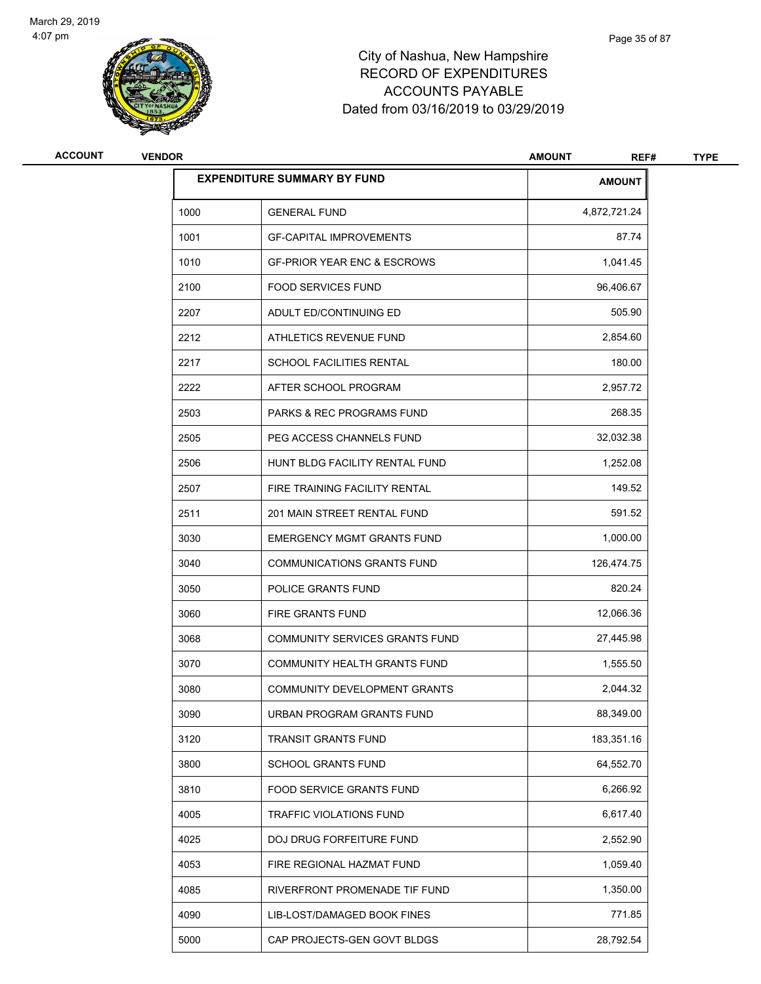

| ACCOUNT | <b>VENDOR</b> |                                        | <b>AMOUNT</b><br>REF# | <b>TYPE</b> |
|---------|---------------|----------------------------------------|-----------------------|-------------|
|         |               | <b>EXPENDITURE SUMMARY BY FUND</b>     | <b>AMOUNT</b>         |             |
|         | 1000          | <b>GENERAL FUND</b>                    | 4,872,721.24          |             |
|         | 1001          | <b>GF-CAPITAL IMPROVEMENTS</b>         | 87.74                 |             |
|         | 1010          | <b>GF-PRIOR YEAR ENC &amp; ESCROWS</b> | 1,041.45              |             |
|         | 2100          | <b>FOOD SERVICES FUND</b>              | 96,406.67             |             |
|         | 2207          | ADULT ED/CONTINUING ED                 | 505.90                |             |
|         | 2212          | ATHLETICS REVENUE FUND                 | 2,854.60              |             |
|         | 2217          | <b>SCHOOL FACILITIES RENTAL</b>        | 180.00                |             |
|         | 2222          | AFTER SCHOOL PROGRAM                   | 2,957.72              |             |
|         | 2503          | <b>PARKS &amp; REC PROGRAMS FUND</b>   | 268.35                |             |
|         | 2505          | PEG ACCESS CHANNELS FUND               | 32,032.38             |             |
|         | 2506          | HUNT BLDG FACILITY RENTAL FUND         | 1,252.08              |             |
|         | 2507          | FIRE TRAINING FACILITY RENTAL          | 149.52                |             |
|         | 2511          | 201 MAIN STREET RENTAL FUND            | 591.52                |             |
|         | 3030          | <b>EMERGENCY MGMT GRANTS FUND</b>      | 1,000.00              |             |
|         | 3040          | <b>COMMUNICATIONS GRANTS FUND</b>      | 126,474.75            |             |
|         | 3050          | POLICE GRANTS FUND                     | 820.24                |             |
|         | 3060          | FIRE GRANTS FUND                       | 12,066.36             |             |
|         | 3068          | COMMUNITY SERVICES GRANTS FUND         | 27,445.98             |             |
|         | 3070          | COMMUNITY HEALTH GRANTS FUND           | 1,555.50              |             |
|         | 3080          | COMMUNITY DEVELOPMENT GRANTS           | 2,044.32              |             |
|         | 3090          | URBAN PROGRAM GRANTS FUND              | 88,349.00             |             |
|         | 3120          | TRANSIT GRANTS FUND                    | 183,351.16            |             |
|         | 3800          | <b>SCHOOL GRANTS FUND</b>              | 64,552.70             |             |
|         | 3810          | FOOD SERVICE GRANTS FUND               | 6,266.92              |             |
|         | 4005          | TRAFFIC VIOLATIONS FUND                | 6,617.40              |             |
|         | 4025          | DOJ DRUG FORFEITURE FUND               | 2,552.90              |             |
|         | 4053          | FIRE REGIONAL HAZMAT FUND              | 1,059.40              |             |
|         | 4085          | RIVERFRONT PROMENADE TIF FUND          | 1,350.00              |             |
|         | 4090          | LIB-LOST/DAMAGED BOOK FINES            | 771.85                |             |
|         | 5000          | CAP PROJECTS-GEN GOVT BLDGS            | 28,792.54             |             |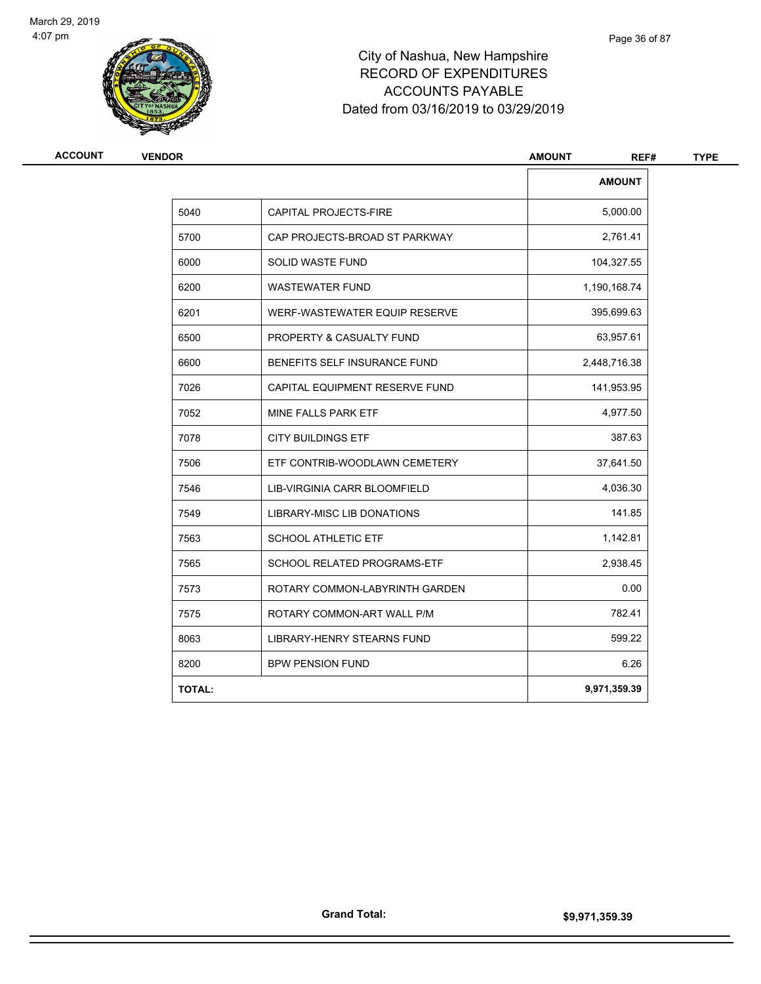

| <b>ACCOUNT</b> | <b>VENDOR</b> |                                | <b>AMOUNT</b><br>REF# | <b>TYPE</b> |
|----------------|---------------|--------------------------------|-----------------------|-------------|
|                |               |                                | <b>AMOUNT</b>         |             |
|                | 5040          | <b>CAPITAL PROJECTS-FIRE</b>   | 5,000.00              |             |
|                | 5700          | CAP PROJECTS-BROAD ST PARKWAY  | 2,761.41              |             |
|                | 6000          | <b>SOLID WASTE FUND</b>        | 104,327.55            |             |
|                | 6200          | <b>WASTEWATER FUND</b>         | 1,190,168.74          |             |
|                | 6201          | WERF-WASTEWATER EQUIP RESERVE  | 395,699.63            |             |
|                | 6500          | PROPERTY & CASUALTY FUND       | 63,957.61             |             |
|                | 6600          | BENEFITS SELF INSURANCE FUND   | 2,448,716.38          |             |
|                | 7026          | CAPITAL EQUIPMENT RESERVE FUND | 141,953.95            |             |
|                | 7052          | MINE FALLS PARK ETF            | 4,977.50              |             |
|                | 7078          | <b>CITY BUILDINGS ETF</b>      | 387.63                |             |
|                | 7506          | ETF CONTRIB-WOODLAWN CEMETERY  | 37,641.50             |             |
|                | 7546          | LIB-VIRGINIA CARR BLOOMFIELD   | 4,036.30              |             |
|                | 7549          | LIBRARY-MISC LIB DONATIONS     | 141.85                |             |
|                | 7563          | <b>SCHOOL ATHLETIC ETF</b>     | 1,142.81              |             |
|                | 7565          | SCHOOL RELATED PROGRAMS-ETF    | 2,938.45              |             |
|                | 7573          | ROTARY COMMON-LABYRINTH GARDEN | 0.00                  |             |
|                | 7575          | ROTARY COMMON-ART WALL P/M     | 782.41                |             |
|                | 8063          | LIBRARY-HENRY STEARNS FUND     | 599.22                |             |
|                | 8200          | <b>BPW PENSION FUND</b>        | 6.26                  |             |
|                | <b>TOTAL:</b> |                                | 9,971,359.39          |             |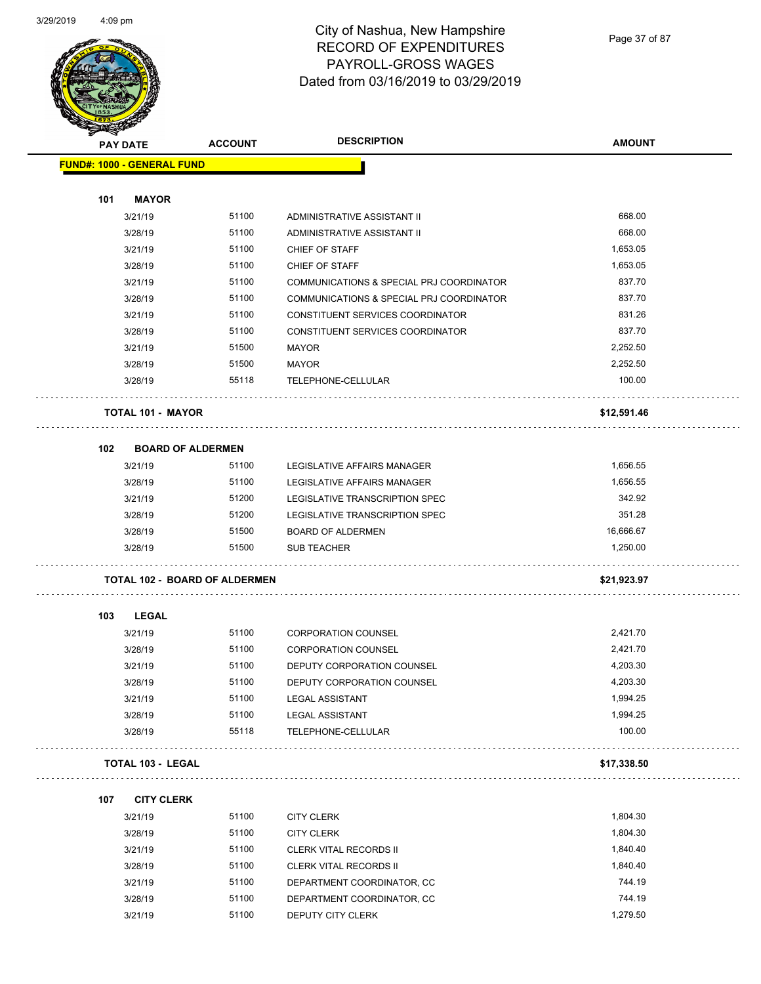

| <b>ACCOUNT</b> | <b>DESCRIPTION</b>                                                                                                                                                                                                                                                                                                                                                                                                                                                                                                                                                                               | <b>AMOUNT</b>                                                                                                                                                                                                                                                                                                |
|----------------|--------------------------------------------------------------------------------------------------------------------------------------------------------------------------------------------------------------------------------------------------------------------------------------------------------------------------------------------------------------------------------------------------------------------------------------------------------------------------------------------------------------------------------------------------------------------------------------------------|--------------------------------------------------------------------------------------------------------------------------------------------------------------------------------------------------------------------------------------------------------------------------------------------------------------|
|                |                                                                                                                                                                                                                                                                                                                                                                                                                                                                                                                                                                                                  |                                                                                                                                                                                                                                                                                                              |
|                |                                                                                                                                                                                                                                                                                                                                                                                                                                                                                                                                                                                                  |                                                                                                                                                                                                                                                                                                              |
|                |                                                                                                                                                                                                                                                                                                                                                                                                                                                                                                                                                                                                  |                                                                                                                                                                                                                                                                                                              |
| 51100          | ADMINISTRATIVE ASSISTANT II                                                                                                                                                                                                                                                                                                                                                                                                                                                                                                                                                                      | 668.00                                                                                                                                                                                                                                                                                                       |
| 51100          | ADMINISTRATIVE ASSISTANT II                                                                                                                                                                                                                                                                                                                                                                                                                                                                                                                                                                      | 668.00                                                                                                                                                                                                                                                                                                       |
| 51100          | CHIEF OF STAFF                                                                                                                                                                                                                                                                                                                                                                                                                                                                                                                                                                                   | 1,653.05                                                                                                                                                                                                                                                                                                     |
| 51100          | CHIEF OF STAFF                                                                                                                                                                                                                                                                                                                                                                                                                                                                                                                                                                                   | 1,653.05                                                                                                                                                                                                                                                                                                     |
| 51100          | COMMUNICATIONS & SPECIAL PRJ COORDINATOR                                                                                                                                                                                                                                                                                                                                                                                                                                                                                                                                                         | 837.70                                                                                                                                                                                                                                                                                                       |
| 51100          | COMMUNICATIONS & SPECIAL PRJ COORDINATOR                                                                                                                                                                                                                                                                                                                                                                                                                                                                                                                                                         | 837.70                                                                                                                                                                                                                                                                                                       |
| 51100          | CONSTITUENT SERVICES COORDINATOR                                                                                                                                                                                                                                                                                                                                                                                                                                                                                                                                                                 | 831.26                                                                                                                                                                                                                                                                                                       |
| 51100          | CONSTITUENT SERVICES COORDINATOR                                                                                                                                                                                                                                                                                                                                                                                                                                                                                                                                                                 | 837.70                                                                                                                                                                                                                                                                                                       |
| 51500          | MAYOR                                                                                                                                                                                                                                                                                                                                                                                                                                                                                                                                                                                            | 2,252.50                                                                                                                                                                                                                                                                                                     |
| 51500          | MAYOR                                                                                                                                                                                                                                                                                                                                                                                                                                                                                                                                                                                            | 2,252.50                                                                                                                                                                                                                                                                                                     |
| 55118          | TELEPHONE-CELLULAR                                                                                                                                                                                                                                                                                                                                                                                                                                                                                                                                                                               | 100.00                                                                                                                                                                                                                                                                                                       |
|                |                                                                                                                                                                                                                                                                                                                                                                                                                                                                                                                                                                                                  | \$12,591.46                                                                                                                                                                                                                                                                                                  |
|                |                                                                                                                                                                                                                                                                                                                                                                                                                                                                                                                                                                                                  |                                                                                                                                                                                                                                                                                                              |
| 51100          | LEGISLATIVE AFFAIRS MANAGER                                                                                                                                                                                                                                                                                                                                                                                                                                                                                                                                                                      | 1,656.55                                                                                                                                                                                                                                                                                                     |
| 51100          | LEGISLATIVE AFFAIRS MANAGER                                                                                                                                                                                                                                                                                                                                                                                                                                                                                                                                                                      | 1,656.55                                                                                                                                                                                                                                                                                                     |
| 51200          | LEGISLATIVE TRANSCRIPTION SPEC                                                                                                                                                                                                                                                                                                                                                                                                                                                                                                                                                                   | 342.92                                                                                                                                                                                                                                                                                                       |
| 51200          | LEGISLATIVE TRANSCRIPTION SPEC                                                                                                                                                                                                                                                                                                                                                                                                                                                                                                                                                                   | 351.28                                                                                                                                                                                                                                                                                                       |
| 51500          | <b>BOARD OF ALDERMEN</b>                                                                                                                                                                                                                                                                                                                                                                                                                                                                                                                                                                         | 16,666.67                                                                                                                                                                                                                                                                                                    |
| 51500          | <b>SUB TEACHER</b>                                                                                                                                                                                                                                                                                                                                                                                                                                                                                                                                                                               | 1,250.00                                                                                                                                                                                                                                                                                                     |
|                |                                                                                                                                                                                                                                                                                                                                                                                                                                                                                                                                                                                                  | \$21,923.97                                                                                                                                                                                                                                                                                                  |
|                |                                                                                                                                                                                                                                                                                                                                                                                                                                                                                                                                                                                                  |                                                                                                                                                                                                                                                                                                              |
| 51100          | <b>CORPORATION COUNSEL</b>                                                                                                                                                                                                                                                                                                                                                                                                                                                                                                                                                                       | 2,421.70                                                                                                                                                                                                                                                                                                     |
| 51100          | <b>CORPORATION COUNSEL</b>                                                                                                                                                                                                                                                                                                                                                                                                                                                                                                                                                                       | 2,421.70                                                                                                                                                                                                                                                                                                     |
| 51100          | DEPUTY CORPORATION COUNSEL                                                                                                                                                                                                                                                                                                                                                                                                                                                                                                                                                                       | 4,203.30                                                                                                                                                                                                                                                                                                     |
|                |                                                                                                                                                                                                                                                                                                                                                                                                                                                                                                                                                                                                  | 4,203.30                                                                                                                                                                                                                                                                                                     |
| 51100          |                                                                                                                                                                                                                                                                                                                                                                                                                                                                                                                                                                                                  | 1,994.25                                                                                                                                                                                                                                                                                                     |
| 51100          |                                                                                                                                                                                                                                                                                                                                                                                                                                                                                                                                                                                                  | 1,994.25                                                                                                                                                                                                                                                                                                     |
| 55118          | TELEPHONE-CELLULAR                                                                                                                                                                                                                                                                                                                                                                                                                                                                                                                                                                               | 100.00                                                                                                                                                                                                                                                                                                       |
|                |                                                                                                                                                                                                                                                                                                                                                                                                                                                                                                                                                                                                  | \$17,338.50                                                                                                                                                                                                                                                                                                  |
|                |                                                                                                                                                                                                                                                                                                                                                                                                                                                                                                                                                                                                  |                                                                                                                                                                                                                                                                                                              |
|                |                                                                                                                                                                                                                                                                                                                                                                                                                                                                                                                                                                                                  | 1,804.30                                                                                                                                                                                                                                                                                                     |
|                |                                                                                                                                                                                                                                                                                                                                                                                                                                                                                                                                                                                                  | 1,804.30                                                                                                                                                                                                                                                                                                     |
|                |                                                                                                                                                                                                                                                                                                                                                                                                                                                                                                                                                                                                  | 1,840.40                                                                                                                                                                                                                                                                                                     |
|                |                                                                                                                                                                                                                                                                                                                                                                                                                                                                                                                                                                                                  | 1,840.40                                                                                                                                                                                                                                                                                                     |
|                |                                                                                                                                                                                                                                                                                                                                                                                                                                                                                                                                                                                                  | 744.19                                                                                                                                                                                                                                                                                                       |
|                |                                                                                                                                                                                                                                                                                                                                                                                                                                                                                                                                                                                                  | 744.19                                                                                                                                                                                                                                                                                                       |
|                |                                                                                                                                                                                                                                                                                                                                                                                                                                                                                                                                                                                                  | 1,279.50                                                                                                                                                                                                                                                                                                     |
|                | <b>FUND#: 1000 - GENERAL FUND</b><br><b>MAYOR</b><br>3/21/19<br>3/28/19<br>3/21/19<br>3/28/19<br>3/21/19<br>3/28/19<br>3/21/19<br>3/28/19<br>3/21/19<br>3/28/19<br>3/28/19<br><b>TOTAL 101 - MAYOR</b><br><b>BOARD OF ALDERMEN</b><br>3/21/19<br>3/28/19<br>3/21/19<br>3/28/19<br>3/28/19<br>3/28/19<br>LEGAL<br>3/21/19<br>3/28/19<br>3/21/19<br>51100<br>3/28/19<br>3/21/19<br>3/28/19<br>3/28/19<br><b>TOTAL 103 - LEGAL</b><br><b>CITY CLERK</b><br>51100<br>3/21/19<br>51100<br>3/28/19<br>51100<br>3/21/19<br>51100<br>3/28/19<br>51100<br>3/21/19<br>51100<br>3/28/19<br>51100<br>3/21/19 | <b>TOTAL 102 - BOARD OF ALDERMEN</b><br>DEPUTY CORPORATION COUNSEL<br><b>LEGAL ASSISTANT</b><br><b>LEGAL ASSISTANT</b><br><b>CITY CLERK</b><br><b>CITY CLERK</b><br>CLERK VITAL RECORDS II<br><b>CLERK VITAL RECORDS II</b><br>DEPARTMENT COORDINATOR, CC<br>DEPARTMENT COORDINATOR, CC<br>DEPUTY CITY CLERK |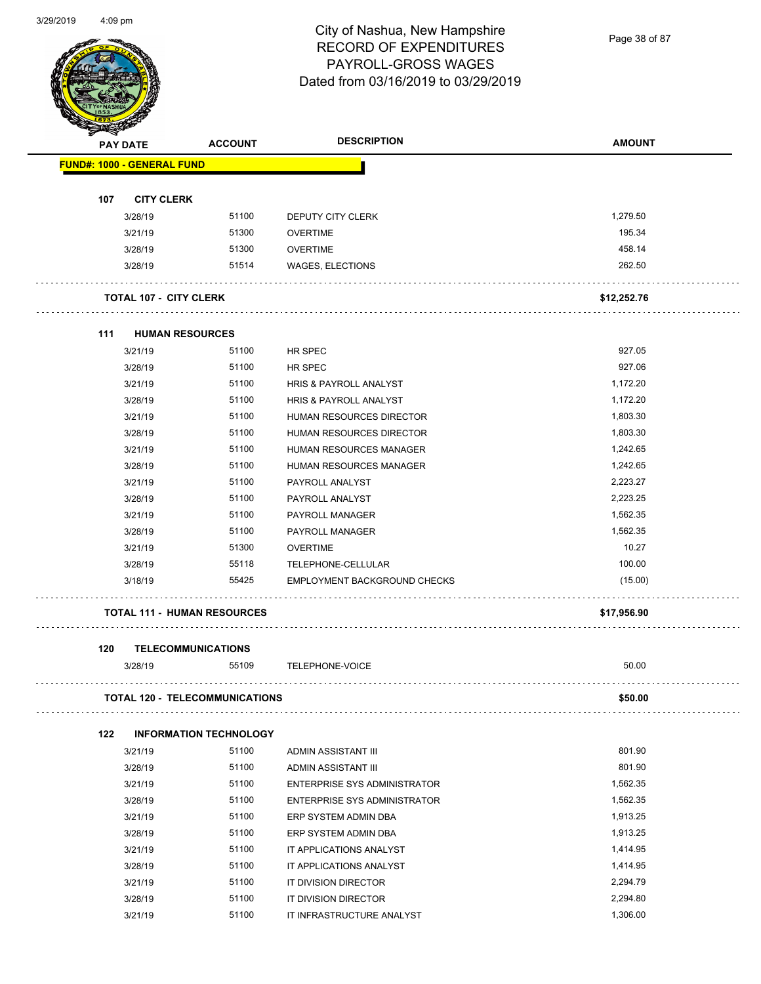

Page 38 of 87

|     | <b>PAY DATE</b>                       | <b>ACCOUNT</b>                | <b>DESCRIPTION</b>                  | <b>AMOUNT</b> |
|-----|---------------------------------------|-------------------------------|-------------------------------------|---------------|
|     | <b>FUND#: 1000 - GENERAL FUND</b>     |                               |                                     |               |
|     |                                       |                               |                                     |               |
| 107 | <b>CITY CLERK</b>                     |                               |                                     |               |
|     | 3/28/19                               | 51100                         | DEPUTY CITY CLERK                   | 1,279.50      |
|     | 3/21/19                               | 51300                         | <b>OVERTIME</b>                     | 195.34        |
|     | 3/28/19                               | 51300                         | <b>OVERTIME</b>                     | 458.14        |
|     | 3/28/19                               | 51514                         | WAGES, ELECTIONS                    | 262.50        |
|     | <b>TOTAL 107 - CITY CLERK</b>         |                               |                                     | \$12,252.76   |
| 111 | <b>HUMAN RESOURCES</b>                |                               |                                     |               |
|     | 3/21/19                               | 51100                         | HR SPEC                             | 927.05        |
|     | 3/28/19                               | 51100                         | HR SPEC                             | 927.06        |
|     | 3/21/19                               | 51100                         | <b>HRIS &amp; PAYROLL ANALYST</b>   | 1,172.20      |
|     | 3/28/19                               | 51100                         | HRIS & PAYROLL ANALYST              | 1,172.20      |
|     | 3/21/19                               | 51100                         | <b>HUMAN RESOURCES DIRECTOR</b>     | 1,803.30      |
|     | 3/28/19                               | 51100                         | HUMAN RESOURCES DIRECTOR            | 1,803.30      |
|     | 3/21/19                               | 51100                         | HUMAN RESOURCES MANAGER             | 1,242.65      |
|     | 3/28/19                               | 51100                         | HUMAN RESOURCES MANAGER             | 1,242.65      |
|     | 3/21/19                               | 51100                         | PAYROLL ANALYST                     | 2,223.27      |
|     | 3/28/19                               | 51100                         | PAYROLL ANALYST                     | 2,223.25      |
|     | 3/21/19                               | 51100                         | PAYROLL MANAGER                     | 1,562.35      |
|     | 3/28/19                               | 51100                         | PAYROLL MANAGER                     | 1,562.35      |
|     | 3/21/19                               | 51300                         | <b>OVERTIME</b>                     | 10.27         |
|     | 3/28/19                               | 55118                         | TELEPHONE-CELLULAR                  | 100.00        |
|     | 3/18/19                               | 55425                         | EMPLOYMENT BACKGROUND CHECKS        | (15.00)       |
|     | <b>TOTAL 111 - HUMAN RESOURCES</b>    |                               |                                     | \$17,956.90   |
| 120 | <b>TELECOMMUNICATIONS</b>             |                               |                                     |               |
|     | 3/28/19                               | 55109                         | TELEPHONE-VOICE                     | 50.00         |
|     | <b>TOTAL 120 - TELECOMMUNICATIONS</b> |                               |                                     | \$50.00       |
| 122 |                                       | <b>INFORMATION TECHNOLOGY</b> |                                     |               |
|     | 3/21/19                               | 51100                         | ADMIN ASSISTANT III                 | 801.90        |
|     | 3/28/19                               | 51100                         | ADMIN ASSISTANT III                 | 801.90        |
|     | 3/21/19                               | 51100                         | <b>ENTERPRISE SYS ADMINISTRATOR</b> | 1,562.35      |
|     | 3/28/19                               | 51100                         | <b>ENTERPRISE SYS ADMINISTRATOR</b> | 1,562.35      |
|     | 3/21/19                               | 51100                         | ERP SYSTEM ADMIN DBA                | 1,913.25      |
|     | 3/28/19                               | 51100                         | ERP SYSTEM ADMIN DBA                | 1,913.25      |
|     | 3/21/19                               | 51100                         | IT APPLICATIONS ANALYST             | 1,414.95      |
|     | 3/28/19                               | 51100                         | IT APPLICATIONS ANALYST             | 1,414.95      |
|     | 3/21/19                               | 51100                         | IT DIVISION DIRECTOR                | 2,294.79      |
|     | 3/28/19                               | 51100                         | IT DIVISION DIRECTOR                | 2,294.80      |
|     | 3/21/19                               | 51100                         | IT INFRASTRUCTURE ANALYST           | 1,306.00      |
|     |                                       |                               |                                     |               |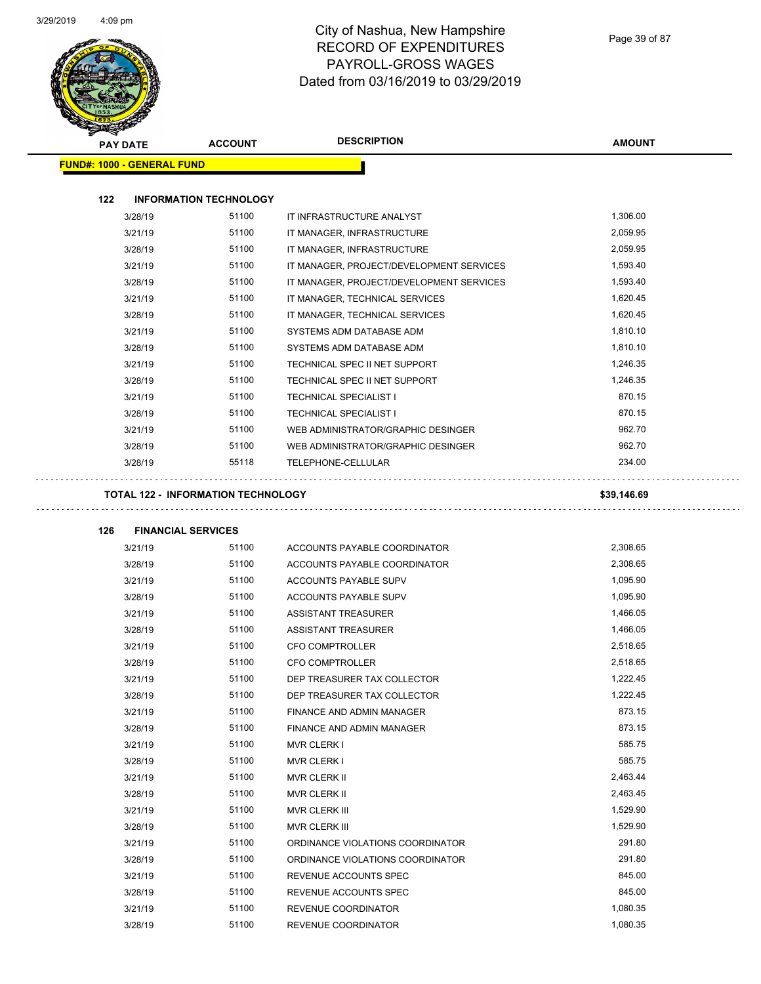

| <b>PAY DATE</b>                   | <b>ACCOUNT</b>                            | <b>DESCRIPTION</b>                                            | <b>AMOUNT</b>        |
|-----------------------------------|-------------------------------------------|---------------------------------------------------------------|----------------------|
| <b>FUND#: 1000 - GENERAL FUND</b> |                                           |                                                               |                      |
| 122                               | <b>INFORMATION TECHNOLOGY</b>             |                                                               |                      |
| 3/28/19                           | 51100                                     | IT INFRASTRUCTURE ANALYST                                     | 1,306.00             |
| 3/21/19                           | 51100                                     | IT MANAGER, INFRASTRUCTURE                                    | 2,059.95             |
| 3/28/19                           | 51100                                     | IT MANAGER, INFRASTRUCTURE                                    | 2,059.95             |
| 3/21/19                           | 51100                                     | IT MANAGER, PROJECT/DEVELOPMENT SERVICES                      | 1,593.40             |
| 3/28/19                           | 51100                                     | IT MANAGER, PROJECT/DEVELOPMENT SERVICES                      | 1,593.40             |
| 3/21/19                           | 51100                                     | IT MANAGER, TECHNICAL SERVICES                                | 1,620.45             |
| 3/28/19                           | 51100                                     | IT MANAGER, TECHNICAL SERVICES                                | 1,620.45             |
| 3/21/19                           | 51100                                     | SYSTEMS ADM DATABASE ADM                                      | 1,810.10             |
| 3/28/19                           | 51100                                     | SYSTEMS ADM DATABASE ADM                                      | 1,810.10             |
| 3/21/19                           | 51100                                     | TECHNICAL SPEC II NET SUPPORT                                 | 1,246.35             |
| 3/28/19                           | 51100                                     | TECHNICAL SPEC II NET SUPPORT                                 | 1,246.35             |
| 3/21/19                           | 51100                                     | <b>TECHNICAL SPECIALIST I</b>                                 | 870.15               |
| 3/28/19                           | 51100                                     | <b>TECHNICAL SPECIALIST I</b>                                 | 870.15               |
| 3/21/19                           | 51100                                     | WEB ADMINISTRATOR/GRAPHIC DESINGER                            | 962.70               |
| 3/28/19                           | 51100                                     | WEB ADMINISTRATOR/GRAPHIC DESINGER                            | 962.70               |
| 3/28/19                           | 55118                                     | TELEPHONE-CELLULAR                                            | 234.00               |
|                                   | <b>TOTAL 122 - INFORMATION TECHNOLOGY</b> |                                                               | \$39,146.69          |
|                                   |                                           |                                                               |                      |
| 126                               | <b>FINANCIAL SERVICES</b>                 |                                                               |                      |
| 3/21/19                           | 51100                                     | ACCOUNTS PAYABLE COORDINATOR                                  | 2,308.65             |
| 3/28/19                           | 51100                                     | ACCOUNTS PAYABLE COORDINATOR                                  | 2,308.65             |
| 3/21/19                           | 51100                                     | ACCOUNTS PAYABLE SUPV                                         | 1,095.90             |
| 3/28/19                           | 51100                                     | <b>ACCOUNTS PAYABLE SUPV</b>                                  | 1.095.90             |
| 3/21/19                           | 51100                                     | <b>ASSISTANT TREASURER</b>                                    | 1,466.05             |
| 3/28/19                           | 51100                                     | <b>ASSISTANT TREASURER</b>                                    | 1,466.05             |
| 3/21/19                           | 51100                                     | <b>CFO COMPTROLLER</b>                                        | 2,518.65             |
| 3/28/19                           | 51100                                     | <b>CFO COMPTROLLER</b>                                        | 2,518.65             |
| 3/21/19                           | 51100<br>51100                            | DEP TREASURER TAX COLLECTOR                                   | 1,222.45<br>1,222.45 |
| 3/28/19                           | 51100                                     | DEP TREASURER TAX COLLECTOR                                   | 873.15               |
| 3/21/19                           | 51100                                     | FINANCE AND ADMIN MANAGER<br><b>FINANCE AND ADMIN MANAGER</b> | 873.15               |
| 3/28/19                           | 51100                                     |                                                               | 585.75               |
| 3/21/19                           | 51100                                     | MVR CLERK I                                                   | 585.75               |
| 3/28/19                           | 51100                                     | MVR CLERK I                                                   | 2,463.44             |
| 3/21/19                           | 51100                                     | MVR CLERK II                                                  | 2,463.45             |
| 3/28/19                           | 51100                                     | MVR CLERK II                                                  | 1,529.90             |
| 3/21/19                           | 51100                                     | MVR CLERK III                                                 | 1,529.90             |
| 3/28/19                           | 51100                                     | MVR CLERK III                                                 | 291.80               |
| 3/21/19                           | 51100                                     | ORDINANCE VIOLATIONS COORDINATOR                              | 291.80               |
| 3/28/19                           | 51100                                     | ORDINANCE VIOLATIONS COORDINATOR                              | 845.00               |
| 3/21/19                           | 51100                                     | REVENUE ACCOUNTS SPEC                                         | 845.00               |
| 3/28/19                           | 51100                                     | REVENUE ACCOUNTS SPEC                                         | 1,080.35             |
| 3/21/19                           |                                           | REVENUE COORDINATOR                                           |                      |
| 3/28/19                           | 51100                                     | REVENUE COORDINATOR                                           | 1,080.35             |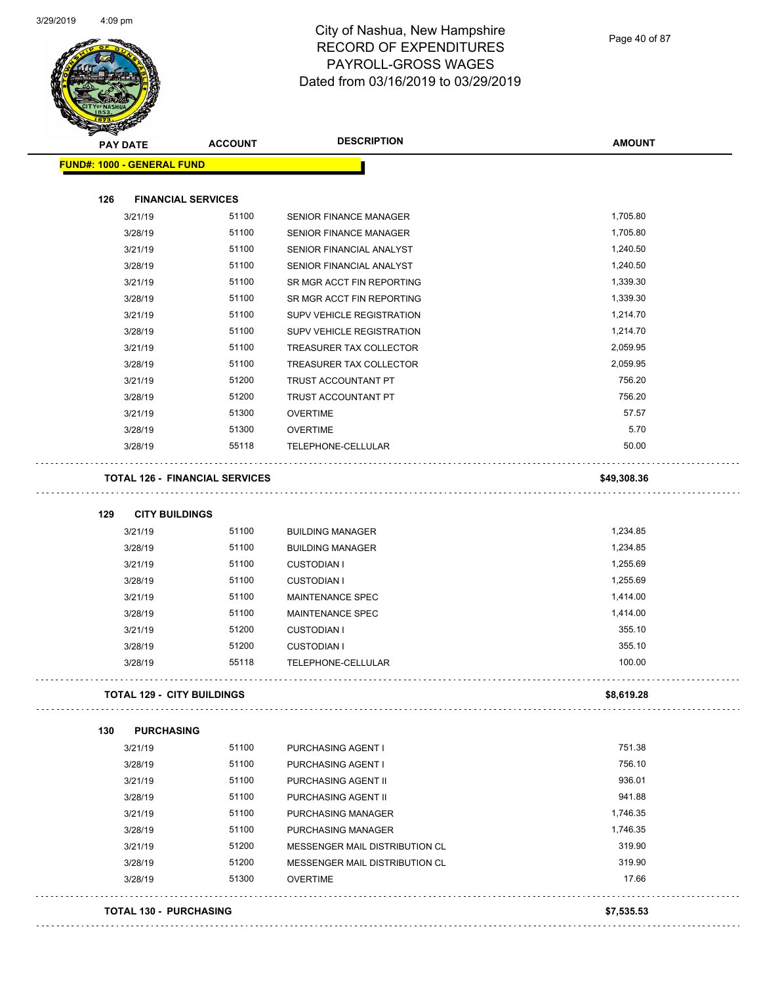

| <b>PAY DATE</b>                   | <b>ACCOUNT</b>                        | <b>DESCRIPTION</b>               | <b>AMOUNT</b> |
|-----------------------------------|---------------------------------------|----------------------------------|---------------|
| <b>FUND#: 1000 - GENERAL FUND</b> |                                       |                                  |               |
|                                   |                                       |                                  |               |
| 126                               | <b>FINANCIAL SERVICES</b>             |                                  |               |
| 3/21/19                           | 51100                                 | SENIOR FINANCE MANAGER           | 1,705.80      |
| 3/28/19                           | 51100                                 | <b>SENIOR FINANCE MANAGER</b>    | 1,705.80      |
| 3/21/19                           | 51100                                 | SENIOR FINANCIAL ANALYST         | 1,240.50      |
| 3/28/19                           | 51100                                 | SENIOR FINANCIAL ANALYST         | 1,240.50      |
| 3/21/19                           | 51100                                 | SR MGR ACCT FIN REPORTING        | 1,339.30      |
| 3/28/19                           | 51100                                 | SR MGR ACCT FIN REPORTING        | 1,339.30      |
| 3/21/19                           | 51100                                 | <b>SUPV VEHICLE REGISTRATION</b> | 1,214.70      |
| 3/28/19                           | 51100                                 | SUPV VEHICLE REGISTRATION        | 1,214.70      |
| 3/21/19                           | 51100                                 | TREASURER TAX COLLECTOR          | 2,059.95      |
| 3/28/19                           | 51100                                 | TREASURER TAX COLLECTOR          | 2,059.95      |
| 3/21/19                           | 51200                                 | TRUST ACCOUNTANT PT              | 756.20        |
| 3/28/19                           | 51200                                 | TRUST ACCOUNTANT PT              | 756.20        |
| 3/21/19                           | 51300                                 | <b>OVERTIME</b>                  | 57.57         |
| 3/28/19                           | 51300                                 | <b>OVERTIME</b>                  | 5.70          |
| 3/28/19                           | 55118                                 | TELEPHONE-CELLULAR               | 50.00         |
|                                   | <b>TOTAL 126 - FINANCIAL SERVICES</b> |                                  | \$49,308.36   |
| 129<br><b>CITY BUILDINGS</b>      |                                       |                                  |               |
| 3/21/19                           | 51100                                 | <b>BUILDING MANAGER</b>          | 1,234.85      |
| 3/28/19                           | 51100                                 | <b>BUILDING MANAGER</b>          | 1,234.85      |
| 3/21/19                           | 51100                                 | <b>CUSTODIAN I</b>               | 1,255.69      |
| 3/28/19                           | 51100                                 | <b>CUSTODIAN I</b>               | 1,255.69      |
| 3/21/19                           | 51100                                 | MAINTENANCE SPEC                 | 1,414.00      |
| 3/28/19                           | 51100                                 | <b>MAINTENANCE SPEC</b>          | 1,414.00      |
| 3/21/19                           | 51200                                 | <b>CUSTODIAN I</b>               | 355.10        |
| 3/28/19                           | 51200                                 | <b>CUSTODIAN I</b>               | 355.10        |
| 3/28/19                           | 55118                                 | TELEPHONE-CELLULAR               | 100.00        |
| <b>TOTAL 129 - CITY BUILDINGS</b> |                                       |                                  | \$8,619.28    |
| 130<br><b>PURCHASING</b>          |                                       |                                  |               |
| 3/21/19                           | 51100                                 | PURCHASING AGENT I               | 751.38        |
| 3/28/19                           | 51100                                 | PURCHASING AGENT I               | 756.10        |
| 3/21/19                           | 51100                                 | PURCHASING AGENT II              | 936.01        |
| 3/28/19                           | 51100                                 | PURCHASING AGENT II              | 941.88        |
| 3/21/19                           | 51100                                 | <b>PURCHASING MANAGER</b>        | 1,746.35      |
| 3/28/19                           | 51100                                 | PURCHASING MANAGER               | 1,746.35      |
| 3/21/19                           | 51200                                 | MESSENGER MAIL DISTRIBUTION CL   | 319.90        |
| 3/28/19                           | 51200                                 | MESSENGER MAIL DISTRIBUTION CL   | 319.90        |
| 3/28/19                           | 51300                                 | <b>OVERTIME</b>                  | 17.66         |
|                                   |                                       |                                  |               |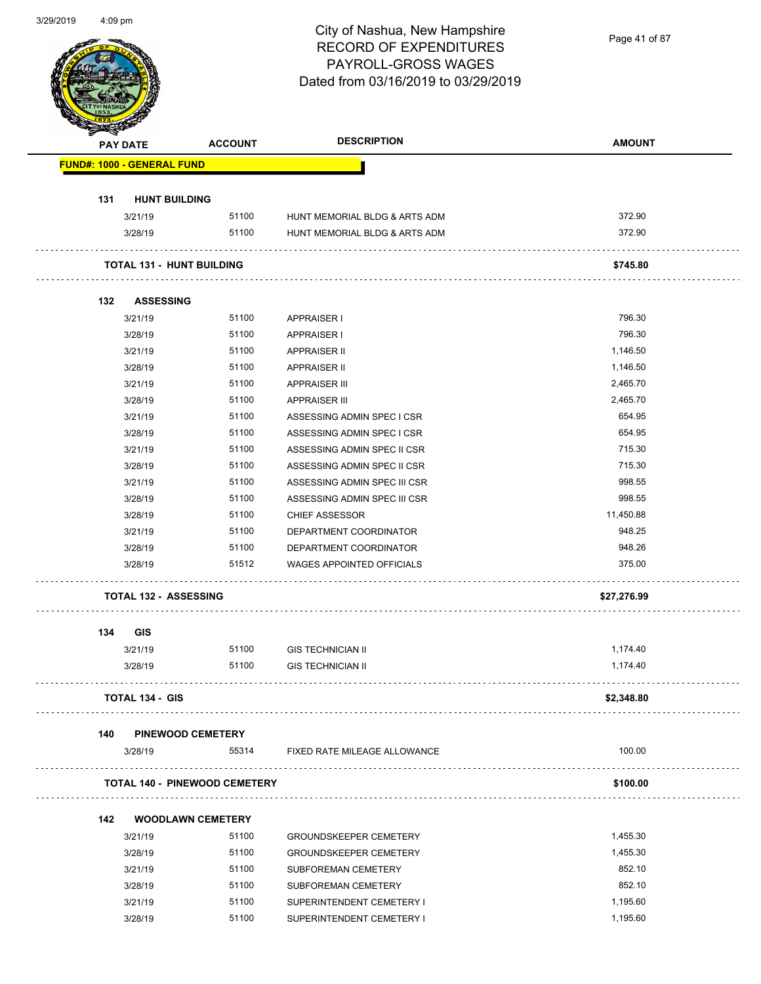| 3/29/2019 | $4:09$ pm |
|-----------|-----------|
|-----------|-----------|

Page 41 of 87

|     | <b>PAY DATE</b>                  | <b>ACCOUNT</b>                       | <b>DESCRIPTION</b>               | <b>AMOUNT</b> |
|-----|----------------------------------|--------------------------------------|----------------------------------|---------------|
|     | FUND#: 1000 - GENERAL FUND       |                                      |                                  |               |
| 131 | <b>HUNT BUILDING</b>             |                                      |                                  |               |
|     | 3/21/19                          | 51100                                | HUNT MEMORIAL BLDG & ARTS ADM    | 372.90        |
|     | 3/28/19                          | 51100                                | HUNT MEMORIAL BLDG & ARTS ADM    | 372.90        |
|     | <b>TOTAL 131 - HUNT BUILDING</b> |                                      |                                  | \$745.80      |
| 132 | <b>ASSESSING</b>                 |                                      |                                  |               |
|     | 3/21/19                          | 51100                                | <b>APPRAISER I</b>               | 796.30        |
|     | 3/28/19                          | 51100                                | <b>APPRAISER I</b>               | 796.30        |
|     | 3/21/19                          | 51100                                | <b>APPRAISER II</b>              | 1,146.50      |
|     | 3/28/19                          | 51100                                | <b>APPRAISER II</b>              | 1,146.50      |
|     | 3/21/19                          | 51100                                | <b>APPRAISER III</b>             | 2,465.70      |
|     | 3/28/19                          | 51100                                | <b>APPRAISER III</b>             | 2,465.70      |
|     | 3/21/19                          | 51100                                | ASSESSING ADMIN SPEC I CSR       | 654.95        |
|     | 3/28/19                          | 51100                                | ASSESSING ADMIN SPEC I CSR       | 654.95        |
|     | 3/21/19                          | 51100                                | ASSESSING ADMIN SPEC II CSR      | 715.30        |
|     | 3/28/19                          | 51100                                | ASSESSING ADMIN SPEC II CSR      | 715.30        |
|     | 3/21/19                          | 51100                                | ASSESSING ADMIN SPEC III CSR     | 998.55        |
|     | 3/28/19                          | 51100                                | ASSESSING ADMIN SPEC III CSR     | 998.55        |
|     | 3/28/19                          | 51100                                | <b>CHIEF ASSESSOR</b>            | 11,450.88     |
|     | 3/21/19                          | 51100                                | DEPARTMENT COORDINATOR           | 948.25        |
|     | 3/28/19                          | 51100                                | DEPARTMENT COORDINATOR           | 948.26        |
|     | 3/28/19                          | 51512                                | <b>WAGES APPOINTED OFFICIALS</b> | 375.00        |
|     | <b>TOTAL 132 - ASSESSING</b>     |                                      |                                  | \$27,276.99   |
| 134 | <b>GIS</b>                       |                                      |                                  |               |
|     | 3/21/19                          | 51100                                | <b>GIS TECHNICIAN II</b>         | 1,174.40      |
|     | 3/28/19                          | 51100                                | <b>GIS TECHNICIAN II</b>         | 1,174.40      |
|     | <b>TOTAL 134 - GIS</b>           |                                      |                                  | \$2,348.80    |
| 140 |                                  | <b>PINEWOOD CEMETERY</b>             |                                  |               |
|     | 3/28/19                          | 55314                                | FIXED RATE MILEAGE ALLOWANCE     | 100.00        |
|     |                                  | <b>TOTAL 140 - PINEWOOD CEMETERY</b> |                                  | \$100.00      |
| 142 |                                  | <b>WOODLAWN CEMETERY</b>             |                                  |               |
|     | 3/21/19                          | 51100                                | <b>GROUNDSKEEPER CEMETERY</b>    | 1,455.30      |
|     | 3/28/19                          | 51100                                | <b>GROUNDSKEEPER CEMETERY</b>    | 1,455.30      |
|     | 3/21/19                          | 51100                                | SUBFOREMAN CEMETERY              | 852.10        |
|     | 3/28/19                          | 51100                                | SUBFOREMAN CEMETERY              | 852.10        |
|     | 3/21/19                          | 51100                                | SUPERINTENDENT CEMETERY I        | 1,195.60      |
|     |                                  |                                      |                                  |               |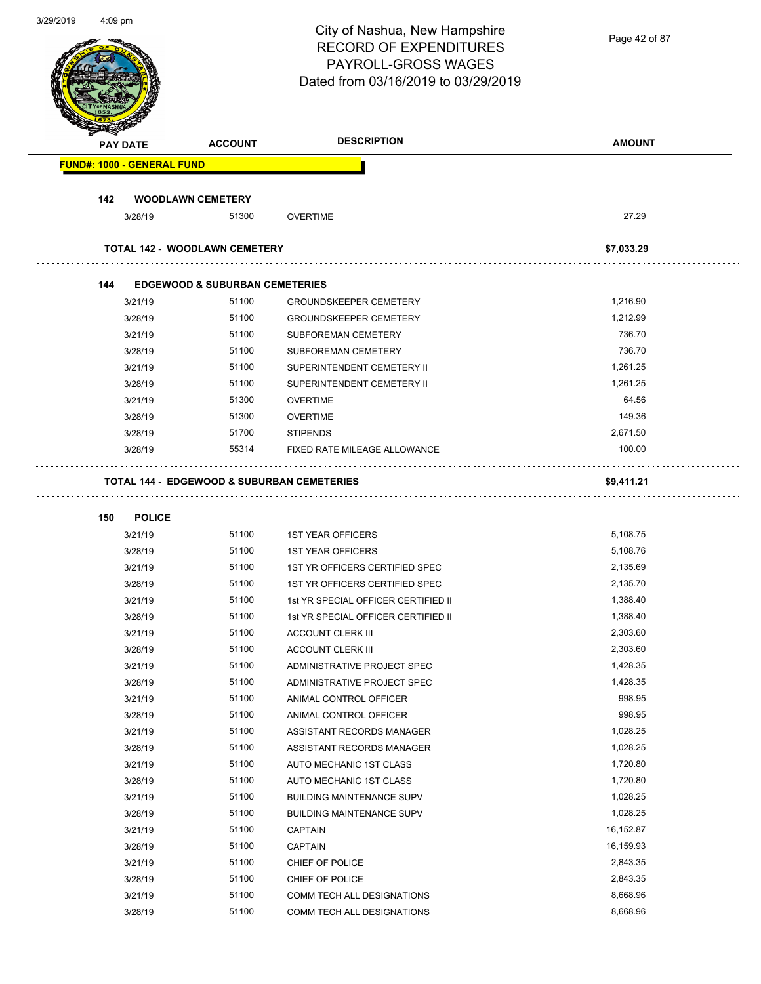| 312912019 | 4:09 pm |                    |                                            | City of Nashua, New Hampshire<br><b>RECORD OF EXPENDITURES</b><br>PAYROLL-GROSS WAGES<br>Dated from 03/16/2019 to 03/29/2019 | Page 42 of 87      |
|-----------|---------|--------------------|--------------------------------------------|------------------------------------------------------------------------------------------------------------------------------|--------------------|
|           |         | <b>PAY DATE</b>    | <b>ACCOUNT</b>                             | <b>DESCRIPTION</b>                                                                                                           | <b>AMOUNT</b>      |
|           |         |                    | <b>FUND#: 1000 - GENERAL FUND</b>          |                                                                                                                              |                    |
|           |         |                    |                                            |                                                                                                                              |                    |
|           | 142     |                    | <b>WOODLAWN CEMETERY</b>                   |                                                                                                                              |                    |
|           |         | 3/28/19            | 51300                                      | <b>OVERTIME</b>                                                                                                              | 27.29              |
|           |         |                    | <b>TOTAL 142 - WOODLAWN CEMETERY</b>       |                                                                                                                              | \$7,033.29         |
|           | 144     |                    | <b>EDGEWOOD &amp; SUBURBAN CEMETERIES</b>  |                                                                                                                              |                    |
|           |         | 3/21/19            | 51100                                      | <b>GROUNDSKEEPER CEMETERY</b>                                                                                                | 1,216.90           |
|           |         | 3/28/19            | 51100                                      | <b>GROUNDSKEEPER CEMETERY</b>                                                                                                | 1,212.99           |
|           |         | 3/21/19            | 51100                                      | SUBFOREMAN CEMETERY                                                                                                          | 736.70             |
|           |         | 3/28/19            | 51100                                      | SUBFOREMAN CEMETERY                                                                                                          | 736.70             |
|           |         | 3/21/19            | 51100                                      | SUPERINTENDENT CEMETERY II                                                                                                   | 1,261.25           |
|           |         | 3/28/19            | 51100                                      | SUPERINTENDENT CEMETERY II                                                                                                   | 1,261.25           |
|           |         | 3/21/19            | 51300                                      | <b>OVERTIME</b>                                                                                                              | 64.56              |
|           |         | 3/28/19            | 51300                                      | <b>OVERTIME</b>                                                                                                              | 149.36             |
|           |         | 3/28/19            | 51700                                      | <b>STIPENDS</b>                                                                                                              | 2,671.50           |
|           |         | 3/28/19            | 55314                                      | FIXED RATE MILEAGE ALLOWANCE                                                                                                 | 100.00             |
|           |         |                    | TOTAL 144 - EDGEWOOD & SUBURBAN CEMETERIES |                                                                                                                              | \$9,411.21         |
|           | 150     | <b>POLICE</b>      |                                            |                                                                                                                              |                    |
|           |         | 3/21/19            | 51100                                      | <b>1ST YEAR OFFICERS</b>                                                                                                     | 5,108.75           |
|           |         | 3/28/19            | 51100                                      | <b>1ST YEAR OFFICERS</b>                                                                                                     | 5,108.76           |
|           |         | 3/21/19            | 51100                                      | 1ST YR OFFICERS CERTIFIED SPEC                                                                                               | 2,135.69           |
|           |         | 3/28/19            | 51100                                      | 1ST YR OFFICERS CERTIFIED SPEC                                                                                               | 2,135.70           |
|           |         | 3/21/19            | 51100                                      | 1st YR SPECIAL OFFICER CERTIFIED II                                                                                          | 1,388.40           |
|           |         | 3/28/19            | 51100                                      | 1st YR SPECIAL OFFICER CERTIFIED II                                                                                          | 1,388.40           |
|           |         | 3/21/19            | 51100                                      | <b>ACCOUNT CLERK III</b>                                                                                                     | 2,303.60           |
|           |         | 3/28/19            | 51100                                      | <b>ACCOUNT CLERK III</b>                                                                                                     | 2,303.60           |
|           |         | 3/21/19            | 51100                                      | ADMINISTRATIVE PROJECT SPEC                                                                                                  | 1,428.35           |
|           |         | 3/28/19            | 51100                                      | ADMINISTRATIVE PROJECT SPEC                                                                                                  | 1,428.35           |
|           |         | 3/21/19            | 51100                                      | ANIMAL CONTROL OFFICER                                                                                                       | 998.95             |
|           |         | 3/28/19            | 51100<br>51100                             | ANIMAL CONTROL OFFICER                                                                                                       | 998.95<br>1,028.25 |
|           |         | 3/21/19<br>3/28/19 | 51100                                      | ASSISTANT RECORDS MANAGER<br>ASSISTANT RECORDS MANAGER                                                                       | 1,028.25           |
|           |         | 3/21/19            | 51100                                      | AUTO MECHANIC 1ST CLASS                                                                                                      | 1,720.80           |
|           |         | 3/28/19            | 51100                                      | AUTO MECHANIC 1ST CLASS                                                                                                      | 1,720.80           |
|           |         | 3/21/19            | 51100                                      | <b>BUILDING MAINTENANCE SUPV</b>                                                                                             | 1,028.25           |
|           |         | 3/28/19            | 51100                                      | <b>BUILDING MAINTENANCE SUPV</b>                                                                                             | 1,028.25           |
|           |         | 3/21/19            | 51100                                      | <b>CAPTAIN</b>                                                                                                               | 16,152.87          |
|           |         | 3/28/19            | 51100                                      | <b>CAPTAIN</b>                                                                                                               | 16,159.93          |
|           |         | 3/21/19            | 51100                                      | CHIEF OF POLICE                                                                                                              | 2,843.35           |
|           |         | 3/28/19            | 51100                                      | CHIEF OF POLICE                                                                                                              | 2,843.35           |
|           |         | 3/21/19            | 51100                                      | COMM TECH ALL DESIGNATIONS                                                                                                   | 8,668.96           |
|           |         | 3/28/19            | 51100                                      | COMM TECH ALL DESIGNATIONS                                                                                                   | 8,668.96           |

3/29/2019 4:09 pm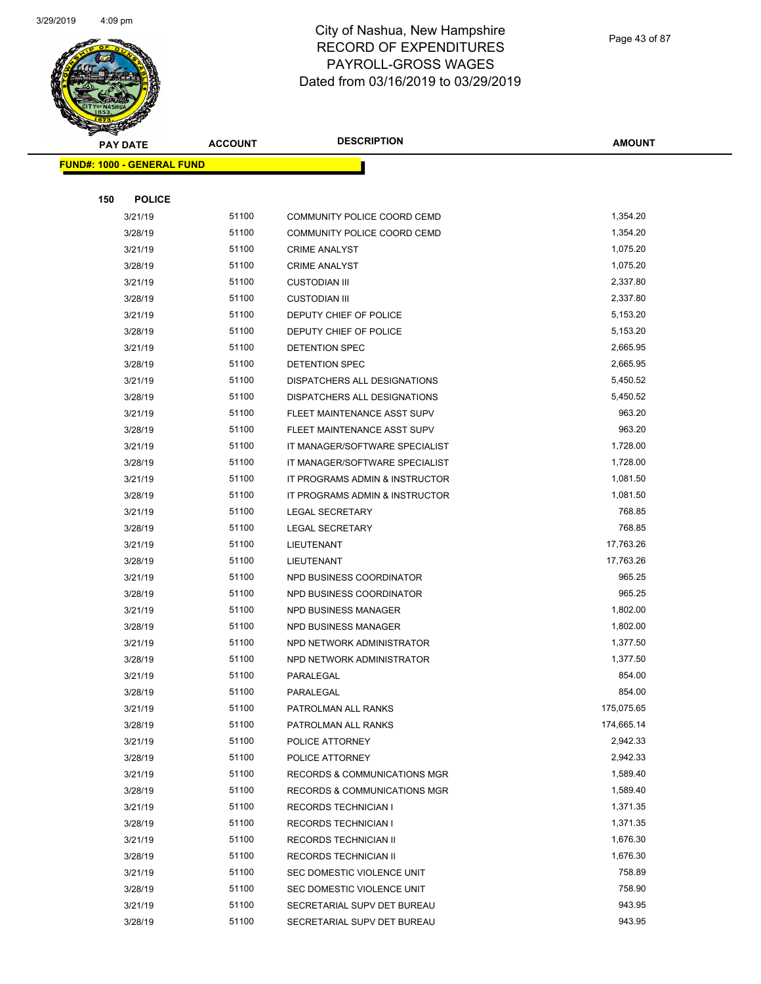

Page 43 of 87

|     | <b>PAY DATE</b>                   | <b>ACCOUNT</b> | <b>DESCRIPTION</b>             | <b>AMOUNT</b>    |
|-----|-----------------------------------|----------------|--------------------------------|------------------|
|     | <b>FUND#: 1000 - GENERAL FUND</b> |                |                                |                  |
|     |                                   |                |                                |                  |
| 150 | <b>POLICE</b>                     |                |                                |                  |
|     | 3/21/19                           | 51100          | COMMUNITY POLICE COORD CEMD    | 1,354.20         |
|     | 3/28/19                           | 51100          | COMMUNITY POLICE COORD CEMD    | 1,354.20         |
|     | 3/21/19                           | 51100          | <b>CRIME ANALYST</b>           | 1,075.20         |
|     | 3/28/19                           | 51100          | <b>CRIME ANALYST</b>           | 1,075.20         |
|     | 3/21/19                           | 51100          | <b>CUSTODIAN III</b>           | 2,337.80         |
|     | 3/28/19                           | 51100          | <b>CUSTODIAN III</b>           | 2,337.80         |
|     | 3/21/19                           | 51100          | DEPUTY CHIEF OF POLICE         | 5,153.20         |
|     | 3/28/19                           | 51100          | DEPUTY CHIEF OF POLICE         | 5,153.20         |
|     | 3/21/19                           | 51100          | DETENTION SPEC                 | 2,665.95         |
|     | 3/28/19                           | 51100          | <b>DETENTION SPEC</b>          | 2,665.95         |
|     | 3/21/19                           | 51100          | DISPATCHERS ALL DESIGNATIONS   | 5,450.52         |
|     | 3/28/19                           | 51100          | DISPATCHERS ALL DESIGNATIONS   | 5,450.52         |
|     | 3/21/19                           | 51100          | FLEET MAINTENANCE ASST SUPV    | 963.20           |
|     | 3/28/19                           | 51100          | FLEET MAINTENANCE ASST SUPV    | 963.20           |
|     | 3/21/19                           | 51100          | IT MANAGER/SOFTWARE SPECIALIST | 1,728.00         |
|     | 3/28/19                           | 51100          | IT MANAGER/SOFTWARE SPECIALIST | 1,728.00         |
|     | 3/21/19                           | 51100          | IT PROGRAMS ADMIN & INSTRUCTOR | 1,081.50         |
|     | 3/28/19                           | 51100          | IT PROGRAMS ADMIN & INSTRUCTOR | 1,081.50         |
|     | 3/21/19                           | 51100          | <b>LEGAL SECRETARY</b>         | 768.85           |
|     | 3/28/19                           | 51100          | <b>LEGAL SECRETARY</b>         | 768.85           |
|     | 3/21/19                           | 51100          | LIEUTENANT                     | 17,763.26        |
|     | 3/28/19                           | 51100          | LIEUTENANT                     | 17,763.26        |
|     | 3/21/19                           | 51100          | NPD BUSINESS COORDINATOR       | 965.25           |
|     | 3/28/19                           | 51100          | NPD BUSINESS COORDINATOR       | 965.25           |
|     | 3/21/19                           | 51100          | NPD BUSINESS MANAGER           | 1,802.00         |
|     | 3/28/19                           | 51100          | NPD BUSINESS MANAGER           | 1,802.00         |
|     | 3/21/19                           | 51100          | NPD NETWORK ADMINISTRATOR      | 1,377.50         |
|     | 3/28/19                           | 51100          | NPD NETWORK ADMINISTRATOR      | 1,377.50         |
|     | 3/21/19                           | 51100          | PARALEGAL                      | 854.00           |
|     | 3/28/19                           | 51100          | PARALEGAL                      | 854.00           |
|     | 3/21/19                           | 51100          | PATROLMAN ALL RANKS            | 175,075.65       |
|     | 3/28/19                           | 51100          | PATROLMAN ALL RANKS            | 174,665.14       |
|     | 3/21/19                           | 51100          | POLICE ATTORNEY                | 2,942.33         |
|     | 3/28/19                           | 51100          | POLICE ATTORNEY                | 2,942.33         |
|     | 3/21/19                           | 51100          | RECORDS & COMMUNICATIONS MGR   | 1,589.40         |
|     | 3/28/19                           | 51100          | RECORDS & COMMUNICATIONS MGR   | 1,589.40         |
|     | 3/21/19                           | 51100          | <b>RECORDS TECHNICIAN I</b>    | 1,371.35         |
|     | 3/28/19                           | 51100          | <b>RECORDS TECHNICIAN I</b>    | 1,371.35         |
|     | 3/21/19                           | 51100          | RECORDS TECHNICIAN II          | 1,676.30         |
|     | 3/28/19                           | 51100          | RECORDS TECHNICIAN II          | 1,676.30         |
|     | 3/21/19                           | 51100          | SEC DOMESTIC VIOLENCE UNIT     | 758.89<br>758.90 |
|     | 3/28/19                           | 51100          | SEC DOMESTIC VIOLENCE UNIT     |                  |
|     | 3/21/19                           | 51100          | SECRETARIAL SUPV DET BUREAU    | 943.95           |
|     | 3/28/19                           | 51100          | SECRETARIAL SUPV DET BUREAU    | 943.95           |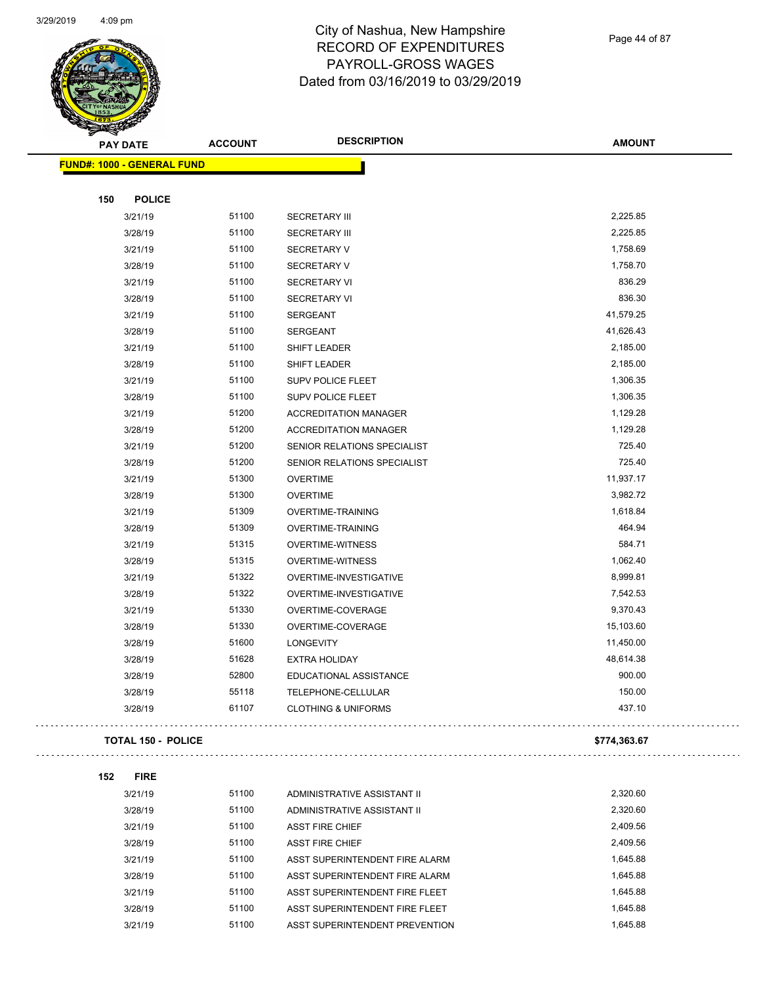

Page 44 of 87

| <b>PAY DATE</b>                   | <b>ACCOUNT</b> | <b>DESCRIPTION</b>             | <b>AMOUNT</b> |
|-----------------------------------|----------------|--------------------------------|---------------|
| <b>FUND#: 1000 - GENERAL FUND</b> |                |                                |               |
|                                   |                |                                |               |
| <b>POLICE</b><br>150              |                |                                |               |
| 3/21/19                           | 51100          | <b>SECRETARY III</b>           | 2,225.85      |
| 3/28/19                           | 51100          | <b>SECRETARY III</b>           | 2,225.85      |
| 3/21/19                           | 51100          | <b>SECRETARY V</b>             | 1,758.69      |
| 3/28/19                           | 51100          | <b>SECRETARY V</b>             | 1,758.70      |
| 3/21/19                           | 51100          | <b>SECRETARY VI</b>            | 836.29        |
| 3/28/19                           | 51100          | <b>SECRETARY VI</b>            | 836.30        |
| 3/21/19                           | 51100          | <b>SERGEANT</b>                | 41,579.25     |
| 3/28/19                           | 51100          | <b>SERGEANT</b>                | 41,626.43     |
| 3/21/19                           | 51100          | SHIFT LEADER                   | 2,185.00      |
| 3/28/19                           | 51100          | SHIFT LEADER                   | 2,185.00      |
| 3/21/19                           | 51100          | <b>SUPV POLICE FLEET</b>       | 1,306.35      |
| 3/28/19                           | 51100          | SUPV POLICE FLEET              | 1,306.35      |
| 3/21/19                           | 51200          | <b>ACCREDITATION MANAGER</b>   | 1,129.28      |
| 3/28/19                           | 51200          | <b>ACCREDITATION MANAGER</b>   | 1,129.28      |
| 3/21/19                           | 51200          | SENIOR RELATIONS SPECIALIST    | 725.40        |
| 3/28/19                           | 51200          | SENIOR RELATIONS SPECIALIST    | 725.40        |
| 3/21/19                           | 51300          | <b>OVERTIME</b>                | 11,937.17     |
| 3/28/19                           | 51300          | <b>OVERTIME</b>                | 3,982.72      |
| 3/21/19                           | 51309          | <b>OVERTIME-TRAINING</b>       | 1,618.84      |
| 3/28/19                           | 51309          | <b>OVERTIME-TRAINING</b>       | 464.94        |
| 3/21/19                           | 51315          | <b>OVERTIME-WITNESS</b>        | 584.71        |
| 3/28/19                           | 51315          | <b>OVERTIME-WITNESS</b>        | 1,062.40      |
| 3/21/19                           | 51322          | OVERTIME-INVESTIGATIVE         | 8,999.81      |
| 3/28/19                           | 51322          | OVERTIME-INVESTIGATIVE         | 7,542.53      |
| 3/21/19                           | 51330          | OVERTIME-COVERAGE              | 9,370.43      |
| 3/28/19                           | 51330          | OVERTIME-COVERAGE              | 15,103.60     |
| 3/28/19                           | 51600          | <b>LONGEVITY</b>               | 11,450.00     |
| 3/28/19                           | 51628          | <b>EXTRA HOLIDAY</b>           | 48,614.38     |
| 3/28/19                           | 52800          | EDUCATIONAL ASSISTANCE         | 900.00        |
| 3/28/19                           | 55118          | TELEPHONE-CELLULAR             | 150.00        |
| 3/28/19                           | 61107          | <b>CLOTHING &amp; UNIFORMS</b> | 437.10        |
| <b>TOTAL 150 - POLICE</b>         |                |                                | \$774,363.67  |
|                                   |                |                                |               |
| <b>FIRE</b><br>152                |                |                                |               |
| 3/21/19                           | 51100          | ADMINISTRATIVE ASSISTANT II    | 2,320.60      |
| 3/28/19                           | 51100          | ADMINISTRATIVE ASSISTANT II    | 2,320.60      |
| 3/21/19                           | 51100          | <b>ASST FIRE CHIEF</b>         | 2,409.56      |
| 3/28/19                           | 51100          | <b>ASST FIRE CHIEF</b>         | 2,409.56      |
| 3/21/19                           | 51100          | ASST SUPERINTENDENT FIRE ALARM | 1,645.88      |
| 3/28/19                           | 51100          | ASST SUPERINTENDENT FIRE ALARM | 1,645.88      |
| 3/21/19                           | 51100          | ASST SUPERINTENDENT FIRE FLEET | 1,645.88      |
| 3/28/19                           | 51100          | ASST SUPERINTENDENT FIRE FLEET | 1,645.88      |
| 3/21/19                           | 51100          | ASST SUPERINTENDENT PREVENTION | 1,645.88      |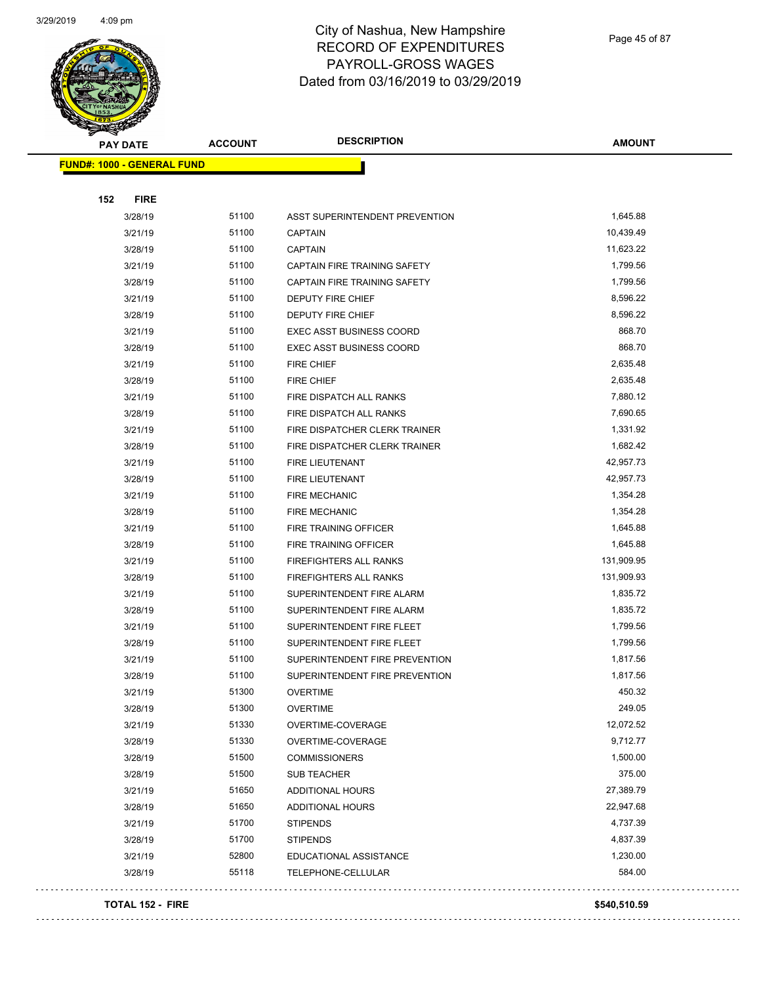

Page 45 of 87

| <b>PAY DATE</b>                   | <b>ACCOUNT</b> | <b>DESCRIPTION</b>              | <b>AMOUNT</b> |
|-----------------------------------|----------------|---------------------------------|---------------|
| <b>FUND#: 1000 - GENERAL FUND</b> |                |                                 |               |
|                                   |                |                                 |               |
| 152<br><b>FIRE</b>                |                |                                 |               |
| 3/28/19                           | 51100          | ASST SUPERINTENDENT PREVENTION  | 1,645.88      |
| 3/21/19                           | 51100          | <b>CAPTAIN</b>                  | 10,439.49     |
| 3/28/19                           | 51100          | <b>CAPTAIN</b>                  | 11,623.22     |
| 3/21/19                           | 51100          | CAPTAIN FIRE TRAINING SAFETY    | 1,799.56      |
| 3/28/19                           | 51100          | CAPTAIN FIRE TRAINING SAFETY    | 1,799.56      |
| 3/21/19                           | 51100          | DEPUTY FIRE CHIEF               | 8,596.22      |
| 3/28/19                           | 51100          | DEPUTY FIRE CHIEF               | 8,596.22      |
| 3/21/19                           | 51100          | <b>EXEC ASST BUSINESS COORD</b> | 868.70        |
| 3/28/19                           | 51100          | <b>EXEC ASST BUSINESS COORD</b> | 868.70        |
| 3/21/19                           | 51100          | <b>FIRE CHIEF</b>               | 2,635.48      |
| 3/28/19                           | 51100          | <b>FIRE CHIEF</b>               | 2,635.48      |
| 3/21/19                           | 51100          | FIRE DISPATCH ALL RANKS         | 7,880.12      |
| 3/28/19                           | 51100          | FIRE DISPATCH ALL RANKS         | 7,690.65      |
| 3/21/19                           | 51100          | FIRE DISPATCHER CLERK TRAINER   | 1,331.92      |
| 3/28/19                           | 51100          | FIRE DISPATCHER CLERK TRAINER   | 1,682.42      |
| 3/21/19                           | 51100          | FIRE LIEUTENANT                 | 42,957.73     |
| 3/28/19                           | 51100          | <b>FIRE LIEUTENANT</b>          | 42,957.73     |
| 3/21/19                           | 51100          | <b>FIRE MECHANIC</b>            | 1,354.28      |
| 3/28/19                           | 51100          | <b>FIRE MECHANIC</b>            | 1,354.28      |
| 3/21/19                           | 51100          | FIRE TRAINING OFFICER           | 1,645.88      |
| 3/28/19                           | 51100          | FIRE TRAINING OFFICER           | 1,645.88      |
| 3/21/19                           | 51100          | FIREFIGHTERS ALL RANKS          | 131,909.95    |
| 3/28/19                           | 51100          | FIREFIGHTERS ALL RANKS          | 131,909.93    |
| 3/21/19                           | 51100          | SUPERINTENDENT FIRE ALARM       | 1,835.72      |
| 3/28/19                           | 51100          | SUPERINTENDENT FIRE ALARM       | 1,835.72      |
| 3/21/19                           | 51100          | SUPERINTENDENT FIRE FLEET       | 1,799.56      |
| 3/28/19                           | 51100          | SUPERINTENDENT FIRE FLEET       | 1,799.56      |
| 3/21/19                           | 51100          | SUPERINTENDENT FIRE PREVENTION  | 1,817.56      |
| 3/28/19                           | 51100          | SUPERINTENDENT FIRE PREVENTION  | 1,817.56      |
| 3/21/19                           | 51300          | <b>OVERTIME</b>                 | 450.32        |
| 3/28/19                           | 51300          | <b>OVERTIME</b>                 | 249.05        |
| 3/21/19                           | 51330          | OVERTIME-COVERAGE               | 12,072.52     |
| 3/28/19                           | 51330          | OVERTIME-COVERAGE               | 9,712.77      |
| 3/28/19                           | 51500          | <b>COMMISSIONERS</b>            | 1,500.00      |
| 3/28/19                           | 51500          | <b>SUB TEACHER</b>              | 375.00        |
| 3/21/19                           | 51650          | ADDITIONAL HOURS                | 27,389.79     |
| 3/28/19                           | 51650          | <b>ADDITIONAL HOURS</b>         | 22,947.68     |
| 3/21/19                           | 51700          | <b>STIPENDS</b>                 | 4,737.39      |
| 3/28/19                           | 51700          | <b>STIPENDS</b>                 | 4,837.39      |
| 3/21/19                           | 52800          | EDUCATIONAL ASSISTANCE          | 1,230.00      |
| 3/28/19                           | 55118          | TELEPHONE-CELLULAR              | 584.00        |
|                                   |                |                                 |               |

#### **TOTAL 152 - FIRE \$540,510.59**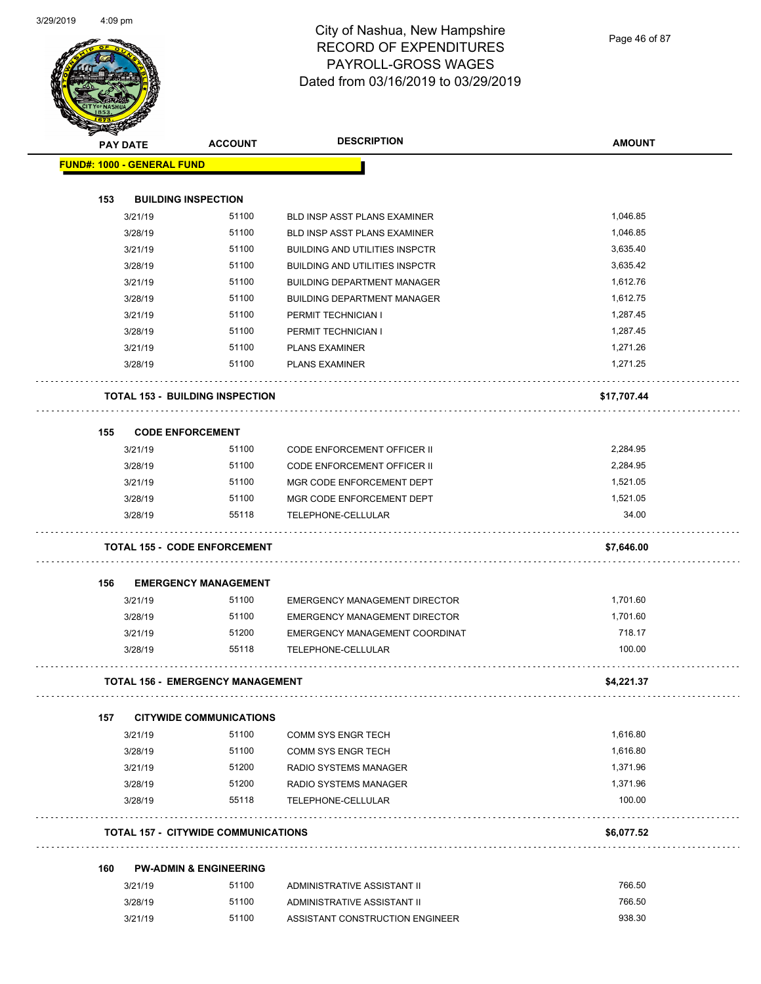

| <b>Search Contracts</b> |                 | <b>ACCOUNT</b>                             | <b>DESCRIPTION</b>                    | <b>AMOUNT</b> |
|-------------------------|-----------------|--------------------------------------------|---------------------------------------|---------------|
|                         | <b>PAY DATE</b> |                                            |                                       |               |
|                         |                 | <b>FUND#: 1000 - GENERAL FUND</b>          |                                       |               |
| 153                     |                 | <b>BUILDING INSPECTION</b>                 |                                       |               |
|                         | 3/21/19         | 51100                                      | BLD INSP ASST PLANS EXAMINER          | 1,046.85      |
|                         | 3/28/19         | 51100                                      | BLD INSP ASST PLANS EXAMINER          | 1,046.85      |
|                         | 3/21/19         | 51100                                      | <b>BUILDING AND UTILITIES INSPCTR</b> | 3,635.40      |
|                         | 3/28/19         | 51100                                      | <b>BUILDING AND UTILITIES INSPCTR</b> | 3,635.42      |
|                         | 3/21/19         | 51100                                      | <b>BUILDING DEPARTMENT MANAGER</b>    | 1,612.76      |
|                         | 3/28/19         | 51100                                      | <b>BUILDING DEPARTMENT MANAGER</b>    | 1,612.75      |
|                         | 3/21/19         | 51100                                      | PERMIT TECHNICIAN I                   | 1,287.45      |
|                         | 3/28/19         | 51100                                      | PERMIT TECHNICIAN I                   | 1,287.45      |
|                         | 3/21/19         | 51100                                      | <b>PLANS EXAMINER</b>                 | 1,271.26      |
|                         | 3/28/19         | 51100                                      | <b>PLANS EXAMINER</b>                 | 1,271.25      |
|                         |                 | <b>TOTAL 153 - BUILDING INSPECTION</b>     |                                       | \$17,707.44   |
| 155                     |                 | <b>CODE ENFORCEMENT</b>                    |                                       |               |
|                         | 3/21/19         | 51100                                      | <b>CODE ENFORCEMENT OFFICER II</b>    | 2,284.95      |
|                         | 3/28/19         | 51100                                      | <b>CODE ENFORCEMENT OFFICER II</b>    | 2,284.95      |
|                         | 3/21/19         | 51100                                      | MGR CODE ENFORCEMENT DEPT             | 1,521.05      |
|                         | 3/28/19         | 51100                                      | MGR CODE ENFORCEMENT DEPT             | 1,521.05      |
|                         | 3/28/19         | 55118                                      | TELEPHONE-CELLULAR                    | 34.00         |
|                         |                 | <b>TOTAL 155 - CODE ENFORCEMENT</b>        |                                       | \$7,646.00    |
| 156                     |                 | <b>EMERGENCY MANAGEMENT</b>                |                                       |               |
|                         | 3/21/19         | 51100                                      | <b>EMERGENCY MANAGEMENT DIRECTOR</b>  | 1,701.60      |
|                         | 3/28/19         | 51100                                      | <b>EMERGENCY MANAGEMENT DIRECTOR</b>  | 1,701.60      |
|                         | 3/21/19         | 51200                                      | EMERGENCY MANAGEMENT COORDINAT        | 718.17        |
|                         | 3/28/19         | 55118                                      | TELEPHONE-CELLULAR                    | 100.00        |
|                         |                 | <b>TOTAL 156 - EMERGENCY MANAGEMENT</b>    |                                       | \$4,221.37    |
| 157                     |                 | <b>CITYWIDE COMMUNICATIONS</b>             |                                       |               |
|                         | 3/21/19         | 51100                                      | <b>COMM SYS ENGR TECH</b>             | 1,616.80      |
|                         | 3/28/19         | 51100                                      | <b>COMM SYS ENGR TECH</b>             | 1,616.80      |
|                         | 3/21/19         | 51200                                      | RADIO SYSTEMS MANAGER                 | 1,371.96      |
|                         | 3/28/19         | 51200                                      | RADIO SYSTEMS MANAGER                 | 1,371.96      |
|                         | 3/28/19         | 55118                                      | <b>TELEPHONE-CELLULAR</b>             | 100.00        |
|                         |                 | <b>TOTAL 157 - CITYWIDE COMMUNICATIONS</b> |                                       | \$6,077.52    |
| 160                     |                 | <b>PW-ADMIN &amp; ENGINEERING</b>          |                                       |               |
|                         | 3/21/19         | 51100                                      | ADMINISTRATIVE ASSISTANT II           | 766.50        |
|                         | 3/28/19         | 51100                                      | ADMINISTRATIVE ASSISTANT II           | 766.50        |
|                         | 3/21/19         | 51100                                      | ASSISTANT CONSTRUCTION ENGINEER       | 938.30        |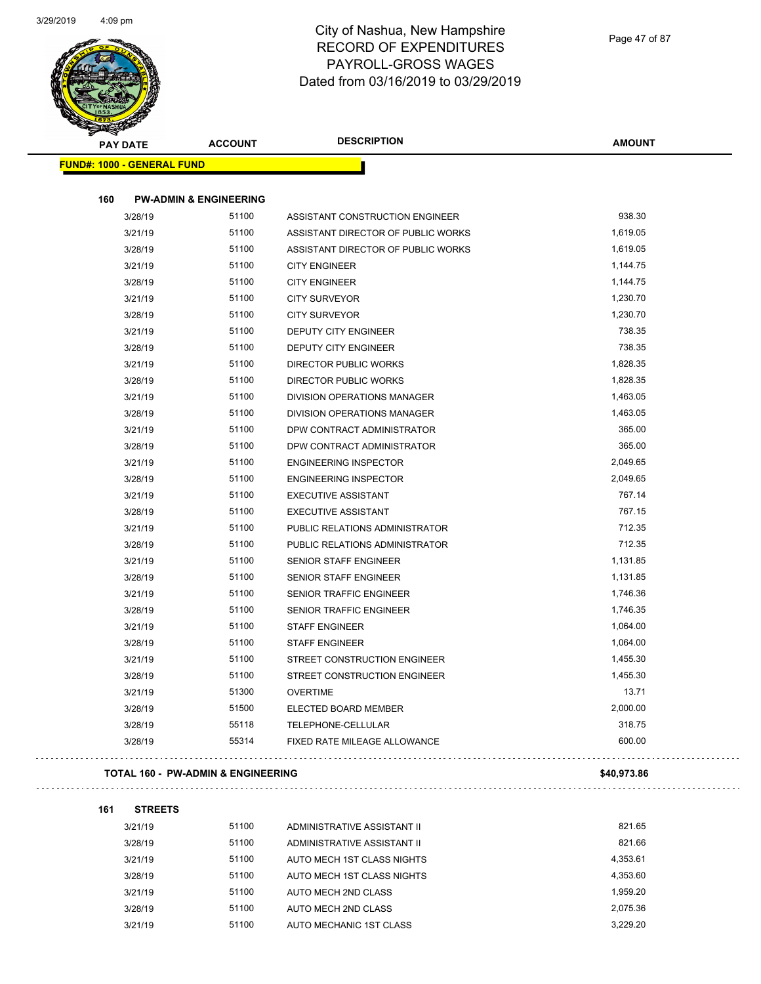

| <b>PAY DATE</b>                   | <b>ACCOUNT</b>                    | <b>DESCRIPTION</b>                 | <b>AMOUNT</b> |
|-----------------------------------|-----------------------------------|------------------------------------|---------------|
| <b>FUND#: 1000 - GENERAL FUND</b> |                                   |                                    |               |
| 160                               | <b>PW-ADMIN &amp; ENGINEERING</b> |                                    |               |
| 3/28/19                           | 51100                             | ASSISTANT CONSTRUCTION ENGINEER    | 938.30        |
| 3/21/19                           | 51100                             | ASSISTANT DIRECTOR OF PUBLIC WORKS | 1,619.05      |
| 3/28/19                           | 51100                             | ASSISTANT DIRECTOR OF PUBLIC WORKS | 1,619.05      |
| 3/21/19                           | 51100                             | <b>CITY ENGINEER</b>               | 1,144.75      |
| 3/28/19                           | 51100                             | <b>CITY ENGINEER</b>               | 1,144.75      |
| 3/21/19                           | 51100                             | <b>CITY SURVEYOR</b>               | 1,230.70      |
| 3/28/19                           | 51100                             | <b>CITY SURVEYOR</b>               | 1,230.70      |
| 3/21/19                           | 51100                             | DEPUTY CITY ENGINEER               | 738.35        |
| 3/28/19                           | 51100                             | <b>DEPUTY CITY ENGINEER</b>        | 738.35        |
| 3/21/19                           | 51100                             | <b>DIRECTOR PUBLIC WORKS</b>       | 1,828.35      |
| 3/28/19                           | 51100                             | <b>DIRECTOR PUBLIC WORKS</b>       | 1,828.35      |
| 3/21/19                           | 51100                             | DIVISION OPERATIONS MANAGER        | 1,463.05      |
| 3/28/19                           | 51100                             | <b>DIVISION OPERATIONS MANAGER</b> | 1,463.05      |
| 3/21/19                           | 51100                             | DPW CONTRACT ADMINISTRATOR         | 365.00        |
| 3/28/19                           | 51100                             | DPW CONTRACT ADMINISTRATOR         | 365.00        |
| 3/21/19                           | 51100                             | <b>ENGINEERING INSPECTOR</b>       | 2,049.65      |
| 3/28/19                           | 51100                             | <b>ENGINEERING INSPECTOR</b>       | 2,049.65      |
| 3/21/19                           | 51100                             | <b>EXECUTIVE ASSISTANT</b>         | 767.14        |
| 3/28/19                           | 51100                             | <b>EXECUTIVE ASSISTANT</b>         | 767.15        |
| 3/21/19                           | 51100                             | PUBLIC RELATIONS ADMINISTRATOR     | 712.35        |
| 3/28/19                           | 51100                             | PUBLIC RELATIONS ADMINISTRATOR     | 712.35        |
| 3/21/19                           | 51100                             | SENIOR STAFF ENGINEER              | 1,131.85      |
| 3/28/19                           | 51100                             | <b>SENIOR STAFF ENGINEER</b>       | 1,131.85      |
| 3/21/19                           | 51100                             | SENIOR TRAFFIC ENGINEER            | 1,746.36      |
| 3/28/19                           | 51100                             | SENIOR TRAFFIC ENGINEER            | 1,746.35      |
| 3/21/19                           | 51100                             | <b>STAFF ENGINEER</b>              | 1,064.00      |
| 3/28/19                           | 51100                             | <b>STAFF ENGINEER</b>              | 1,064.00      |
| 3/21/19                           | 51100                             | STREET CONSTRUCTION ENGINEER       | 1,455.30      |
| 3/28/19                           | 51100                             | STREET CONSTRUCTION ENGINEER       | 1,455.30      |
| 3/21/19                           | 51300                             | <b>OVERTIME</b>                    | 13.71         |
| 3/28/19                           | 51500                             | ELECTED BOARD MEMBER               | 2,000.00      |
| 3/28/19                           | 55118                             | TELEPHONE-CELLULAR                 | 318.75        |
| 3/28/19                           | 55314                             | FIXED RATE MILEAGE ALLOWANCE       | 600.00        |

#### **TOTAL 160 - PW-ADMIN & ENGINEERING \$40,973.86**

**161 STREETS**

| 3/21/19 | 51100 | ADMINISTRATIVE ASSISTANT II | 821.65   |
|---------|-------|-----------------------------|----------|
| 3/28/19 | 51100 | ADMINISTRATIVE ASSISTANT II | 821.66   |
| 3/21/19 | 51100 | AUTO MECH 1ST CLASS NIGHTS  | 4,353.61 |
| 3/28/19 | 51100 | AUTO MECH 1ST CLASS NIGHTS  | 4,353.60 |
| 3/21/19 | 51100 | AUTO MECH 2ND CLASS         | 1.959.20 |
| 3/28/19 | 51100 | AUTO MECH 2ND CLASS         | 2.075.36 |
| 3/21/19 | 51100 | AUTO MECHANIC 1ST CLASS     | 3.229.20 |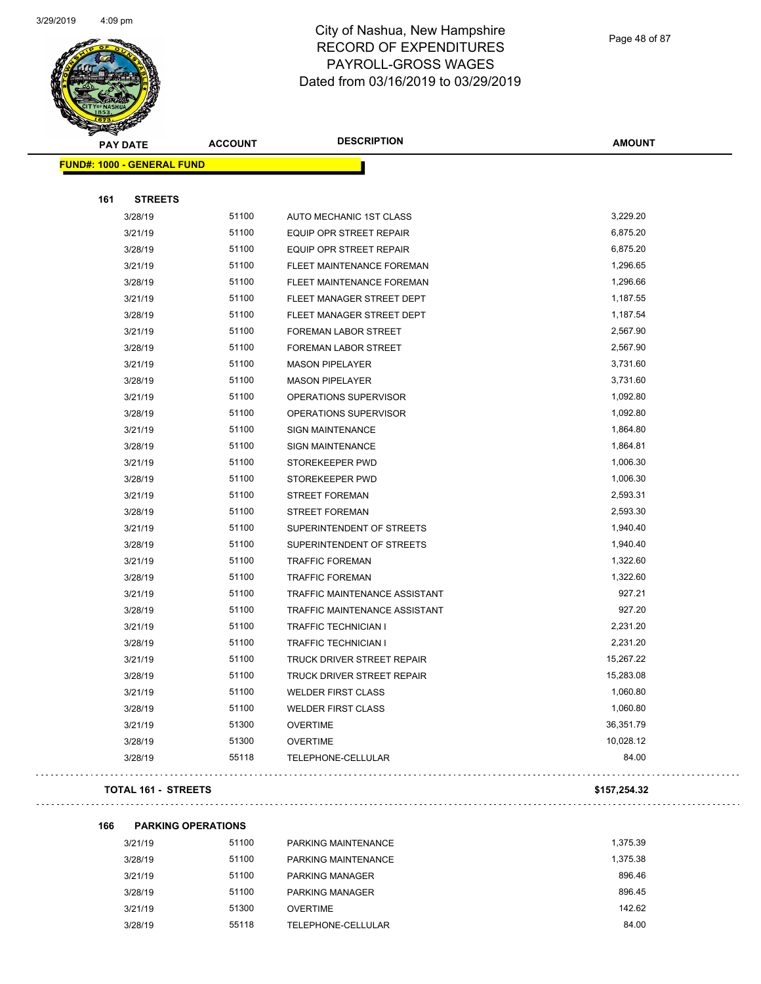

Page 48 of 87

| <b>PAY DATE</b>                   | <b>ACCOUNT</b> | <b>DESCRIPTION</b>             | <b>AMOUNT</b> |
|-----------------------------------|----------------|--------------------------------|---------------|
| <b>FUND#: 1000 - GENERAL FUND</b> |                |                                |               |
|                                   |                |                                |               |
| 161<br><b>STREETS</b>             |                |                                |               |
| 3/28/19                           | 51100          | AUTO MECHANIC 1ST CLASS        | 3,229.20      |
| 3/21/19                           | 51100          | <b>EQUIP OPR STREET REPAIR</b> | 6,875.20      |
| 3/28/19                           | 51100          | EQUIP OPR STREET REPAIR        | 6,875.20      |
| 3/21/19                           | 51100          | FLEET MAINTENANCE FOREMAN      | 1,296.65      |
| 3/28/19                           | 51100          | FLEET MAINTENANCE FOREMAN      | 1,296.66      |
| 3/21/19                           | 51100          | FLEET MANAGER STREET DEPT      | 1,187.55      |
| 3/28/19                           | 51100          | FLEET MANAGER STREET DEPT      | 1,187.54      |
| 3/21/19                           | 51100          | FOREMAN LABOR STREET           | 2,567.90      |
| 3/28/19                           | 51100          | FOREMAN LABOR STREET           | 2,567.90      |
| 3/21/19                           | 51100          | <b>MASON PIPELAYER</b>         | 3,731.60      |
| 3/28/19                           | 51100          | <b>MASON PIPELAYER</b>         | 3,731.60      |
| 3/21/19                           | 51100          | OPERATIONS SUPERVISOR          | 1,092.80      |
| 3/28/19                           | 51100          | OPERATIONS SUPERVISOR          | 1,092.80      |
| 3/21/19                           | 51100          | <b>SIGN MAINTENANCE</b>        | 1,864.80      |
| 3/28/19                           | 51100          | <b>SIGN MAINTENANCE</b>        | 1,864.81      |
| 3/21/19                           | 51100          | STOREKEEPER PWD                | 1,006.30      |
| 3/28/19                           | 51100          | STOREKEEPER PWD                | 1,006.30      |
| 3/21/19                           | 51100          | <b>STREET FOREMAN</b>          | 2,593.31      |
| 3/28/19                           | 51100          | <b>STREET FOREMAN</b>          | 2,593.30      |
| 3/21/19                           | 51100          | SUPERINTENDENT OF STREETS      | 1,940.40      |
| 3/28/19                           | 51100          | SUPERINTENDENT OF STREETS      | 1,940.40      |
| 3/21/19                           | 51100          | <b>TRAFFIC FOREMAN</b>         | 1,322.60      |
| 3/28/19                           | 51100          | <b>TRAFFIC FOREMAN</b>         | 1,322.60      |
| 3/21/19                           | 51100          | TRAFFIC MAINTENANCE ASSISTANT  | 927.21        |
| 3/28/19                           | 51100          | TRAFFIC MAINTENANCE ASSISTANT  | 927.20        |
| 3/21/19                           | 51100          | <b>TRAFFIC TECHNICIAN I</b>    | 2,231.20      |
| 3/28/19                           | 51100          | TRAFFIC TECHNICIAN I           | 2,231.20      |
| 3/21/19                           | 51100          | TRUCK DRIVER STREET REPAIR     | 15,267.22     |
| 3/28/19                           | 51100          | TRUCK DRIVER STREET REPAIR     | 15,283.08     |
| 3/21/19                           | 51100          | <b>WELDER FIRST CLASS</b>      | 1,060.80      |
| 3/28/19                           | 51100          | <b>WELDER FIRST CLASS</b>      | 1,060.80      |
| 3/21/19                           | 51300          | <b>OVERTIME</b>                | 36,351.79     |
| 3/28/19                           | 51300          | <b>OVERTIME</b>                | 10,028.12     |
| 3/28/19                           | 55118          | TELEPHONE-CELLULAR             | 84.00         |
| <b>TOTAL 161 - STREETS</b>        |                |                                | \$157,254.32  |

**166 PARKING OPERATIONS** 3/21/19 51100 PARKING MAINTENANCE 1,375.39 3/28/19 51100 PARKING MAINTENANCE 3/28/19 1,375.38 3/21/19 51100 PARKING MANAGER 896.46 3/28/19 51100 PARKING MANAGER 896.45 3/21/19 51300 OVERTIME 142.62 3/28/19 55118 TELEPHONE-CELLULAR 84.00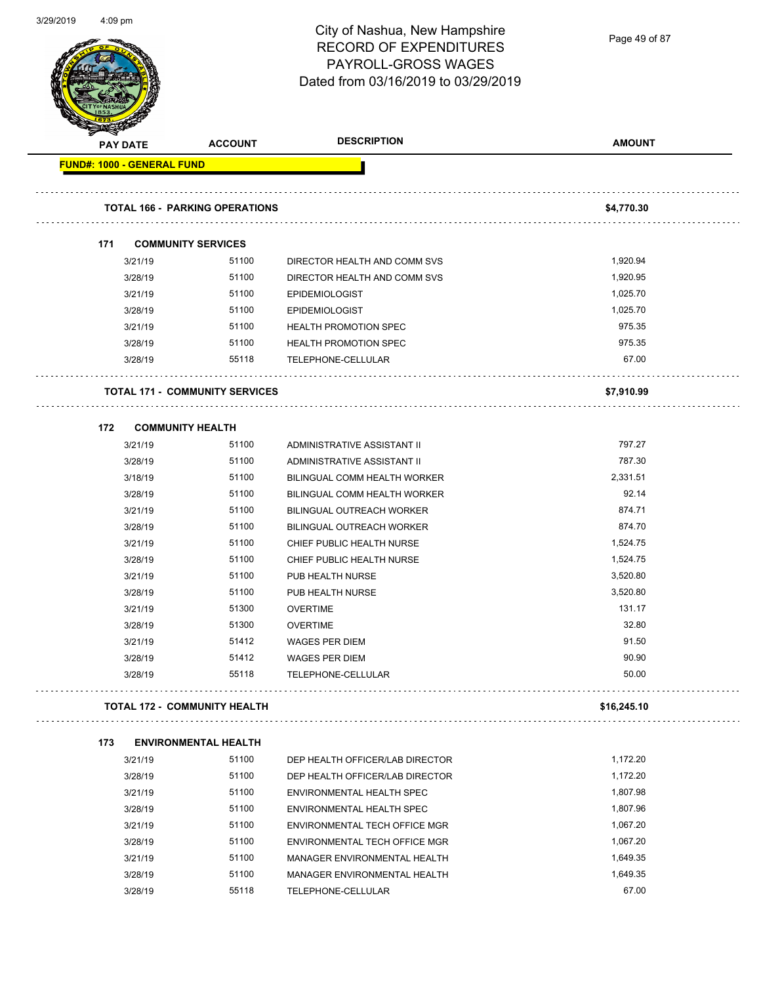| 3/29/2019 | $4:09$ pm                         |                                       | City of Nashua, New Hampshire<br><b>RECORD OF EXPENDITURES</b><br>PAYROLL-GROSS WAGES<br>Dated from 03/16/2019 to 03/29/2019 | Page 49 of 87    |
|-----------|-----------------------------------|---------------------------------------|------------------------------------------------------------------------------------------------------------------------------|------------------|
|           | <b>PAY DATE</b>                   | <b>ACCOUNT</b>                        | <b>DESCRIPTION</b>                                                                                                           | <b>AMOUNT</b>    |
|           | <b>FUND#: 1000 - GENERAL FUND</b> |                                       |                                                                                                                              |                  |
|           |                                   |                                       |                                                                                                                              |                  |
|           |                                   | <b>TOTAL 166 - PARKING OPERATIONS</b> |                                                                                                                              | \$4,770.30       |
|           | 171                               | <b>COMMUNITY SERVICES</b>             |                                                                                                                              |                  |
|           | 3/21/19                           | 51100                                 | DIRECTOR HEALTH AND COMM SVS                                                                                                 | 1,920.94         |
|           | 3/28/19                           | 51100                                 | DIRECTOR HEALTH AND COMM SVS                                                                                                 | 1,920.95         |
|           | 3/21/19                           | 51100                                 | <b>EPIDEMIOLOGIST</b>                                                                                                        | 1,025.70         |
|           | 3/28/19                           | 51100                                 | <b>EPIDEMIOLOGIST</b>                                                                                                        | 1,025.70         |
|           | 3/21/19                           | 51100                                 | <b>HEALTH PROMOTION SPEC</b>                                                                                                 | 975.35           |
|           | 3/28/19                           | 51100                                 | HEALTH PROMOTION SPEC                                                                                                        | 975.35           |
|           | 3/28/19                           | 55118                                 | TELEPHONE-CELLULAR                                                                                                           | 67.00            |
|           |                                   | <b>TOTAL 171 - COMMUNITY SERVICES</b> |                                                                                                                              | \$7,910.99       |
|           | 172                               | <b>COMMUNITY HEALTH</b>               |                                                                                                                              |                  |
|           | 3/21/19                           | 51100                                 | ADMINISTRATIVE ASSISTANT II                                                                                                  | 797.27           |
|           | 3/28/19                           | 51100                                 | ADMINISTRATIVE ASSISTANT II                                                                                                  | 787.30           |
|           | 3/18/19                           | 51100                                 | BILINGUAL COMM HEALTH WORKER                                                                                                 | 2,331.51         |
|           | 3/28/19                           | 51100                                 | BILINGUAL COMM HEALTH WORKER                                                                                                 | 92.14            |
|           | 3/21/19                           | 51100                                 | BILINGUAL OUTREACH WORKER                                                                                                    | 874.71           |
|           | 3/28/19                           | 51100                                 | BILINGUAL OUTREACH WORKER                                                                                                    | 874.70           |
|           | 3/21/19                           | 51100                                 | CHIEF PUBLIC HEALTH NURSE                                                                                                    | 1,524.75         |
|           | 3/28/19                           | 51100                                 | CHIEF PUBLIC HEALTH NURSE                                                                                                    | 1,524.75         |
|           | 3/21/19                           | 51100                                 | PUB HEALTH NURSE                                                                                                             | 3,520.80         |
|           | 3/28/19                           | 51100                                 | PUB HEALTH NURSE                                                                                                             | 3,520.80         |
|           | 3/21/19                           | 51300                                 | <b>OVERTIME</b>                                                                                                              | 131.17           |
|           | 3/28/19                           | 51300                                 | <b>OVERTIME</b>                                                                                                              | 32.80            |
|           | 3/21/19                           | 51412                                 | WAGES PER DIEM                                                                                                               | 91.50            |
|           | 3/28/19                           | 51412                                 | <b>WAGES PER DIEM</b>                                                                                                        | 90.90            |
|           | 3/28/19                           | 55118                                 | TELEPHONE-CELLULAR                                                                                                           | 50.00            |
|           |                                   | TOTAL 172 - COMMUNITY HEALTH          |                                                                                                                              | .<br>\$16,245.10 |
|           |                                   |                                       |                                                                                                                              |                  |
|           | 173                               | <b>ENVIRONMENTAL HEALTH</b>           |                                                                                                                              |                  |
|           | 3/21/19                           | 51100                                 | DEP HEALTH OFFICER/LAB DIRECTOR                                                                                              | 1,172.20         |
|           | 3/28/19                           | 51100                                 | DEP HEALTH OFFICER/LAB DIRECTOR                                                                                              | 1,172.20         |
|           | 3/21/19                           | 51100                                 | ENVIRONMENTAL HEALTH SPEC                                                                                                    | 1,807.98         |
|           | 2120140                           | 51100                                 | <b>EMMOOMMENTAL LIEALTH CDEC</b>                                                                                             | 1.80706          |

3/28/19 51100 ENVIRONMENTAL HEALTH SPEC 51100 51100 3/21/19 51100 ENVIRONMENTAL TECH OFFICE MGR 1,067.20 3/28/19 51100 ENVIRONMENTAL TECH OFFICE MGR<br>
1,067.20 3/21/19 51100 MANAGER ENVIRONMENTAL HEALTH 1,649.35 3/28/19 51100 MANAGER ENVIRONMENTAL HEALTH 1,649.35 3/28/19 55118 TELEPHONE-CELLULAR 67.00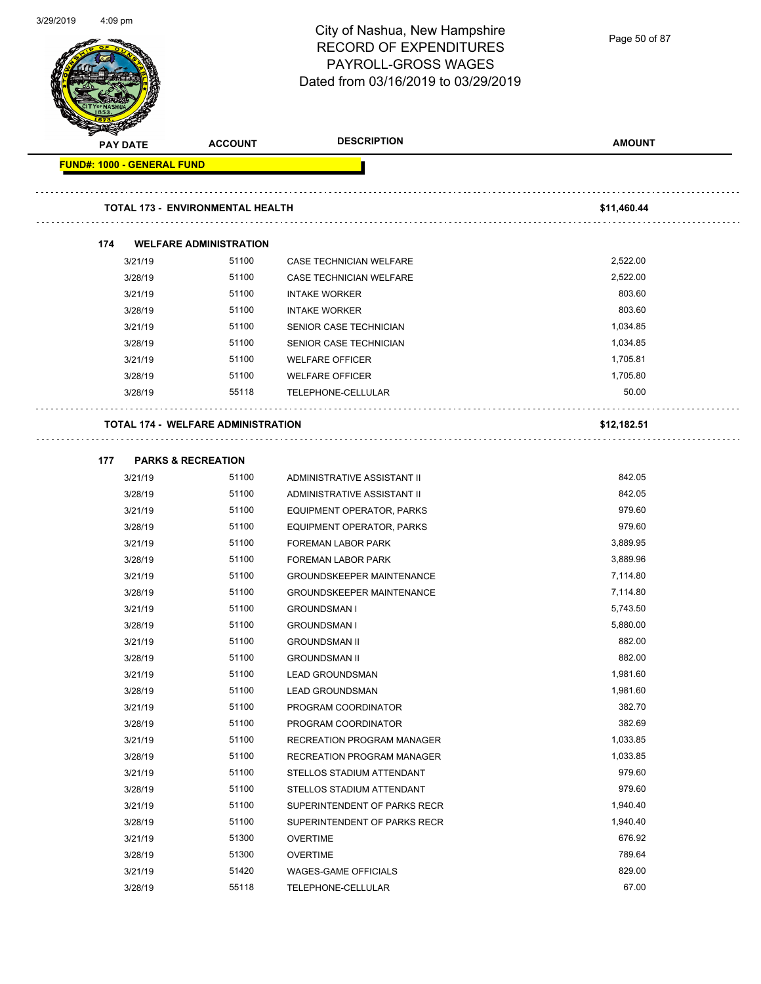| 312912019 | 4:09 pm            |                                           |                | City of Nashua, New Hampshire<br><b>RECORD OF EXPENDITURES</b><br>PAYROLL-GROSS WAGES<br>Dated from 03/16/2019 to 03/29/2019 | Page 50 of 87 |
|-----------|--------------------|-------------------------------------------|----------------|------------------------------------------------------------------------------------------------------------------------------|---------------|
|           | <b>PAY DATE</b>    |                                           | <b>ACCOUNT</b> | <b>DESCRIPTION</b>                                                                                                           | <b>AMOUNT</b> |
|           |                    | <b>FUND#: 1000 - GENERAL FUND</b>         |                |                                                                                                                              |               |
|           |                    | <b>TOTAL 173 - ENVIRONMENTAL HEALTH</b>   |                |                                                                                                                              | \$11,460.44   |
|           | 174                | <b>WELFARE ADMINISTRATION</b>             |                |                                                                                                                              |               |
|           | 3/21/19            |                                           | 51100          | CASE TECHNICIAN WELFARE                                                                                                      | 2,522.00      |
|           | 3/28/19            |                                           | 51100          | CASE TECHNICIAN WELFARE                                                                                                      | 2,522.00      |
|           | 3/21/19            |                                           | 51100          | <b>INTAKE WORKER</b>                                                                                                         | 803.60        |
|           | 3/28/19            |                                           | 51100          | <b>INTAKE WORKER</b>                                                                                                         | 803.60        |
|           | 3/21/19            |                                           | 51100          | SENIOR CASE TECHNICIAN                                                                                                       | 1,034.85      |
|           | 3/28/19            |                                           | 51100          | SENIOR CASE TECHNICIAN                                                                                                       | 1,034.85      |
|           | 3/21/19            |                                           | 51100          | <b>WELFARE OFFICER</b>                                                                                                       | 1,705.81      |
|           | 3/28/19            |                                           | 51100          | <b>WELFARE OFFICER</b>                                                                                                       | 1,705.80      |
|           | 3/28/19            |                                           | 55118          | TELEPHONE-CELLULAR                                                                                                           | 50.00         |
|           |                    | <b>TOTAL 174 - WELFARE ADMINISTRATION</b> |                |                                                                                                                              | \$12,182.51   |
|           |                    |                                           |                |                                                                                                                              |               |
|           | 177                | <b>PARKS &amp; RECREATION</b>             | 51100          |                                                                                                                              | 842.05        |
|           | 3/21/19<br>3/28/19 |                                           | 51100          | ADMINISTRATIVE ASSISTANT II<br>ADMINISTRATIVE ASSISTANT II                                                                   | 842.05        |
|           | 3/21/19            |                                           | 51100          | EQUIPMENT OPERATOR, PARKS                                                                                                    | 979.60        |
|           | 3/28/19            |                                           | 51100          | EQUIPMENT OPERATOR, PARKS                                                                                                    | 979.60        |
|           | 3/21/19            |                                           | 51100          | <b>FOREMAN LABOR PARK</b>                                                                                                    | 3,889.95      |
|           | 3/28/19            |                                           | 51100          | <b>FOREMAN LABOR PARK</b>                                                                                                    | 3,889.96      |
|           | 3/21/19            |                                           | 51100          | GROUNDSKEEPER MAINTENANCE                                                                                                    | 7,114.80      |
|           | 3/28/19            |                                           | 51100          | <b>GROUNDSKEEPER MAINTENANCE</b>                                                                                             | 7,114.80      |
|           | 3/21/19            |                                           | 51100          | <b>GROUNDSMAN I</b>                                                                                                          | 5,743.50      |
|           | 3/28/19            |                                           | 51100          | <b>GROUNDSMAN I</b>                                                                                                          | 5,880.00      |
|           | 3/21/19            |                                           | 51100          | <b>GROUNDSMAN II</b>                                                                                                         | 882.00        |
|           | 3/28/19            |                                           | 51100          | <b>GROUNDSMAN II</b>                                                                                                         | 882.00        |
|           | 3/21/19            |                                           | 51100          | <b>LEAD GROUNDSMAN</b>                                                                                                       | 1,981.60      |
|           | 3/28/19            |                                           | 51100          | <b>LEAD GROUNDSMAN</b>                                                                                                       | 1,981.60      |
|           | 3/21/19            |                                           | 51100          | PROGRAM COORDINATOR                                                                                                          | 382.70        |
|           | 3/28/19            |                                           | 51100          | PROGRAM COORDINATOR                                                                                                          | 382.69        |
|           | 3/21/19            |                                           | 51100          | RECREATION PROGRAM MANAGER                                                                                                   | 1,033.85      |
|           | 3/28/19            |                                           | 51100          | RECREATION PROGRAM MANAGER                                                                                                   | 1,033.85      |
|           | 3/21/19            |                                           | 51100          | STELLOS STADIUM ATTENDANT                                                                                                    | 979.60        |
|           | 3/28/19            |                                           | 51100          | STELLOS STADIUM ATTENDANT                                                                                                    | 979.60        |
|           | 3/21/19            |                                           | 51100          | SUPERINTENDENT OF PARKS RECR                                                                                                 | 1,940.40      |
|           | 3/28/19            |                                           | 51100          | SUPERINTENDENT OF PARKS RECR                                                                                                 | 1,940.40      |
|           | 3/21/19            |                                           | 51300          | <b>OVERTIME</b>                                                                                                              | 676.92        |
|           | 3/28/19            |                                           | 51300          | <b>OVERTIME</b>                                                                                                              | 789.64        |
|           | 3/21/19            |                                           | 51420          | <b>WAGES-GAME OFFICIALS</b>                                                                                                  | 829.00        |
|           | 3/28/19            |                                           | 55118          | TELEPHONE-CELLULAR                                                                                                           | 67.00         |

3/29/2019 4:09 pm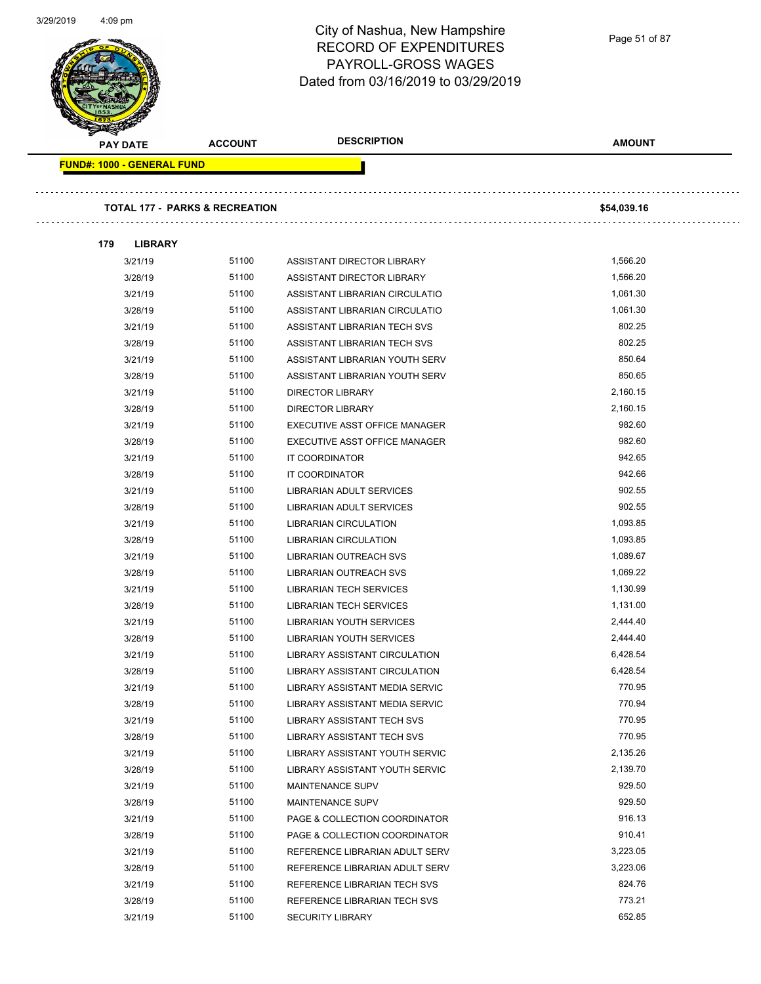|     | <b>PAY DATE</b>                   | <b>ACCOUNT</b>                            | <b>DESCRIPTION</b>             | <b>AMOUNT</b> |
|-----|-----------------------------------|-------------------------------------------|--------------------------------|---------------|
|     | <b>FUND#: 1000 - GENERAL FUND</b> |                                           |                                |               |
|     |                                   |                                           |                                |               |
|     |                                   | <b>TOTAL 177 - PARKS &amp; RECREATION</b> |                                | \$54,039.16   |
| 179 | <b>LIBRARY</b>                    |                                           |                                |               |
|     | 3/21/19                           | 51100                                     | ASSISTANT DIRECTOR LIBRARY     | 1,566.20      |
|     | 3/28/19                           | 51100                                     | ASSISTANT DIRECTOR LIBRARY     | 1,566.20      |
|     | 3/21/19                           | 51100                                     | ASSISTANT LIBRARIAN CIRCULATIO | 1,061.30      |
|     | 3/28/19                           | 51100                                     | ASSISTANT LIBRARIAN CIRCULATIO | 1,061.30      |
|     | 3/21/19                           | 51100                                     | ASSISTANT LIBRARIAN TECH SVS   | 802.25        |
|     | 3/28/19                           | 51100                                     | ASSISTANT LIBRARIAN TECH SVS   | 802.25        |
|     | 3/21/19                           | 51100                                     | ASSISTANT LIBRARIAN YOUTH SERV | 850.64        |
|     | 3/28/19                           | 51100                                     | ASSISTANT LIBRARIAN YOUTH SERV | 850.65        |
|     | 3/21/19                           | 51100                                     | <b>DIRECTOR LIBRARY</b>        | 2,160.15      |
|     | 3/28/19                           | 51100                                     | <b>DIRECTOR LIBRARY</b>        | 2,160.15      |
|     | 3/21/19                           | 51100                                     | EXECUTIVE ASST OFFICE MANAGER  | 982.60        |
|     | 3/28/19                           | 51100                                     | EXECUTIVE ASST OFFICE MANAGER  | 982.60        |
|     | 3/21/19                           | 51100                                     | IT COORDINATOR                 | 942.65        |
|     | 3/28/19                           | 51100                                     | IT COORDINATOR                 | 942.66        |
|     | 3/21/19                           | 51100                                     | LIBRARIAN ADULT SERVICES       | 902.55        |
|     | 3/28/19                           | 51100                                     | LIBRARIAN ADULT SERVICES       | 902.55        |
|     | 3/21/19                           | 51100                                     | LIBRARIAN CIRCULATION          | 1,093.85      |
|     | 3/28/19                           | 51100                                     | <b>LIBRARIAN CIRCULATION</b>   | 1,093.85      |
|     | 3/21/19                           | 51100                                     | LIBRARIAN OUTREACH SVS         | 1,089.67      |
|     | 3/28/19                           | 51100                                     | LIBRARIAN OUTREACH SVS         | 1,069.22      |
|     | 3/21/19                           | 51100                                     | <b>LIBRARIAN TECH SERVICES</b> | 1,130.99      |
|     | 3/28/19                           | 51100                                     | LIBRARIAN TECH SERVICES        | 1,131.00      |
|     | 3/21/19                           | 51100                                     | LIBRARIAN YOUTH SERVICES       | 2,444.40      |
|     | 3/28/19                           | 51100                                     | LIBRARIAN YOUTH SERVICES       | 2,444.40      |
|     | 3/21/19                           | 51100                                     | LIBRARY ASSISTANT CIRCULATION  | 6,428.54      |
|     | 3/28/19                           | 51100                                     | LIBRARY ASSISTANT CIRCULATION  | 6,428.54      |
|     | 3/21/19                           | 51100                                     | LIBRARY ASSISTANT MEDIA SERVIC | 770.95        |
|     | 3/28/19                           | 51100                                     | LIBRARY ASSISTANT MEDIA SERVIC | 770.94        |
|     | 3/21/19                           | 51100                                     | LIBRARY ASSISTANT TECH SVS     | 770.95        |
|     | 3/28/19                           | 51100                                     | LIBRARY ASSISTANT TECH SVS     | 770.95        |
|     | 3/21/19                           | 51100                                     | LIBRARY ASSISTANT YOUTH SERVIC | 2,135.26      |
|     | 3/28/19                           | 51100                                     | LIBRARY ASSISTANT YOUTH SERVIC | 2,139.70      |
|     | 3/21/19                           | 51100                                     | <b>MAINTENANCE SUPV</b>        | 929.50        |
|     | 3/28/19                           | 51100                                     | <b>MAINTENANCE SUPV</b>        | 929.50        |
|     | 3/21/19                           | 51100                                     | PAGE & COLLECTION COORDINATOR  | 916.13        |
|     | 3/28/19                           | 51100                                     | PAGE & COLLECTION COORDINATOR  | 910.41        |
|     | 3/21/19                           | 51100                                     | REFERENCE LIBRARIAN ADULT SERV | 3,223.05      |
|     | 3/28/19                           | 51100                                     | REFERENCE LIBRARIAN ADULT SERV | 3,223.06      |
|     | 3/21/19                           | 51100                                     | REFERENCE LIBRARIAN TECH SVS   | 824.76        |
|     | 3/28/19                           | 51100                                     | REFERENCE LIBRARIAN TECH SVS   | 773.21        |
|     | 3/21/19                           | 51100                                     | <b>SECURITY LIBRARY</b>        | 652.85        |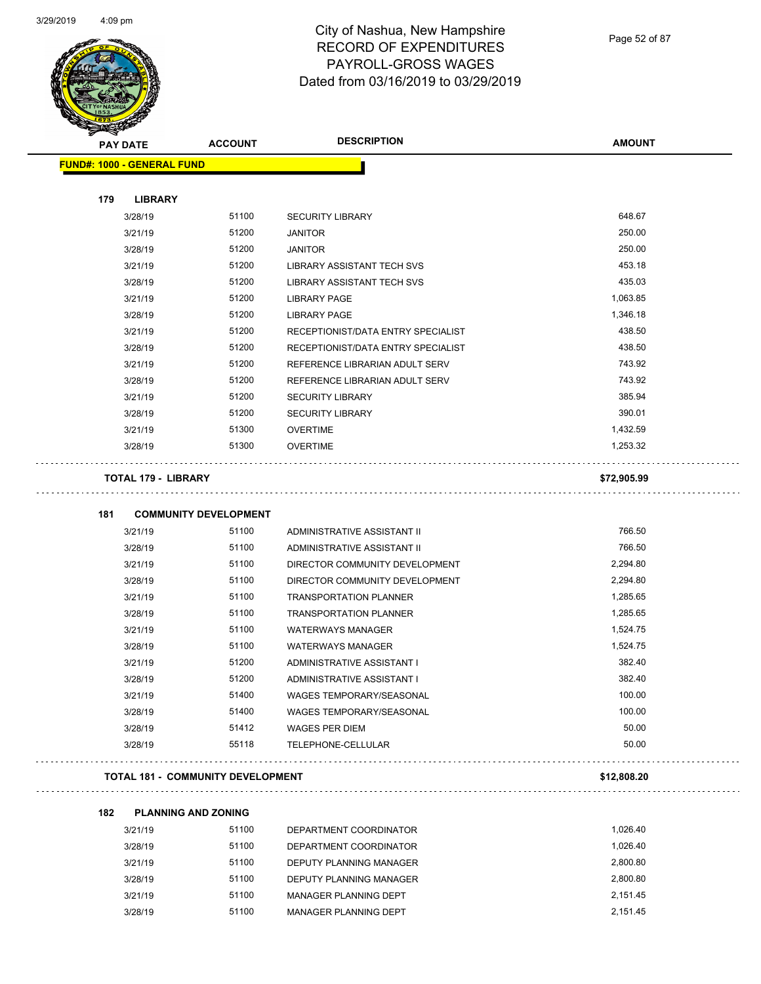

Page 52 of 87

Ξ.

ò,

| <b>FUND#: 1000 - GENERAL FUND</b><br>179<br><b>LIBRARY</b><br>51100<br>3/28/19<br><b>SECURITY LIBRARY</b><br>51200<br>3/21/19<br><b>JANITOR</b><br>51200<br>3/28/19<br><b>JANITOR</b><br>51200<br>3/21/19<br>LIBRARY ASSISTANT TECH SVS<br>51200<br>3/28/19<br>LIBRARY ASSISTANT TECH SVS<br>51200<br>3/21/19<br><b>LIBRARY PAGE</b><br>51200<br>3/28/19<br><b>LIBRARY PAGE</b><br>51200<br>3/21/19<br>RECEPTIONIST/DATA ENTRY SPECIALIST<br>51200<br>3/28/19<br>RECEPTIONIST/DATA ENTRY SPECIALIST<br>51200<br>3/21/19<br>REFERENCE LIBRARIAN ADULT SERV<br>51200<br>3/28/19<br>REFERENCE LIBRARIAN ADULT SERV | 648.67<br>250.00<br>250.00<br>453.18<br>435.03<br>1,063.85<br>1,346.18<br>438.50 |
|-----------------------------------------------------------------------------------------------------------------------------------------------------------------------------------------------------------------------------------------------------------------------------------------------------------------------------------------------------------------------------------------------------------------------------------------------------------------------------------------------------------------------------------------------------------------------------------------------------------------|----------------------------------------------------------------------------------|
|                                                                                                                                                                                                                                                                                                                                                                                                                                                                                                                                                                                                                 |                                                                                  |
|                                                                                                                                                                                                                                                                                                                                                                                                                                                                                                                                                                                                                 |                                                                                  |
|                                                                                                                                                                                                                                                                                                                                                                                                                                                                                                                                                                                                                 |                                                                                  |
|                                                                                                                                                                                                                                                                                                                                                                                                                                                                                                                                                                                                                 |                                                                                  |
|                                                                                                                                                                                                                                                                                                                                                                                                                                                                                                                                                                                                                 |                                                                                  |
|                                                                                                                                                                                                                                                                                                                                                                                                                                                                                                                                                                                                                 |                                                                                  |
|                                                                                                                                                                                                                                                                                                                                                                                                                                                                                                                                                                                                                 |                                                                                  |
|                                                                                                                                                                                                                                                                                                                                                                                                                                                                                                                                                                                                                 |                                                                                  |
|                                                                                                                                                                                                                                                                                                                                                                                                                                                                                                                                                                                                                 |                                                                                  |
|                                                                                                                                                                                                                                                                                                                                                                                                                                                                                                                                                                                                                 |                                                                                  |
|                                                                                                                                                                                                                                                                                                                                                                                                                                                                                                                                                                                                                 |                                                                                  |
|                                                                                                                                                                                                                                                                                                                                                                                                                                                                                                                                                                                                                 | 438.50                                                                           |
|                                                                                                                                                                                                                                                                                                                                                                                                                                                                                                                                                                                                                 | 743.92                                                                           |
|                                                                                                                                                                                                                                                                                                                                                                                                                                                                                                                                                                                                                 | 743.92                                                                           |
| 51200<br>3/21/19<br><b>SECURITY LIBRARY</b>                                                                                                                                                                                                                                                                                                                                                                                                                                                                                                                                                                     | 385.94                                                                           |
| 51200<br>3/28/19<br><b>SECURITY LIBRARY</b>                                                                                                                                                                                                                                                                                                                                                                                                                                                                                                                                                                     | 390.01                                                                           |
| 51300<br>3/21/19<br><b>OVERTIME</b>                                                                                                                                                                                                                                                                                                                                                                                                                                                                                                                                                                             | 1,432.59                                                                         |
| 51300<br>3/28/19<br><b>OVERTIME</b>                                                                                                                                                                                                                                                                                                                                                                                                                                                                                                                                                                             | 1,253.32                                                                         |
| <b>TOTAL 179 - LIBRARY</b>                                                                                                                                                                                                                                                                                                                                                                                                                                                                                                                                                                                      | \$72,905.99                                                                      |
| 181<br><b>COMMUNITY DEVELOPMENT</b>                                                                                                                                                                                                                                                                                                                                                                                                                                                                                                                                                                             |                                                                                  |
| 51100<br>3/21/19<br>ADMINISTRATIVE ASSISTANT II                                                                                                                                                                                                                                                                                                                                                                                                                                                                                                                                                                 | 766.50                                                                           |
| 51100<br>3/28/19<br>ADMINISTRATIVE ASSISTANT II                                                                                                                                                                                                                                                                                                                                                                                                                                                                                                                                                                 | 766.50                                                                           |
| 51100<br>3/21/19<br>DIRECTOR COMMUNITY DEVELOPMENT                                                                                                                                                                                                                                                                                                                                                                                                                                                                                                                                                              | 2,294.80                                                                         |
| 3/28/19<br>51100<br>DIRECTOR COMMUNITY DEVELOPMENT                                                                                                                                                                                                                                                                                                                                                                                                                                                                                                                                                              | 2,294.80                                                                         |
| 3/21/19<br>51100<br><b>TRANSPORTATION PLANNER</b>                                                                                                                                                                                                                                                                                                                                                                                                                                                                                                                                                               | 1,285.65                                                                         |
| 51100<br>3/28/19<br><b>TRANSPORTATION PLANNER</b>                                                                                                                                                                                                                                                                                                                                                                                                                                                                                                                                                               | 1,285.65                                                                         |
| 51100<br>3/21/19<br><b>WATERWAYS MANAGER</b>                                                                                                                                                                                                                                                                                                                                                                                                                                                                                                                                                                    | 1,524.75                                                                         |
| 51100<br>3/28/19<br><b>WATERWAYS MANAGER</b>                                                                                                                                                                                                                                                                                                                                                                                                                                                                                                                                                                    | 1,524.75                                                                         |
| 51200<br>3/21/19<br>ADMINISTRATIVE ASSISTANT I                                                                                                                                                                                                                                                                                                                                                                                                                                                                                                                                                                  | 382.40                                                                           |
| 51200<br>3/28/19<br>ADMINISTRATIVE ASSISTANT I                                                                                                                                                                                                                                                                                                                                                                                                                                                                                                                                                                  | 382.40                                                                           |
| 51400<br>WAGES TEMPORARY/SEASONAL                                                                                                                                                                                                                                                                                                                                                                                                                                                                                                                                                                               | 100.00                                                                           |
| 3/21/19                                                                                                                                                                                                                                                                                                                                                                                                                                                                                                                                                                                                         |                                                                                  |
| 51400<br>3/28/19<br><b>WAGES TEMPORARY/SEASONAL</b>                                                                                                                                                                                                                                                                                                                                                                                                                                                                                                                                                             | 100.00                                                                           |
| 51412<br>3/28/19<br><b>WAGES PER DIEM</b>                                                                                                                                                                                                                                                                                                                                                                                                                                                                                                                                                                       | 50.00                                                                            |
|                                                                                                                                                                                                                                                                                                                                                                                                                                                                                                                                                                                                                 | 50.00                                                                            |
| 55118<br>3/28/19<br>TELEPHONE-CELLULAR                                                                                                                                                                                                                                                                                                                                                                                                                                                                                                                                                                          | \$12,808.20                                                                      |
| <b>TOTAL 181 - COMMUNITY DEVELOPMENT</b>                                                                                                                                                                                                                                                                                                                                                                                                                                                                                                                                                                        |                                                                                  |
| 182<br><b>PLANNING AND ZONING</b>                                                                                                                                                                                                                                                                                                                                                                                                                                                                                                                                                                               |                                                                                  |

| 3/21/19 | 51100 | DEPARTMENT COORDINATOR  | 1.026.40 |
|---------|-------|-------------------------|----------|
| 3/28/19 | 51100 | DEPARTMENT COORDINATOR  | 1.026.40 |
| 3/21/19 | 51100 | DEPUTY PLANNING MANAGER | 2.800.80 |
| 3/28/19 | 51100 | DEPUTY PLANNING MANAGER | 2.800.80 |
| 3/21/19 | 51100 | MANAGER PLANNING DEPT   | 2.151.45 |
| 3/28/19 | 51100 | MANAGER PLANNING DEPT   | 2.151.45 |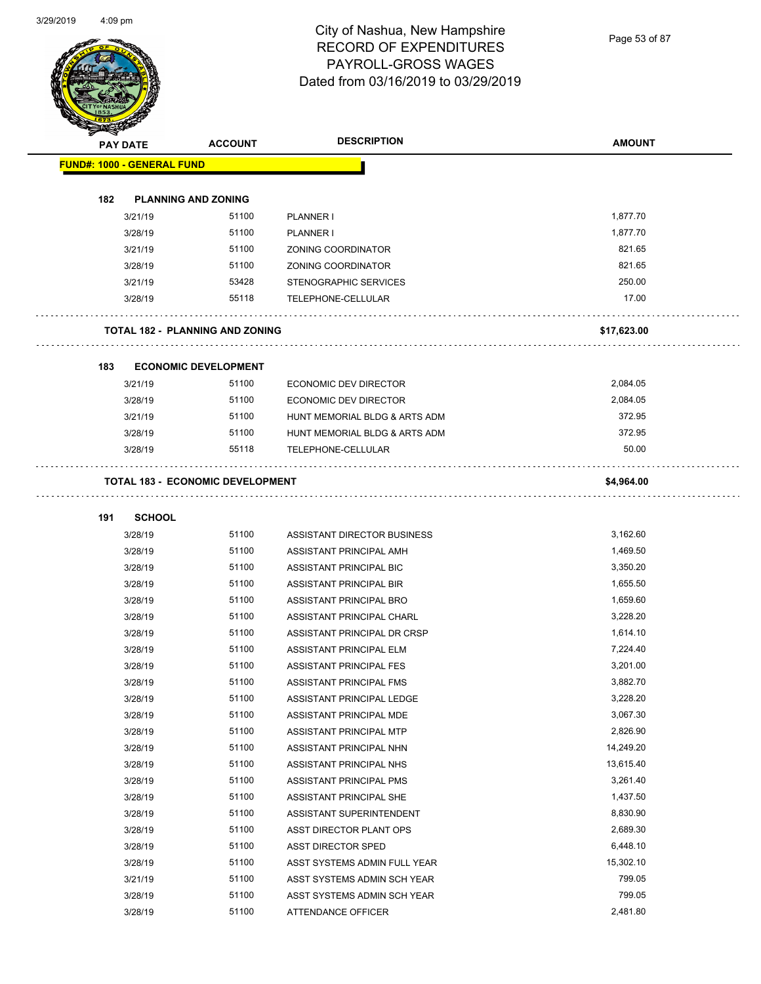Page 53 of 87

|     | <b>PAY DATE</b>                   | <b>ACCOUNT</b>                          | <b>DESCRIPTION</b>                                         | <b>AMOUNT</b> |
|-----|-----------------------------------|-----------------------------------------|------------------------------------------------------------|---------------|
|     | <b>FUND#: 1000 - GENERAL FUND</b> |                                         |                                                            |               |
|     |                                   |                                         |                                                            |               |
| 182 |                                   | <b>PLANNING AND ZONING</b>              |                                                            |               |
|     | 3/21/19                           | 51100                                   | PLANNER I                                                  | 1,877.70      |
|     | 3/28/19                           | 51100                                   | PLANNER I                                                  | 1,877.70      |
|     | 3/21/19                           | 51100                                   | ZONING COORDINATOR                                         | 821.65        |
|     | 3/28/19                           | 51100                                   | ZONING COORDINATOR                                         | 821.65        |
|     | 3/21/19                           | 53428                                   | STENOGRAPHIC SERVICES                                      | 250.00        |
|     | 3/28/19                           | 55118                                   | TELEPHONE-CELLULAR                                         | 17.00         |
|     |                                   | <b>TOTAL 182 - PLANNING AND ZONING</b>  |                                                            | \$17,623.00   |
| 183 |                                   | <b>ECONOMIC DEVELOPMENT</b>             |                                                            |               |
|     | 3/21/19                           | 51100                                   | ECONOMIC DEV DIRECTOR                                      | 2,084.05      |
|     | 3/28/19                           | 51100                                   | ECONOMIC DEV DIRECTOR                                      | 2,084.05      |
|     | 3/21/19                           | 51100                                   | HUNT MEMORIAL BLDG & ARTS ADM                              | 372.95        |
|     | 3/28/19                           | 51100                                   | HUNT MEMORIAL BLDG & ARTS ADM                              | 372.95        |
|     |                                   |                                         |                                                            | 50.00         |
|     | 3/28/19                           | 55118                                   | TELEPHONE-CELLULAR                                         |               |
|     |                                   | <b>TOTAL 183 - ECONOMIC DEVELOPMENT</b> |                                                            | \$4,964.00    |
| 191 | <b>SCHOOL</b>                     |                                         |                                                            |               |
|     | 3/28/19                           | 51100                                   | ASSISTANT DIRECTOR BUSINESS                                | 3,162.60      |
|     | 3/28/19                           | 51100                                   | ASSISTANT PRINCIPAL AMH                                    | 1,469.50      |
|     | 3/28/19                           | 51100                                   | ASSISTANT PRINCIPAL BIC                                    | 3,350.20      |
|     | 3/28/19                           | 51100                                   | ASSISTANT PRINCIPAL BIR                                    | 1,655.50      |
|     | 3/28/19                           | 51100                                   | ASSISTANT PRINCIPAL BRO                                    | 1,659.60      |
|     | 3/28/19                           | 51100                                   | ASSISTANT PRINCIPAL CHARL                                  | 3,228.20      |
|     | 3/28/19                           | 51100                                   | ASSISTANT PRINCIPAL DR CRSP                                | 1,614.10      |
|     | 3/28/19                           | 51100                                   | ASSISTANT PRINCIPAL ELM                                    | 7,224.40      |
|     | 3/28/19                           | 51100                                   | ASSISTANT PRINCIPAL FES                                    | 3,201.00      |
|     | 3/28/19                           | 51100                                   | ASSISTANT PRINCIPAL FMS                                    | 3,882.70      |
|     | 3/28/19                           | 51100                                   | ASSISTANT PRINCIPAL LEDGE                                  | 3,228.20      |
|     | 3/28/19                           | 51100                                   | ASSISTANT PRINCIPAL MDE                                    | 3,067.30      |
|     | 3/28/19                           | 51100                                   | ASSISTANT PRINCIPAL MTP                                    | 2,826.90      |
|     | 3/28/19                           | 51100                                   | ASSISTANT PRINCIPAL NHN                                    | 14,249.20     |
|     | 3/28/19                           | 51100                                   | ASSISTANT PRINCIPAL NHS                                    | 13,615.40     |
|     | 3/28/19                           | 51100                                   | ASSISTANT PRINCIPAL PMS                                    | 3,261.40      |
|     | 3/28/19                           | 51100                                   | ASSISTANT PRINCIPAL SHE                                    | 1,437.50      |
|     | 3/28/19                           | 51100                                   | ASSISTANT SUPERINTENDENT                                   | 8,830.90      |
|     | 3/28/19                           | 51100                                   | ASST DIRECTOR PLANT OPS                                    | 2,689.30      |
|     | 3/28/19                           | 51100                                   | ASST DIRECTOR SPED                                         | 6,448.10      |
|     | 3/28/19                           | 51100                                   |                                                            | 15,302.10     |
|     |                                   | 51100                                   | ASST SYSTEMS ADMIN FULL YEAR                               | 799.05        |
|     | 3/21/19                           | 51100                                   | ASST SYSTEMS ADMIN SCH YEAR<br>ASST SYSTEMS ADMIN SCH YEAR | 799.05        |
|     | 3/28/19<br>3/28/19                | 51100                                   | ATTENDANCE OFFICER                                         | 2,481.80      |
|     |                                   |                                         |                                                            |               |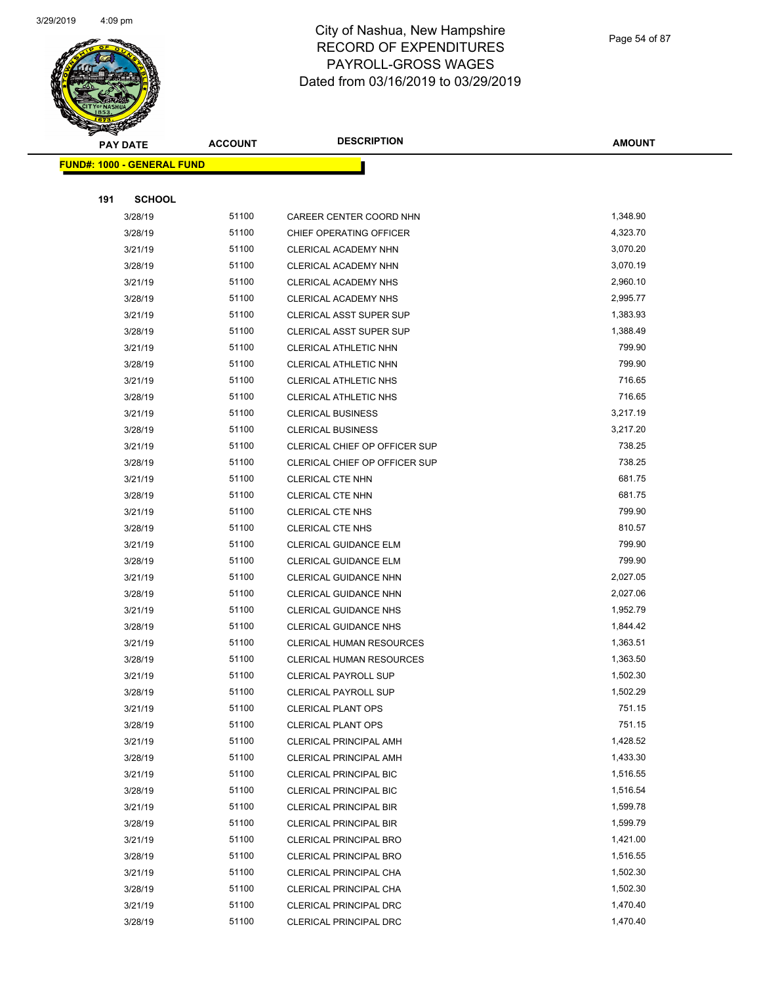

Page 54 of 87

| <b>PAY DATE</b>                   | <b>ACCOUNT</b> | <b>DESCRIPTION</b>              | <b>AMOUNT</b>        |
|-----------------------------------|----------------|---------------------------------|----------------------|
| <b>FUND#: 1000 - GENERAL FUND</b> |                |                                 |                      |
|                                   |                |                                 |                      |
| 191<br><b>SCHOOL</b>              |                |                                 |                      |
| 3/28/19                           | 51100          | CAREER CENTER COORD NHN         | 1,348.90             |
| 3/28/19                           | 51100          | CHIEF OPERATING OFFICER         | 4,323.70             |
| 3/21/19                           | 51100          | CLERICAL ACADEMY NHN            | 3,070.20             |
| 3/28/19                           | 51100          | CLERICAL ACADEMY NHN            | 3,070.19             |
| 3/21/19                           | 51100          | CLERICAL ACADEMY NHS            | 2,960.10             |
| 3/28/19                           | 51100          | CLERICAL ACADEMY NHS            | 2,995.77             |
| 3/21/19                           | 51100          | <b>CLERICAL ASST SUPER SUP</b>  | 1,383.93             |
| 3/28/19                           | 51100          | <b>CLERICAL ASST SUPER SUP</b>  | 1,388.49             |
| 3/21/19                           | 51100          | CLERICAL ATHLETIC NHN           | 799.90               |
| 3/28/19                           | 51100          | CLERICAL ATHLETIC NHN           | 799.90               |
| 3/21/19                           | 51100          | <b>CLERICAL ATHLETIC NHS</b>    | 716.65               |
| 3/28/19                           | 51100          | CLERICAL ATHLETIC NHS           | 716.65               |
| 3/21/19                           | 51100          | <b>CLERICAL BUSINESS</b>        | 3,217.19             |
| 3/28/19                           | 51100          | <b>CLERICAL BUSINESS</b>        | 3,217.20             |
| 3/21/19                           | 51100          | CLERICAL CHIEF OP OFFICER SUP   | 738.25               |
| 3/28/19                           | 51100          | CLERICAL CHIEF OP OFFICER SUP   | 738.25               |
| 3/21/19                           | 51100          | <b>CLERICAL CTE NHN</b>         | 681.75               |
| 3/28/19                           | 51100          | <b>CLERICAL CTE NHN</b>         | 681.75               |
| 3/21/19                           | 51100          | <b>CLERICAL CTE NHS</b>         | 799.90               |
| 3/28/19                           | 51100          | <b>CLERICAL CTE NHS</b>         | 810.57               |
| 3/21/19                           | 51100          | <b>CLERICAL GUIDANCE ELM</b>    | 799.90               |
| 3/28/19                           | 51100          | <b>CLERICAL GUIDANCE ELM</b>    | 799.90               |
| 3/21/19                           | 51100          | CLERICAL GUIDANCE NHN           | 2,027.05             |
| 3/28/19                           | 51100          | CLERICAL GUIDANCE NHN           | 2,027.06             |
| 3/21/19                           | 51100          | <b>CLERICAL GUIDANCE NHS</b>    | 1,952.79             |
| 3/28/19                           | 51100          | <b>CLERICAL GUIDANCE NHS</b>    | 1,844.42             |
| 3/21/19                           | 51100          | <b>CLERICAL HUMAN RESOURCES</b> | 1,363.51             |
| 3/28/19                           | 51100          | <b>CLERICAL HUMAN RESOURCES</b> | 1,363.50             |
| 3/21/19                           | 51100          | <b>CLERICAL PAYROLL SUP</b>     | 1,502.30             |
| 3/28/19                           | 51100          | <b>CLERICAL PAYROLL SUP</b>     | 1,502.29             |
| 3/21/19                           | 51100          | <b>CLERICAL PLANT OPS</b>       | 751.15               |
| 3/28/19                           | 51100          | <b>CLERICAL PLANT OPS</b>       | 751.15               |
| 3/21/19                           | 51100          | CLERICAL PRINCIPAL AMH          | 1,428.52             |
| 3/28/19                           | 51100          | CLERICAL PRINCIPAL AMH          | 1,433.30             |
| 3/21/19                           | 51100          | <b>CLERICAL PRINCIPAL BIC</b>   | 1,516.55             |
| 3/28/19                           | 51100          | <b>CLERICAL PRINCIPAL BIC</b>   | 1,516.54             |
| 3/21/19                           | 51100          | <b>CLERICAL PRINCIPAL BIR</b>   | 1,599.78             |
| 3/28/19                           | 51100          | <b>CLERICAL PRINCIPAL BIR</b>   | 1,599.79             |
| 3/21/19                           | 51100          | CLERICAL PRINCIPAL BRO          | 1,421.00             |
| 3/28/19                           | 51100          | <b>CLERICAL PRINCIPAL BRO</b>   | 1,516.55             |
| 3/21/19                           | 51100          | CLERICAL PRINCIPAL CHA          | 1,502.30             |
| 3/28/19                           | 51100          | CLERICAL PRINCIPAL CHA          | 1,502.30             |
| 3/21/19                           | 51100<br>51100 | CLERICAL PRINCIPAL DRC          | 1,470.40<br>1,470.40 |
| 3/28/19                           |                | CLERICAL PRINCIPAL DRC          |                      |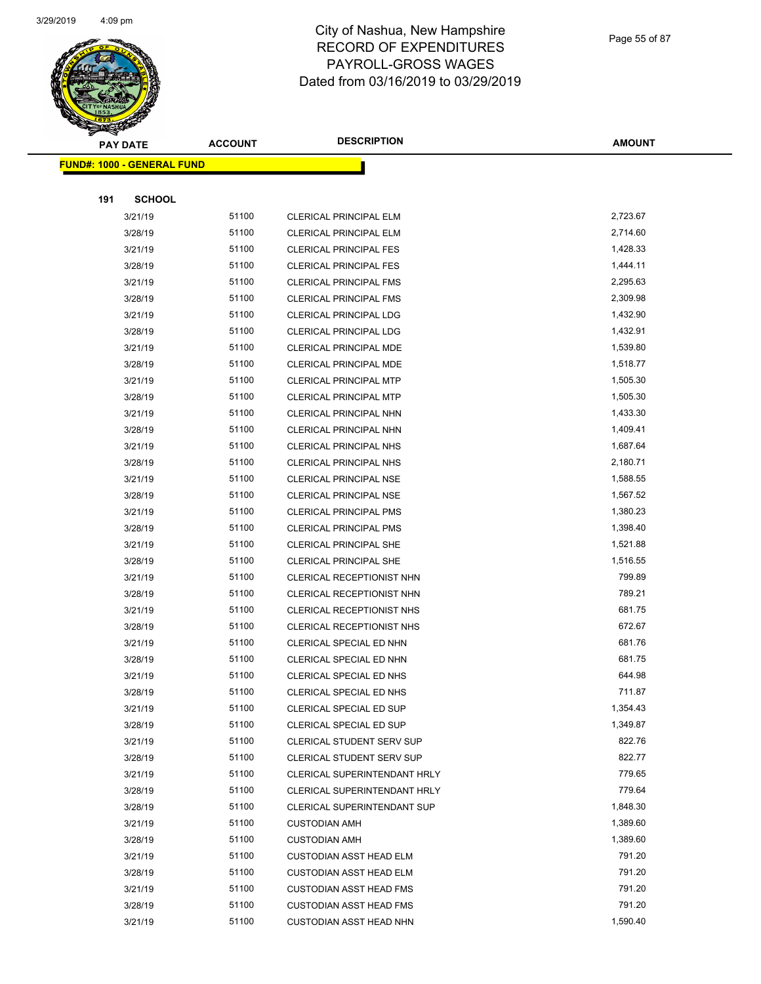

Page 55 of 87

|     | <b>PAY DATE</b>                   | <b>ACCOUNT</b> | <b>DESCRIPTION</b>                                            | <b>AMOUNT</b>    |
|-----|-----------------------------------|----------------|---------------------------------------------------------------|------------------|
|     | <b>FUND#: 1000 - GENERAL FUND</b> |                |                                                               |                  |
|     |                                   |                |                                                               |                  |
| 191 | <b>SCHOOL</b>                     |                |                                                               |                  |
|     | 3/21/19                           | 51100          | CLERICAL PRINCIPAL ELM                                        | 2,723.67         |
|     | 3/28/19                           | 51100          | <b>CLERICAL PRINCIPAL ELM</b>                                 | 2,714.60         |
|     | 3/21/19                           | 51100          | <b>CLERICAL PRINCIPAL FES</b>                                 | 1,428.33         |
|     | 3/28/19                           | 51100          | <b>CLERICAL PRINCIPAL FES</b>                                 | 1,444.11         |
|     | 3/21/19                           | 51100          | <b>CLERICAL PRINCIPAL FMS</b>                                 | 2,295.63         |
|     | 3/28/19                           | 51100          | <b>CLERICAL PRINCIPAL FMS</b>                                 | 2,309.98         |
|     | 3/21/19                           | 51100          | <b>CLERICAL PRINCIPAL LDG</b>                                 | 1,432.90         |
|     | 3/28/19                           | 51100          | <b>CLERICAL PRINCIPAL LDG</b>                                 | 1,432.91         |
|     | 3/21/19                           | 51100          | CLERICAL PRINCIPAL MDE                                        | 1,539.80         |
|     | 3/28/19                           | 51100          | CLERICAL PRINCIPAL MDE                                        | 1,518.77         |
|     | 3/21/19                           | 51100          | CLERICAL PRINCIPAL MTP                                        | 1,505.30         |
|     | 3/28/19                           | 51100          | <b>CLERICAL PRINCIPAL MTP</b>                                 | 1,505.30         |
|     | 3/21/19                           | 51100          | <b>CLERICAL PRINCIPAL NHN</b>                                 | 1,433.30         |
|     | 3/28/19                           | 51100          | CLERICAL PRINCIPAL NHN                                        | 1,409.41         |
|     | 3/21/19                           | 51100          | <b>CLERICAL PRINCIPAL NHS</b>                                 | 1,687.64         |
|     | 3/28/19                           | 51100          | <b>CLERICAL PRINCIPAL NHS</b>                                 | 2,180.71         |
|     | 3/21/19                           | 51100          | <b>CLERICAL PRINCIPAL NSE</b>                                 | 1,588.55         |
|     | 3/28/19                           | 51100          | <b>CLERICAL PRINCIPAL NSE</b>                                 | 1,567.52         |
|     | 3/21/19                           | 51100          | <b>CLERICAL PRINCIPAL PMS</b>                                 | 1,380.23         |
|     | 3/28/19                           | 51100          | <b>CLERICAL PRINCIPAL PMS</b>                                 | 1,398.40         |
|     | 3/21/19                           | 51100          | CLERICAL PRINCIPAL SHE                                        | 1,521.88         |
|     | 3/28/19                           | 51100          | <b>CLERICAL PRINCIPAL SHE</b>                                 | 1,516.55         |
|     | 3/21/19                           | 51100          | CLERICAL RECEPTIONIST NHN                                     | 799.89           |
|     | 3/28/19                           | 51100          | CLERICAL RECEPTIONIST NHN                                     | 789.21           |
|     | 3/21/19                           | 51100          | CLERICAL RECEPTIONIST NHS                                     | 681.75           |
|     | 3/28/19                           | 51100          | <b>CLERICAL RECEPTIONIST NHS</b>                              | 672.67           |
|     | 3/21/19                           | 51100          | CLERICAL SPECIAL ED NHN                                       | 681.76           |
|     | 3/28/19                           | 51100          | CLERICAL SPECIAL ED NHN                                       | 681.75           |
|     | 3/21/19                           | 51100          | CLERICAL SPECIAL ED NHS                                       | 644.98           |
|     | 3/28/19                           | 51100          | <b>CLERICAL SPECIAL ED NHS</b>                                | 711.87           |
|     | 3/21/19                           | 51100          | CLERICAL SPECIAL ED SUP                                       | 1,354.43         |
|     | 3/28/19                           | 51100          | <b>CLERICAL SPECIAL ED SUP</b>                                | 1,349.87         |
|     | 3/21/19                           | 51100<br>51100 | <b>CLERICAL STUDENT SERV SUP</b><br>CLERICAL STUDENT SERV SUP | 822.76<br>822.77 |
|     | 3/28/19                           | 51100          | <b>CLERICAL SUPERINTENDANT HRLY</b>                           | 779.65           |
|     | 3/21/19<br>3/28/19                | 51100          | CLERICAL SUPERINTENDANT HRLY                                  | 779.64           |
|     | 3/28/19                           | 51100          | <b>CLERICAL SUPERINTENDANT SUP</b>                            | 1,848.30         |
|     | 3/21/19                           | 51100          | <b>CUSTODIAN AMH</b>                                          | 1,389.60         |
|     | 3/28/19                           | 51100          | <b>CUSTODIAN AMH</b>                                          | 1,389.60         |
|     | 3/21/19                           | 51100          | <b>CUSTODIAN ASST HEAD ELM</b>                                | 791.20           |
|     | 3/28/19                           | 51100          | <b>CUSTODIAN ASST HEAD ELM</b>                                | 791.20           |
|     | 3/21/19                           | 51100          | <b>CUSTODIAN ASST HEAD FMS</b>                                | 791.20           |
|     | 3/28/19                           | 51100          | <b>CUSTODIAN ASST HEAD FMS</b>                                | 791.20           |
|     | 3/21/19                           | 51100          | <b>CUSTODIAN ASST HEAD NHN</b>                                | 1,590.40         |
|     |                                   |                |                                                               |                  |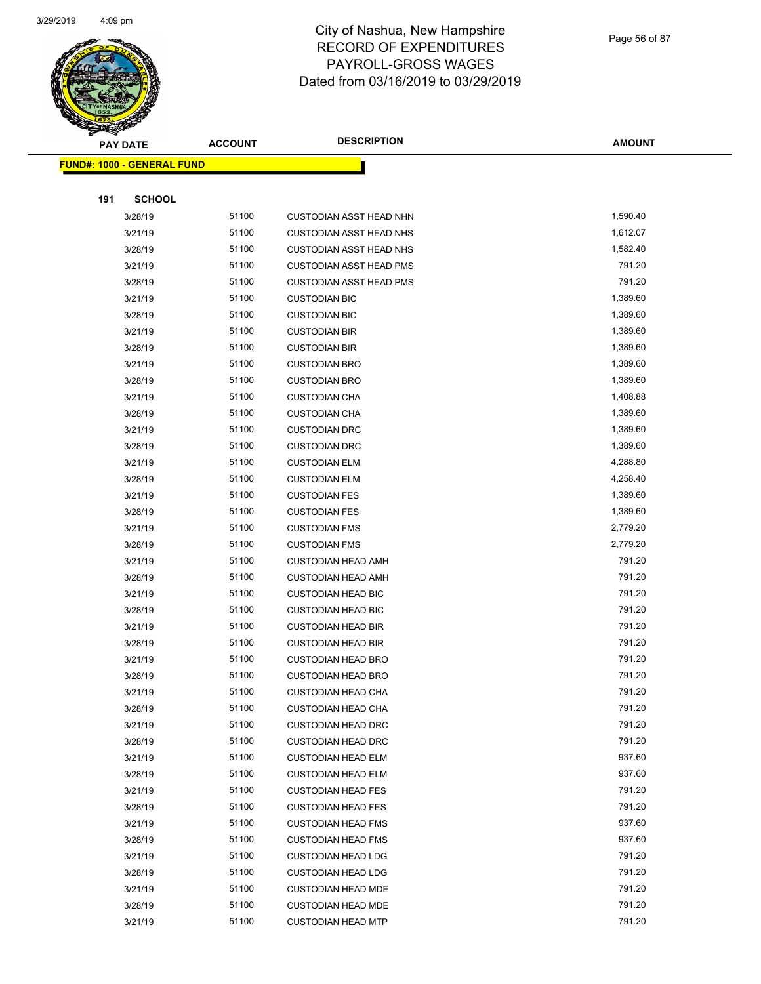

Page 56 of 87

|     | <b>PAY DATE</b>                   | <b>ACCOUNT</b> | <b>DESCRIPTION</b>                                     | <b>AMOUNT</b>    |
|-----|-----------------------------------|----------------|--------------------------------------------------------|------------------|
|     | <b>FUND#: 1000 - GENERAL FUND</b> |                |                                                        |                  |
|     |                                   |                |                                                        |                  |
| 191 | <b>SCHOOL</b>                     |                |                                                        |                  |
|     | 3/28/19                           | 51100          | <b>CUSTODIAN ASST HEAD NHN</b>                         | 1,590.40         |
|     | 3/21/19                           | 51100          | <b>CUSTODIAN ASST HEAD NHS</b>                         | 1,612.07         |
|     | 3/28/19                           | 51100          | <b>CUSTODIAN ASST HEAD NHS</b>                         | 1,582.40         |
|     | 3/21/19                           | 51100          | <b>CUSTODIAN ASST HEAD PMS</b>                         | 791.20           |
|     | 3/28/19                           | 51100          | <b>CUSTODIAN ASST HEAD PMS</b>                         | 791.20           |
|     | 3/21/19                           | 51100          | <b>CUSTODIAN BIC</b>                                   | 1,389.60         |
|     | 3/28/19                           | 51100          | <b>CUSTODIAN BIC</b>                                   | 1,389.60         |
|     | 3/21/19                           | 51100          | <b>CUSTODIAN BIR</b>                                   | 1,389.60         |
|     | 3/28/19                           | 51100          | <b>CUSTODIAN BIR</b>                                   | 1,389.60         |
|     | 3/21/19                           | 51100          | <b>CUSTODIAN BRO</b>                                   | 1,389.60         |
|     | 3/28/19                           | 51100          | <b>CUSTODIAN BRO</b>                                   | 1,389.60         |
|     | 3/21/19                           | 51100          | <b>CUSTODIAN CHA</b>                                   | 1,408.88         |
|     | 3/28/19                           | 51100          | <b>CUSTODIAN CHA</b>                                   | 1,389.60         |
|     | 3/21/19                           | 51100          | <b>CUSTODIAN DRC</b>                                   | 1,389.60         |
|     | 3/28/19                           | 51100          | <b>CUSTODIAN DRC</b>                                   | 1,389.60         |
|     | 3/21/19                           | 51100          | <b>CUSTODIAN ELM</b>                                   | 4,288.80         |
|     | 3/28/19                           | 51100          | <b>CUSTODIAN ELM</b>                                   | 4,258.40         |
|     | 3/21/19                           | 51100          | <b>CUSTODIAN FES</b>                                   | 1,389.60         |
|     | 3/28/19                           | 51100          | <b>CUSTODIAN FES</b>                                   | 1,389.60         |
|     | 3/21/19                           | 51100          | <b>CUSTODIAN FMS</b>                                   | 2,779.20         |
|     | 3/28/19                           | 51100          | <b>CUSTODIAN FMS</b>                                   | 2,779.20         |
|     | 3/21/19                           | 51100          | <b>CUSTODIAN HEAD AMH</b>                              | 791.20           |
|     | 3/28/19                           | 51100          | <b>CUSTODIAN HEAD AMH</b>                              | 791.20           |
|     | 3/21/19                           | 51100          | <b>CUSTODIAN HEAD BIC</b>                              | 791.20           |
|     | 3/28/19                           | 51100          | <b>CUSTODIAN HEAD BIC</b>                              | 791.20           |
|     | 3/21/19                           | 51100          | <b>CUSTODIAN HEAD BIR</b>                              | 791.20           |
|     | 3/28/19                           | 51100          | <b>CUSTODIAN HEAD BIR</b>                              | 791.20           |
|     | 3/21/19                           | 51100          | <b>CUSTODIAN HEAD BRO</b>                              | 791.20           |
|     | 3/28/19                           | 51100          | <b>CUSTODIAN HEAD BRO</b>                              | 791.20           |
|     | 3/21/19                           | 51100          | <b>CUSTODIAN HEAD CHA</b>                              | 791.20           |
|     | 3/28/19                           | 51100          | <b>CUSTODIAN HEAD CHA</b>                              | 791.20<br>791.20 |
|     | 3/21/19                           | 51100          | <b>CUSTODIAN HEAD DRC</b><br><b>CUSTODIAN HEAD DRC</b> | 791.20           |
|     | 3/28/19<br>3/21/19                | 51100<br>51100 | <b>CUSTODIAN HEAD ELM</b>                              | 937.60           |
|     | 3/28/19                           | 51100          | <b>CUSTODIAN HEAD ELM</b>                              | 937.60           |
|     | 3/21/19                           | 51100          | <b>CUSTODIAN HEAD FES</b>                              | 791.20           |
|     | 3/28/19                           | 51100          | <b>CUSTODIAN HEAD FES</b>                              | 791.20           |
|     | 3/21/19                           | 51100          | <b>CUSTODIAN HEAD FMS</b>                              | 937.60           |
|     | 3/28/19                           | 51100          | <b>CUSTODIAN HEAD FMS</b>                              | 937.60           |
|     | 3/21/19                           | 51100          | <b>CUSTODIAN HEAD LDG</b>                              | 791.20           |
|     | 3/28/19                           | 51100          | <b>CUSTODIAN HEAD LDG</b>                              | 791.20           |
|     | 3/21/19                           | 51100          | <b>CUSTODIAN HEAD MDE</b>                              | 791.20           |
|     | 3/28/19                           | 51100          | <b>CUSTODIAN HEAD MDE</b>                              | 791.20           |
|     | 3/21/19                           | 51100          | <b>CUSTODIAN HEAD MTP</b>                              | 791.20           |
|     |                                   |                |                                                        |                  |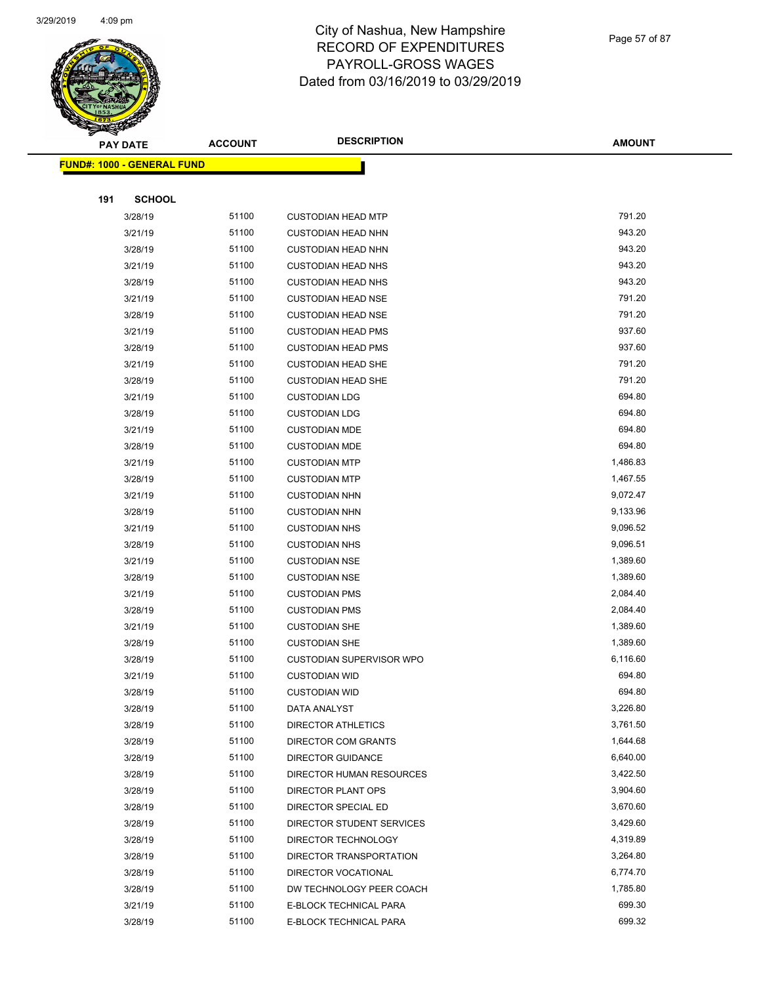

Page 57 of 87

| <b>PAY DATE</b> |                                   | <b>ACCOUNT</b> | <b>DESCRIPTION</b>         | <b>AMOUNT</b>        |
|-----------------|-----------------------------------|----------------|----------------------------|----------------------|
|                 | <b>FUND#: 1000 - GENERAL FUND</b> |                |                            |                      |
|                 |                                   |                |                            |                      |
| 191             | <b>SCHOOL</b>                     |                |                            |                      |
|                 | 3/28/19                           | 51100          | <b>CUSTODIAN HEAD MTP</b>  | 791.20               |
|                 | 3/21/19                           | 51100          | <b>CUSTODIAN HEAD NHN</b>  | 943.20               |
|                 | 3/28/19                           | 51100          | <b>CUSTODIAN HEAD NHN</b>  | 943.20               |
|                 | 3/21/19                           | 51100          | <b>CUSTODIAN HEAD NHS</b>  | 943.20               |
|                 | 3/28/19                           | 51100          | <b>CUSTODIAN HEAD NHS</b>  | 943.20               |
|                 | 3/21/19                           | 51100          | <b>CUSTODIAN HEAD NSE</b>  | 791.20               |
|                 | 3/28/19                           | 51100          | <b>CUSTODIAN HEAD NSE</b>  | 791.20               |
|                 | 3/21/19                           | 51100          | <b>CUSTODIAN HEAD PMS</b>  | 937.60               |
|                 | 3/28/19                           | 51100          | <b>CUSTODIAN HEAD PMS</b>  | 937.60               |
|                 | 3/21/19                           | 51100          | <b>CUSTODIAN HEAD SHE</b>  | 791.20               |
|                 | 3/28/19                           | 51100          | <b>CUSTODIAN HEAD SHE</b>  | 791.20               |
|                 | 3/21/19                           | 51100          | <b>CUSTODIAN LDG</b>       | 694.80               |
|                 | 3/28/19                           | 51100          | <b>CUSTODIAN LDG</b>       | 694.80               |
|                 | 3/21/19                           | 51100          | <b>CUSTODIAN MDE</b>       | 694.80               |
|                 | 3/28/19                           | 51100          | <b>CUSTODIAN MDE</b>       | 694.80               |
|                 | 3/21/19                           | 51100          | <b>CUSTODIAN MTP</b>       | 1,486.83             |
|                 | 3/28/19                           | 51100          | <b>CUSTODIAN MTP</b>       | 1,467.55             |
|                 | 3/21/19                           | 51100          | <b>CUSTODIAN NHN</b>       | 9,072.47             |
|                 | 3/28/19                           | 51100          | <b>CUSTODIAN NHN</b>       | 9,133.96             |
|                 | 3/21/19                           | 51100          | <b>CUSTODIAN NHS</b>       | 9,096.52             |
|                 | 3/28/19                           | 51100          | <b>CUSTODIAN NHS</b>       | 9,096.51             |
|                 | 3/21/19                           | 51100          | <b>CUSTODIAN NSE</b>       | 1,389.60             |
|                 | 3/28/19                           | 51100          | <b>CUSTODIAN NSE</b>       | 1,389.60             |
|                 | 3/21/19                           | 51100          | <b>CUSTODIAN PMS</b>       | 2,084.40             |
|                 | 3/28/19                           | 51100          | <b>CUSTODIAN PMS</b>       | 2,084.40             |
|                 | 3/21/19                           | 51100          | <b>CUSTODIAN SHE</b>       | 1,389.60             |
|                 | 3/28/19                           | 51100          | <b>CUSTODIAN SHE</b>       | 1,389.60             |
|                 | 3/28/19                           | 51100          | CUSTODIAN SUPERVISOR WPO   | 6,116.60             |
|                 | 3/21/19                           | 51100          | <b>CUSTODIAN WID</b>       | 694.80               |
|                 | 3/28/19                           | 51100          | <b>CUSTODIAN WID</b>       | 694.80               |
|                 | 3/28/19                           | 51100          | DATA ANALYST               | 3,226.80             |
|                 | 3/28/19                           | 51100          | <b>DIRECTOR ATHLETICS</b>  | 3,761.50             |
|                 | 3/28/19                           | 51100          | <b>DIRECTOR COM GRANTS</b> | 1,644.68             |
|                 | 3/28/19                           | 51100          | <b>DIRECTOR GUIDANCE</b>   | 6,640.00             |
|                 | 3/28/19                           | 51100          | DIRECTOR HUMAN RESOURCES   | 3,422.50             |
|                 | 3/28/19                           | 51100          | DIRECTOR PLANT OPS         | 3,904.60             |
|                 | 3/28/19                           | 51100          | DIRECTOR SPECIAL ED        | 3,670.60             |
|                 | 3/28/19                           | 51100          | DIRECTOR STUDENT SERVICES  | 3,429.60             |
|                 | 3/28/19                           | 51100          | DIRECTOR TECHNOLOGY        | 4,319.89             |
|                 | 3/28/19                           | 51100          | DIRECTOR TRANSPORTATION    | 3,264.80             |
|                 | 3/28/19                           | 51100<br>51100 | DIRECTOR VOCATIONAL        | 6,774.70<br>1,785.80 |
|                 | 3/28/19                           | 51100          | DW TECHNOLOGY PEER COACH   | 699.30               |
|                 | 3/21/19                           | 51100          | E-BLOCK TECHNICAL PARA     | 699.32               |
|                 | 3/28/19                           |                | E-BLOCK TECHNICAL PARA     |                      |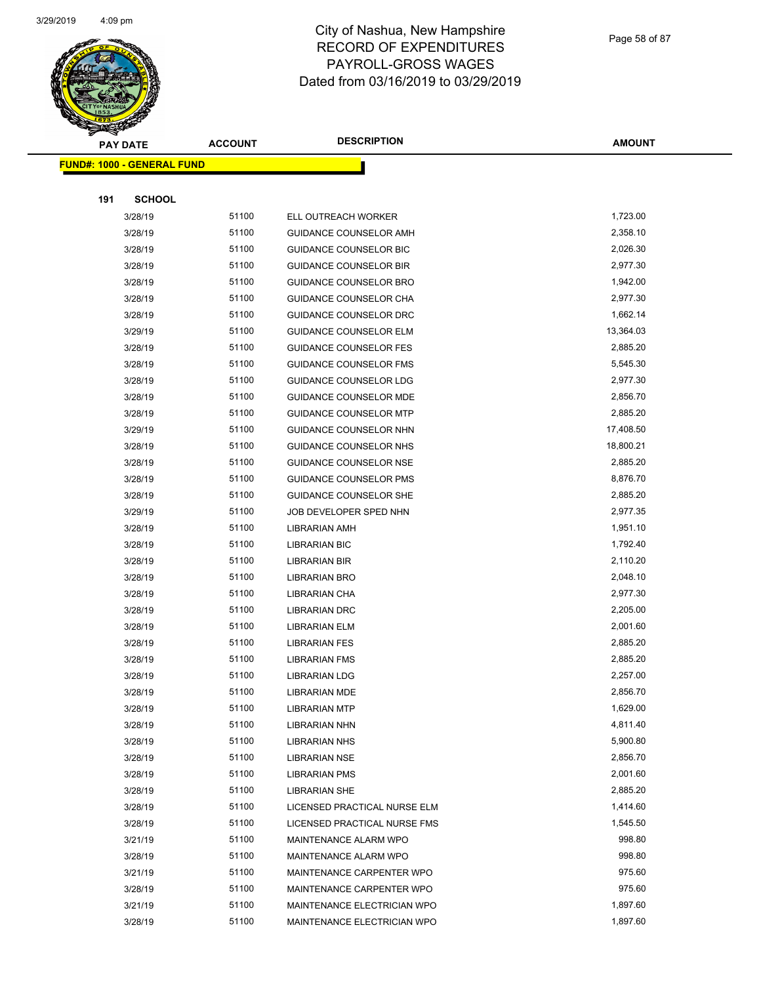

Page 58 of 87

| <b>PAY DATE</b>                   | <b>ACCOUNT</b> | <b>DESCRIPTION</b>            | <b>AMOUNT</b> |
|-----------------------------------|----------------|-------------------------------|---------------|
| <b>FUND#: 1000 - GENERAL FUND</b> |                |                               |               |
|                                   |                |                               |               |
| <b>SCHOOL</b><br>191              |                |                               |               |
| 3/28/19                           | 51100          | ELL OUTREACH WORKER           | 1,723.00      |
| 3/28/19                           | 51100          | <b>GUIDANCE COUNSELOR AMH</b> | 2,358.10      |
| 3/28/19                           | 51100          | <b>GUIDANCE COUNSELOR BIC</b> | 2,026.30      |
| 3/28/19                           | 51100          | <b>GUIDANCE COUNSELOR BIR</b> | 2,977.30      |
| 3/28/19                           | 51100          | <b>GUIDANCE COUNSELOR BRO</b> | 1,942.00      |
| 3/28/19                           | 51100          | <b>GUIDANCE COUNSELOR CHA</b> | 2,977.30      |
| 3/28/19                           | 51100          | <b>GUIDANCE COUNSELOR DRC</b> | 1,662.14      |
| 3/29/19                           | 51100          | <b>GUIDANCE COUNSELOR ELM</b> | 13,364.03     |
| 3/28/19                           | 51100          | <b>GUIDANCE COUNSELOR FES</b> | 2,885.20      |
| 3/28/19                           | 51100          | <b>GUIDANCE COUNSELOR FMS</b> | 5,545.30      |
| 3/28/19                           | 51100          | <b>GUIDANCE COUNSELOR LDG</b> | 2,977.30      |
| 3/28/19                           | 51100          | <b>GUIDANCE COUNSELOR MDE</b> | 2,856.70      |
| 3/28/19                           | 51100          | <b>GUIDANCE COUNSELOR MTP</b> | 2,885.20      |
| 3/29/19                           | 51100          | <b>GUIDANCE COUNSELOR NHN</b> | 17,408.50     |
| 3/28/19                           | 51100          | GUIDANCE COUNSELOR NHS        | 18,800.21     |
| 3/28/19                           | 51100          | <b>GUIDANCE COUNSELOR NSE</b> | 2,885.20      |
| 3/28/19                           | 51100          | <b>GUIDANCE COUNSELOR PMS</b> | 8,876.70      |
| 3/28/19                           | 51100          | <b>GUIDANCE COUNSELOR SHE</b> | 2,885.20      |
| 3/29/19                           | 51100          | JOB DEVELOPER SPED NHN        | 2,977.35      |
| 3/28/19                           | 51100          | <b>LIBRARIAN AMH</b>          | 1,951.10      |
| 3/28/19                           | 51100          | <b>LIBRARIAN BIC</b>          | 1,792.40      |
| 3/28/19                           | 51100          | <b>LIBRARIAN BIR</b>          | 2,110.20      |
| 3/28/19                           | 51100          | <b>LIBRARIAN BRO</b>          | 2,048.10      |
| 3/28/19                           | 51100          | LIBRARIAN CHA                 | 2,977.30      |
| 3/28/19                           | 51100          | <b>LIBRARIAN DRC</b>          | 2,205.00      |
| 3/28/19                           | 51100          | <b>LIBRARIAN ELM</b>          | 2,001.60      |
| 3/28/19                           | 51100          | <b>LIBRARIAN FES</b>          | 2,885.20      |
| 3/28/19                           | 51100          | <b>LIBRARIAN FMS</b>          | 2,885.20      |
| 3/28/19                           | 51100          | <b>LIBRARIAN LDG</b>          | 2,257.00      |
| 3/28/19                           | 51100          | <b>LIBRARIAN MDE</b>          | 2,856.70      |
| 3/28/19                           | 51100          | <b>LIBRARIAN MTP</b>          | 1,629.00      |
| 3/28/19                           | 51100          | <b>LIBRARIAN NHN</b>          | 4,811.40      |
| 3/28/19                           | 51100          | <b>LIBRARIAN NHS</b>          | 5,900.80      |
| 3/28/19                           | 51100          | <b>LIBRARIAN NSE</b>          | 2,856.70      |
| 3/28/19                           | 51100          | <b>LIBRARIAN PMS</b>          | 2,001.60      |
| 3/28/19                           | 51100          | <b>LIBRARIAN SHE</b>          | 2,885.20      |
| 3/28/19                           | 51100          | LICENSED PRACTICAL NURSE ELM  | 1,414.60      |
| 3/28/19                           | 51100          | LICENSED PRACTICAL NURSE FMS  | 1,545.50      |
| 3/21/19                           | 51100          | MAINTENANCE ALARM WPO         | 998.80        |
| 3/28/19                           | 51100          | MAINTENANCE ALARM WPO         | 998.80        |
| 3/21/19                           | 51100          | MAINTENANCE CARPENTER WPO     | 975.60        |
| 3/28/19                           | 51100          | MAINTENANCE CARPENTER WPO     | 975.60        |
| 3/21/19                           | 51100          | MAINTENANCE ELECTRICIAN WPO   | 1,897.60      |
| 3/28/19                           | 51100          | MAINTENANCE ELECTRICIAN WPO   | 1,897.60      |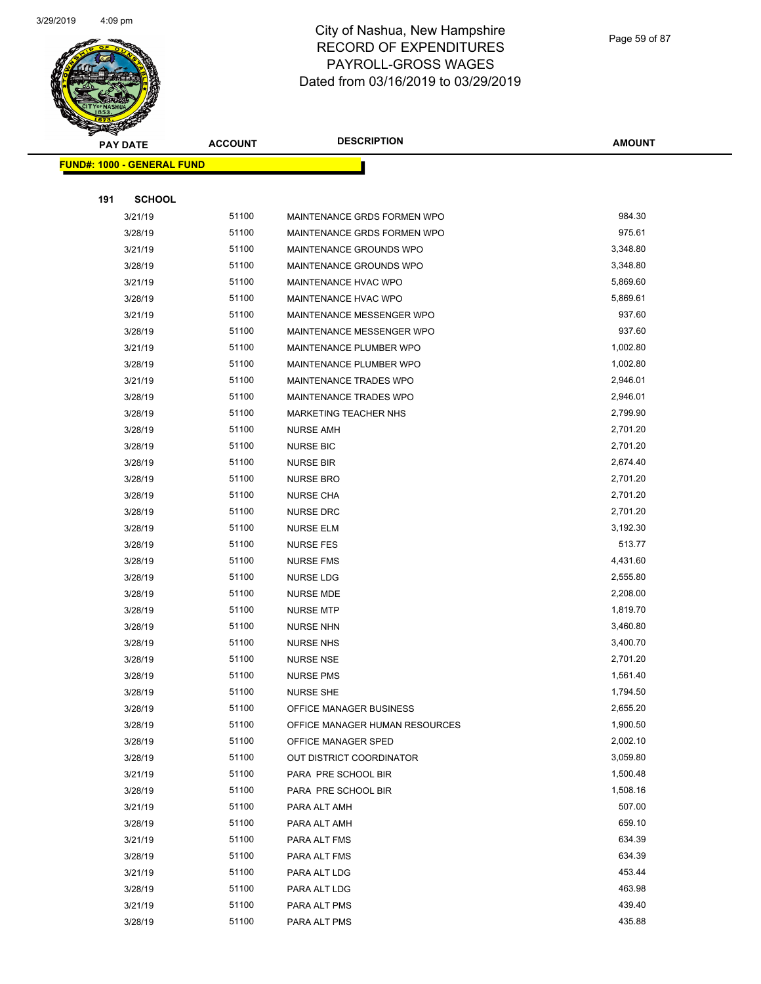

|     | <b>PAY DATE</b>                   | <b>ACCOUNT</b> | <b>DESCRIPTION</b>             | <b>AMOUNT</b> |
|-----|-----------------------------------|----------------|--------------------------------|---------------|
|     | <b>FUND#: 1000 - GENERAL FUND</b> |                |                                |               |
|     |                                   |                |                                |               |
| 191 | <b>SCHOOL</b>                     |                |                                |               |
|     | 3/21/19                           | 51100          | MAINTENANCE GRDS FORMEN WPO    | 984.30        |
|     | 3/28/19                           | 51100          | MAINTENANCE GRDS FORMEN WPO    | 975.61        |
|     | 3/21/19                           | 51100          | MAINTENANCE GROUNDS WPO        | 3,348.80      |
|     | 3/28/19                           | 51100          | MAINTENANCE GROUNDS WPO        | 3,348.80      |
|     | 3/21/19                           | 51100          | MAINTENANCE HVAC WPO           | 5,869.60      |
|     | 3/28/19                           | 51100          | MAINTENANCE HVAC WPO           | 5,869.61      |
|     | 3/21/19                           | 51100          | MAINTENANCE MESSENGER WPO      | 937.60        |
|     | 3/28/19                           | 51100          | MAINTENANCE MESSENGER WPO      | 937.60        |
|     | 3/21/19                           | 51100          | MAINTENANCE PLUMBER WPO        | 1,002.80      |
|     | 3/28/19                           | 51100          | MAINTENANCE PLUMBER WPO        | 1,002.80      |
|     | 3/21/19                           | 51100          | MAINTENANCE TRADES WPO         | 2,946.01      |
|     | 3/28/19                           | 51100          | <b>MAINTENANCE TRADES WPO</b>  | 2,946.01      |
|     | 3/28/19                           | 51100          | <b>MARKETING TEACHER NHS</b>   | 2,799.90      |
|     | 3/28/19                           | 51100          | <b>NURSE AMH</b>               | 2,701.20      |
|     | 3/28/19                           | 51100          | <b>NURSE BIC</b>               | 2,701.20      |
|     | 3/28/19                           | 51100          | <b>NURSE BIR</b>               | 2,674.40      |
|     | 3/28/19                           | 51100          | <b>NURSE BRO</b>               | 2,701.20      |
|     | 3/28/19                           | 51100          | <b>NURSE CHA</b>               | 2,701.20      |
|     | 3/28/19                           | 51100          | <b>NURSE DRC</b>               | 2,701.20      |
|     | 3/28/19                           | 51100          | <b>NURSE ELM</b>               | 3,192.30      |
|     | 3/28/19                           | 51100          | <b>NURSE FES</b>               | 513.77        |
|     | 3/28/19                           | 51100          | <b>NURSE FMS</b>               | 4,431.60      |
|     | 3/28/19                           | 51100          | <b>NURSE LDG</b>               | 2,555.80      |
|     | 3/28/19                           | 51100          | NURSE MDE                      | 2,208.00      |
|     | 3/28/19                           | 51100          | <b>NURSE MTP</b>               | 1,819.70      |
|     | 3/28/19                           | 51100          | <b>NURSE NHN</b>               | 3,460.80      |
|     | 3/28/19                           | 51100          | <b>NURSE NHS</b>               | 3,400.70      |
|     | 3/28/19                           | 51100          | <b>NURSE NSE</b>               | 2,701.20      |
|     | 3/28/19                           | 51100          | <b>NURSE PMS</b>               | 1,561.40      |
|     | 3/28/19                           | 51100          | <b>NURSE SHE</b>               | 1,794.50      |
|     | 3/28/19                           | 51100          | OFFICE MANAGER BUSINESS        | 2,655.20      |
|     | 3/28/19                           | 51100          | OFFICE MANAGER HUMAN RESOURCES | 1,900.50      |
|     | 3/28/19                           | 51100          | OFFICE MANAGER SPED            | 2,002.10      |
|     | 3/28/19                           | 51100          | OUT DISTRICT COORDINATOR       | 3,059.80      |
|     | 3/21/19                           | 51100          | PARA PRE SCHOOL BIR            | 1,500.48      |
|     | 3/28/19                           | 51100          | PARA PRE SCHOOL BIR            | 1,508.16      |
|     | 3/21/19                           | 51100          | PARA ALT AMH                   | 507.00        |
|     | 3/28/19                           | 51100          | PARA ALT AMH                   | 659.10        |
|     | 3/21/19                           | 51100          | PARA ALT FMS                   | 634.39        |
|     | 3/28/19                           | 51100          | PARA ALT FMS                   | 634.39        |
|     | 3/21/19                           | 51100          | PARA ALT LDG                   | 453.44        |
|     | 3/28/19                           | 51100          | PARA ALT LDG                   | 463.98        |
|     | 3/21/19                           | 51100          | PARA ALT PMS                   | 439.40        |
|     | 3/28/19                           | 51100          | PARA ALT PMS                   | 435.88        |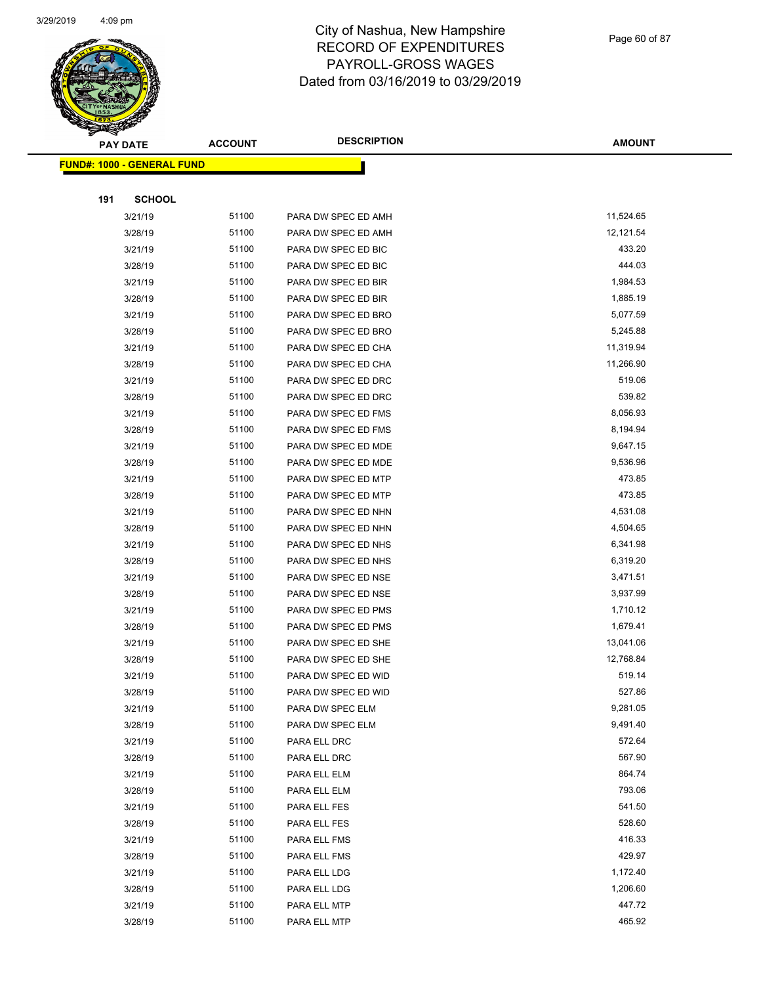

Page 60 of 87

|     | <b>PAY DATE</b>                   | <b>ACCOUNT</b> | <b>DESCRIPTION</b>           | <b>AMOUNT</b>    |
|-----|-----------------------------------|----------------|------------------------------|------------------|
|     | <b>FUND#: 1000 - GENERAL FUND</b> |                |                              |                  |
|     |                                   |                |                              |                  |
| 191 | <b>SCHOOL</b>                     |                |                              |                  |
|     | 3/21/19                           | 51100          | PARA DW SPEC ED AMH          | 11,524.65        |
|     | 3/28/19                           | 51100          | PARA DW SPEC ED AMH          | 12,121.54        |
|     | 3/21/19                           | 51100          | PARA DW SPEC ED BIC          | 433.20           |
|     | 3/28/19                           | 51100          | PARA DW SPEC ED BIC          | 444.03           |
|     | 3/21/19                           | 51100          | PARA DW SPEC ED BIR          | 1,984.53         |
|     | 3/28/19                           | 51100          | PARA DW SPEC ED BIR          | 1,885.19         |
|     | 3/21/19                           | 51100          | PARA DW SPEC ED BRO          | 5,077.59         |
|     | 3/28/19                           | 51100          | PARA DW SPEC ED BRO          | 5,245.88         |
|     | 3/21/19                           | 51100          | PARA DW SPEC ED CHA          | 11,319.94        |
|     | 3/28/19                           | 51100          | PARA DW SPEC ED CHA          | 11,266.90        |
|     | 3/21/19                           | 51100          | PARA DW SPEC ED DRC          | 519.06           |
|     | 3/28/19                           | 51100          | PARA DW SPEC ED DRC          | 539.82           |
|     | 3/21/19                           | 51100          | PARA DW SPEC ED FMS          | 8,056.93         |
|     | 3/28/19                           | 51100          | PARA DW SPEC ED FMS          | 8,194.94         |
|     | 3/21/19                           | 51100          | PARA DW SPEC ED MDE          | 9,647.15         |
|     | 3/28/19                           | 51100          | PARA DW SPEC ED MDE          | 9,536.96         |
|     | 3/21/19                           | 51100          | PARA DW SPEC ED MTP          | 473.85           |
|     | 3/28/19                           | 51100          | PARA DW SPEC ED MTP          | 473.85           |
|     | 3/21/19                           | 51100          | PARA DW SPEC ED NHN          | 4,531.08         |
|     | 3/28/19                           | 51100          | PARA DW SPEC ED NHN          | 4,504.65         |
|     | 3/21/19                           | 51100          | PARA DW SPEC ED NHS          | 6,341.98         |
|     | 3/28/19                           | 51100          | PARA DW SPEC ED NHS          | 6,319.20         |
|     | 3/21/19                           | 51100          | PARA DW SPEC ED NSE          | 3,471.51         |
|     | 3/28/19                           | 51100          | PARA DW SPEC ED NSE          | 3,937.99         |
|     | 3/21/19                           | 51100          | PARA DW SPEC ED PMS          | 1,710.12         |
|     | 3/28/19                           | 51100          | PARA DW SPEC ED PMS          | 1,679.41         |
|     | 3/21/19                           | 51100          | PARA DW SPEC ED SHE          | 13,041.06        |
|     | 3/28/19                           | 51100          | PARA DW SPEC ED SHE          | 12,768.84        |
|     | 3/21/19                           | 51100          | PARA DW SPEC ED WID          | 519.14           |
|     | 3/28/19                           | 51100          | PARA DW SPEC ED WID          | 527.86           |
|     | 3/21/19                           | 51100          | PARA DW SPEC ELM             | 9,281.05         |
|     | 3/28/19                           | 51100          | PARA DW SPEC ELM             | 9,491.40         |
|     | 3/21/19                           | 51100          | PARA ELL DRC                 | 572.64           |
|     | 3/28/19                           | 51100          | PARA ELL DRC                 | 567.90           |
|     | 3/21/19                           | 51100          | PARA ELL ELM                 | 864.74           |
|     | 3/28/19                           | 51100          | PARA ELL ELM                 | 793.06           |
|     | 3/21/19                           | 51100          | PARA ELL FES                 | 541.50           |
|     | 3/28/19                           | 51100          | PARA ELL FES                 | 528.60<br>416.33 |
|     | 3/21/19                           | 51100          | PARA ELL FMS                 | 429.97           |
|     | 3/28/19                           | 51100          | PARA ELL FMS                 | 1,172.40         |
|     | 3/21/19                           | 51100          | PARA ELL LDG                 | 1,206.60         |
|     | 3/28/19                           | 51100          | PARA ELL LDG                 | 447.72           |
|     | 3/21/19<br>3/28/19                | 51100<br>51100 | PARA ELL MTP<br>PARA ELL MTP | 465.92           |
|     |                                   |                |                              |                  |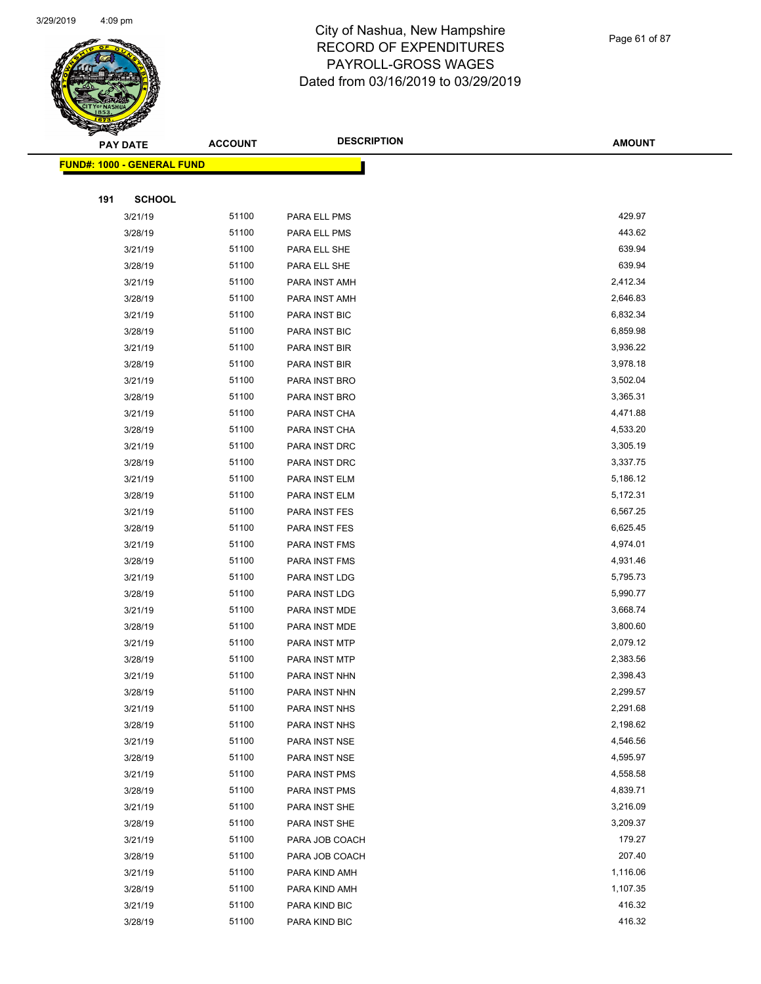

Page 61 of 87

| <b>PAY DATE</b>                    | <b>ACCOUNT</b> | <b>DESCRIPTION</b> | <b>AMOUNT</b> |
|------------------------------------|----------------|--------------------|---------------|
| <u> FUND#: 1000 - GENERAL FUND</u> |                |                    |               |
|                                    |                |                    |               |
| <b>SCHOOL</b><br>191               |                |                    |               |
| 3/21/19                            | 51100          | PARA ELL PMS       | 429.97        |
| 3/28/19                            | 51100          | PARA ELL PMS       | 443.62        |
| 3/21/19                            | 51100          | PARA ELL SHE       | 639.94        |
| 3/28/19                            | 51100          | PARA ELL SHE       | 639.94        |
| 3/21/19                            | 51100          | PARA INST AMH      | 2,412.34      |
| 3/28/19                            | 51100          | PARA INST AMH      | 2,646.83      |
| 3/21/19                            | 51100          | PARA INST BIC      | 6,832.34      |
| 3/28/19                            | 51100          | PARA INST BIC      | 6,859.98      |
| 3/21/19                            | 51100          | PARA INST BIR      | 3,936.22      |
| 3/28/19                            | 51100          | PARA INST BIR      | 3,978.18      |
| 3/21/19                            | 51100          | PARA INST BRO      | 3,502.04      |
| 3/28/19                            | 51100          | PARA INST BRO      | 3,365.31      |
| 3/21/19                            | 51100          | PARA INST CHA      | 4,471.88      |
| 3/28/19                            | 51100          | PARA INST CHA      | 4,533.20      |
| 3/21/19                            | 51100          | PARA INST DRC      | 3,305.19      |
| 3/28/19                            | 51100          | PARA INST DRC      | 3,337.75      |
| 3/21/19                            | 51100          | PARA INST ELM      | 5,186.12      |
| 3/28/19                            | 51100          | PARA INST ELM      | 5,172.31      |
| 3/21/19                            | 51100          | PARA INST FES      | 6,567.25      |
| 3/28/19                            | 51100          | PARA INST FES      | 6,625.45      |
| 3/21/19                            | 51100          | PARA INST FMS      | 4,974.01      |
| 3/28/19                            | 51100          | PARA INST FMS      | 4,931.46      |
| 3/21/19                            | 51100          | PARA INST LDG      | 5,795.73      |
| 3/28/19                            | 51100          | PARA INST LDG      | 5,990.77      |
| 3/21/19                            | 51100          | PARA INST MDE      | 3,668.74      |
| 3/28/19                            | 51100          | PARA INST MDE      | 3,800.60      |
| 3/21/19                            | 51100          | PARA INST MTP      | 2,079.12      |
| 3/28/19                            | 51100          | PARA INST MTP      | 2,383.56      |
| 3/21/19                            | 51100          | PARA INST NHN      | 2,398.43      |
| 3/28/19                            | 51100          | PARA INST NHN      | 2,299.57      |
| 3/21/19                            | 51100          | PARA INST NHS      | 2,291.68      |
| 3/28/19                            | 51100          | PARA INST NHS      | 2,198.62      |
| 3/21/19                            | 51100          | PARA INST NSE      | 4,546.56      |
| 3/28/19                            | 51100          | PARA INST NSE      | 4,595.97      |
| 3/21/19                            | 51100          | PARA INST PMS      | 4,558.58      |
| 3/28/19                            | 51100          | PARA INST PMS      | 4,839.71      |
| 3/21/19                            | 51100          | PARA INST SHE      | 3,216.09      |
| 3/28/19                            | 51100          | PARA INST SHE      | 3,209.37      |
| 3/21/19                            | 51100          | PARA JOB COACH     | 179.27        |
| 3/28/19                            | 51100          | PARA JOB COACH     | 207.40        |
| 3/21/19                            | 51100          | PARA KIND AMH      | 1,116.06      |
| 3/28/19                            | 51100          | PARA KIND AMH      | 1,107.35      |
| 3/21/19                            | 51100          | PARA KIND BIC      | 416.32        |
| 3/28/19                            | 51100          | PARA KIND BIC      | 416.32        |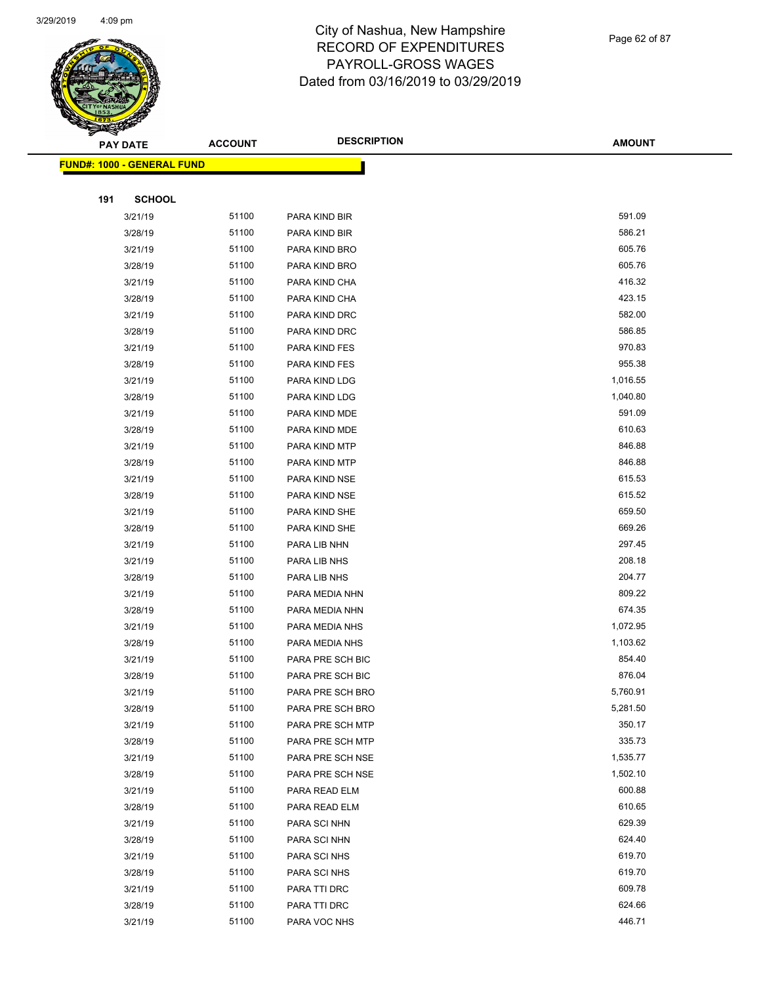

Page 62 of 87

|     | <b>PAY DATE</b>                    | <b>ACCOUNT</b> | <b>DESCRIPTION</b> | <b>AMOUNT</b> |
|-----|------------------------------------|----------------|--------------------|---------------|
|     | <u> FUND#: 1000 - GENERAL FUND</u> |                |                    |               |
|     |                                    |                |                    |               |
| 191 | <b>SCHOOL</b>                      |                |                    |               |
|     | 3/21/19                            | 51100          | PARA KIND BIR      | 591.09        |
|     | 3/28/19                            | 51100          | PARA KIND BIR      | 586.21        |
|     | 3/21/19                            | 51100          | PARA KIND BRO      | 605.76        |
|     | 3/28/19                            | 51100          | PARA KIND BRO      | 605.76        |
|     | 3/21/19                            | 51100          | PARA KIND CHA      | 416.32        |
|     | 3/28/19                            | 51100          | PARA KIND CHA      | 423.15        |
|     | 3/21/19                            | 51100          | PARA KIND DRC      | 582.00        |
|     | 3/28/19                            | 51100          | PARA KIND DRC      | 586.85        |
|     | 3/21/19                            | 51100          | PARA KIND FES      | 970.83        |
|     | 3/28/19                            | 51100          | PARA KIND FES      | 955.38        |
|     | 3/21/19                            | 51100          | PARA KIND LDG      | 1,016.55      |
|     | 3/28/19                            | 51100          | PARA KIND LDG      | 1,040.80      |
|     | 3/21/19                            | 51100          | PARA KIND MDE      | 591.09        |
|     | 3/28/19                            | 51100          | PARA KIND MDE      | 610.63        |
|     | 3/21/19                            | 51100          | PARA KIND MTP      | 846.88        |
|     | 3/28/19                            | 51100          | PARA KIND MTP      | 846.88        |
|     | 3/21/19                            | 51100          | PARA KIND NSE      | 615.53        |
|     | 3/28/19                            | 51100          | PARA KIND NSE      | 615.52        |
|     | 3/21/19                            | 51100          | PARA KIND SHE      | 659.50        |
|     | 3/28/19                            | 51100          | PARA KIND SHE      | 669.26        |
|     | 3/21/19                            | 51100          | PARA LIB NHN       | 297.45        |
|     | 3/21/19                            | 51100          | PARA LIB NHS       | 208.18        |
|     | 3/28/19                            | 51100          | PARA LIB NHS       | 204.77        |
|     | 3/21/19                            | 51100          | PARA MEDIA NHN     | 809.22        |
|     | 3/28/19                            | 51100          | PARA MEDIA NHN     | 674.35        |
|     | 3/21/19                            | 51100          | PARA MEDIA NHS     | 1,072.95      |
|     | 3/28/19                            | 51100          | PARA MEDIA NHS     | 1,103.62      |
|     | 3/21/19                            | 51100          | PARA PRE SCH BIC   | 854.40        |
|     | 3/28/19                            | 51100          | PARA PRE SCH BIC   | 876.04        |
|     | 3/21/19                            | 51100          | PARA PRE SCH BRO   | 5,760.91      |
|     | 3/28/19                            | 51100          | PARA PRE SCH BRO   | 5,281.50      |
|     | 3/21/19                            | 51100          | PARA PRE SCH MTP   | 350.17        |
|     | 3/28/19                            | 51100          | PARA PRE SCH MTP   | 335.73        |
|     | 3/21/19                            | 51100          | PARA PRE SCH NSE   | 1,535.77      |
|     | 3/28/19                            | 51100          | PARA PRE SCH NSE   | 1,502.10      |
|     | 3/21/19                            | 51100          | PARA READ ELM      | 600.88        |
|     | 3/28/19                            | 51100          | PARA READ ELM      | 610.65        |
|     | 3/21/19                            | 51100          | PARA SCI NHN       | 629.39        |
|     | 3/28/19                            | 51100          | PARA SCI NHN       | 624.40        |
|     | 3/21/19                            | 51100          | PARA SCI NHS       | 619.70        |
|     | 3/28/19                            | 51100          | PARA SCI NHS       | 619.70        |
|     | 3/21/19                            | 51100          | PARA TTI DRC       | 609.78        |
|     | 3/28/19                            | 51100          | PARA TTI DRC       | 624.66        |
|     | 3/21/19                            | 51100          | PARA VOC NHS       | 446.71        |
|     |                                    |                |                    |               |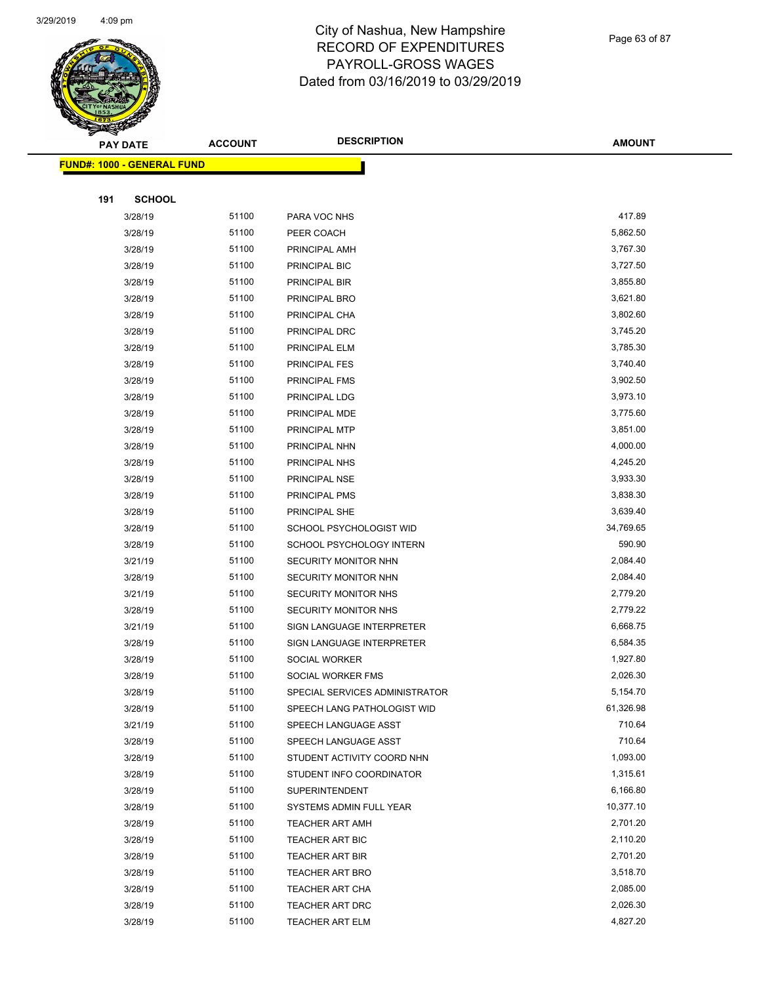

Page 63 of 87

|     | <b>PAY DATE</b>                    | <b>ACCOUNT</b> | <b>DESCRIPTION</b>             | <b>AMOUNT</b>         |
|-----|------------------------------------|----------------|--------------------------------|-----------------------|
|     | <u> FUND#: 1000 - GENERAL FUND</u> |                |                                |                       |
|     |                                    |                |                                |                       |
| 191 | <b>SCHOOL</b>                      |                |                                |                       |
|     | 3/28/19                            | 51100          | PARA VOC NHS                   | 417.89                |
|     | 3/28/19                            | 51100          | PEER COACH                     | 5,862.50              |
|     | 3/28/19                            | 51100          | PRINCIPAL AMH                  | 3,767.30              |
|     | 3/28/19                            | 51100          | PRINCIPAL BIC                  | 3,727.50              |
|     | 3/28/19                            | 51100          | PRINCIPAL BIR                  | 3,855.80              |
|     | 3/28/19                            | 51100          | PRINCIPAL BRO                  | 3,621.80              |
|     | 3/28/19                            | 51100          | PRINCIPAL CHA                  | 3,802.60              |
|     | 3/28/19                            | 51100          | PRINCIPAL DRC                  | 3,745.20              |
|     | 3/28/19                            | 51100          | PRINCIPAL ELM                  | 3,785.30              |
|     | 3/28/19                            | 51100          | <b>PRINCIPAL FES</b>           | 3,740.40              |
|     | 3/28/19                            | 51100          | PRINCIPAL FMS                  | 3,902.50              |
|     | 3/28/19                            | 51100          | PRINCIPAL LDG                  | 3,973.10              |
|     | 3/28/19                            | 51100          | PRINCIPAL MDE                  | 3,775.60              |
|     | 3/28/19                            | 51100          | PRINCIPAL MTP                  | 3,851.00              |
|     | 3/28/19                            | 51100          | PRINCIPAL NHN                  | 4,000.00              |
|     | 3/28/19                            | 51100          | PRINCIPAL NHS                  | 4,245.20              |
|     | 3/28/19                            | 51100          | PRINCIPAL NSE                  | 3,933.30              |
|     | 3/28/19                            | 51100          | PRINCIPAL PMS                  | 3,838.30              |
|     | 3/28/19                            | 51100          | PRINCIPAL SHE                  | 3,639.40              |
|     | 3/28/19                            | 51100          | SCHOOL PSYCHOLOGIST WID        | 34,769.65             |
|     | 3/28/19                            | 51100          | SCHOOL PSYCHOLOGY INTERN       | 590.90                |
|     | 3/21/19                            | 51100          | SECURITY MONITOR NHN           | 2,084.40              |
|     | 3/28/19                            | 51100          | SECURITY MONITOR NHN           | 2,084.40              |
|     | 3/21/19                            | 51100          | <b>SECURITY MONITOR NHS</b>    | 2,779.20              |
|     | 3/28/19                            | 51100          | SECURITY MONITOR NHS           | 2,779.22              |
|     | 3/21/19                            | 51100          | SIGN LANGUAGE INTERPRETER      | 6,668.75              |
|     | 3/28/19                            | 51100          | SIGN LANGUAGE INTERPRETER      | 6,584.35              |
|     | 3/28/19                            | 51100          | SOCIAL WORKER                  | 1,927.80              |
|     | 3/28/19                            | 51100          | SOCIAL WORKER FMS              | 2,026.30              |
|     | 3/28/19                            | 51100          | SPECIAL SERVICES ADMINISTRATOR | 5,154.70              |
|     | 3/28/19                            | 51100          | SPEECH LANG PATHOLOGIST WID    | 61,326.98             |
|     | 3/21/19                            | 51100          | SPEECH LANGUAGE ASST           | 710.64                |
|     | 3/28/19                            | 51100          | SPEECH LANGUAGE ASST           | 710.64                |
|     | 3/28/19                            | 51100          | STUDENT ACTIVITY COORD NHN     | 1,093.00              |
|     | 3/28/19                            | 51100          | STUDENT INFO COORDINATOR       | 1,315.61              |
|     | 3/28/19                            | 51100          | <b>SUPERINTENDENT</b>          | 6,166.80<br>10,377.10 |
|     | 3/28/19                            | 51100          | SYSTEMS ADMIN FULL YEAR        |                       |
|     | 3/28/19                            | 51100          | <b>TEACHER ART AMH</b>         | 2,701.20              |
|     | 3/28/19                            | 51100          | <b>TEACHER ART BIC</b>         | 2,110.20              |
|     | 3/28/19                            | 51100          | <b>TEACHER ART BIR</b>         | 2,701.20              |
|     | 3/28/19                            | 51100<br>51100 | <b>TEACHER ART BRO</b>         | 3,518.70<br>2,085.00  |
|     | 3/28/19                            | 51100          | <b>TEACHER ART CHA</b>         | 2,026.30              |
|     | 3/28/19                            |                | TEACHER ART DRC                | 4,827.20              |
|     | 3/28/19                            | 51100          | <b>TEACHER ART ELM</b>         |                       |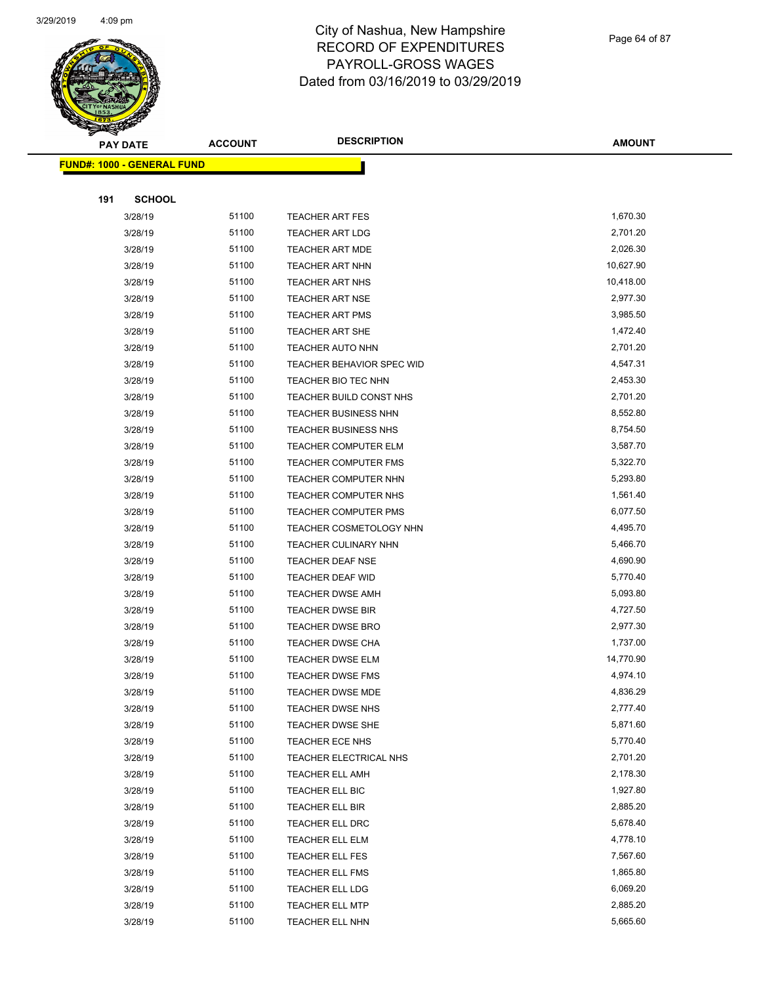

Page 64 of 87

| $\tilde{\phantom{a}}$ | <b>PAY DATE</b>                   | <b>ACCOUNT</b> | <b>DESCRIPTION</b>                               | <b>AMOUNT</b>        |
|-----------------------|-----------------------------------|----------------|--------------------------------------------------|----------------------|
|                       | <b>FUND#: 1000 - GENERAL FUND</b> |                |                                                  |                      |
|                       |                                   |                |                                                  |                      |
| 191                   | <b>SCHOOL</b>                     |                |                                                  |                      |
|                       | 3/28/19                           | 51100          | <b>TEACHER ART FES</b>                           | 1,670.30             |
|                       | 3/28/19                           | 51100          | <b>TEACHER ART LDG</b>                           | 2,701.20             |
|                       | 3/28/19                           | 51100          | <b>TEACHER ART MDE</b>                           | 2,026.30             |
|                       | 3/28/19                           | 51100          | <b>TEACHER ART NHN</b>                           | 10,627.90            |
|                       | 3/28/19                           | 51100          | <b>TEACHER ART NHS</b>                           | 10,418.00            |
|                       | 3/28/19                           | 51100          | <b>TEACHER ART NSE</b>                           | 2,977.30             |
|                       | 3/28/19                           | 51100          | TEACHER ART PMS                                  | 3,985.50             |
|                       | 3/28/19                           | 51100          | TEACHER ART SHE                                  | 1,472.40             |
|                       | 3/28/19                           | 51100          | <b>TEACHER AUTO NHN</b>                          | 2,701.20             |
|                       | 3/28/19                           | 51100          | TEACHER BEHAVIOR SPEC WID                        | 4,547.31             |
|                       | 3/28/19                           | 51100          | TEACHER BIO TEC NHN                              | 2,453.30             |
|                       | 3/28/19                           | 51100          | TEACHER BUILD CONST NHS                          | 2,701.20             |
|                       | 3/28/19                           | 51100          | <b>TEACHER BUSINESS NHN</b>                      | 8,552.80             |
|                       | 3/28/19                           | 51100          | TEACHER BUSINESS NHS                             | 8,754.50             |
|                       | 3/28/19                           | 51100          | TEACHER COMPUTER ELM                             | 3,587.70             |
|                       | 3/28/19                           | 51100          | TEACHER COMPUTER FMS                             | 5,322.70             |
|                       | 3/28/19                           | 51100          | TEACHER COMPUTER NHN                             | 5,293.80             |
|                       | 3/28/19                           | 51100          | TEACHER COMPUTER NHS                             | 1,561.40             |
|                       | 3/28/19                           | 51100          | <b>TEACHER COMPUTER PMS</b>                      | 6,077.50             |
|                       | 3/28/19                           | 51100          | TEACHER COSMETOLOGY NHN                          | 4,495.70             |
|                       | 3/28/19                           | 51100          | TEACHER CULINARY NHN                             | 5,466.70             |
|                       | 3/28/19                           | 51100          | TEACHER DEAF NSE                                 | 4,690.90             |
|                       | 3/28/19                           | 51100          | TEACHER DEAF WID                                 | 5,770.40             |
|                       | 3/28/19                           | 51100          | <b>TEACHER DWSE AMH</b>                          | 5,093.80             |
|                       | 3/28/19                           | 51100          | <b>TEACHER DWSE BIR</b>                          | 4,727.50             |
|                       | 3/28/19                           | 51100          | TEACHER DWSE BRO                                 | 2,977.30             |
|                       | 3/28/19                           | 51100          | TEACHER DWSE CHA                                 | 1,737.00             |
|                       | 3/28/19                           | 51100          | TEACHER DWSE ELM                                 | 14,770.90            |
|                       | 3/28/19                           | 51100          | TEACHER DWSE FMS                                 | 4,974.10             |
|                       | 3/28/19                           | 51100          | TEACHER DWSE MDE                                 | 4,836.29             |
|                       | 3/28/19                           | 51100          | <b>TEACHER DWSE NHS</b>                          | 2,777.40             |
|                       | 3/28/19<br>3/28/19                | 51100          | TEACHER DWSE SHE                                 | 5,871.60<br>5,770.40 |
|                       |                                   | 51100          | TEACHER ECE NHS                                  | 2,701.20             |
|                       | 3/28/19                           | 51100<br>51100 | TEACHER ELECTRICAL NHS<br><b>TEACHER ELL AMH</b> | 2,178.30             |
|                       | 3/28/19<br>3/28/19                | 51100          | TEACHER ELL BIC                                  | 1,927.80             |
|                       | 3/28/19                           | 51100          | TEACHER ELL BIR                                  | 2,885.20             |
|                       | 3/28/19                           | 51100          | TEACHER ELL DRC                                  | 5,678.40             |
|                       | 3/28/19                           | 51100          | TEACHER ELL ELM                                  | 4,778.10             |
|                       | 3/28/19                           | 51100          | TEACHER ELL FES                                  | 7,567.60             |
|                       | 3/28/19                           | 51100          | <b>TEACHER ELL FMS</b>                           | 1,865.80             |
|                       | 3/28/19                           | 51100          | TEACHER ELL LDG                                  | 6,069.20             |
|                       | 3/28/19                           | 51100          | <b>TEACHER ELL MTP</b>                           | 2,885.20             |
|                       | 3/28/19                           | 51100          | TEACHER ELL NHN                                  | 5,665.60             |
|                       |                                   |                |                                                  |                      |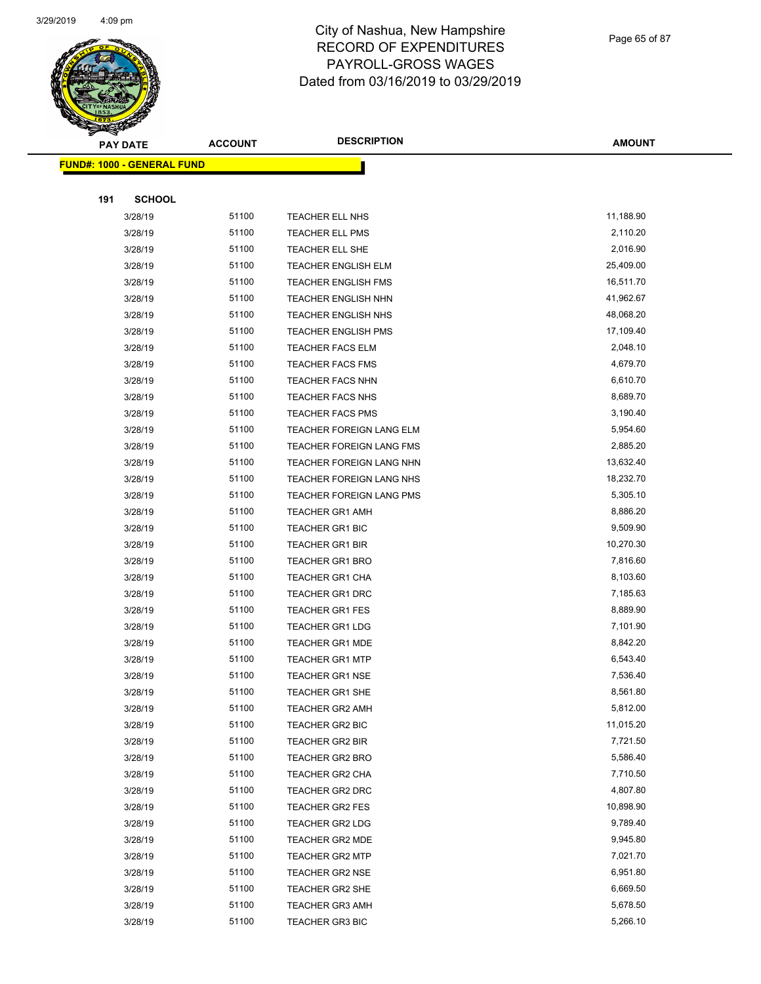

Page 65 of 87

| s<br>$\tilde{\phantom{a}}$ | <b>PAY DATE</b>                   | <b>ACCOUNT</b> | <b>DESCRIPTION</b>                               | <b>AMOUNT</b>        |
|----------------------------|-----------------------------------|----------------|--------------------------------------------------|----------------------|
|                            | <b>FUND#: 1000 - GENERAL FUND</b> |                |                                                  |                      |
|                            |                                   |                |                                                  |                      |
| 191                        | <b>SCHOOL</b>                     |                |                                                  |                      |
|                            | 3/28/19                           | 51100          | TEACHER ELL NHS                                  | 11,188.90            |
|                            | 3/28/19                           | 51100          | TEACHER ELL PMS                                  | 2,110.20             |
|                            | 3/28/19                           | 51100          | TEACHER ELL SHE                                  | 2,016.90             |
|                            | 3/28/19                           | 51100          | <b>TEACHER ENGLISH ELM</b>                       | 25,409.00            |
|                            | 3/28/19                           | 51100          | <b>TEACHER ENGLISH FMS</b>                       | 16,511.70            |
|                            | 3/28/19                           | 51100          | TEACHER ENGLISH NHN                              | 41,962.67            |
|                            | 3/28/19                           | 51100          | TEACHER ENGLISH NHS                              | 48,068.20            |
|                            | 3/28/19                           | 51100          | <b>TEACHER ENGLISH PMS</b>                       | 17,109.40            |
|                            | 3/28/19                           | 51100          | <b>TEACHER FACS ELM</b>                          | 2,048.10             |
|                            | 3/28/19                           | 51100          | <b>TEACHER FACS FMS</b>                          | 4,679.70             |
|                            | 3/28/19                           | 51100          | <b>TEACHER FACS NHN</b>                          | 6,610.70             |
|                            | 3/28/19                           | 51100          | <b>TEACHER FACS NHS</b>                          | 8,689.70             |
|                            | 3/28/19                           | 51100          | <b>TEACHER FACS PMS</b>                          | 3,190.40             |
|                            | 3/28/19                           | 51100          | TEACHER FOREIGN LANG ELM                         | 5,954.60             |
|                            | 3/28/19                           | 51100          | TEACHER FOREIGN LANG FMS                         | 2,885.20             |
|                            | 3/28/19                           | 51100          | TEACHER FOREIGN LANG NHN                         | 13,632.40            |
|                            | 3/28/19                           | 51100          | TEACHER FOREIGN LANG NHS                         | 18,232.70            |
|                            | 3/28/19                           | 51100          | TEACHER FOREIGN LANG PMS                         | 5,305.10             |
|                            | 3/28/19                           | 51100          | <b>TEACHER GR1 AMH</b>                           | 8,886.20             |
|                            | 3/28/19                           | 51100          | <b>TEACHER GR1 BIC</b>                           | 9,509.90             |
|                            | 3/28/19                           | 51100          | <b>TEACHER GR1 BIR</b>                           | 10,270.30            |
|                            | 3/28/19                           | 51100          | <b>TEACHER GR1 BRO</b>                           | 7,816.60             |
|                            | 3/28/19                           | 51100          | TEACHER GR1 CHA                                  | 8,103.60             |
|                            | 3/28/19                           | 51100          | <b>TEACHER GR1 DRC</b>                           | 7,185.63             |
|                            | 3/28/19                           | 51100          | TEACHER GR1 FES                                  | 8,889.90             |
|                            | 3/28/19                           | 51100          | <b>TEACHER GR1 LDG</b>                           | 7,101.90             |
|                            | 3/28/19                           | 51100          | <b>TEACHER GR1 MDE</b>                           | 8,842.20             |
|                            | 3/28/19                           | 51100          | <b>TEACHER GR1 MTP</b>                           | 6,543.40             |
|                            | 3/28/19                           | 51100          | <b>TEACHER GR1 NSE</b>                           | 7,536.40             |
|                            | 3/28/19                           | 51100          | <b>TEACHER GR1 SHE</b>                           | 8,561.80             |
|                            | 3/28/19                           | 51100          | <b>TEACHER GR2 AMH</b>                           | 5,812.00             |
|                            | 3/28/19                           | 51100          | TEACHER GR2 BIC                                  | 11,015.20            |
|                            | 3/28/19                           | 51100          | <b>TEACHER GR2 BIR</b>                           | 7,721.50<br>5,586.40 |
|                            | 3/28/19                           | 51100          | <b>TEACHER GR2 BRO</b>                           |                      |
|                            | 3/28/19                           | 51100<br>51100 | <b>TEACHER GR2 CHA</b><br><b>TEACHER GR2 DRC</b> | 7,710.50<br>4,807.80 |
|                            | 3/28/19<br>3/28/19                | 51100          | <b>TEACHER GR2 FES</b>                           | 10,898.90            |
|                            | 3/28/19                           | 51100          | <b>TEACHER GR2 LDG</b>                           | 9,789.40             |
|                            | 3/28/19                           | 51100          | TEACHER GR2 MDE                                  | 9,945.80             |
|                            | 3/28/19                           | 51100          | <b>TEACHER GR2 MTP</b>                           | 7,021.70             |
|                            | 3/28/19                           | 51100          | <b>TEACHER GR2 NSE</b>                           | 6,951.80             |
|                            | 3/28/19                           | 51100          | TEACHER GR2 SHE                                  | 6,669.50             |
|                            | 3/28/19                           | 51100          | <b>TEACHER GR3 AMH</b>                           | 5,678.50             |
|                            | 3/28/19                           | 51100          | <b>TEACHER GR3 BIC</b>                           | 5,266.10             |
|                            |                                   |                |                                                  |                      |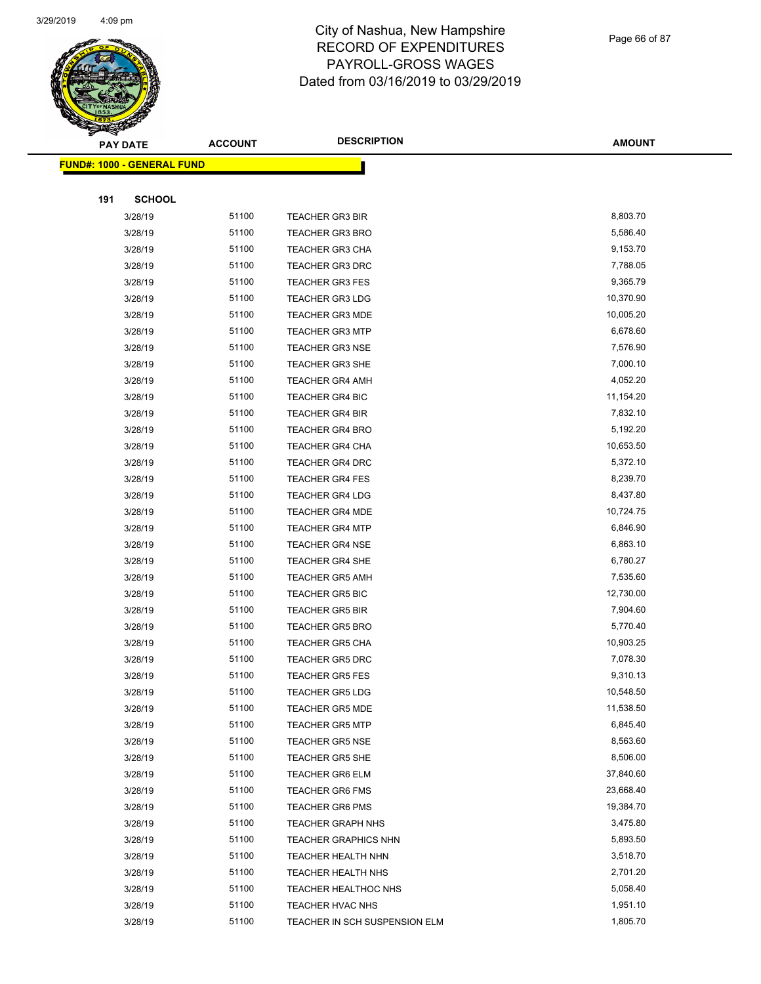

Page 66 of 87

|     | <b>PAY DATE</b>                    | <b>ACCOUNT</b> | <b>DESCRIPTION</b>            | <b>AMOUNT</b> |
|-----|------------------------------------|----------------|-------------------------------|---------------|
|     | <u> FUND#: 1000 - GENERAL FUND</u> |                |                               |               |
|     |                                    |                |                               |               |
| 191 | <b>SCHOOL</b>                      |                |                               |               |
|     | 3/28/19                            | 51100          | <b>TEACHER GR3 BIR</b>        | 8,803.70      |
|     | 3/28/19                            | 51100          | <b>TEACHER GR3 BRO</b>        | 5,586.40      |
|     | 3/28/19                            | 51100          | <b>TEACHER GR3 CHA</b>        | 9,153.70      |
|     | 3/28/19                            | 51100          | <b>TEACHER GR3 DRC</b>        | 7,788.05      |
|     | 3/28/19                            | 51100          | <b>TEACHER GR3 FES</b>        | 9,365.79      |
|     | 3/28/19                            | 51100          | <b>TEACHER GR3 LDG</b>        | 10,370.90     |
|     | 3/28/19                            | 51100          | <b>TEACHER GR3 MDE</b>        | 10,005.20     |
|     | 3/28/19                            | 51100          | <b>TEACHER GR3 MTP</b>        | 6,678.60      |
|     | 3/28/19                            | 51100          | <b>TEACHER GR3 NSE</b>        | 7,576.90      |
|     | 3/28/19                            | 51100          | TEACHER GR3 SHE               | 7,000.10      |
|     | 3/28/19                            | 51100          | <b>TEACHER GR4 AMH</b>        | 4,052.20      |
|     | 3/28/19                            | 51100          | <b>TEACHER GR4 BIC</b>        | 11,154.20     |
|     | 3/28/19                            | 51100          | <b>TEACHER GR4 BIR</b>        | 7,832.10      |
|     | 3/28/19                            | 51100          | <b>TEACHER GR4 BRO</b>        | 5,192.20      |
|     | 3/28/19                            | 51100          | <b>TEACHER GR4 CHA</b>        | 10,653.50     |
|     | 3/28/19                            | 51100          | <b>TEACHER GR4 DRC</b>        | 5,372.10      |
|     | 3/28/19                            | 51100          | <b>TEACHER GR4 FES</b>        | 8,239.70      |
|     | 3/28/19                            | 51100          | <b>TEACHER GR4 LDG</b>        | 8,437.80      |
|     | 3/28/19                            | 51100          | <b>TEACHER GR4 MDE</b>        | 10,724.75     |
|     | 3/28/19                            | 51100          | <b>TEACHER GR4 MTP</b>        | 6,846.90      |
|     | 3/28/19                            | 51100          | <b>TEACHER GR4 NSE</b>        | 6,863.10      |
|     | 3/28/19                            | 51100          | <b>TEACHER GR4 SHE</b>        | 6,780.27      |
|     | 3/28/19                            | 51100          | <b>TEACHER GR5 AMH</b>        | 7,535.60      |
|     | 3/28/19                            | 51100          | TEACHER GR5 BIC               | 12,730.00     |
|     | 3/28/19                            | 51100          | <b>TEACHER GR5 BIR</b>        | 7,904.60      |
|     | 3/28/19                            | 51100          | <b>TEACHER GR5 BRO</b>        | 5,770.40      |
|     | 3/28/19                            | 51100          | <b>TEACHER GR5 CHA</b>        | 10,903.25     |
|     | 3/28/19                            | 51100          | <b>TEACHER GR5 DRC</b>        | 7,078.30      |
|     | 3/28/19                            | 51100          | <b>TEACHER GR5 FES</b>        | 9,310.13      |
|     | 3/28/19                            | 51100          | <b>TEACHER GR5 LDG</b>        | 10,548.50     |
|     | 3/28/19                            | 51100          | <b>TEACHER GR5 MDE</b>        | 11,538.50     |
|     | 3/28/19                            | 51100          | <b>TEACHER GR5 MTP</b>        | 6,845.40      |
|     | 3/28/19                            | 51100          | <b>TEACHER GR5 NSE</b>        | 8,563.60      |
|     | 3/28/19                            | 51100          | <b>TEACHER GR5 SHE</b>        | 8,506.00      |
|     | 3/28/19                            | 51100          | <b>TEACHER GR6 ELM</b>        | 37,840.60     |
|     | 3/28/19                            | 51100          | <b>TEACHER GR6 FMS</b>        | 23,668.40     |
|     | 3/28/19                            | 51100          | <b>TEACHER GR6 PMS</b>        | 19,384.70     |
|     | 3/28/19                            | 51100          | <b>TEACHER GRAPH NHS</b>      | 3,475.80      |
|     | 3/28/19                            | 51100          | <b>TEACHER GRAPHICS NHN</b>   | 5,893.50      |
|     | 3/28/19                            | 51100          | TEACHER HEALTH NHN            | 3,518.70      |
|     | 3/28/19                            | 51100          | TEACHER HEALTH NHS            | 2,701.20      |
|     | 3/28/19                            | 51100          | TEACHER HEALTHOC NHS          | 5,058.40      |
|     | 3/28/19                            | 51100          | TEACHER HVAC NHS              | 1,951.10      |
|     | 3/28/19                            | 51100          | TEACHER IN SCH SUSPENSION ELM | 1,805.70      |
|     |                                    |                |                               |               |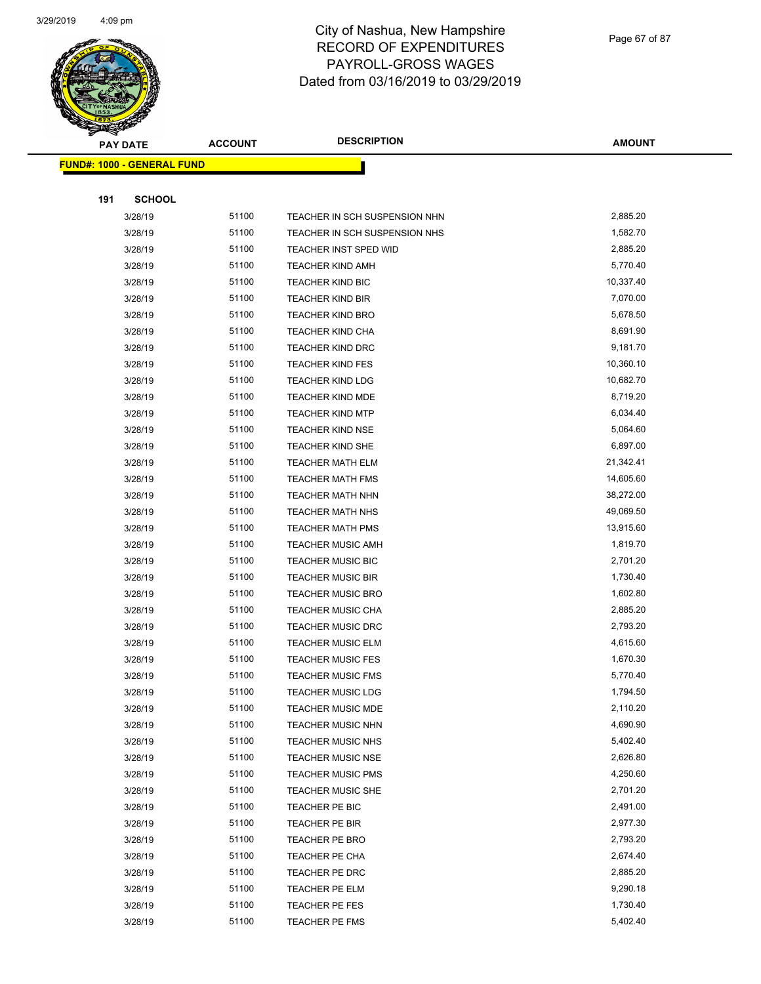

Page 67 of 87

| <b>PAY DATE</b>                   | <b>ACCOUNT</b> | <b>DESCRIPTION</b>               | <b>AMOUNT</b>        |
|-----------------------------------|----------------|----------------------------------|----------------------|
| <b>FUND#: 1000 - GENERAL FUND</b> |                |                                  |                      |
|                                   |                |                                  |                      |
| 191<br><b>SCHOOL</b>              |                |                                  |                      |
| 3/28/19                           | 51100          | TEACHER IN SCH SUSPENSION NHN    | 2,885.20             |
| 3/28/19                           | 51100          | TEACHER IN SCH SUSPENSION NHS    | 1,582.70             |
| 3/28/19                           | 51100          | TEACHER INST SPED WID            | 2,885.20             |
| 3/28/19                           | 51100          | <b>TEACHER KIND AMH</b>          | 5,770.40             |
| 3/28/19                           | 51100          | <b>TEACHER KIND BIC</b>          | 10,337.40            |
| 3/28/19                           | 51100          | <b>TEACHER KIND BIR</b>          | 7,070.00             |
| 3/28/19                           | 51100          | <b>TEACHER KIND BRO</b>          | 5,678.50             |
| 3/28/19                           | 51100          | <b>TEACHER KIND CHA</b>          | 8,691.90             |
| 3/28/19                           | 51100          | <b>TEACHER KIND DRC</b>          | 9,181.70             |
| 3/28/19                           | 51100          | <b>TEACHER KIND FES</b>          | 10,360.10            |
| 3/28/19                           | 51100          | <b>TEACHER KIND LDG</b>          | 10,682.70            |
| 3/28/19                           | 51100          | <b>TEACHER KIND MDE</b>          | 8,719.20             |
| 3/28/19                           | 51100          | <b>TEACHER KIND MTP</b>          | 6,034.40             |
| 3/28/19                           | 51100          | <b>TEACHER KIND NSE</b>          | 5,064.60             |
| 3/28/19                           | 51100          | TEACHER KIND SHE                 | 6,897.00             |
| 3/28/19                           | 51100          | <b>TEACHER MATH ELM</b>          | 21,342.41            |
| 3/28/19                           | 51100          | <b>TEACHER MATH FMS</b>          | 14,605.60            |
| 3/28/19                           | 51100          | <b>TEACHER MATH NHN</b>          | 38,272.00            |
| 3/28/19                           | 51100          | <b>TEACHER MATH NHS</b>          | 49,069.50            |
| 3/28/19                           | 51100          | <b>TEACHER MATH PMS</b>          | 13,915.60            |
| 3/28/19                           | 51100          | <b>TEACHER MUSIC AMH</b>         | 1,819.70             |
| 3/28/19                           | 51100          | <b>TEACHER MUSIC BIC</b>         | 2,701.20             |
| 3/28/19                           | 51100          | <b>TEACHER MUSIC BIR</b>         | 1,730.40             |
| 3/28/19                           | 51100          | <b>TEACHER MUSIC BRO</b>         | 1,602.80             |
| 3/28/19                           | 51100          | <b>TEACHER MUSIC CHA</b>         | 2,885.20             |
| 3/28/19                           | 51100          | <b>TEACHER MUSIC DRC</b>         | 2,793.20             |
| 3/28/19                           | 51100          | <b>TEACHER MUSIC ELM</b>         | 4,615.60             |
| 3/28/19                           | 51100          | <b>TEACHER MUSIC FES</b>         | 1,670.30             |
| 3/28/19                           | 51100          | <b>TEACHER MUSIC FMS</b>         | 5,770.40             |
| 3/28/19                           | 51100          | <b>TEACHER MUSIC LDG</b>         | 1,794.50             |
| 3/28/19                           | 51100          | <b>TEACHER MUSIC MDE</b>         | 2,110.20             |
| 3/28/19                           | 51100          | <b>TEACHER MUSIC NHN</b>         | 4,690.90             |
| 3/28/19                           | 51100          | <b>TEACHER MUSIC NHS</b>         | 5,402.40             |
| 3/28/19                           | 51100          | TEACHER MUSIC NSE                | 2,626.80             |
| 3/28/19                           | 51100          | <b>TEACHER MUSIC PMS</b>         | 4,250.60             |
| 3/28/19                           | 51100          | <b>TEACHER MUSIC SHE</b>         | 2,701.20             |
| 3/28/19                           | 51100          | TEACHER PE BIC                   | 2,491.00             |
| 3/28/19                           | 51100<br>51100 | TEACHER PE BIR                   | 2,977.30<br>2,793.20 |
| 3/28/19                           | 51100          | TEACHER PE BRO                   | 2,674.40             |
| 3/28/19                           | 51100          | TEACHER PE CHA                   | 2,885.20             |
| 3/28/19                           | 51100          | TEACHER PE DRC                   | 9,290.18             |
| 3/28/19                           | 51100          | TEACHER PE ELM<br>TEACHER PE FES | 1,730.40             |
| 3/28/19<br>3/28/19                | 51100          | TEACHER PE FMS                   | 5,402.40             |
|                                   |                |                                  |                      |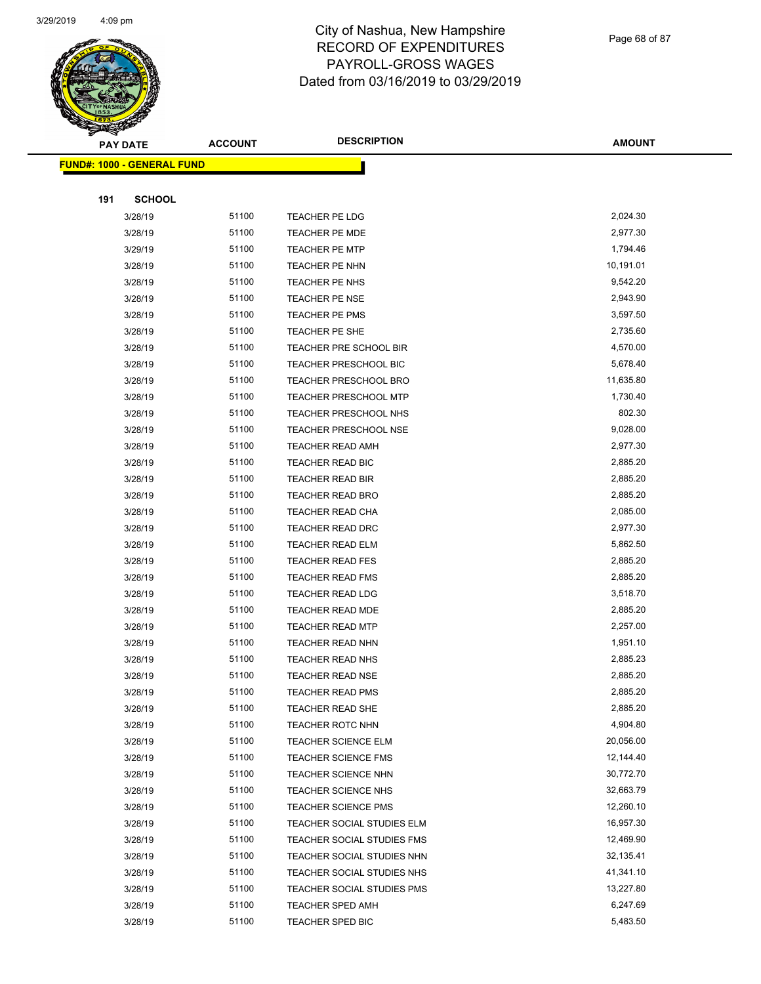

Page 68 of 87

|     | <b>PAY DATE</b>                    | <b>ACCOUNT</b> | <b>DESCRIPTION</b>                | <b>AMOUNT</b> |
|-----|------------------------------------|----------------|-----------------------------------|---------------|
|     | <u> FUND#: 1000 - GENERAL FUND</u> |                |                                   |               |
|     |                                    |                |                                   |               |
| 191 | <b>SCHOOL</b>                      |                |                                   |               |
|     | 3/28/19                            | 51100          | <b>TEACHER PE LDG</b>             | 2,024.30      |
|     | 3/28/19                            | 51100          | <b>TEACHER PE MDE</b>             | 2,977.30      |
|     | 3/29/19                            | 51100          | <b>TEACHER PE MTP</b>             | 1,794.46      |
|     | 3/28/19                            | 51100          | <b>TEACHER PE NHN</b>             | 10,191.01     |
|     | 3/28/19                            | 51100          | <b>TEACHER PE NHS</b>             | 9,542.20      |
|     | 3/28/19                            | 51100          | <b>TEACHER PE NSE</b>             | 2,943.90      |
|     | 3/28/19                            | 51100          | TEACHER PE PMS                    | 3,597.50      |
|     | 3/28/19                            | 51100          | <b>TEACHER PE SHE</b>             | 2,735.60      |
|     | 3/28/19                            | 51100          | TEACHER PRE SCHOOL BIR            | 4,570.00      |
|     | 3/28/19                            | 51100          | TEACHER PRESCHOOL BIC             | 5,678.40      |
|     | 3/28/19                            | 51100          | <b>TEACHER PRESCHOOL BRO</b>      | 11,635.80     |
|     | 3/28/19                            | 51100          | <b>TEACHER PRESCHOOL MTP</b>      | 1,730.40      |
|     | 3/28/19                            | 51100          | TEACHER PRESCHOOL NHS             | 802.30        |
|     | 3/28/19                            | 51100          | TEACHER PRESCHOOL NSE             | 9,028.00      |
|     | 3/28/19                            | 51100          | <b>TEACHER READ AMH</b>           | 2,977.30      |
|     | 3/28/19                            | 51100          | TEACHER READ BIC                  | 2,885.20      |
|     | 3/28/19                            | 51100          | TEACHER READ BIR                  | 2,885.20      |
|     | 3/28/19                            | 51100          | <b>TEACHER READ BRO</b>           | 2,885.20      |
|     | 3/28/19                            | 51100          | TEACHER READ CHA                  | 2,085.00      |
|     | 3/28/19                            | 51100          | <b>TEACHER READ DRC</b>           | 2,977.30      |
|     | 3/28/19                            | 51100          | <b>TEACHER READ ELM</b>           | 5,862.50      |
|     | 3/28/19                            | 51100          | <b>TEACHER READ FES</b>           | 2,885.20      |
|     | 3/28/19                            | 51100          | <b>TEACHER READ FMS</b>           | 2,885.20      |
|     | 3/28/19                            | 51100          | <b>TEACHER READ LDG</b>           | 3,518.70      |
|     | 3/28/19                            | 51100          | <b>TEACHER READ MDE</b>           | 2,885.20      |
|     | 3/28/19                            | 51100          | <b>TEACHER READ MTP</b>           | 2,257.00      |
|     | 3/28/19                            | 51100          | TEACHER READ NHN                  | 1,951.10      |
|     | 3/28/19                            | 51100          | <b>TEACHER READ NHS</b>           | 2,885.23      |
|     | 3/28/19                            | 51100          | <b>TEACHER READ NSE</b>           | 2,885.20      |
|     | 3/28/19                            | 51100          | TEACHER READ PMS                  | 2,885.20      |
|     | 3/28/19                            | 51100          | <b>TEACHER READ SHE</b>           | 2,885.20      |
|     | 3/28/19                            | 51100          | <b>TEACHER ROTC NHN</b>           | 4,904.80      |
|     | 3/28/19                            | 51100          | <b>TEACHER SCIENCE ELM</b>        | 20,056.00     |
|     | 3/28/19                            | 51100          | <b>TEACHER SCIENCE FMS</b>        | 12,144.40     |
|     | 3/28/19                            | 51100          | <b>TEACHER SCIENCE NHN</b>        | 30,772.70     |
|     | 3/28/19                            | 51100          | <b>TEACHER SCIENCE NHS</b>        | 32,663.79     |
|     | 3/28/19                            | 51100          | <b>TEACHER SCIENCE PMS</b>        | 12,260.10     |
|     | 3/28/19                            | 51100          | TEACHER SOCIAL STUDIES ELM        | 16,957.30     |
|     | 3/28/19                            | 51100          | <b>TEACHER SOCIAL STUDIES FMS</b> | 12,469.90     |
|     | 3/28/19                            | 51100          | TEACHER SOCIAL STUDIES NHN        | 32,135.41     |
|     | 3/28/19                            | 51100          | TEACHER SOCIAL STUDIES NHS        | 41,341.10     |
|     | 3/28/19                            | 51100          | TEACHER SOCIAL STUDIES PMS        | 13,227.80     |
|     | 3/28/19                            | 51100          | TEACHER SPED AMH                  | 6,247.69      |
|     | 3/28/19                            | 51100          | TEACHER SPED BIC                  | 5,483.50      |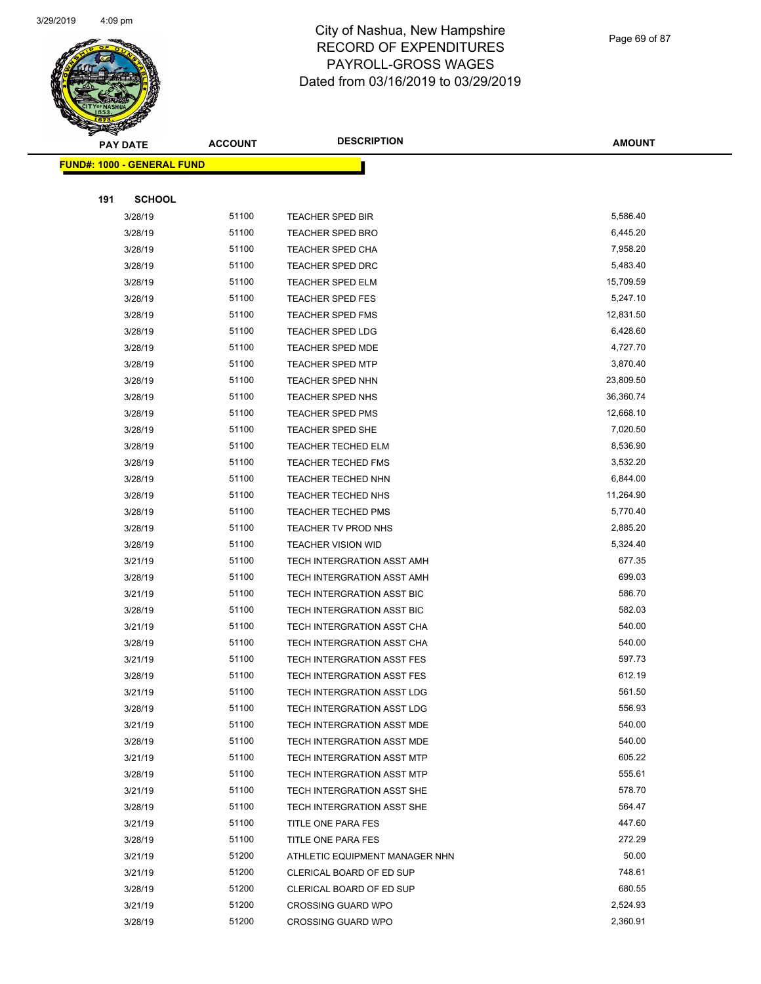

Page 69 of 87

|     | <b>PAY DATE</b>                   | <b>ACCOUNT</b> | <b>DESCRIPTION</b>                | <b>AMOUNT</b> |
|-----|-----------------------------------|----------------|-----------------------------------|---------------|
|     | <b>FUND#: 1000 - GENERAL FUND</b> |                |                                   |               |
|     |                                   |                |                                   |               |
| 191 | <b>SCHOOL</b>                     |                |                                   |               |
|     | 3/28/19                           | 51100          | TEACHER SPED BIR                  | 5,586.40      |
|     | 3/28/19                           | 51100          | <b>TEACHER SPED BRO</b>           | 6,445.20      |
|     | 3/28/19                           | 51100          | <b>TEACHER SPED CHA</b>           | 7,958.20      |
|     | 3/28/19                           | 51100          | <b>TEACHER SPED DRC</b>           | 5,483.40      |
|     | 3/28/19                           | 51100          | <b>TEACHER SPED ELM</b>           | 15,709.59     |
|     | 3/28/19                           | 51100          | <b>TEACHER SPED FES</b>           | 5,247.10      |
|     | 3/28/19                           | 51100          | <b>TEACHER SPED FMS</b>           | 12,831.50     |
|     | 3/28/19                           | 51100          | <b>TEACHER SPED LDG</b>           | 6,428.60      |
|     | 3/28/19                           | 51100          | <b>TEACHER SPED MDE</b>           | 4,727.70      |
|     | 3/28/19                           | 51100          | <b>TEACHER SPED MTP</b>           | 3,870.40      |
|     | 3/28/19                           | 51100          | <b>TEACHER SPED NHN</b>           | 23,809.50     |
|     | 3/28/19                           | 51100          | TEACHER SPED NHS                  | 36,360.74     |
|     | 3/28/19                           | 51100          | <b>TEACHER SPED PMS</b>           | 12,668.10     |
|     | 3/28/19                           | 51100          | <b>TEACHER SPED SHE</b>           | 7,020.50      |
|     | 3/28/19                           | 51100          | <b>TEACHER TECHED ELM</b>         | 8,536.90      |
|     | 3/28/19                           | 51100          | <b>TEACHER TECHED FMS</b>         | 3,532.20      |
|     | 3/28/19                           | 51100          | TEACHER TECHED NHN                | 6,844.00      |
|     | 3/28/19                           | 51100          | <b>TEACHER TECHED NHS</b>         | 11,264.90     |
|     | 3/28/19                           | 51100          | <b>TEACHER TECHED PMS</b>         | 5,770.40      |
|     | 3/28/19                           | 51100          | TEACHER TV PROD NHS               | 2,885.20      |
|     | 3/28/19                           | 51100          | <b>TEACHER VISION WID</b>         | 5,324.40      |
|     | 3/21/19                           | 51100          | TECH INTERGRATION ASST AMH        | 677.35        |
|     | 3/28/19                           | 51100          | TECH INTERGRATION ASST AMH        | 699.03        |
|     | 3/21/19                           | 51100          | TECH INTERGRATION ASST BIC        | 586.70        |
|     | 3/28/19                           | 51100          | TECH INTERGRATION ASST BIC        | 582.03        |
|     | 3/21/19                           | 51100          | TECH INTERGRATION ASST CHA        | 540.00        |
|     | 3/28/19                           | 51100          | TECH INTERGRATION ASST CHA        | 540.00        |
|     | 3/21/19                           | 51100          | TECH INTERGRATION ASST FES        | 597.73        |
|     | 3/28/19                           | 51100          | TECH INTERGRATION ASST FES        | 612.19        |
|     | 3/21/19                           | 51100          | TECH INTERGRATION ASST LDG        | 561.50        |
|     | 3/28/19                           | 51100          | TECH INTERGRATION ASST LDG        | 556.93        |
|     | 3/21/19                           | 51100          | TECH INTERGRATION ASST MDE        | 540.00        |
|     | 3/28/19                           | 51100          | TECH INTERGRATION ASST MDE        | 540.00        |
|     | 3/21/19                           | 51100          | TECH INTERGRATION ASST MTP        | 605.22        |
|     | 3/28/19                           | 51100          | <b>TECH INTERGRATION ASST MTP</b> | 555.61        |
|     | 3/21/19                           | 51100          | TECH INTERGRATION ASST SHE        | 578.70        |
|     | 3/28/19                           | 51100          | TECH INTERGRATION ASST SHE        | 564.47        |
|     | 3/21/19                           | 51100          | TITLE ONE PARA FES                | 447.60        |
|     | 3/28/19                           | 51100          | TITLE ONE PARA FES                | 272.29        |
|     | 3/21/19                           | 51200          | ATHLETIC EQUIPMENT MANAGER NHN    | 50.00         |
|     | 3/21/19                           | 51200          | CLERICAL BOARD OF ED SUP          | 748.61        |
|     | 3/28/19                           | 51200          | CLERICAL BOARD OF ED SUP          | 680.55        |
|     | 3/21/19                           | 51200          | <b>CROSSING GUARD WPO</b>         | 2,524.93      |
|     | 3/28/19                           | 51200          | <b>CROSSING GUARD WPO</b>         | 2,360.91      |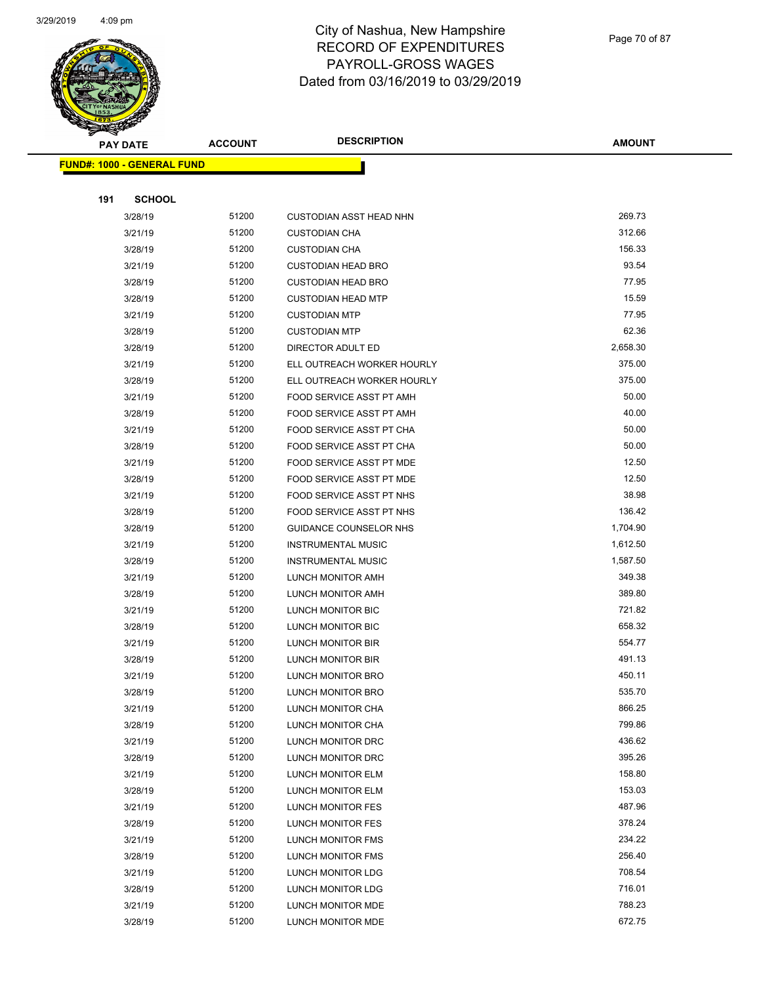

Page 70 of 87

| $\tilde{\phantom{a}}$<br><b>PAY DATE</b> | <b>ACCOUNT</b> | <b>DESCRIPTION</b>             | <b>AMOUNT</b>    |
|------------------------------------------|----------------|--------------------------------|------------------|
| <b>FUND#: 1000 - GENERAL FUND</b>        |                |                                |                  |
|                                          |                |                                |                  |
| 191<br><b>SCHOOL</b>                     |                |                                |                  |
| 3/28/19                                  | 51200          | <b>CUSTODIAN ASST HEAD NHN</b> | 269.73           |
| 3/21/19                                  | 51200          | <b>CUSTODIAN CHA</b>           | 312.66           |
| 3/28/19                                  | 51200          | <b>CUSTODIAN CHA</b>           | 156.33           |
| 3/21/19                                  | 51200          | <b>CUSTODIAN HEAD BRO</b>      | 93.54            |
| 3/28/19                                  | 51200          | <b>CUSTODIAN HEAD BRO</b>      | 77.95            |
| 3/28/19                                  | 51200          | <b>CUSTODIAN HEAD MTP</b>      | 15.59            |
| 3/21/19                                  | 51200          | <b>CUSTODIAN MTP</b>           | 77.95            |
| 3/28/19                                  | 51200          | <b>CUSTODIAN MTP</b>           | 62.36            |
| 3/28/19                                  | 51200          | DIRECTOR ADULT ED              | 2,658.30         |
| 3/21/19                                  | 51200          | ELL OUTREACH WORKER HOURLY     | 375.00           |
| 3/28/19                                  | 51200          | ELL OUTREACH WORKER HOURLY     | 375.00           |
| 3/21/19                                  | 51200          | FOOD SERVICE ASST PT AMH       | 50.00            |
| 3/28/19                                  | 51200          | FOOD SERVICE ASST PT AMH       | 40.00            |
| 3/21/19                                  | 51200          | FOOD SERVICE ASST PT CHA       | 50.00            |
| 3/28/19                                  | 51200          | FOOD SERVICE ASST PT CHA       | 50.00            |
| 3/21/19                                  | 51200          | FOOD SERVICE ASST PT MDE       | 12.50            |
| 3/28/19                                  | 51200          | FOOD SERVICE ASST PT MDE       | 12.50            |
| 3/21/19                                  | 51200          | FOOD SERVICE ASST PT NHS       | 38.98            |
| 3/28/19                                  | 51200          | FOOD SERVICE ASST PT NHS       | 136.42           |
| 3/28/19                                  | 51200          | GUIDANCE COUNSELOR NHS         | 1,704.90         |
| 3/21/19                                  | 51200          | <b>INSTRUMENTAL MUSIC</b>      | 1,612.50         |
| 3/28/19                                  | 51200          | <b>INSTRUMENTAL MUSIC</b>      | 1,587.50         |
| 3/21/19                                  | 51200          | LUNCH MONITOR AMH              | 349.38           |
| 3/28/19                                  | 51200          | LUNCH MONITOR AMH              | 389.80           |
| 3/21/19                                  | 51200          | LUNCH MONITOR BIC              | 721.82           |
| 3/28/19                                  | 51200          | LUNCH MONITOR BIC              | 658.32           |
| 3/21/19                                  | 51200          | LUNCH MONITOR BIR              | 554.77           |
| 3/28/19                                  | 51200          | LUNCH MONITOR BIR              | 491.13           |
| 3/21/19                                  | 51200          | LUNCH MONITOR BRO              | 450.11           |
| 3/28/19                                  | 51200          | LUNCH MONITOR BRO              | 535.70           |
| 3/21/19                                  | 51200          | LUNCH MONITOR CHA              | 866.25           |
| 3/28/19                                  | 51200          | LUNCH MONITOR CHA              | 799.86           |
| 3/21/19                                  | 51200          | LUNCH MONITOR DRC              | 436.62           |
| 3/28/19                                  | 51200          | LUNCH MONITOR DRC              | 395.26           |
| 3/21/19                                  | 51200          | LUNCH MONITOR ELM              | 158.80           |
| 3/28/19                                  | 51200          | LUNCH MONITOR ELM              | 153.03           |
| 3/21/19                                  | 51200          | LUNCH MONITOR FES              | 487.96           |
| 3/28/19                                  | 51200          | LUNCH MONITOR FES              | 378.24           |
| 3/21/19                                  | 51200          | LUNCH MONITOR FMS              | 234.22           |
| 3/28/19                                  | 51200          | LUNCH MONITOR FMS              | 256.40<br>708.54 |
| 3/21/19                                  | 51200<br>51200 | LUNCH MONITOR LDG              | 716.01           |
| 3/28/19<br>3/21/19                       | 51200          | LUNCH MONITOR LDG              | 788.23           |
|                                          |                | LUNCH MONITOR MDE              | 672.75           |
| 3/28/19                                  | 51200          | LUNCH MONITOR MDE              |                  |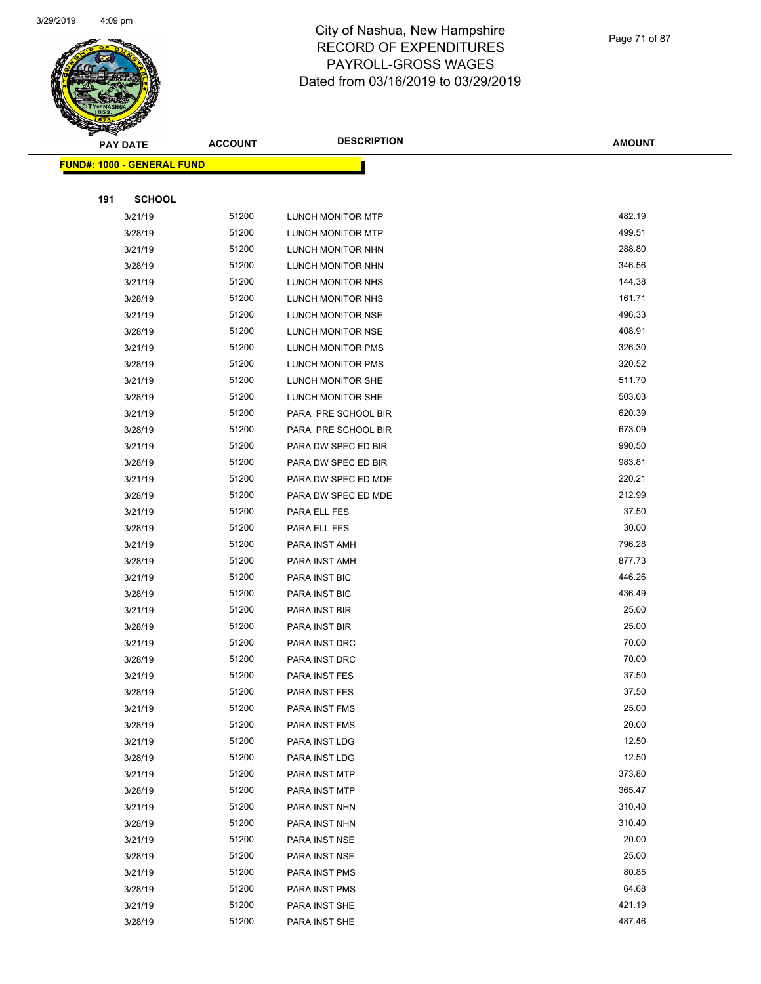

|     | <b>PAY DATE</b>                   | <b>ACCOUNT</b> | <b>DESCRIPTION</b>   | <b>AMOUNT</b> |
|-----|-----------------------------------|----------------|----------------------|---------------|
|     | <b>FUND#: 1000 - GENERAL FUND</b> |                |                      |               |
|     |                                   |                |                      |               |
| 191 | <b>SCHOOL</b>                     |                |                      |               |
|     | 3/21/19                           | 51200          | LUNCH MONITOR MTP    | 482.19        |
|     | 3/28/19                           | 51200          | LUNCH MONITOR MTP    | 499.51        |
|     | 3/21/19                           | 51200          | LUNCH MONITOR NHN    | 288.80        |
|     | 3/28/19                           | 51200          | LUNCH MONITOR NHN    | 346.56        |
|     | 3/21/19                           | 51200          | LUNCH MONITOR NHS    | 144.38        |
|     | 3/28/19                           | 51200          | LUNCH MONITOR NHS    | 161.71        |
|     | 3/21/19                           | 51200          | LUNCH MONITOR NSE    | 496.33        |
|     | 3/28/19                           | 51200          | LUNCH MONITOR NSE    | 408.91        |
|     | 3/21/19                           | 51200          | LUNCH MONITOR PMS    | 326.30        |
|     | 3/28/19                           | 51200          | LUNCH MONITOR PMS    | 320.52        |
|     | 3/21/19                           | 51200          | LUNCH MONITOR SHE    | 511.70        |
|     | 3/28/19                           | 51200          | LUNCH MONITOR SHE    | 503.03        |
|     | 3/21/19                           | 51200          | PARA PRE SCHOOL BIR  | 620.39        |
|     | 3/28/19                           | 51200          | PARA PRE SCHOOL BIR  | 673.09        |
|     | 3/21/19                           | 51200          | PARA DW SPEC ED BIR  | 990.50        |
|     | 3/28/19                           | 51200          | PARA DW SPEC ED BIR  | 983.81        |
|     | 3/21/19                           | 51200          | PARA DW SPEC ED MDE  | 220.21        |
|     | 3/28/19                           | 51200          | PARA DW SPEC ED MDE  | 212.99        |
|     | 3/21/19                           | 51200          | PARA ELL FES         | 37.50         |
|     | 3/28/19                           | 51200          | PARA ELL FES         | 30.00         |
|     | 3/21/19                           | 51200          | PARA INST AMH        | 796.28        |
|     | 3/28/19                           | 51200          | PARA INST AMH        | 877.73        |
|     | 3/21/19                           | 51200          | PARA INST BIC        | 446.26        |
|     | 3/28/19                           | 51200          | PARA INST BIC        | 436.49        |
|     | 3/21/19                           | 51200          | PARA INST BIR        | 25.00         |
|     | 3/28/19                           | 51200          | PARA INST BIR        | 25.00         |
|     | 3/21/19                           | 51200          | PARA INST DRC        | 70.00         |
|     | 3/28/19                           | 51200          | PARA INST DRC        | 70.00         |
|     | 3/21/19                           | 51200          | PARA INST FES        | 37.50         |
|     | 3/28/19                           | 51200          | PARA INST FES        | 37.50         |
|     | 3/21/19                           | 51200          | PARA INST FMS        | 25.00         |
|     | 3/28/19                           | 51200          | PARA INST FMS        | 20.00         |
|     | 3/21/19                           | 51200          | PARA INST LDG        | 12.50         |
|     | 3/28/19                           | 51200          | PARA INST LDG        | 12.50         |
|     | 3/21/19                           | 51200          | PARA INST MTP        | 373.80        |
|     | 3/28/19                           | 51200          | PARA INST MTP        | 365.47        |
|     | 3/21/19                           | 51200          | PARA INST NHN        | 310.40        |
|     | 3/28/19                           | 51200          | PARA INST NHN        | 310.40        |
|     | 3/21/19                           | 51200          | PARA INST NSE        | 20.00         |
|     | 3/28/19                           | 51200          | PARA INST NSE        | 25.00         |
|     | 3/21/19                           | 51200          | <b>PARA INST PMS</b> | 80.85         |
|     | 3/28/19                           | 51200          | PARA INST PMS        | 64.68         |
|     | 3/21/19                           | 51200          | PARA INST SHE        | 421.19        |
|     | 3/28/19                           | 51200          | PARA INST SHE        | 487.46        |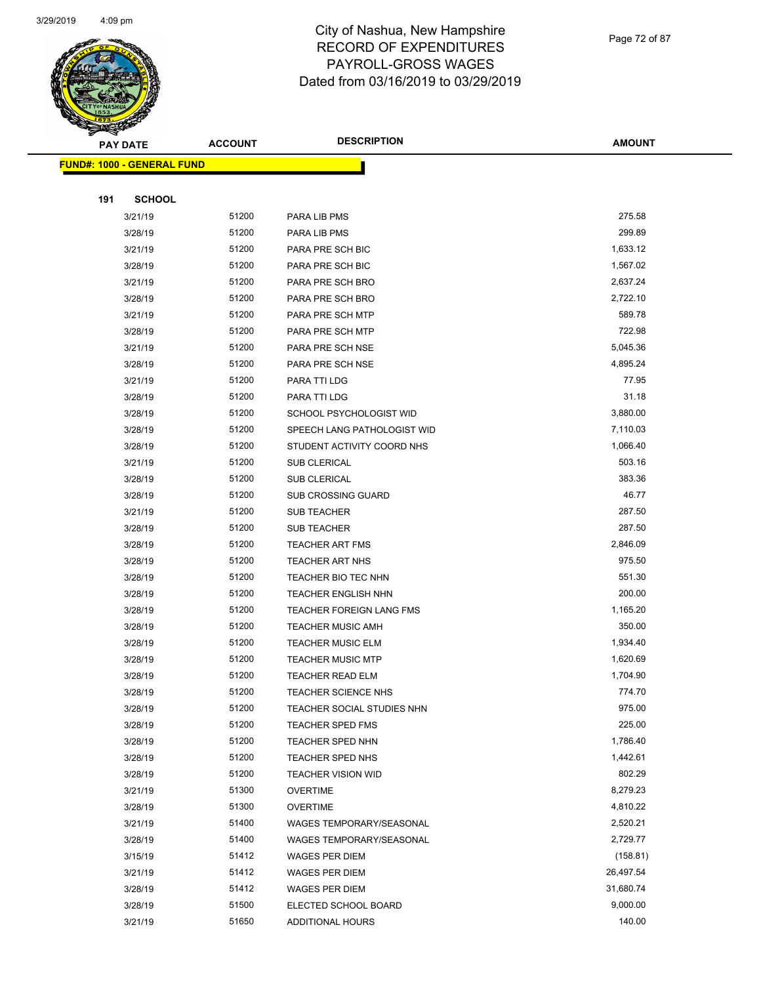

Page 72 of 87

|     | <b>PAY DATE</b>                    | <b>ACCOUNT</b> | <b>DESCRIPTION</b>              | <b>AMOUNT</b> |
|-----|------------------------------------|----------------|---------------------------------|---------------|
|     | <u> FUND#: 1000 - GENERAL FUND</u> |                |                                 |               |
|     |                                    |                |                                 |               |
| 191 | <b>SCHOOL</b>                      |                |                                 |               |
|     | 3/21/19                            | 51200          | PARA LIB PMS                    | 275.58        |
|     | 3/28/19                            | 51200          | PARA LIB PMS                    | 299.89        |
|     | 3/21/19                            | 51200          | PARA PRE SCH BIC                | 1,633.12      |
|     | 3/28/19                            | 51200          | PARA PRE SCH BIC                | 1,567.02      |
|     | 3/21/19                            | 51200          | PARA PRE SCH BRO                | 2,637.24      |
|     | 3/28/19                            | 51200          | PARA PRE SCH BRO                | 2,722.10      |
|     | 3/21/19                            | 51200          | PARA PRE SCH MTP                | 589.78        |
|     | 3/28/19                            | 51200          | PARA PRE SCH MTP                | 722.98        |
|     | 3/21/19                            | 51200          | PARA PRE SCH NSE                | 5,045.36      |
|     | 3/28/19                            | 51200          | PARA PRE SCH NSE                | 4,895.24      |
|     | 3/21/19                            | 51200          | PARA TTI LDG                    | 77.95         |
|     | 3/28/19                            | 51200          | PARA TTI LDG                    | 31.18         |
|     | 3/28/19                            | 51200          | SCHOOL PSYCHOLOGIST WID         | 3,880.00      |
|     | 3/28/19                            | 51200          | SPEECH LANG PATHOLOGIST WID     | 7,110.03      |
|     | 3/28/19                            | 51200          | STUDENT ACTIVITY COORD NHS      | 1,066.40      |
|     | 3/21/19                            | 51200          | <b>SUB CLERICAL</b>             | 503.16        |
|     | 3/28/19                            | 51200          | <b>SUB CLERICAL</b>             | 383.36        |
|     | 3/28/19                            | 51200          | <b>SUB CROSSING GUARD</b>       | 46.77         |
|     | 3/21/19                            | 51200          | <b>SUB TEACHER</b>              | 287.50        |
|     | 3/28/19                            | 51200          | <b>SUB TEACHER</b>              | 287.50        |
|     | 3/28/19                            | 51200          | <b>TEACHER ART FMS</b>          | 2,846.09      |
|     | 3/28/19                            | 51200          | <b>TEACHER ART NHS</b>          | 975.50        |
|     | 3/28/19                            | 51200          | TEACHER BIO TEC NHN             | 551.30        |
|     | 3/28/19                            | 51200          | <b>TEACHER ENGLISH NHN</b>      | 200.00        |
|     | 3/28/19                            | 51200          | <b>TEACHER FOREIGN LANG FMS</b> | 1,165.20      |
|     | 3/28/19                            | 51200          | <b>TEACHER MUSIC AMH</b>        | 350.00        |
|     | 3/28/19                            | 51200          | <b>TEACHER MUSIC ELM</b>        | 1,934.40      |
|     | 3/28/19                            | 51200          | <b>TEACHER MUSIC MTP</b>        | 1,620.69      |
|     | 3/28/19                            | 51200          | TEACHER READ ELM                | 1,704.90      |
|     | 3/28/19                            | 51200          | <b>TEACHER SCIENCE NHS</b>      | 774.70        |
|     | 3/28/19                            | 51200          | TEACHER SOCIAL STUDIES NHN      | 975.00        |
|     | 3/28/19                            | 51200          | TEACHER SPED FMS                | 225.00        |
|     | 3/28/19                            | 51200          | TEACHER SPED NHN                | 1,786.40      |
|     | 3/28/19                            | 51200          | TEACHER SPED NHS                | 1,442.61      |
|     | 3/28/19                            | 51200          | <b>TEACHER VISION WID</b>       | 802.29        |
|     | 3/21/19                            | 51300          | <b>OVERTIME</b>                 | 8,279.23      |
|     | 3/28/19                            | 51300          | <b>OVERTIME</b>                 | 4,810.22      |
|     | 3/21/19                            | 51400          | WAGES TEMPORARY/SEASONAL        | 2,520.21      |
|     | 3/28/19                            | 51400          | WAGES TEMPORARY/SEASONAL        | 2,729.77      |
|     | 3/15/19                            | 51412          | WAGES PER DIEM                  | (158.81)      |
|     | 3/21/19                            | 51412          | WAGES PER DIEM                  | 26,497.54     |
|     | 3/28/19                            | 51412          | <b>WAGES PER DIEM</b>           | 31,680.74     |
|     | 3/28/19                            | 51500          | ELECTED SCHOOL BOARD            | 9,000.00      |
|     | 3/21/19                            | 51650          | ADDITIONAL HOURS                | 140.00        |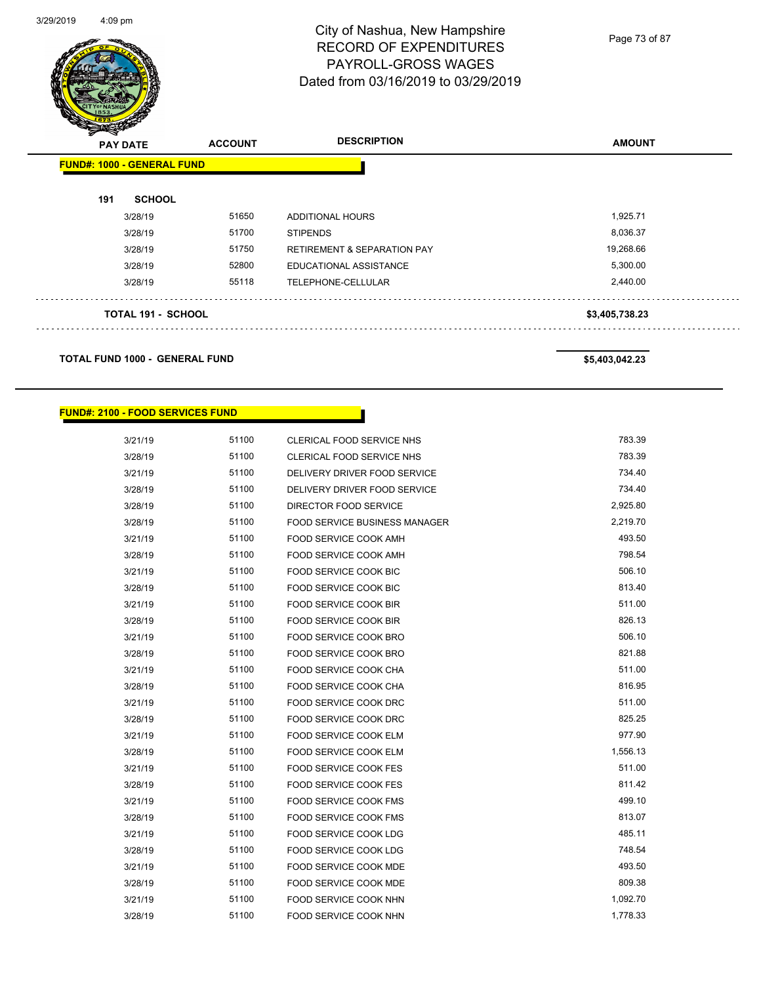

Page 73 of 87

| <b>ANGER</b> | <b>PAY DATE</b>                   | <b>ACCOUNT</b> | <b>DESCRIPTION</b>                     | <b>AMOUNT</b>  |
|--------------|-----------------------------------|----------------|----------------------------------------|----------------|
|              | <b>FUND#: 1000 - GENERAL FUND</b> |                |                                        |                |
| 191          | <b>SCHOOL</b>                     |                |                                        |                |
|              | 3/28/19                           | 51650          | ADDITIONAL HOURS                       | 1,925.71       |
|              | 3/28/19                           | 51700          | <b>STIPENDS</b>                        | 8,036.37       |
|              | 3/28/19                           | 51750          | <b>RETIREMENT &amp; SEPARATION PAY</b> | 19,268.66      |
|              | 3/28/19                           | 52800          | EDUCATIONAL ASSISTANCE                 | 5,300.00       |
|              | 3/28/19                           | 55118          | TELEPHONE-CELLULAR                     | 2,440.00       |
|              | <b>TOTAL 191 - SCHOOL</b>         |                |                                        | \$3,405,738.23 |
|              |                                   |                |                                        |                |

**TOTAL FUND 1000 - GENERAL FUND \$5,403,042.23** 

#### **FUND#: 2100 - FOOD SERVICES FUND**

| 3/21/19 | 51100 | CLERICAL FOOD SERVICE NHS            | 783.39   |
|---------|-------|--------------------------------------|----------|
| 3/28/19 | 51100 | CLERICAL FOOD SERVICE NHS            | 783.39   |
| 3/21/19 | 51100 | DELIVERY DRIVER FOOD SERVICE         | 734.40   |
| 3/28/19 | 51100 | DELIVERY DRIVER FOOD SERVICE         | 734.40   |
| 3/28/19 | 51100 | DIRECTOR FOOD SERVICE                | 2,925.80 |
| 3/28/19 | 51100 | <b>FOOD SERVICE BUSINESS MANAGER</b> | 2,219.70 |
| 3/21/19 | 51100 | FOOD SERVICE COOK AMH                | 493.50   |
| 3/28/19 | 51100 | FOOD SERVICE COOK AMH                | 798.54   |
| 3/21/19 | 51100 | FOOD SERVICE COOK BIC                | 506.10   |
| 3/28/19 | 51100 | <b>FOOD SERVICE COOK BIC</b>         | 813.40   |
| 3/21/19 | 51100 | <b>FOOD SERVICE COOK BIR</b>         | 511.00   |
| 3/28/19 | 51100 | <b>FOOD SERVICE COOK BIR</b>         | 826.13   |
| 3/21/19 | 51100 | <b>FOOD SERVICE COOK BRO</b>         | 506.10   |
| 3/28/19 | 51100 | FOOD SERVICE COOK BRO                | 821.88   |
| 3/21/19 | 51100 | FOOD SERVICE COOK CHA                | 511.00   |
| 3/28/19 | 51100 | FOOD SERVICE COOK CHA                | 816.95   |
| 3/21/19 | 51100 | FOOD SERVICE COOK DRC                | 511.00   |
| 3/28/19 | 51100 | FOOD SERVICE COOK DRC                | 825.25   |
| 3/21/19 | 51100 | FOOD SERVICE COOK ELM                | 977.90   |
| 3/28/19 | 51100 | FOOD SERVICE COOK ELM                | 1,556.13 |
| 3/21/19 | 51100 | <b>FOOD SERVICE COOK FES</b>         | 511.00   |
| 3/28/19 | 51100 | <b>FOOD SERVICE COOK FES</b>         | 811.42   |
| 3/21/19 | 51100 | FOOD SERVICE COOK FMS                | 499.10   |
| 3/28/19 | 51100 | <b>FOOD SERVICE COOK FMS</b>         | 813.07   |
| 3/21/19 | 51100 | <b>FOOD SERVICE COOK LDG</b>         | 485.11   |
| 3/28/19 | 51100 | FOOD SERVICE COOK LDG                | 748.54   |
| 3/21/19 | 51100 | FOOD SERVICE COOK MDE                | 493.50   |
| 3/28/19 | 51100 | <b>FOOD SERVICE COOK MDE</b>         | 809.38   |
| 3/21/19 | 51100 | FOOD SERVICE COOK NHN                | 1,092.70 |
| 3/28/19 | 51100 | FOOD SERVICE COOK NHN                | 1,778.33 |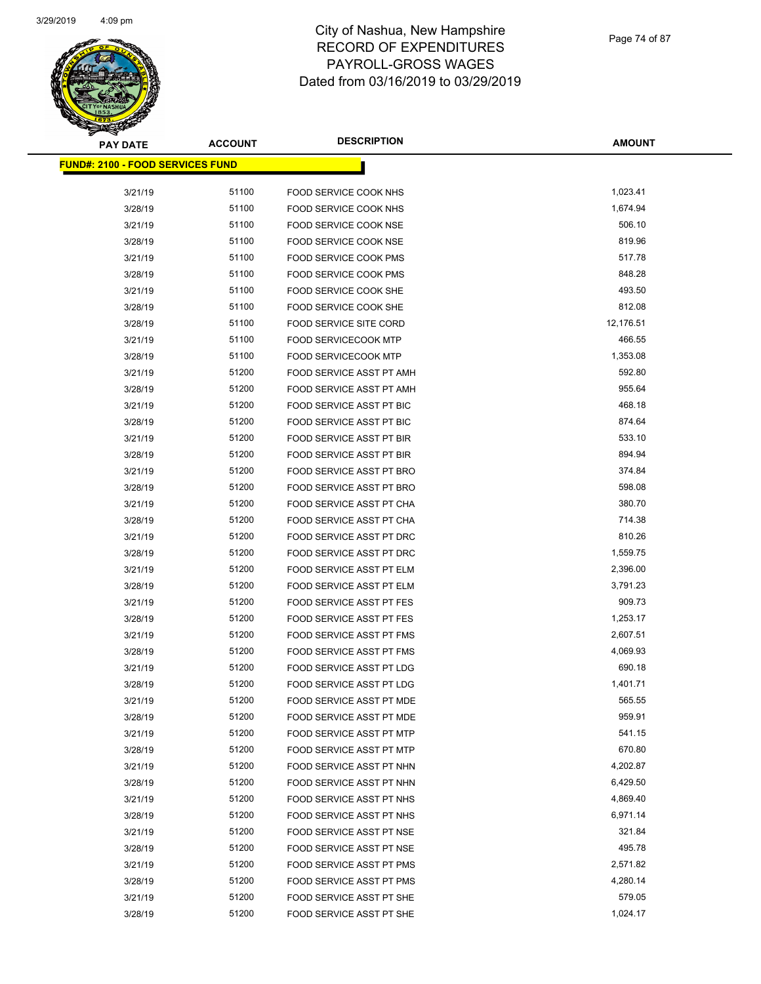

| <b>PAY DATE</b>                          | <b>ACCOUNT</b> | <b>DESCRIPTION</b>              | <b>AMOUNT</b> |
|------------------------------------------|----------------|---------------------------------|---------------|
| <u> FUND#: 2100 - FOOD SERVICES FUND</u> |                |                                 |               |
|                                          |                |                                 |               |
| 3/21/19                                  | 51100          | FOOD SERVICE COOK NHS           | 1,023.41      |
| 3/28/19                                  | 51100          | FOOD SERVICE COOK NHS           | 1,674.94      |
| 3/21/19                                  | 51100          | FOOD SERVICE COOK NSE           | 506.10        |
| 3/28/19                                  | 51100          | FOOD SERVICE COOK NSE           | 819.96        |
| 3/21/19                                  | 51100          | FOOD SERVICE COOK PMS           | 517.78        |
| 3/28/19                                  | 51100          | FOOD SERVICE COOK PMS           | 848.28        |
| 3/21/19                                  | 51100          | FOOD SERVICE COOK SHE           | 493.50        |
| 3/28/19                                  | 51100          | FOOD SERVICE COOK SHE           | 812.08        |
| 3/28/19                                  | 51100          | <b>FOOD SERVICE SITE CORD</b>   | 12,176.51     |
| 3/21/19                                  | 51100          | <b>FOOD SERVICECOOK MTP</b>     | 466.55        |
| 3/28/19                                  | 51100          | <b>FOOD SERVICECOOK MTP</b>     | 1,353.08      |
| 3/21/19                                  | 51200          | FOOD SERVICE ASST PT AMH        | 592.80        |
| 3/28/19                                  | 51200          | FOOD SERVICE ASST PT AMH        | 955.64        |
| 3/21/19                                  | 51200          | FOOD SERVICE ASST PT BIC        | 468.18        |
| 3/28/19                                  | 51200          | <b>FOOD SERVICE ASST PT BIC</b> | 874.64        |
| 3/21/19                                  | 51200          | FOOD SERVICE ASST PT BIR        | 533.10        |
| 3/28/19                                  | 51200          | FOOD SERVICE ASST PT BIR        | 894.94        |
| 3/21/19                                  | 51200          | FOOD SERVICE ASST PT BRO        | 374.84        |
| 3/28/19                                  | 51200          | FOOD SERVICE ASST PT BRO        | 598.08        |
| 3/21/19                                  | 51200          | FOOD SERVICE ASST PT CHA        | 380.70        |
| 3/28/19                                  | 51200          | FOOD SERVICE ASST PT CHA        | 714.38        |
| 3/21/19                                  | 51200          | FOOD SERVICE ASST PT DRC        | 810.26        |
| 3/28/19                                  | 51200          | FOOD SERVICE ASST PT DRC        | 1,559.75      |
| 3/21/19                                  | 51200          | FOOD SERVICE ASST PT ELM        | 2,396.00      |
| 3/28/19                                  | 51200          | FOOD SERVICE ASST PT ELM        | 3,791.23      |
| 3/21/19                                  | 51200          | <b>FOOD SERVICE ASST PT FES</b> | 909.73        |
| 3/28/19                                  | 51200          | <b>FOOD SERVICE ASST PT FES</b> | 1,253.17      |
| 3/21/19                                  | 51200          | <b>FOOD SERVICE ASST PT FMS</b> | 2,607.51      |
| 3/28/19                                  | 51200          | FOOD SERVICE ASST PT FMS        | 4,069.93      |
| 3/21/19                                  | 51200          | FOOD SERVICE ASST PT LDG        | 690.18        |
| 3/28/19                                  | 51200          | <b>FOOD SERVICE ASST PT LDG</b> | 1,401.71      |
| 3/21/19                                  | 51200          | FOOD SERVICE ASST PT MDE        | 565.55        |
| 3/28/19                                  | 51200          | FOOD SERVICE ASST PT MDE        | 959.91        |
| 3/21/19                                  | 51200          | FOOD SERVICE ASST PT MTP        | 541.15        |
| 3/28/19                                  | 51200          | FOOD SERVICE ASST PT MTP        | 670.80        |
| 3/21/19                                  | 51200          | FOOD SERVICE ASST PT NHN        | 4,202.87      |
| 3/28/19                                  | 51200          | FOOD SERVICE ASST PT NHN        | 6,429.50      |
| 3/21/19                                  | 51200          | FOOD SERVICE ASST PT NHS        | 4,869.40      |
| 3/28/19                                  | 51200          | FOOD SERVICE ASST PT NHS        | 6,971.14      |
| 3/21/19                                  | 51200          | FOOD SERVICE ASST PT NSE        | 321.84        |
| 3/28/19                                  | 51200          | <b>FOOD SERVICE ASST PT NSE</b> | 495.78        |
| 3/21/19                                  | 51200          | FOOD SERVICE ASST PT PMS        | 2,571.82      |
| 3/28/19                                  | 51200          | FOOD SERVICE ASST PT PMS        | 4,280.14      |
| 3/21/19                                  | 51200          | FOOD SERVICE ASST PT SHE        | 579.05        |
| 3/28/19                                  | 51200          | FOOD SERVICE ASST PT SHE        | 1,024.17      |
|                                          |                |                                 |               |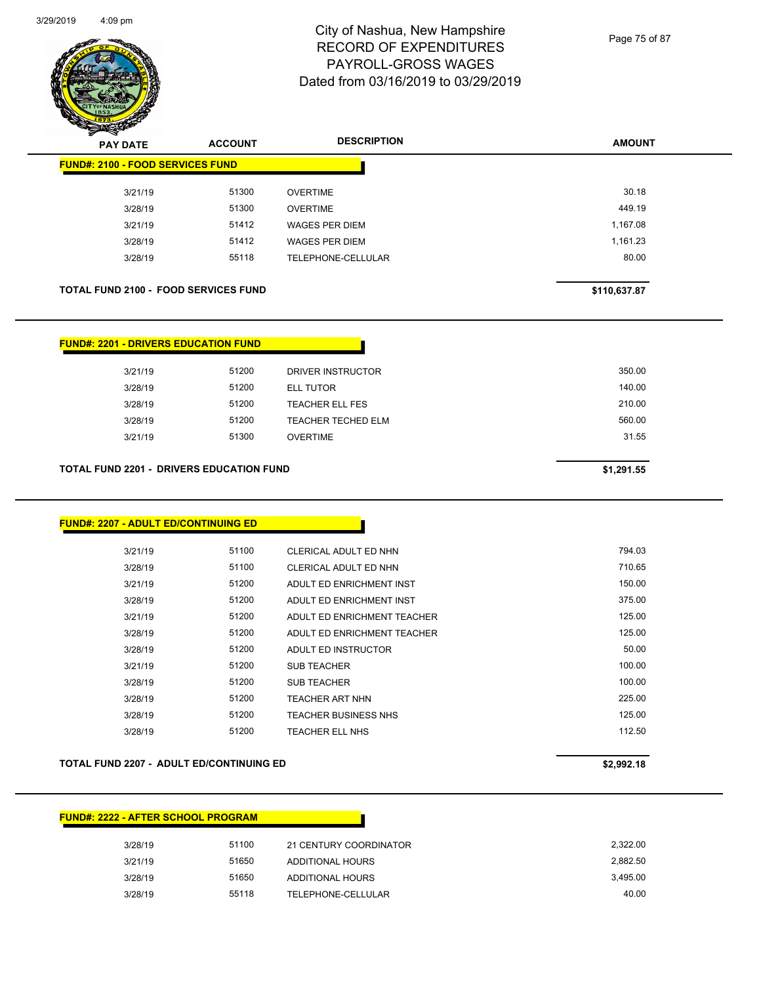

Page 75 of 87

| z. | $\tilde{\phantom{a}}$<br><b>PAY DATE</b>    | <b>ACCOUNT</b> | <b>DESCRIPTION</b>    | <b>AMOUNT</b> |
|----|---------------------------------------------|----------------|-----------------------|---------------|
|    | <b>FUND#: 2100 - FOOD SERVICES FUND</b>     |                |                       |               |
|    | 3/21/19                                     | 51300          | <b>OVERTIME</b>       | 30.18         |
|    | 3/28/19                                     | 51300          | <b>OVERTIME</b>       | 449.19        |
|    | 3/21/19                                     | 51412          | <b>WAGES PER DIEM</b> | 1,167.08      |
|    | 3/28/19                                     | 51412          | <b>WAGES PER DIEM</b> | 1.161.23      |
|    | 3/28/19                                     | 55118          | TELEPHONE-CELLULAR    | 80.00         |
|    |                                             |                |                       |               |
|    | <b>TOTAL FUND 2100 - FOOD SERVICES FUND</b> |                | \$110,637.87          |               |

| <b>FUND#: 2201 - DRIVERS EDUCATION FUND</b>     |            |                           |        |  |
|-------------------------------------------------|------------|---------------------------|--------|--|
| 3/21/19                                         | 51200      | DRIVER INSTRUCTOR         | 350.00 |  |
| 3/28/19                                         | 51200      | <b>ELL TUTOR</b>          | 140.00 |  |
| 3/28/19                                         | 51200      | <b>TEACHER ELL FES</b>    | 210.00 |  |
| 3/28/19                                         | 51200      | <b>TEACHER TECHED ELM</b> | 560.00 |  |
| 3/21/19                                         | 51300      | <b>OVERTIME</b>           | 31.55  |  |
|                                                 |            |                           |        |  |
| <b>TOTAL FUND 2201 - DRIVERS EDUCATION FUND</b> | \$1,291.55 |                           |        |  |

| <b>FUND#: 2207 - ADULT ED/CONTINUING ED</b> |       |                             |        |
|---------------------------------------------|-------|-----------------------------|--------|
| 3/21/19                                     | 51100 | CLERICAL ADULT ED NHN       | 794.03 |
| 3/28/19                                     | 51100 | CLERICAL ADULT ED NHN       | 710.65 |
| 3/21/19                                     | 51200 | ADULT ED ENRICHMENT INST    | 150.00 |
| 3/28/19                                     | 51200 | ADULT ED ENRICHMENT INST    | 375.00 |
| 3/21/19                                     | 51200 | ADULT ED ENRICHMENT TEACHER | 125.00 |
| 3/28/19                                     | 51200 | ADULT ED ENRICHMENT TEACHER | 125.00 |
| 3/28/19                                     | 51200 | ADULT ED INSTRUCTOR         | 50.00  |
| 3/21/19                                     | 51200 | <b>SUB TEACHER</b>          | 100.00 |
| 3/28/19                                     | 51200 | <b>SUB TEACHER</b>          | 100.00 |
| 3/28/19                                     | 51200 | <b>TEACHER ART NHN</b>      | 225.00 |
| 3/28/19                                     | 51200 | <b>TEACHER BUSINESS NHS</b> | 125.00 |
| 3/28/19                                     | 51200 | TEACHER ELL NHS             | 112.50 |

#### **TOTAL FUND 2207 - ADULT ED/CONTINUING ED \$2,992.18**

## **FUND#: 2222 - AFTER SCHOOL PROGRAM**

| 3/28/19 | 51100 | 21 CENTURY COORDINATOR | 2.322.00 |
|---------|-------|------------------------|----------|
| 3/21/19 | 51650 | ADDITIONAL HOURS       | 2.882.50 |
| 3/28/19 | 51650 | ADDITIONAL HOURS       | 3.495.00 |
| 3/28/19 | 55118 | TELEPHONE-CELLULAR     | 40.00    |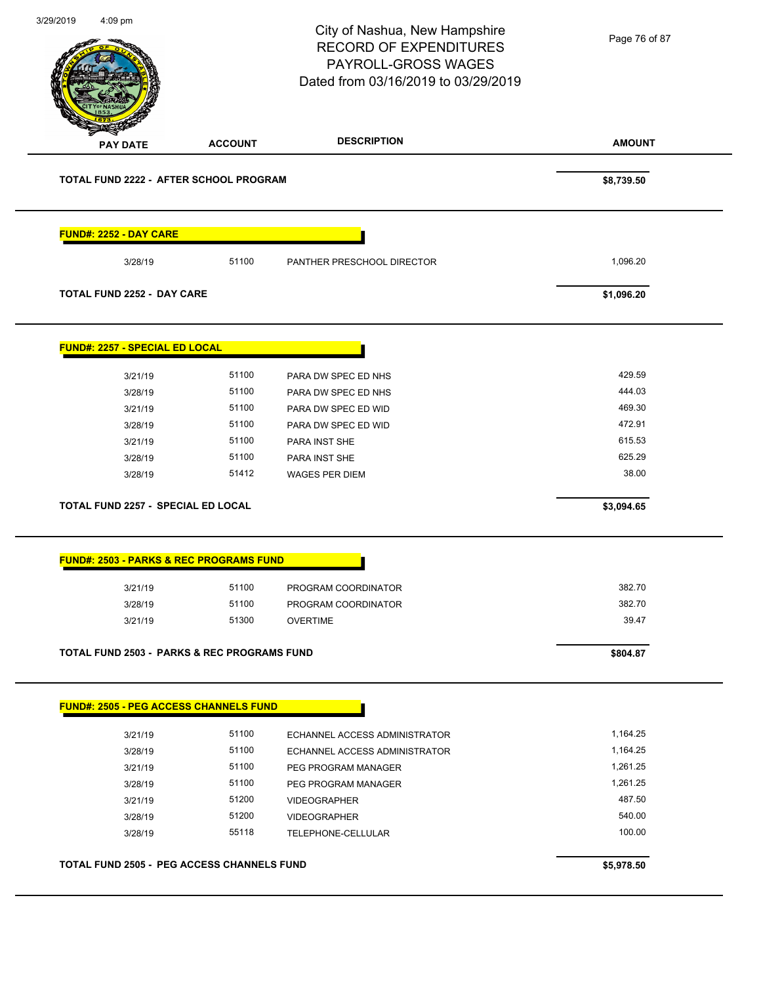|                                           |                                                        | City of Nashua, New Hampshire<br><b>RECORD OF EXPENDITURES</b><br>PAYROLL-GROSS WAGES<br>Dated from 03/16/2019 to 03/29/2019 | Page 76 of 87 |
|-------------------------------------------|--------------------------------------------------------|------------------------------------------------------------------------------------------------------------------------------|---------------|
| <b>PAY DATE</b>                           | <b>ACCOUNT</b>                                         | <b>DESCRIPTION</b>                                                                                                           | <b>AMOUNT</b> |
|                                           | TOTAL FUND 2222 - AFTER SCHOOL PROGRAM                 |                                                                                                                              | \$8,739.50    |
| <b>FUND#: 2252 - DAY CARE</b>             |                                                        |                                                                                                                              |               |
| 3/28/19                                   | 51100                                                  | PANTHER PRESCHOOL DIRECTOR                                                                                                   | 1,096.20      |
| <b>TOTAL FUND 2252 - DAY CARE</b>         |                                                        |                                                                                                                              | \$1,096.20    |
| <b>FUND#: 2257 - SPECIAL ED LOCAL</b>     |                                                        |                                                                                                                              |               |
| 3/21/19                                   | 51100                                                  | PARA DW SPEC ED NHS                                                                                                          | 429.59        |
| 3/28/19                                   | 51100                                                  | PARA DW SPEC ED NHS                                                                                                          | 444.03        |
| 3/21/19                                   | 51100                                                  | PARA DW SPEC ED WID                                                                                                          | 469.30        |
| 3/28/19                                   | 51100                                                  | PARA DW SPEC ED WID                                                                                                          | 472.91        |
| 3/21/19                                   | 51100                                                  | PARA INST SHE                                                                                                                | 615.53        |
| 3/28/19                                   | 51100                                                  | PARA INST SHE                                                                                                                | 625.29        |
| 3/28/19                                   | 51412                                                  | <b>WAGES PER DIEM</b>                                                                                                        | 38.00         |
| <b>TOTAL FUND 2257 - SPECIAL ED LOCAL</b> |                                                        |                                                                                                                              | \$3,094.65    |
|                                           | <b>FUND#: 2503 - PARKS &amp; REC PROGRAMS FUND</b>     |                                                                                                                              |               |
| 3/21/19                                   | 51100                                                  | PROGRAM COORDINATOR                                                                                                          | 382.70        |
| 3/28/19                                   | 51100                                                  | PROGRAM COORDINATOR                                                                                                          | 382.70        |
| 3/21/19                                   | 51300                                                  | <b>OVERTIME</b>                                                                                                              | 39.47         |
|                                           | <b>TOTAL FUND 2503 - PARKS &amp; REC PROGRAMS FUND</b> |                                                                                                                              | \$804.87      |
|                                           |                                                        |                                                                                                                              |               |
|                                           | <b>FUND#: 2505 - PEG ACCESS CHANNELS FUND</b>          |                                                                                                                              |               |
| 3/21/19                                   | 51100                                                  | ECHANNEL ACCESS ADMINISTRATOR                                                                                                | 1,164.25      |
| 3/28/19                                   | 51100                                                  | ECHANNEL ACCESS ADMINISTRATOR                                                                                                | 1,164.25      |
| 3/21/19                                   | 51100                                                  | PEG PROGRAM MANAGER                                                                                                          | 1,261.25      |
| 3/28/19                                   | 51100                                                  | PEG PROGRAM MANAGER                                                                                                          | 1,261.25      |
| 3/21/19                                   | 51200                                                  | <b>VIDEOGRAPHER</b>                                                                                                          | 487.50        |
| 3/28/19                                   | 51200                                                  | <b>VIDEOGRAPHER</b>                                                                                                          | 540.00        |
| 3/28/19                                   | 55118                                                  | TELEPHONE-CELLULAR                                                                                                           | 100.00        |
|                                           | <b>TOTAL FUND 2505 - PEG ACCESS CHANNELS FUND</b>      |                                                                                                                              | \$5,978.50    |
|                                           |                                                        |                                                                                                                              |               |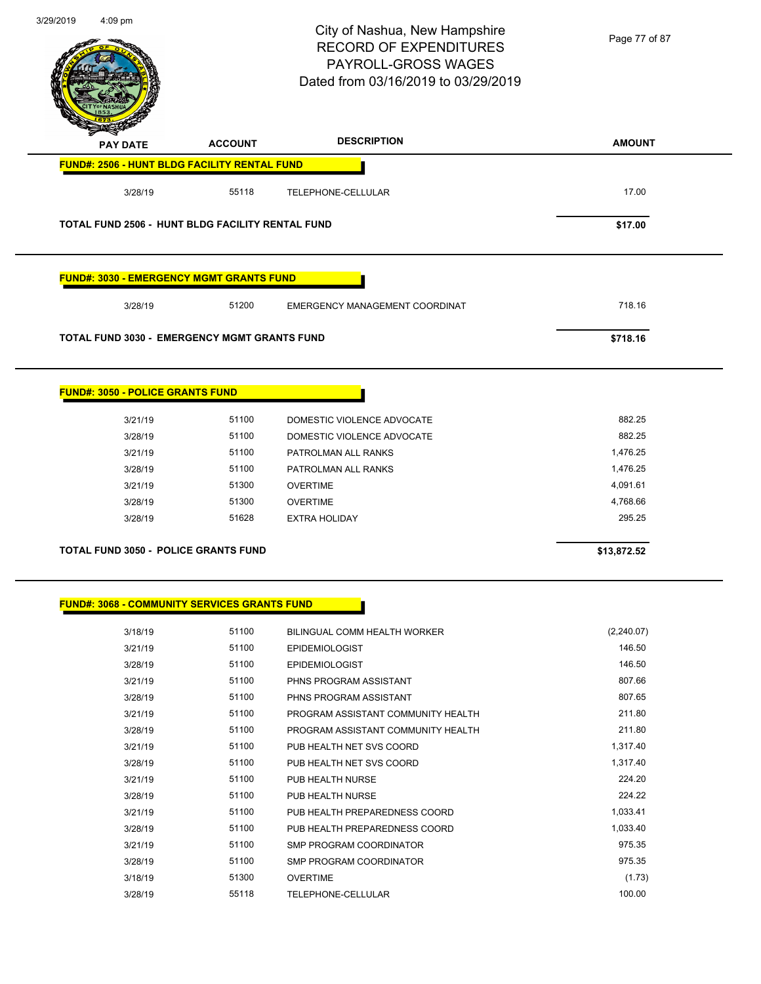$\overline{\phantom{a}}$ 



## City of Nashua, New Hampshire RECORD OF EXPENDITURES PAYROLL-GROSS WAGES Dated from 03/16/2019 to 03/29/2019

Page 77 of 87

| <b>PAY DATE</b>                                     | <b>ACCOUNT</b> | <b>DESCRIPTION</b>                 | <b>AMOUNT</b> |
|-----------------------------------------------------|----------------|------------------------------------|---------------|
| <b>FUND#: 2506 - HUNT BLDG FACILITY RENTAL FUND</b> |                |                                    |               |
| 3/28/19                                             | 55118          | <b>TELEPHONE-CELLULAR</b>          | 17.00         |
| TOTAL FUND 2506 - HUNT BLDG FACILITY RENTAL FUND    |                |                                    | \$17.00       |
| <b>FUND#: 3030 - EMERGENCY MGMT GRANTS FUND</b>     |                |                                    |               |
| 3/28/19                                             | 51200          | EMERGENCY MANAGEMENT COORDINAT     | 718.16        |
| TOTAL FUND 3030 - EMERGENCY MGMT GRANTS FUND        |                |                                    | \$718.16      |
| <b>FUND#: 3050 - POLICE GRANTS FUND</b>             |                |                                    |               |
| 3/21/19                                             | 51100          | DOMESTIC VIOLENCE ADVOCATE         | 882.25        |
| 3/28/19                                             | 51100          | DOMESTIC VIOLENCE ADVOCATE         | 882.25        |
| 3/21/19                                             | 51100          | PATROLMAN ALL RANKS                | 1,476.25      |
| 3/28/19                                             | 51100          | PATROLMAN ALL RANKS                | 1,476.25      |
| 3/21/19                                             | 51300          | <b>OVERTIME</b>                    | 4,091.61      |
| 3/28/19                                             | 51300          | <b>OVERTIME</b>                    | 4,768.66      |
| 3/28/19                                             | 51628          | <b>EXTRA HOLIDAY</b>               | 295.25        |
| <b>TOTAL FUND 3050 - POLICE GRANTS FUND</b>         |                |                                    | \$13,872.52   |
| <b>FUND#: 3068 - COMMUNITY SERVICES GRANTS FUND</b> |                |                                    |               |
| 3/18/19                                             | 51100          | BILINGUAL COMM HEALTH WORKER       | (2, 240.07)   |
| 3/21/19                                             | 51100          | <b>EPIDEMIOLOGIST</b>              | 146.50        |
| 3/28/19                                             | 51100          | <b>EPIDEMIOLOGIST</b>              | 146.50        |
| 3/21/19                                             | 51100          | PHNS PROGRAM ASSISTANT             | 807.66        |
| 3/28/19                                             | 51100          | PHNS PROGRAM ASSISTANT             | 807.65        |
|                                                     |                |                                    |               |
| 3/21/19                                             | 51100          | PROGRAM ASSISTANT COMMUNITY HEALTH | 211.80        |
| 3/28/19                                             | 51100          | PROGRAM ASSISTANT COMMUNITY HEALTH | 211.80        |
| 3/21/19                                             | 51100          | PUB HEALTH NET SVS COORD           | 1,317.40      |
| 3/28/19                                             | 51100          | PUB HEALTH NET SVS COORD           | 1,317.40      |
| 3/21/19                                             | 51100          | PUB HEALTH NURSE                   | 224.20        |
| 3/28/19                                             | 51100          | PUB HEALTH NURSE                   | 224.22        |
| 3/21/19                                             | 51100          | PUB HEALTH PREPAREDNESS COORD      | 1,033.41      |

3/21/19 51100 SMP PROGRAM COORDINATOR 975.35 3/28/19 51100 SMP PROGRAM COORDINATOR 3/18/19 51300 OVERTIME (1.73) 3/28/19 55118 TELEPHONE-CELLULAR 100.00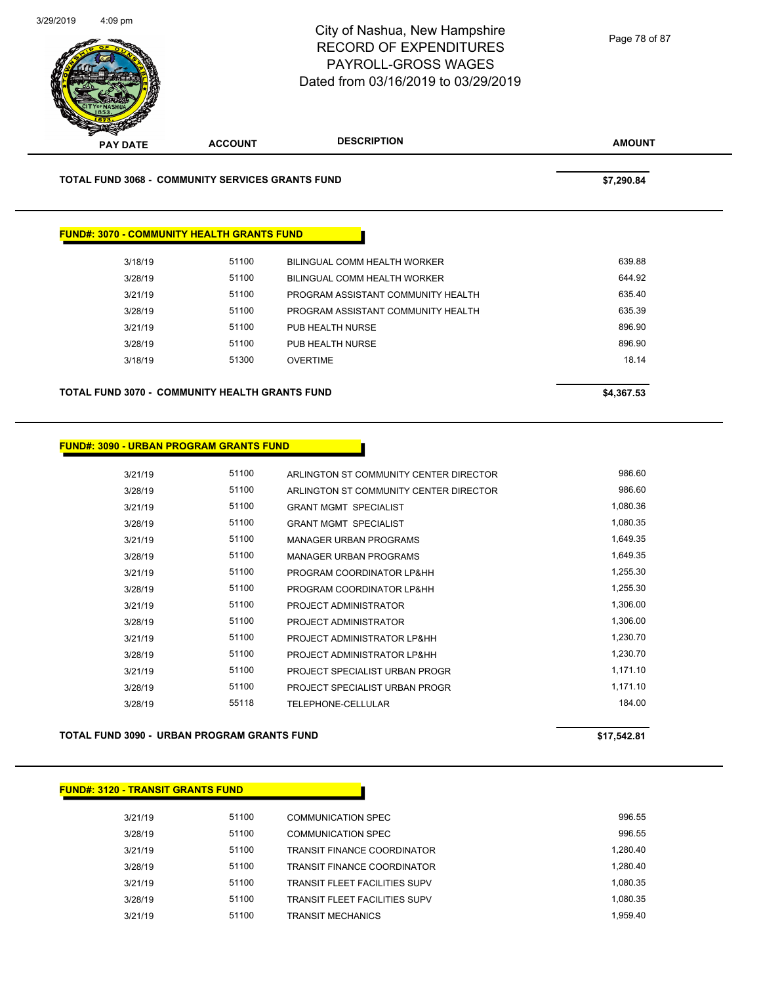

**TOTAL FUND 3068 - COMMUNITY SERVICES GRANTS FUND \$7,290.84** 

#### **FUND#: 3070 - COMMUNITY HEALTH GRANTS FUND**

| 3/18/19 | 51100 | BILINGUAL COMM HEALTH WORKER       | 639.88 |
|---------|-------|------------------------------------|--------|
| 3/28/19 | 51100 | BILINGUAL COMM HEALTH WORKER       | 644.92 |
| 3/21/19 | 51100 | PROGRAM ASSISTANT COMMUNITY HEALTH | 635.40 |
| 3/28/19 | 51100 | PROGRAM ASSISTANT COMMUNITY HEALTH | 635.39 |
| 3/21/19 | 51100 | PUB HEALTH NURSE                   | 896.90 |
| 3/28/19 | 51100 | PUB HEALTH NURSE                   | 896.90 |
| 3/18/19 | 51300 | <b>OVERTIME</b>                    | 18.14  |
|         |       |                                    |        |

**TOTAL FUND 3070 - COMMUNITY HEALTH GRANTS FUND \$4,367.53** 

#### **FUND#: 3090 - URBAN PROGRAM GRANTS FUND**

| 3/21/19 | 51100 | ARLINGTON ST COMMUNITY CENTER DIRECTOR | 986.60   |
|---------|-------|----------------------------------------|----------|
| 3/28/19 | 51100 | ARLINGTON ST COMMUNITY CENTER DIRECTOR | 986.60   |
| 3/21/19 | 51100 | <b>GRANT MGMT SPECIALIST</b>           | 1,080.36 |
| 3/28/19 | 51100 | <b>GRANT MGMT SPECIALIST</b>           | 1,080.35 |
| 3/21/19 | 51100 | <b>MANAGER URBAN PROGRAMS</b>          | 1,649.35 |
| 3/28/19 | 51100 | MANAGER URBAN PROGRAMS                 | 1,649.35 |
| 3/21/19 | 51100 | PROGRAM COORDINATOR LP&HH              | 1,255.30 |
| 3/28/19 | 51100 | PROGRAM COORDINATOR LP&HH              | 1,255.30 |
| 3/21/19 | 51100 | PROJECT ADMINISTRATOR                  | 1,306.00 |
| 3/28/19 | 51100 | PROJECT ADMINISTRATOR                  | 1,306.00 |
| 3/21/19 | 51100 | PROJECT ADMINISTRATOR LP&HH            | 1,230.70 |
| 3/28/19 | 51100 | PROJECT ADMINISTRATOR LP&HH            | 1,230.70 |
| 3/21/19 | 51100 | <b>PROJECT SPECIALIST URBAN PROGR</b>  | 1,171.10 |
| 3/28/19 | 51100 | PROJECT SPECIALIST URBAN PROGR         | 1.171.10 |
| 3/28/19 | 55118 | TELEPHONE-CELLULAR                     | 184.00   |
|         |       |                                        |          |

**TOTAL FUND 3090 - URBAN PROGRAM GRANTS FUND \$17,542.81** 

#### **FUND#: 3120 - TRANSIT GRANTS FUND**

| 3/21/19 | 51100 | COMMUNICATION SPEC                   | 996.55   |
|---------|-------|--------------------------------------|----------|
| 3/28/19 | 51100 | COMMUNICATION SPEC                   | 996.55   |
| 3/21/19 | 51100 | <b>TRANSIT FINANCE COORDINATOR</b>   | 1.280.40 |
| 3/28/19 | 51100 | <b>TRANSIT FINANCE COORDINATOR</b>   | 1.280.40 |
| 3/21/19 | 51100 | <b>TRANSIT FLEET FACILITIES SUPV</b> | 1.080.35 |
| 3/28/19 | 51100 | <b>TRANSIT FLEET FACILITIES SUPV</b> | 1.080.35 |
| 3/21/19 | 51100 | <b>TRANSIT MECHANICS</b>             | 1.959.40 |
|         |       |                                      |          |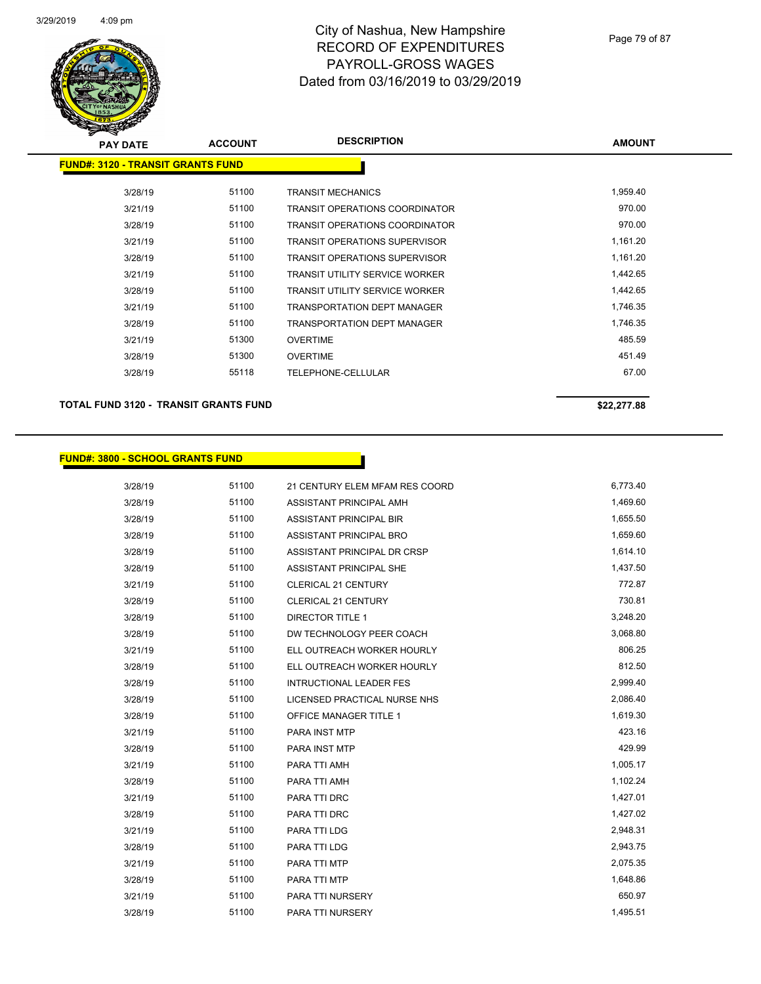

| <b>PAY DATE</b>                          | <b>ACCOUNT</b> | <b>DESCRIPTION</b>                    | <b>AMOUNT</b> |
|------------------------------------------|----------------|---------------------------------------|---------------|
| <b>FUND#: 3120 - TRANSIT GRANTS FUND</b> |                |                                       |               |
|                                          |                |                                       |               |
| 3/28/19                                  | 51100          | <b>TRANSIT MECHANICS</b>              | 1,959.40      |
| 3/21/19                                  | 51100          | <b>TRANSIT OPERATIONS COORDINATOR</b> | 970.00        |
| 3/28/19                                  | 51100          | <b>TRANSIT OPERATIONS COORDINATOR</b> | 970.00        |
| 3/21/19                                  | 51100          | <b>TRANSIT OPERATIONS SUPERVISOR</b>  | 1,161.20      |
| 3/28/19                                  | 51100          | <b>TRANSIT OPERATIONS SUPERVISOR</b>  | 1,161.20      |
| 3/21/19                                  | 51100          | <b>TRANSIT UTILITY SERVICE WORKER</b> | 1,442.65      |
| 3/28/19                                  | 51100          | <b>TRANSIT UTILITY SERVICE WORKER</b> | 1,442.65      |
| 3/21/19                                  | 51100          | <b>TRANSPORTATION DEPT MANAGER</b>    | 1,746.35      |
| 3/28/19                                  | 51100          | <b>TRANSPORTATION DEPT MANAGER</b>    | 1,746.35      |
| 3/21/19                                  | 51300          | <b>OVERTIME</b>                       | 485.59        |
| 3/28/19                                  | 51300          | <b>OVERTIME</b>                       | 451.49        |
| 3/28/19                                  | 55118          | TELEPHONE-CELLULAR                    | 67.00         |
|                                          |                |                                       |               |

**TOTAL FUND 3120 - TRANSIT GRANTS FUND \$22,277.88** 

#### **FUND#: 3800 - SCHOOL GRANTS FUND**

| 3/28/19 | 51100 | 21 CENTURY ELEM MFAM RES COORD | 6,773.40 |
|---------|-------|--------------------------------|----------|
| 3/28/19 | 51100 | ASSISTANT PRINCIPAL AMH        | 1,469.60 |
| 3/28/19 | 51100 | <b>ASSISTANT PRINCIPAL BIR</b> | 1,655.50 |
| 3/28/19 | 51100 | ASSISTANT PRINCIPAL BRO        | 1,659.60 |
| 3/28/19 | 51100 | ASSISTANT PRINCIPAL DR CRSP    | 1,614.10 |
| 3/28/19 | 51100 | <b>ASSISTANT PRINCIPAL SHE</b> | 1,437.50 |
| 3/21/19 | 51100 | <b>CLERICAL 21 CENTURY</b>     | 772.87   |
| 3/28/19 | 51100 | <b>CLERICAL 21 CENTURY</b>     | 730.81   |
| 3/28/19 | 51100 | <b>DIRECTOR TITLE 1</b>        | 3,248.20 |
| 3/28/19 | 51100 | DW TECHNOLOGY PEER COACH       | 3,068.80 |
| 3/21/19 | 51100 | ELL OUTREACH WORKER HOURLY     | 806.25   |
| 3/28/19 | 51100 | ELL OUTREACH WORKER HOURLY     | 812.50   |
| 3/28/19 | 51100 | <b>INTRUCTIONAL LEADER FES</b> | 2,999.40 |
| 3/28/19 | 51100 | LICENSED PRACTICAL NURSE NHS   | 2,086.40 |
| 3/28/19 | 51100 | <b>OFFICE MANAGER TITLE 1</b>  | 1,619.30 |
| 3/21/19 | 51100 | <b>PARA INST MTP</b>           | 423.16   |
| 3/28/19 | 51100 | <b>PARA INST MTP</b>           | 429.99   |
| 3/21/19 | 51100 | PARA TTI AMH                   | 1,005.17 |
| 3/28/19 | 51100 | PARA TTI AMH                   | 1,102.24 |
| 3/21/19 | 51100 | PARA TTI DRC                   | 1,427.01 |
| 3/28/19 | 51100 | PARA TTI DRC                   | 1,427.02 |
| 3/21/19 | 51100 | PARA TTI LDG                   | 2,948.31 |
| 3/28/19 | 51100 | PARA TTI LDG                   | 2,943.75 |
| 3/21/19 | 51100 | PARA TTI MTP                   | 2,075.35 |
| 3/28/19 | 51100 | PARA TTI MTP                   | 1,648.86 |
| 3/21/19 | 51100 | PARA TTI NURSERY               | 650.97   |
| 3/28/19 | 51100 | PARA TTI NURSERY               | 1,495.51 |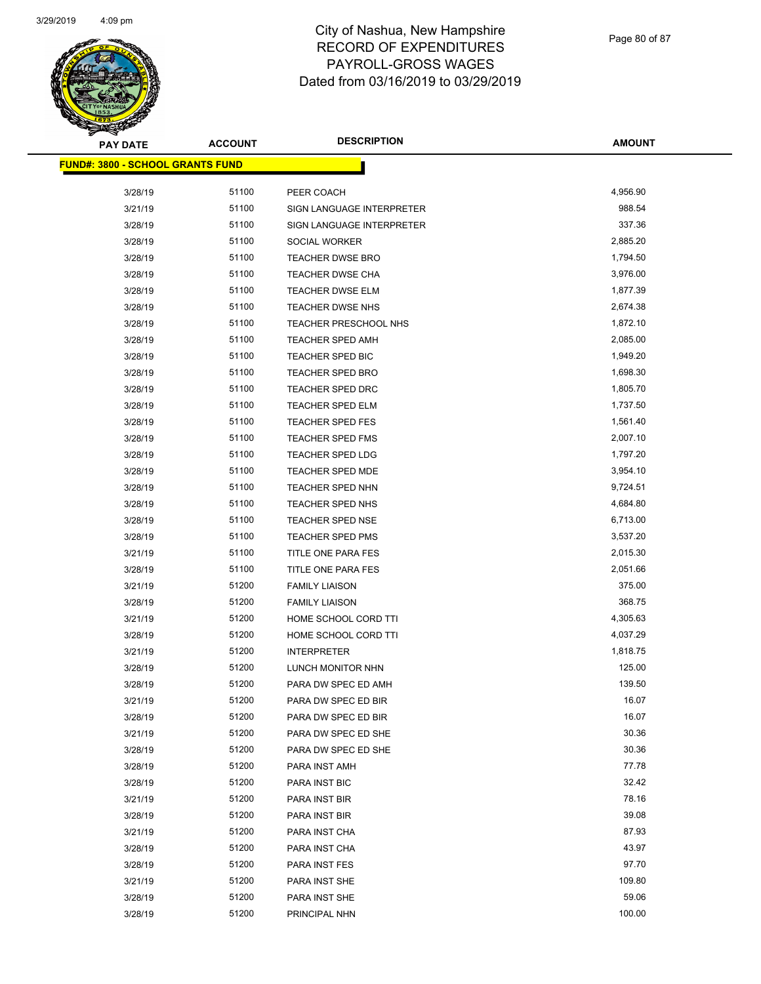

Page 80 of 87

| <b>PAY DATE</b>                         | <b>ACCOUNT</b> | <b>DESCRIPTION</b>        | <b>AMOUNT</b> |
|-----------------------------------------|----------------|---------------------------|---------------|
| <b>FUND#: 3800 - SCHOOL GRANTS FUND</b> |                |                           |               |
|                                         |                |                           |               |
| 3/28/19                                 | 51100          | PEER COACH                | 4,956.90      |
| 3/21/19                                 | 51100          | SIGN LANGUAGE INTERPRETER | 988.54        |
| 3/28/19                                 | 51100          | SIGN LANGUAGE INTERPRETER | 337.36        |
| 3/28/19                                 | 51100          | SOCIAL WORKER             | 2,885.20      |
| 3/28/19                                 | 51100          | TEACHER DWSE BRO          | 1,794.50      |
| 3/28/19                                 | 51100          | <b>TEACHER DWSE CHA</b>   | 3,976.00      |
| 3/28/19                                 | 51100          | <b>TEACHER DWSE ELM</b>   | 1,877.39      |
| 3/28/19                                 | 51100          | TEACHER DWSE NHS          | 2,674.38      |
| 3/28/19                                 | 51100          | TEACHER PRESCHOOL NHS     | 1,872.10      |
| 3/28/19                                 | 51100          | TEACHER SPED AMH          | 2,085.00      |
| 3/28/19                                 | 51100          | TEACHER SPED BIC          | 1,949.20      |
| 3/28/19                                 | 51100          | <b>TEACHER SPED BRO</b>   | 1,698.30      |
| 3/28/19                                 | 51100          | TEACHER SPED DRC          | 1,805.70      |
| 3/28/19                                 | 51100          | TEACHER SPED ELM          | 1,737.50      |
| 3/28/19                                 | 51100          | <b>TEACHER SPED FES</b>   | 1,561.40      |
| 3/28/19                                 | 51100          | <b>TEACHER SPED FMS</b>   | 2,007.10      |
| 3/28/19                                 | 51100          | <b>TEACHER SPED LDG</b>   | 1,797.20      |
| 3/28/19                                 | 51100          | TEACHER SPED MDE          | 3,954.10      |
| 3/28/19                                 | 51100          | <b>TEACHER SPED NHN</b>   | 9,724.51      |
| 3/28/19                                 | 51100          | TEACHER SPED NHS          | 4,684.80      |
| 3/28/19                                 | 51100          | TEACHER SPED NSE          | 6,713.00      |
| 3/28/19                                 | 51100          | <b>TEACHER SPED PMS</b>   | 3,537.20      |
| 3/21/19                                 | 51100          | TITLE ONE PARA FES        | 2,015.30      |
| 3/28/19                                 | 51100          | TITLE ONE PARA FES        | 2,051.66      |
| 3/21/19                                 | 51200          | <b>FAMILY LIAISON</b>     | 375.00        |
| 3/28/19                                 | 51200          | <b>FAMILY LIAISON</b>     | 368.75        |
| 3/21/19                                 | 51200          | HOME SCHOOL CORD TTI      | 4,305.63      |
| 3/28/19                                 | 51200          | HOME SCHOOL CORD TTI      | 4,037.29      |
| 3/21/19                                 | 51200          | <b>INTERPRETER</b>        | 1,818.75      |
| 3/28/19                                 | 51200          | LUNCH MONITOR NHN         | 125.00        |
| 3/28/19                                 | 51200          | PARA DW SPEC ED AMH       | 139.50        |
| 3/21/19                                 | 51200          | PARA DW SPEC ED BIR       | 16.07         |
| 3/28/19                                 | 51200          | PARA DW SPEC ED BIR       | 16.07         |
| 3/21/19                                 | 51200          | PARA DW SPEC ED SHE       | 30.36         |
| 3/28/19                                 | 51200          | PARA DW SPEC ED SHE       | 30.36         |
| 3/28/19                                 | 51200          | PARA INST AMH             | 77.78         |
| 3/28/19                                 | 51200          | PARA INST BIC             | 32.42         |
| 3/21/19                                 | 51200          | PARA INST BIR             | 78.16         |
| 3/28/19                                 | 51200          | PARA INST BIR             | 39.08         |
| 3/21/19                                 | 51200          | PARA INST CHA             | 87.93         |
| 3/28/19                                 | 51200          | PARA INST CHA             | 43.97         |
| 3/28/19                                 | 51200          | PARA INST FES             | 97.70         |
| 3/21/19                                 | 51200          | PARA INST SHE             | 109.80        |
| 3/28/19                                 | 51200          | PARA INST SHE             | 59.06         |
| 3/28/19                                 | 51200          | PRINCIPAL NHN             | 100.00        |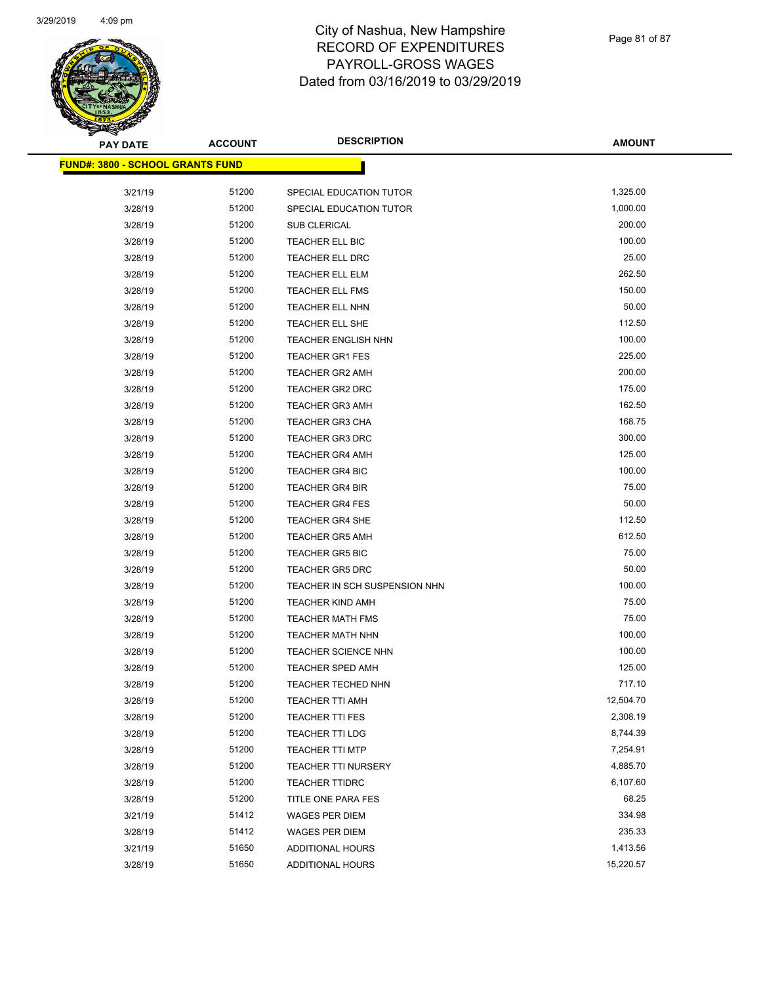

| <b>PAY DATE</b>                          | <b>ACCOUNT</b> | <b>DESCRIPTION</b>            | <b>AMOUNT</b> |
|------------------------------------------|----------------|-------------------------------|---------------|
| <u> FUND#: 3800 - SCHOOL GRANTS FUND</u> |                |                               |               |
|                                          |                |                               |               |
| 3/21/19                                  | 51200          | SPECIAL EDUCATION TUTOR       | 1,325.00      |
| 3/28/19                                  | 51200          | SPECIAL EDUCATION TUTOR       | 1,000.00      |
| 3/28/19                                  | 51200          | <b>SUB CLERICAL</b>           | 200.00        |
| 3/28/19                                  | 51200          | TEACHER ELL BIC               | 100.00        |
| 3/28/19                                  | 51200          | <b>TEACHER ELL DRC</b>        | 25.00         |
| 3/28/19                                  | 51200          | TEACHER ELL ELM               | 262.50        |
| 3/28/19                                  | 51200          | TEACHER ELL FMS               | 150.00        |
| 3/28/19                                  | 51200          | <b>TEACHER ELL NHN</b>        | 50.00         |
| 3/28/19                                  | 51200          | TEACHER ELL SHE               | 112.50        |
| 3/28/19                                  | 51200          | <b>TEACHER ENGLISH NHN</b>    | 100.00        |
| 3/28/19                                  | 51200          | <b>TEACHER GR1 FES</b>        | 225.00        |
| 3/28/19                                  | 51200          | <b>TEACHER GR2 AMH</b>        | 200.00        |
| 3/28/19                                  | 51200          | <b>TEACHER GR2 DRC</b>        | 175.00        |
| 3/28/19                                  | 51200          | <b>TEACHER GR3 AMH</b>        | 162.50        |
| 3/28/19                                  | 51200          | <b>TEACHER GR3 CHA</b>        | 168.75        |
| 3/28/19                                  | 51200          | <b>TEACHER GR3 DRC</b>        | 300.00        |
| 3/28/19                                  | 51200          | <b>TEACHER GR4 AMH</b>        | 125.00        |
| 3/28/19                                  | 51200          | <b>TEACHER GR4 BIC</b>        | 100.00        |
| 3/28/19                                  | 51200          | <b>TEACHER GR4 BIR</b>        | 75.00         |
| 3/28/19                                  | 51200          | <b>TEACHER GR4 FES</b>        | 50.00         |
| 3/28/19                                  | 51200          | <b>TEACHER GR4 SHE</b>        | 112.50        |
| 3/28/19                                  | 51200          | <b>TEACHER GR5 AMH</b>        | 612.50        |
| 3/28/19                                  | 51200          | <b>TEACHER GR5 BIC</b>        | 75.00         |
| 3/28/19                                  | 51200          | <b>TEACHER GR5 DRC</b>        | 50.00         |
| 3/28/19                                  | 51200          | TEACHER IN SCH SUSPENSION NHN | 100.00        |
| 3/28/19                                  | 51200          | <b>TEACHER KIND AMH</b>       | 75.00         |
| 3/28/19                                  | 51200          | <b>TEACHER MATH FMS</b>       | 75.00         |
| 3/28/19                                  | 51200          | <b>TEACHER MATH NHN</b>       | 100.00        |
| 3/28/19                                  | 51200          | <b>TEACHER SCIENCE NHN</b>    | 100.00        |
| 3/28/19                                  | 51200          | <b>TEACHER SPED AMH</b>       | 125.00        |
| 3/28/19                                  | 51200          | TEACHER TECHED NHN            | 717.10        |
| 3/28/19                                  | 51200          | <b>TEACHER TTI AMH</b>        | 12,504.70     |
| 3/28/19                                  | 51200          | <b>TEACHER TTI FES</b>        | 2,308.19      |
| 3/28/19                                  | 51200          | <b>TEACHER TTI LDG</b>        | 8,744.39      |
| 3/28/19                                  | 51200          | <b>TEACHER TTI MTP</b>        | 7,254.91      |
| 3/28/19                                  | 51200          | TEACHER TTI NURSERY           | 4,885.70      |
| 3/28/19                                  | 51200          | <b>TEACHER TTIDRC</b>         | 6,107.60      |
| 3/28/19                                  | 51200          | TITLE ONE PARA FES            | 68.25         |
| 3/21/19                                  | 51412          | <b>WAGES PER DIEM</b>         | 334.98        |
| 3/28/19                                  | 51412          | <b>WAGES PER DIEM</b>         | 235.33        |
| 3/21/19                                  | 51650          | <b>ADDITIONAL HOURS</b>       | 1,413.56      |
| 3/28/19                                  | 51650          | ADDITIONAL HOURS              | 15,220.57     |
|                                          |                |                               |               |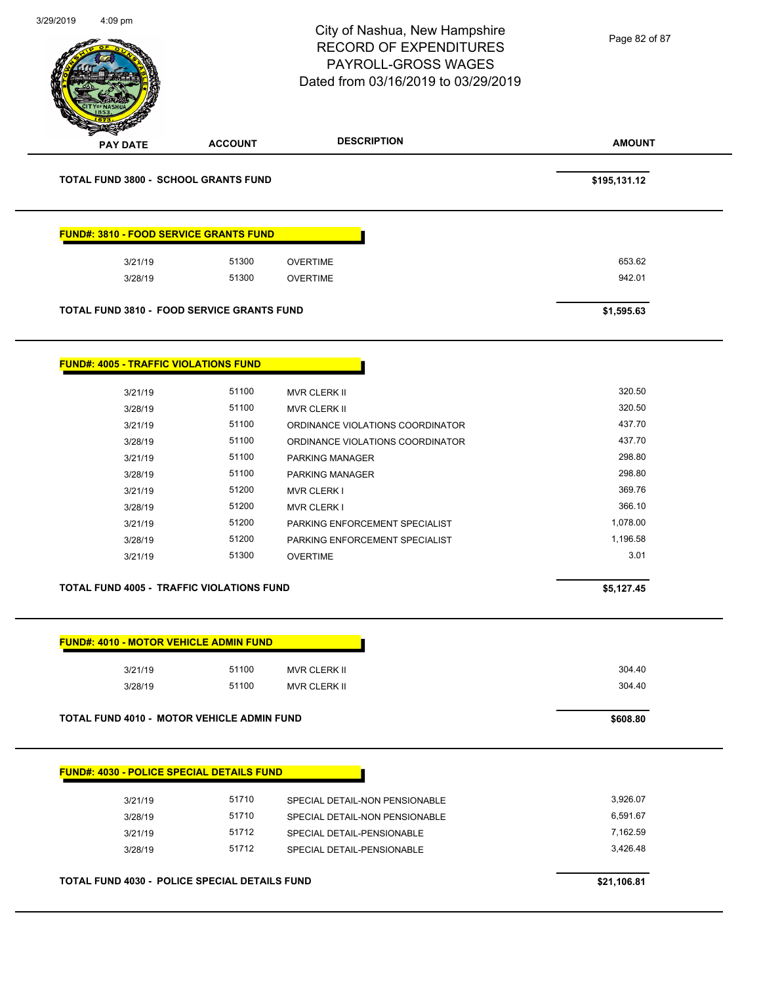|                                                   |                | City of Nashua, New Hampshire<br><b>RECORD OF EXPENDITURES</b><br>PAYROLL-GROSS WAGES<br>Dated from 03/16/2019 to 03/29/2019 | Page 82 of 87 |
|---------------------------------------------------|----------------|------------------------------------------------------------------------------------------------------------------------------|---------------|
| PAY DATE                                          | <b>ACCOUNT</b> | <b>DESCRIPTION</b>                                                                                                           | <b>AMOUNT</b> |
| <b>TOTAL FUND 3800 - SCHOOL GRANTS FUND</b>       |                |                                                                                                                              | \$195,131.12  |
| FUND#: 3810 - FOOD SERVICE GRANTS FUND            |                |                                                                                                                              |               |
| 3/21/19                                           | 51300          | <b>OVERTIME</b>                                                                                                              | 653.62        |
| 3/28/19                                           | 51300          | <b>OVERTIME</b>                                                                                                              | 942.01        |
| <b>TOTAL FUND 3810 - FOOD SERVICE GRANTS FUND</b> |                |                                                                                                                              | \$1,595.63    |
| <b>FUND#: 4005 - TRAFFIC VIOLATIONS FUND</b>      |                |                                                                                                                              |               |
| 3/21/19                                           | 51100          | MVR CLERK II                                                                                                                 | 320.50        |
| 3/28/19                                           | 51100          | MVR CLERK II                                                                                                                 | 320.50        |
| 3/21/19                                           | 51100          | ORDINANCE VIOLATIONS COORDINATOR                                                                                             | 437.70        |
| 3/28/19                                           | 51100          | ORDINANCE VIOLATIONS COORDINATOR                                                                                             | 437.70        |
| 3/21/19                                           | 51100          | PARKING MANAGER                                                                                                              | 298.80        |
| 3/28/19                                           | 51100          | PARKING MANAGER                                                                                                              | 298.80        |
| 3/21/19                                           | 51200          | <b>MVR CLERK I</b>                                                                                                           | 369.76        |
| 3/28/19                                           | 51200          | <b>MVR CLERK I</b>                                                                                                           | 366.10        |
| 3/21/19                                           | 51200          | PARKING ENFORCEMENT SPECIALIST                                                                                               | 1,078.00      |
| 3/28/19                                           | 51200          | PARKING ENFORCEMENT SPECIALIST                                                                                               | 1,196.58      |
| 3/21/19                                           | 51300          | <b>OVERTIME</b>                                                                                                              | 3.01          |
| <b>TOTAL FUND 4005 - TRAFFIC VIOLATIONS FUND</b>  |                |                                                                                                                              | \$5,127.45    |
| <b>FUND#: 4010 - MOTOR VEHICLE ADMIN FUND</b>     |                |                                                                                                                              |               |
| 3/21/19                                           | 51100          |                                                                                                                              | 304.40        |
| 3/28/19                                           | 51100          | MVR CLERK II<br><b>MVR CLERK II</b>                                                                                          | 304.40        |
|                                                   |                |                                                                                                                              |               |
| <b>TOTAL FUND 4010 - MOTOR VEHICLE ADMIN FUND</b> |                |                                                                                                                              | \$608.80      |
| <b>FUND#: 4030 - POLICE SPECIAL DETAILS FUND</b>  |                |                                                                                                                              |               |
| 3/21/19                                           | 51710          | SPECIAL DETAIL-NON PENSIONABLE                                                                                               | 3,926.07      |
| 3/28/19                                           | 51710          | SPECIAL DETAIL-NON PENSIONABLE                                                                                               | 6,591.67      |
| 3/21/19                                           | 51712          | SPECIAL DETAIL-PENSIONABLE                                                                                                   | 7,162.59      |
| 3/28/19                                           | 51712          | SPECIAL DETAIL-PENSIONABLE                                                                                                   | 3,426.48      |
| TOTAL FUND 4030 - POLICE SPECIAL DETAILS FUND     |                |                                                                                                                              |               |
|                                                   |                |                                                                                                                              | \$21,106.81   |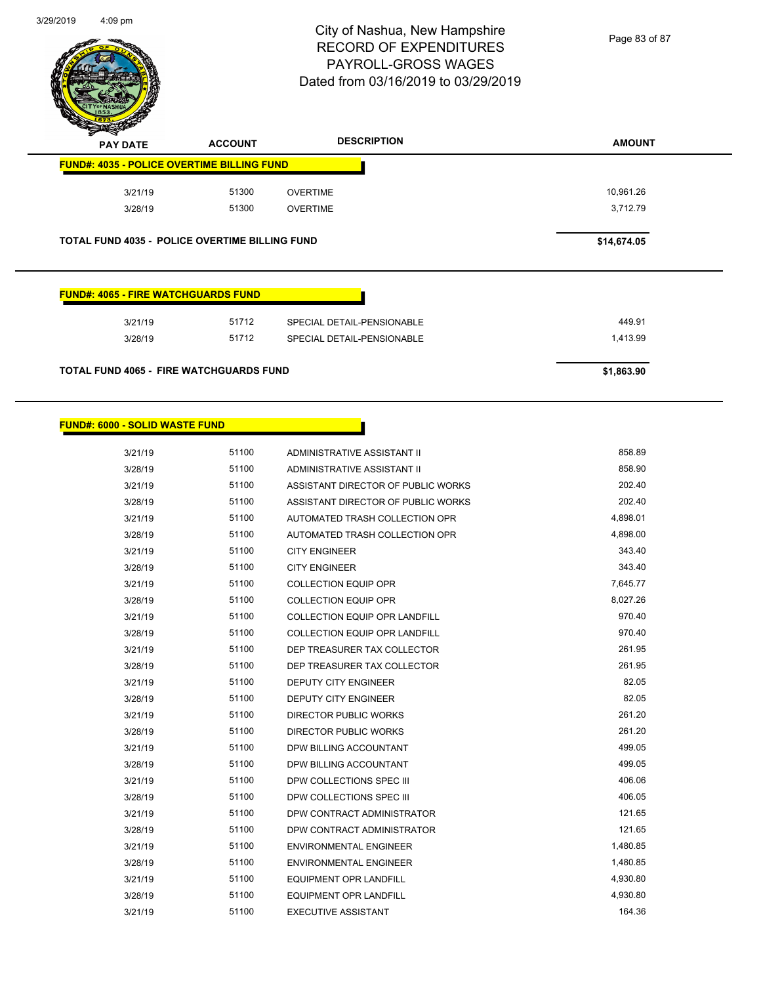

Page 83 of 87

| <b>PAY DATE</b>                                       | <b>ACCOUNT</b>                                        | <b>DESCRIPTION</b>         | <b>AMOUNT</b> |
|-------------------------------------------------------|-------------------------------------------------------|----------------------------|---------------|
| <b>FUND#: 4035 - POLICE OVERTIME BILLING FUND</b>     |                                                       |                            |               |
| 3/21/19                                               | 51300                                                 | <b>OVERTIME</b>            | 10,961.26     |
| 3/28/19                                               | 51300                                                 | <b>OVERTIME</b>            | 3,712.79      |
|                                                       | <b>TOTAL FUND 4035 - POLICE OVERTIME BILLING FUND</b> |                            | \$14,674.05   |
|                                                       |                                                       |                            |               |
|                                                       |                                                       |                            |               |
|                                                       |                                                       |                            |               |
|                                                       |                                                       |                            |               |
| <b>FUND#: 4065 - FIRE WATCHGUARDS FUND</b><br>3/21/19 | 51712                                                 | SPECIAL DETAIL-PENSIONABLE | 449.91        |
| 3/28/19                                               | 51712                                                 | SPECIAL DETAIL-PENSIONABLE | 1,413.99      |

#### **FUND#: 6000 - SOLID WASTE FUND**

| 3/21/19 | 51100 | ADMINISTRATIVE ASSISTANT II        | 858.89   |
|---------|-------|------------------------------------|----------|
| 3/28/19 | 51100 | <b>ADMINISTRATIVE ASSISTANT II</b> | 858.90   |
| 3/21/19 | 51100 | ASSISTANT DIRECTOR OF PUBLIC WORKS | 202.40   |
| 3/28/19 | 51100 | ASSISTANT DIRECTOR OF PUBLIC WORKS | 202.40   |
| 3/21/19 | 51100 | AUTOMATED TRASH COLLECTION OPR     | 4,898.01 |
| 3/28/19 | 51100 | AUTOMATED TRASH COLLECTION OPR     | 4,898.00 |
| 3/21/19 | 51100 | <b>CITY ENGINEER</b>               | 343.40   |
| 3/28/19 | 51100 | <b>CITY ENGINEER</b>               | 343.40   |
| 3/21/19 | 51100 | <b>COLLECTION EQUIP OPR</b>        | 7,645.77 |
| 3/28/19 | 51100 | <b>COLLECTION EQUIP OPR</b>        | 8,027.26 |
| 3/21/19 | 51100 | COLLECTION EQUIP OPR LANDFILL      | 970.40   |
| 3/28/19 | 51100 | COLLECTION EQUIP OPR LANDFILL      | 970.40   |
| 3/21/19 | 51100 | DEP TREASURER TAX COLLECTOR        | 261.95   |
| 3/28/19 | 51100 | DEP TREASURER TAX COLLECTOR        | 261.95   |
| 3/21/19 | 51100 | <b>DEPUTY CITY ENGINEER</b>        | 82.05    |
| 3/28/19 | 51100 | <b>DEPUTY CITY ENGINEER</b>        | 82.05    |
| 3/21/19 | 51100 | DIRECTOR PUBLIC WORKS              | 261.20   |
| 3/28/19 | 51100 | DIRECTOR PUBLIC WORKS              | 261.20   |
| 3/21/19 | 51100 | DPW BILLING ACCOUNTANT             | 499.05   |
| 3/28/19 | 51100 | DPW BILLING ACCOUNTANT             | 499.05   |
| 3/21/19 | 51100 | DPW COLLECTIONS SPEC III           | 406.06   |
| 3/28/19 | 51100 | DPW COLLECTIONS SPEC III           | 406.05   |
| 3/21/19 | 51100 | DPW CONTRACT ADMINISTRATOR         | 121.65   |
| 3/28/19 | 51100 | DPW CONTRACT ADMINISTRATOR         | 121.65   |
| 3/21/19 | 51100 | <b>ENVIRONMENTAL ENGINEER</b>      | 1,480.85 |
| 3/28/19 | 51100 | <b>ENVIRONMENTAL ENGINEER</b>      | 1,480.85 |
| 3/21/19 | 51100 | <b>EQUIPMENT OPR LANDFILL</b>      | 4,930.80 |
| 3/28/19 | 51100 | EQUIPMENT OPR LANDFILL             | 4,930.80 |
| 3/21/19 | 51100 | <b>EXECUTIVE ASSISTANT</b>         | 164.36   |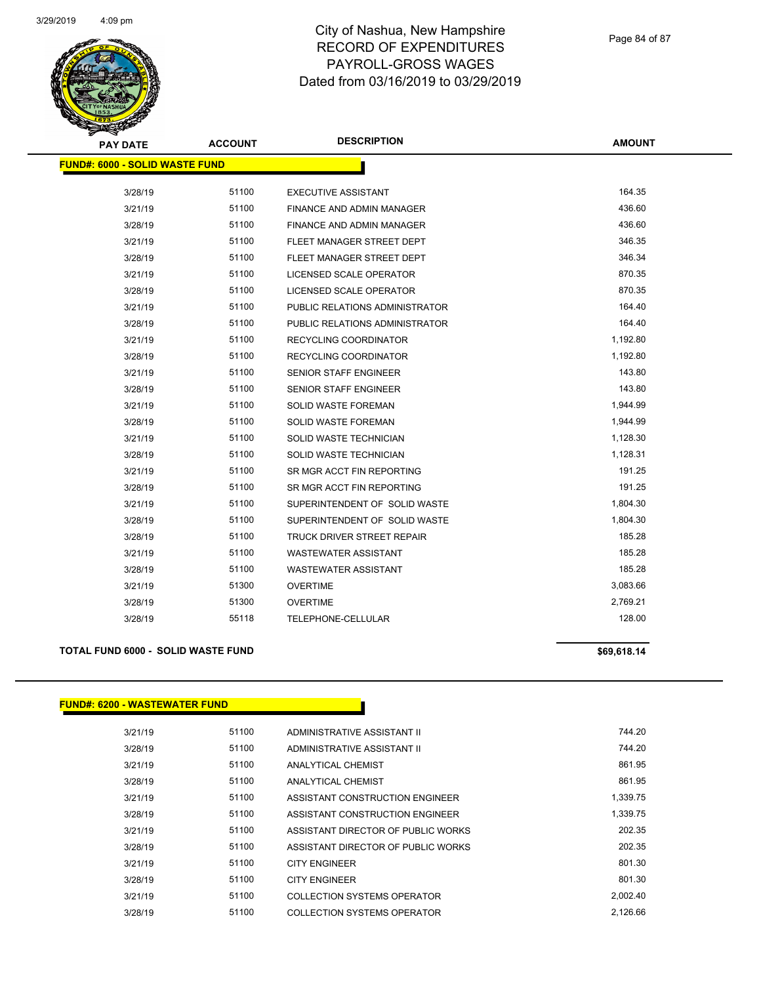

| <b>PAY DATE</b>                       | <b>ACCOUNT</b> | <b>DESCRIPTION</b>             | <b>AMOUNT</b> |
|---------------------------------------|----------------|--------------------------------|---------------|
| <b>FUND#: 6000 - SOLID WASTE FUND</b> |                |                                |               |
| 3/28/19                               | 51100          | <b>EXECUTIVE ASSISTANT</b>     | 164.35        |
| 3/21/19                               | 51100          | FINANCE AND ADMIN MANAGER      | 436.60        |
| 3/28/19                               | 51100          | FINANCE AND ADMIN MANAGER      | 436.60        |
| 3/21/19                               | 51100          | FLEET MANAGER STREET DEPT      | 346.35        |
| 3/28/19                               | 51100          | FLEET MANAGER STREET DEPT      | 346.34        |
| 3/21/19                               | 51100          | <b>LICENSED SCALE OPERATOR</b> | 870.35        |
| 3/28/19                               | 51100          | LICENSED SCALE OPERATOR        | 870.35        |
| 3/21/19                               | 51100          | PUBLIC RELATIONS ADMINISTRATOR | 164.40        |
| 3/28/19                               | 51100          | PUBLIC RELATIONS ADMINISTRATOR | 164.40        |
| 3/21/19                               | 51100          | RECYCLING COORDINATOR          | 1,192.80      |
| 3/28/19                               | 51100          | RECYCLING COORDINATOR          | 1,192.80      |
| 3/21/19                               | 51100          | SENIOR STAFF ENGINEER          | 143.80        |
| 3/28/19                               | 51100          | <b>SENIOR STAFF ENGINEER</b>   | 143.80        |
| 3/21/19                               | 51100          | SOLID WASTE FOREMAN            | 1,944.99      |
| 3/28/19                               | 51100          | SOLID WASTE FOREMAN            | 1,944.99      |
| 3/21/19                               | 51100          | SOLID WASTE TECHNICIAN         | 1,128.30      |
| 3/28/19                               | 51100          | SOLID WASTE TECHNICIAN         | 1,128.31      |
| 3/21/19                               | 51100          | SR MGR ACCT FIN REPORTING      | 191.25        |
| 3/28/19                               | 51100          | SR MGR ACCT FIN REPORTING      | 191.25        |
| 3/21/19                               | 51100          | SUPERINTENDENT OF SOLID WASTE  | 1,804.30      |
| 3/28/19                               | 51100          | SUPERINTENDENT OF SOLID WASTE  | 1,804.30      |
| 3/28/19                               | 51100          | TRUCK DRIVER STREET REPAIR     | 185.28        |
| 3/21/19                               | 51100          | <b>WASTEWATER ASSISTANT</b>    | 185.28        |
| 3/28/19                               | 51100          | <b>WASTEWATER ASSISTANT</b>    | 185.28        |
| 3/21/19                               | 51300          | <b>OVERTIME</b>                | 3,083.66      |
| 3/28/19                               | 51300          | <b>OVERTIME</b>                | 2,769.21      |
| 3/28/19                               | 55118          | TELEPHONE-CELLULAR             | 128.00        |
|                                       |                |                                |               |

#### **TOTAL FUND 6000 - SOLID WASTE FUND \$69,618.14 \$69,618.14**

#### **FUND#: 6200 - WASTEWATER FUND**

| 3/21/19 | 51100 | ADMINISTRATIVE ASSISTANT II        | 744.20   |
|---------|-------|------------------------------------|----------|
| 3/28/19 | 51100 | ADMINISTRATIVE ASSISTANT II        | 744.20   |
| 3/21/19 | 51100 | ANALYTICAL CHEMIST                 | 861.95   |
| 3/28/19 | 51100 | ANALYTICAL CHEMIST                 | 861.95   |
| 3/21/19 | 51100 | ASSISTANT CONSTRUCTION ENGINEER    | 1.339.75 |
| 3/28/19 | 51100 | ASSISTANT CONSTRUCTION ENGINEER    | 1.339.75 |
| 3/21/19 | 51100 | ASSISTANT DIRECTOR OF PUBLIC WORKS | 202.35   |
| 3/28/19 | 51100 | ASSISTANT DIRECTOR OF PUBLIC WORKS | 202.35   |
| 3/21/19 | 51100 | <b>CITY ENGINEER</b>               | 801.30   |
| 3/28/19 | 51100 | <b>CITY ENGINEER</b>               | 801.30   |
| 3/21/19 | 51100 | COLLECTION SYSTEMS OPERATOR        | 2.002.40 |
| 3/28/19 | 51100 | COLLECTION SYSTEMS OPERATOR        | 2.126.66 |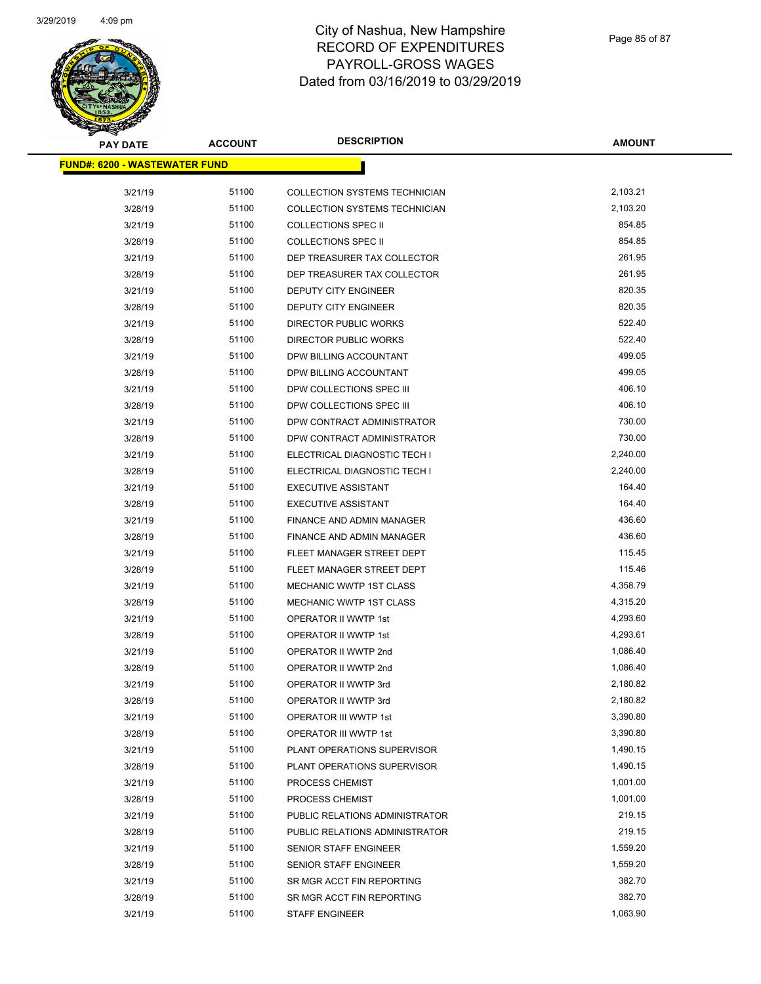

| <b>PAY DATE</b>                       | <b>ACCOUNT</b> | <b>DESCRIPTION</b>                   | AMOUNT   |
|---------------------------------------|----------------|--------------------------------------|----------|
| <u> FUND#: 6200 - WASTEWATER FUND</u> |                |                                      |          |
|                                       |                |                                      |          |
| 3/21/19                               | 51100          | <b>COLLECTION SYSTEMS TECHNICIAN</b> | 2,103.21 |
| 3/28/19                               | 51100          | <b>COLLECTION SYSTEMS TECHNICIAN</b> | 2,103.20 |
| 3/21/19                               | 51100          | <b>COLLECTIONS SPEC II</b>           | 854.85   |
| 3/28/19                               | 51100          | <b>COLLECTIONS SPEC II</b>           | 854.85   |
| 3/21/19                               | 51100          | DEP TREASURER TAX COLLECTOR          | 261.95   |
| 3/28/19                               | 51100          | DEP TREASURER TAX COLLECTOR          | 261.95   |
| 3/21/19                               | 51100          | DEPUTY CITY ENGINEER                 | 820.35   |
| 3/28/19                               | 51100          | DEPUTY CITY ENGINEER                 | 820.35   |
| 3/21/19                               | 51100          | DIRECTOR PUBLIC WORKS                | 522.40   |
| 3/28/19                               | 51100          | DIRECTOR PUBLIC WORKS                | 522.40   |
| 3/21/19                               | 51100          | DPW BILLING ACCOUNTANT               | 499.05   |
| 3/28/19                               | 51100          | DPW BILLING ACCOUNTANT               | 499.05   |
| 3/21/19                               | 51100          | DPW COLLECTIONS SPEC III             | 406.10   |
| 3/28/19                               | 51100          | DPW COLLECTIONS SPEC III             | 406.10   |
| 3/21/19                               | 51100          | DPW CONTRACT ADMINISTRATOR           | 730.00   |
| 3/28/19                               | 51100          | DPW CONTRACT ADMINISTRATOR           | 730.00   |
| 3/21/19                               | 51100          | ELECTRICAL DIAGNOSTIC TECH I         | 2,240.00 |
| 3/28/19                               | 51100          | ELECTRICAL DIAGNOSTIC TECH I         | 2,240.00 |
| 3/21/19                               | 51100          | <b>EXECUTIVE ASSISTANT</b>           | 164.40   |
| 3/28/19                               | 51100          | <b>EXECUTIVE ASSISTANT</b>           | 164.40   |
| 3/21/19                               | 51100          | <b>FINANCE AND ADMIN MANAGER</b>     | 436.60   |
| 3/28/19                               | 51100          | FINANCE AND ADMIN MANAGER            | 436.60   |
| 3/21/19                               | 51100          | FLEET MANAGER STREET DEPT            | 115.45   |
| 3/28/19                               | 51100          | FLEET MANAGER STREET DEPT            | 115.46   |
| 3/21/19                               | 51100          | <b>MECHANIC WWTP 1ST CLASS</b>       | 4,358.79 |
| 3/28/19                               | 51100          | <b>MECHANIC WWTP 1ST CLASS</b>       | 4,315.20 |
| 3/21/19                               | 51100          | <b>OPERATOR II WWTP 1st</b>          | 4,293.60 |
| 3/28/19                               | 51100          | <b>OPERATOR II WWTP 1st</b>          | 4,293.61 |
| 3/21/19                               | 51100          | OPERATOR II WWTP 2nd                 | 1,086.40 |
| 3/28/19                               | 51100          | OPERATOR II WWTP 2nd                 | 1,086.40 |
| 3/21/19                               | 51100          | OPERATOR II WWTP 3rd                 | 2,180.82 |
| 3/28/19                               | 51100          | OPERATOR II WWTP 3rd                 | 2,180.82 |
| 3/21/19                               | 51100          | OPERATOR III WWTP 1st                | 3,390.80 |
| 3/28/19                               | 51100          | OPERATOR III WWTP 1st                | 3,390.80 |
| 3/21/19                               | 51100          | PLANT OPERATIONS SUPERVISOR          | 1,490.15 |
| 3/28/19                               | 51100          | PLANT OPERATIONS SUPERVISOR          | 1,490.15 |
| 3/21/19                               | 51100          | PROCESS CHEMIST                      | 1,001.00 |
| 3/28/19                               | 51100          | PROCESS CHEMIST                      | 1,001.00 |
| 3/21/19                               | 51100          | PUBLIC RELATIONS ADMINISTRATOR       | 219.15   |
| 3/28/19                               | 51100          | PUBLIC RELATIONS ADMINISTRATOR       | 219.15   |
| 3/21/19                               | 51100          | SENIOR STAFF ENGINEER                | 1,559.20 |
| 3/28/19                               | 51100          | <b>SENIOR STAFF ENGINEER</b>         | 1,559.20 |
| 3/21/19                               | 51100          | SR MGR ACCT FIN REPORTING            | 382.70   |
| 3/28/19                               | 51100          | SR MGR ACCT FIN REPORTING            | 382.70   |
| 3/21/19                               | 51100          | STAFF ENGINEER                       | 1,063.90 |
|                                       |                |                                      |          |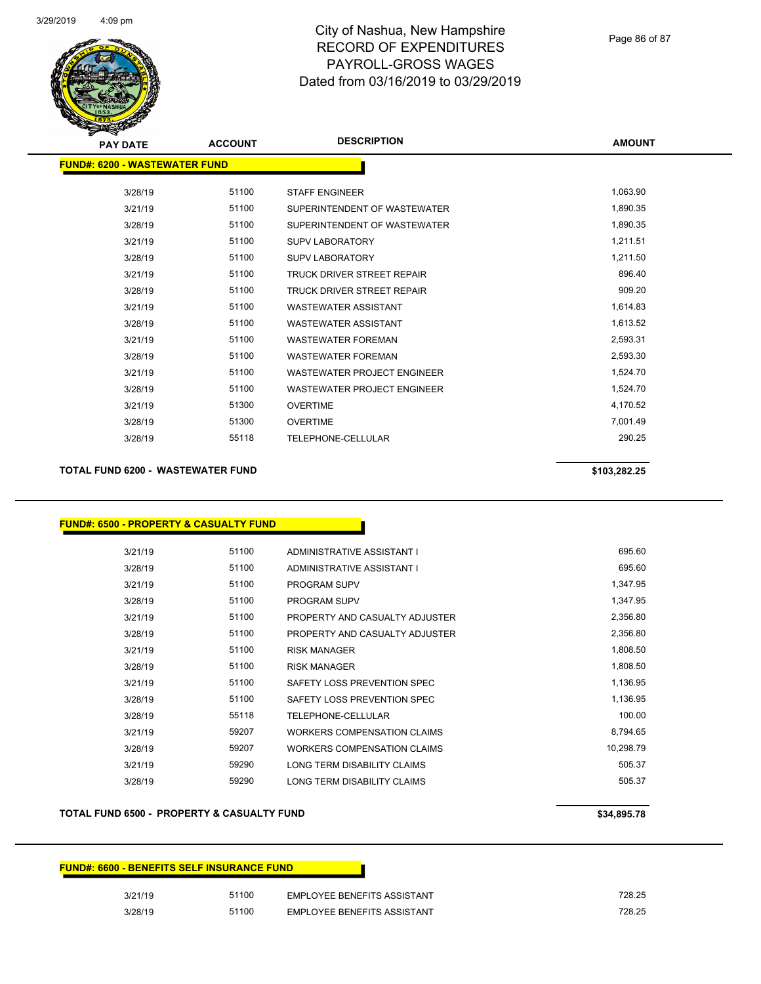

| <b>PAY DATE</b>                      | <b>ACCOUNT</b> | <b>DESCRIPTION</b>                 | <b>AMOUNT</b> |
|--------------------------------------|----------------|------------------------------------|---------------|
| <b>FUND#: 6200 - WASTEWATER FUND</b> |                |                                    |               |
|                                      |                |                                    |               |
| 3/28/19                              | 51100          | <b>STAFF ENGINEER</b>              | 1,063.90      |
| 3/21/19                              | 51100          | SUPERINTENDENT OF WASTEWATER       | 1,890.35      |
| 3/28/19                              | 51100          | SUPERINTENDENT OF WASTEWATER       | 1,890.35      |
| 3/21/19                              | 51100          | <b>SUPV LABORATORY</b>             | 1,211.51      |
| 3/28/19                              | 51100          | <b>SUPV LABORATORY</b>             | 1,211.50      |
| 3/21/19                              | 51100          | <b>TRUCK DRIVER STREET REPAIR</b>  | 896.40        |
| 3/28/19                              | 51100          | <b>TRUCK DRIVER STREET REPAIR</b>  | 909.20        |
| 3/21/19                              | 51100          | <b>WASTEWATER ASSISTANT</b>        | 1,614.83      |
| 3/28/19                              | 51100          | <b>WASTEWATER ASSISTANT</b>        | 1,613.52      |
| 3/21/19                              | 51100          | <b>WASTEWATER FOREMAN</b>          | 2,593.31      |
| 3/28/19                              | 51100          | <b>WASTEWATER FOREMAN</b>          | 2,593.30      |
| 3/21/19                              | 51100          | <b>WASTEWATER PROJECT ENGINEER</b> | 1,524.70      |
| 3/28/19                              | 51100          | <b>WASTEWATER PROJECT ENGINEER</b> | 1,524.70      |
| 3/21/19                              | 51300          | <b>OVERTIME</b>                    | 4,170.52      |
| 3/28/19                              | 51300          | <b>OVERTIME</b>                    | 7,001.49      |
| 3/28/19                              | 55118          | TELEPHONE-CELLULAR                 | 290.25        |
|                                      |                |                                    |               |

#### **TOTAL FUND 6200 - WASTEWATER FUND \$103,282.25**

#### **FUND#: 6500 - PROPERTY & CASUALTY FUND**

| 3/21/19 | 51100 | ADMINISTRATIVE ASSISTANT I         | 695.60    |
|---------|-------|------------------------------------|-----------|
| 3/28/19 | 51100 | ADMINISTRATIVE ASSISTANT I         | 695.60    |
| 3/21/19 | 51100 | <b>PROGRAM SUPV</b>                | 1,347.95  |
| 3/28/19 | 51100 | <b>PROGRAM SUPV</b>                | 1,347.95  |
| 3/21/19 | 51100 | PROPERTY AND CASUALTY ADJUSTER     | 2,356.80  |
| 3/28/19 | 51100 | PROPERTY AND CASUALTY ADJUSTER     | 2,356.80  |
| 3/21/19 | 51100 | <b>RISK MANAGER</b>                | 1,808.50  |
| 3/28/19 | 51100 | <b>RISK MANAGER</b>                | 1,808.50  |
| 3/21/19 | 51100 | SAFETY LOSS PREVENTION SPEC        | 1,136.95  |
| 3/28/19 | 51100 | SAFETY LOSS PREVENTION SPEC        | 1,136.95  |
| 3/28/19 | 55118 | TELEPHONE-CELLULAR                 | 100.00    |
| 3/21/19 | 59207 | <b>WORKERS COMPENSATION CLAIMS</b> | 8,794.65  |
| 3/28/19 | 59207 | WORKERS COMPENSATION CLAIMS        | 10,298.79 |
| 3/21/19 | 59290 | LONG TERM DISABILITY CLAIMS        | 505.37    |
| 3/28/19 | 59290 | LONG TERM DISABILITY CLAIMS        | 505.37    |

#### **TOTAL FUND 6500 - PROPERTY & CASUALTY FUND \$34,895.78**

# **FUND#: 6600 - BENEFITS SELF INSURANCE FUND** 3/21/19 51100 EMPLOYEE BENEFITS ASSISTANT 728.25 3/28/19 51100 EMPLOYEE BENEFITS ASSISTANT 728.25